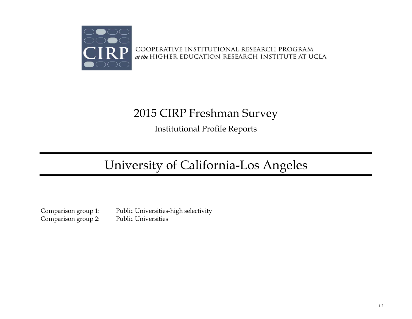

COOPERATIVE INSTITUTIONAL RESEARCH PROGRAM at the HIGHER EDUCATION RESEARCH INSTITUTE AT UCLA

# 2015 CIRP Freshman Survey

Institutional Profile Reports

# University of California-Los Angeles

Comparison group 2: Public Universities

Comparison group 1: Public Universities-high selectivity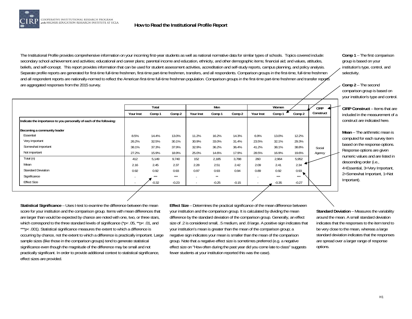

The Institutional Profile provides comprehensive information on your incoming first-year students as well as national normative data for similar types of schools. Topics covered include: secondary school achievement and activities; educational and career plans; parental income and education, ethnicity, and other demographic items; financial aid; and values, attitudes, beliefs, and self-concept. This report provides information that can be used for student assessment activities, accreditation and self-study reports, campus planning, and policy analysis. Separate profile reports are generated for first-time full-time freshmen, first-time part-time freshmen, transfers, and all respondents. Comparison groups in the first-time, full-time freshmen and all respondent reports are nationally-normed to reflect the American first-time full-time freshman population. Comparison groups in the first-time part-time freshmen and transfer reports are aggregated responses from the 2015 survey.

|                                                                     |           | Total   |         |                          | Men     |         |                          | Women   |         | <b>CIRP</b> |
|---------------------------------------------------------------------|-----------|---------|---------|--------------------------|---------|---------|--------------------------|---------|---------|-------------|
|                                                                     | Your Inst | Comp 1  | Comp 2  | Your Inst                | Comp 1  | Comp 2  | Your Inst                | Comp 1  | Comp 2  | Construct   |
| Indicate the importance to you personally of each of the following: |           |         |         |                          |         |         |                          |         |         |             |
| Becoming a community leader                                         |           |         |         |                          |         |         |                          |         |         |             |
| Essential                                                           | 8.5%      | 14.4%   | 13.0%   | 11.2%                    | 16.2%   | 14.3%   | 6.9%                     | 13.0%   | 12.2%   |             |
| Very important                                                      | 26.2%     | 32.5%   | 30.1%   | 30.9%                    | 33.0%   | 31.4%   | 23.5%                    | 32.1%   | 29.3%   |             |
| Somewhat important                                                  | 38.1%     | 37.3%   | 37.9%   | 32.9%                    | 36.2%   | 36.4%   | 41.2%                    | 38.1%   | 38.8%   | Social      |
| Not important                                                       | 27.2%     | 15.9%   | 18.9%   | 25.0%                    | 14.6%   | 17.9%   | 28.5%                    | 16.9%   | 19.6%   | Agency      |
| Total (n)                                                           | 412       | 5,149   | 9,740   | 152                      | 2,185   | 3,788   | 260                      | 2,964   | 5,952   |             |
| Mean                                                                | 2.16      | 2.45    | 2.37    | 2.28                     | 2.51    | 2.42    | 2.09                     | 2.41    | 2.34    |             |
| <b>Standard Deviation</b>                                           | 0.92      | 0.92    | 0.93    | 0.97                     | 0.93    | 0.94    | 0.89                     | 0.92    | 0.93    |             |
| Significance                                                        |           | ***     | ***     | $\overline{\phantom{0}}$ | $**$    |         | $\overline{\phantom{0}}$ | ***     | ***     |             |
| <b>Effect Size</b>                                                  |           | $-0.32$ | $-0.23$ | $\overline{\phantom{a}}$ | $-0.25$ | $-0.15$ |                          | $-0.35$ | $-0.27$ |             |

**Comp 1** – The first comparison group is based on your institution's type, control, and selectivity.

**Comp 2** – The second comparison group is based on your institution's type and control.

**CIRP Construct** – Items that are included in the measurement of a construct are indicated here.

**Mean** – The arithmetic mean is computed for each survey item based on the response options. Response options are given numeric values and are listed in descending order (i.e., 4=Essential, 3=Very Important, 2=Somewhat Important, 1=Not Important).

**Statistical Significance** – Uses t-test to examine the difference between the mean score for your institution and the comparison group. Items with mean differences that are larger than would be expected by chance are noted with one, two, or three stars, which correspond to the three standard levels of significance (\*p< .05, \*\*p< .01, and \*\*\*p< .001). Statistical significance measures the extent to which a difference is occurring by chance, not the extent to which a difference is practically important. Large sample sizes (like those in the comparison groups) tend to generate statistical significance even though the magnitude of the difference may be small and not practically significant. In order to provide additional context to statistical significance, effect sizes are provided.

**Effect Size** – Determines the practical significance of the mean difference between your institution and the comparison group. It is calculated by dividing the mean difference by the standard deviation of the comparison group. Generally, an effect size of .2 is considered small, .5 medium, and .8 large. A positive sign indicates that your institution's mean is greater than the mean of the comparison group; a negative sign indicates your mean is smaller than the mean of the comparison group. Note that a negative effect size is sometimes preferred (e.g. a negative effect size on "How often during the past year did you come late to class" suggests fewer students at your institution reported this was the case).

**Standard Deviation** – Measures the variability around the mean. A small standard deviation indicates that the responses to the item tend to be very close to the mean, whereas a large standard deviation indicates that the responses are spread over a larger range of response options.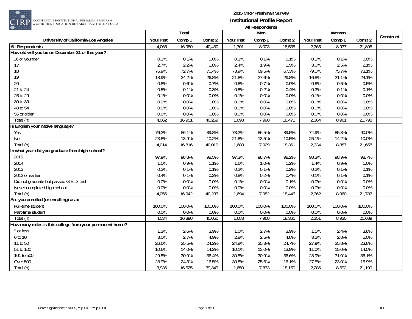

|                                                          |           | Total  |        |           | Men    |        |           | Women  |        |           |
|----------------------------------------------------------|-----------|--------|--------|-----------|--------|--------|-----------|--------|--------|-----------|
| University of California-Los Angeles                     | Your Inst | Comp 1 | Comp 2 | Your Inst | Comp 1 | Comp 2 | Your Inst | Comp 1 | Comp 2 | Construct |
| <b>All Respondents</b>                                   | 4,066     | 16,980 | 40,430 | 1,701     | 8,003  | 18,535 | 2,365     | 8,977  | 21,895 |           |
| How old will you be on December 31 of this year?         |           |        |        |           |        |        |           |        |        |           |
| 16 or younger                                            | 0.1%      | 0.1%   | 0.0%   | 0.1%      | 0.1%   | 0.1%   | 0.1%      | 0.1%   | 0.0%   |           |
| 17                                                       | 2.7%      | 2.2%   | 1.8%   | 2.4%      | 1.9%   | 1.5%   | 3.0%      | 2.5%   | 2.1%   |           |
| 18                                                       | 76.9%     | 72.7%  | 70.4%  | 73.9%     | 69.5%  | 67.3%  | 79.0%     | 75.7%  | 73.1%  |           |
| 19                                                       | 18.9%     | 24.2%  | 26.8%  | 21.8%     | 27.6%  | 29.8%  | 16.8%     | 21.1%  | 24.1%  |           |
| 20                                                       | 0.8%      | 0.6%   | 0.7%   | 0.8%      | 0.7%   | 0.9%   | 0.8%      | 0.5%   | 0.5%   |           |
| 21 to 24                                                 | 0.5%      | 0.1%   | 0.3%   | 0.8%      | 0.2%   | 0.4%   | 0.3%      | 0.1%   | 0.1%   |           |
| 25 to 29                                                 | 0.1%      | 0.0%   | 0.0%   | 0.1%      | 0.0%   | 0.0%   | 0.1%      | 0.0%   | 0.0%   |           |
| 30 to 39                                                 | 0.0%      | 0.0%   | 0.0%   | 0.0%      | 0.0%   | 0.0%   | 0.0%      | 0.0%   | 0.0%   |           |
| 40 to 54                                                 | 0.0%      | 0.0%   | 0.0%   | 0.0%      | 0.0%   | 0.0%   | 0.0%      | 0.0%   | 0.0%   |           |
| 55 or older                                              | 0.0%      | 0.0%   | 0.0%   | 0.0%      | 0.0%   | 0.0%   | 0.0%      | 0.0%   | 0.0%   |           |
| Total (n)                                                | 4,062     | 16,951 | 40,269 | 1,698     | 7,990  | 18,471 | 2,364     | 8,961  | 21,798 |           |
| Is English your native language?                         |           |        |        |           |        |        |           |        |        |           |
| Yes                                                      | 76.2%     | 86.1%  | 89.8%  | 78.2%     | 86.5%  | 89.5%  | 74.9%     | 85.8%  | 90.0%  |           |
| No                                                       | 23.8%     | 13.9%  | 10.2%  | 21.8%     | 13.5%  | 10.5%  | 25.1%     | 14.2%  | 10.0%  |           |
| Total (n)                                                | 4,014     | 16,816 | 40,019 | 1,680     | 7,929  | 18,361 | 2,334     | 8,887  | 21,658 |           |
| In what year did you graduate from high school?          |           |        |        |           |        |        |           |        |        |           |
| 2015                                                     | 97.9%     | 98.8%  | 98.5%  | 97.3%     | 98.7%  | 98.2%  | 98.3%     | 98.9%  | 98.7%  |           |
| 2014                                                     | 1.5%      | 0.9%   | 1.1%   | 1.6%      | 1.0%   | 1.2%   | 1.4%      | 0.9%   | 1.0%   |           |
| 2013                                                     | 0.2%      | 0.1%   | 0.1%   | 0.2%      | 0.1%   | 0.2%   | 0.2%      | 0.1%   | 0.1%   |           |
| 2012 or earlier                                          | 0.4%      | 0.1%   | 0.2%   | 0.8%      | 0.2%   | 0.4%   | 0.1%      | 0.1%   | 0.1%   |           |
| Did not graduate but passed G.E.D. test                  | 0.0%      | 0.0%   | 0.0%   | 0.1%      | 0.0%   | 0.1%   | 0.0%      | 0.0%   | 0.0%   |           |
| Never completed high school                              | 0.0%      | 0.0%   | 0.0%   | 0.0%      | 0.0%   | 0.0%   | 0.0%      | 0.0%   | 0.0%   |           |
| Total (n)                                                | 4,056     | 16,942 | 40,233 | 1,694     | 7,982  | 18,446 | 2,362     | 8,960  | 21,787 |           |
| Are you enrolled (or enrolling) as a:                    |           |        |        |           |        |        |           |        |        |           |
| Full-time student                                        | 100.0%    | 100.0% | 100.0% | 100.0%    | 100.0% | 100.0% | 100.0%    | 100.0% | 100.0% |           |
| Part-time student                                        | 0.0%      | 0.0%   | 0.0%   | 0.0%      | 0.0%   | 0.0%   | 0.0%      | 0.0%   | 0.0%   |           |
| Total (n)                                                | 4,034     | 16,890 | 40,050 | 1,683     | 7,960  | 18,361 | 2,351     | 8,930  | 21,689 |           |
| How many miles is this college from your permanent home? |           |        |        |           |        |        |           |        |        |           |
| 5 or less                                                | 1.3%      | 2.6%   | 3.9%   | 1.0%      | 2.7%   | 3.9%   | 1.5%      | 2.4%   | 3.8%   |           |
| 6 to 10                                                  | 3.0%      | 2.7%   | 4.9%   | 2.8%      | 2.5%   | 4.8%   | 3.2%      | 2.8%   | 5.0%   |           |
| 11 to 50                                                 | 26.6%     | 25.5%  | 24.2%  | 24.8%     | 25.3%  | 24.7%  | 27.9%     | 25.8%  | 23.8%  |           |
| 51 to 100                                                | 10.6%     | 14.0%  | 14.2%  | 10.1%     | 13.0%  | 13.9%  | 11.0%     | 15.0%  | 14.5%  |           |
| 101 to 500                                               | 29.5%     | 30.9%  | 36.4%  | 30.5%     | 30.9%  | 36.6%  | 28.9%     | 31.0%  | 36.1%  |           |
| Over 500                                                 | 28.9%     | 24.3%  | 16.5%  | 30.8%     | 25.6%  | 16.1%  | 27.5%     | 23.0%  | 16.9%  |           |
| Total (n)                                                | 3,936     | 16,525 | 39,349 | 1,650     | 7,833  | 18,150 | 2,286     | 8,692  | 21,199 |           |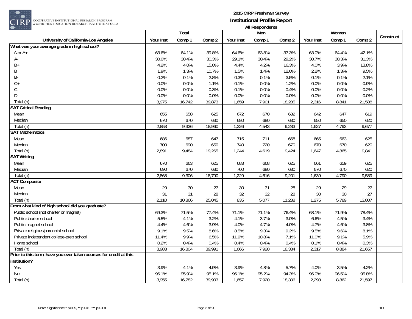

|                                                                    |           | Total  |        |           | Men    |        |           | Women  |        |           |
|--------------------------------------------------------------------|-----------|--------|--------|-----------|--------|--------|-----------|--------|--------|-----------|
| University of California-Los Angeles                               | Your Inst | Comp 1 | Comp 2 | Your Inst | Comp 1 | Comp 2 | Your Inst | Comp 1 | Comp 2 | Construct |
| What was your average grade in high school?                        |           |        |        |           |        |        |           |        |        |           |
| A or A+                                                            | 63.6%     | 64.1%  | 39.8%  | 64.6%     | 63.8%  | 37.3%  | 63.0%     | 64.4%  | 42.1%  |           |
| А-                                                                 | 30.0%     | 30.4%  | 30.3%  | 29.1%     | 30.4%  | 29.2%  | 30.7%     | 30.3%  | 31.3%  |           |
| $B+$                                                               | 4.2%      | 4.0%   | 15.0%  | 4.4%      | 4.2%   | 16.3%  | 4.0%      | 3.9%   | 13.8%  |           |
| B                                                                  | 1.9%      | 1.3%   | 10.7%  | 1.5%      | 1.4%   | 12.0%  | 2.2%      | 1.3%   | 9.5%   |           |
| B-                                                                 | 0.2%      | 0.1%   | 2.8%   | 0.3%      | 0.1%   | 3.5%   | 0.1%      | 0.1%   | 2.1%   |           |
| $C +$                                                              | 0.0%      | 0.0%   | 1.1%   | 0.1%      | 0.0%   | 1.2%   | 0.0%      | 0.0%   | 0.9%   |           |
| $\mathsf C$                                                        | 0.0%      | 0.0%   | 0.3%   | 0.1%      | 0.0%   | 0.4%   | 0.0%      | 0.0%   | 0.2%   |           |
| D                                                                  | 0.0%      | 0.0%   | 0.0%   | 0.0%      | 0.0%   | 0.0%   | 0.0%      | 0.0%   | 0.0%   |           |
| Total (n)                                                          | 3,975     | 16,742 | 39,873 | 1,659     | 7,901  | 18,285 | 2,316     | 8,841  | 21,588 |           |
| <b>SAT Critical Reading</b>                                        |           |        |        |           |        |        |           |        |        |           |
| Mean                                                               | 655       | 658    | 625    | 672       | 670    | 632    | 642       | 647    | 619    |           |
| Median                                                             | 670       | 670    | 630    | 680       | 680    | 630    | 650       | 650    | 620    |           |
| Total (n)                                                          | 2,853     | 9,336  | 18,960 | 1,226     | 4,543  | 9,283  | 1,627     | 4,793  | 9,677  |           |
| <b>SAT Mathematics</b>                                             |           |        |        |           |        |        |           |        |        |           |
| Mean                                                               | 686       | 687    | 647    | 715       | 711    | 668    | 665       | 663    | 625    |           |
| Median                                                             | 700       | 690    | 650    | 740       | 720    | 670    | 670       | 670    | 620    |           |
| Total (n)                                                          | 2,891     | 9,484  | 19,265 | 1,244     | 4,619  | 9,424  | 1,647     | 4,865  | 9,841  |           |
| <b>SAT Writing</b>                                                 |           |        |        |           |        |        |           |        |        |           |
| Mean                                                               | 670       | 663    | 625    | 683       | 668    | 625    | 661       | 659    | 625    |           |
| Median                                                             | 690       | 670    | 630    | 700       | 680    | 630    | 670       | 670    | 620    |           |
| Total $(n)$                                                        | 2,868     | 9,306  | 18,790 | 1,229     | 4,516  | 9,201  | 1,639     | 4,790  | 9,589  |           |
| <b>ACT Composite</b>                                               |           |        |        |           |        |        |           |        |        |           |
| Mean                                                               | 29        | 30     | 27     | 30        | 31     | 28     | 29        | 29     | 27     |           |
| Median                                                             | 31        | 31     | 28     | 32        | 32     | 28     | 30        | 30     | 27     |           |
| Total (n)                                                          | 2,110     | 10,866 | 25,045 | 835       | 5,077  | 11,238 | 1,275     | 5,789  | 13,807 |           |
| From what kind of high school did you graduate?                    |           |        |        |           |        |        |           |        |        |           |
| Public school (not charter or magnet)                              | 69.3%     | 71.5%  | 77.4%  | 71.1%     | 71.1%  | 76.4%  | 68.1%     | 71.9%  | 78.4%  |           |
| Public charter school                                              | 5.5%      | 4.1%   | 3.2%   | 4.1%      | 3.7%   | 3.0%   | 6.6%      | 4.5%   | 3.4%   |           |
| Public magnet school                                               | 4.4%      | 4.6%   | 3.9%   | 4.0%      | 4.7%   | 4.0%   | 4.7%      | 4.6%   | 3.8%   |           |
| Private religious/parochial school                                 | 9.1%      | 9.5%   | 8.6%   | 8.5%      | 9.3%   | 9.2%   | 9.5%      | 9.6%   | 8.1%   |           |
| Private independent college-prep school                            | 11.4%     | 9.9%   | 6.5%   | 11.9%     | 10.8%  | 7.1%   | 11.0%     | 9.1%   | 5.9%   |           |
| Home school                                                        | 0.2%      | 0.4%   | 0.4%   | 0.4%      | 0.4%   | 0.4%   | 0.1%      | 0.4%   | 0.3%   |           |
| Total $(n)$                                                        | 3,983     | 16,804 | 39,991 | 1,666     | 7,920  | 18,334 | 2,317     | 8,884  | 21,657 |           |
| Prior to this term, have you ever taken courses for credit at this |           |        |        |           |        |        |           |        |        |           |
| institution?                                                       |           |        |        |           |        |        |           |        |        |           |
| Yes                                                                | 3.9%      | 4.1%   | 4.9%   | 3.9%      | 4.8%   | 5.7%   | 4.0%      | 3.5%   | 4.2%   |           |
| N <sub>0</sub>                                                     | 96.1%     | 95.9%  | 95.1%  | 96.1%     | 95.2%  | 94.3%  | 96.0%     | 96.5%  | 95.8%  |           |
| Total (n)                                                          | 3,955     | 16,782 | 39,903 | 1,657     | 7,920  | 18,306 | 2,298     | 8,862  | 21,597 |           |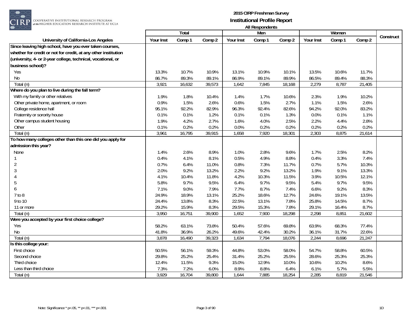

|                                                                |           | Total  |        |           |               |        |           | Women  |        |           |
|----------------------------------------------------------------|-----------|--------|--------|-----------|---------------|--------|-----------|--------|--------|-----------|
| University of California-Los Angeles                           | Your Inst | Comp 1 | Comp 2 | Your Inst | Men<br>Comp 1 | Comp 2 | Your Inst | Comp 1 | Comp 2 | Construct |
| Since leaving high school, have you ever taken courses,        |           |        |        |           |               |        |           |        |        |           |
| whether for credit or not for credit, at any other institution |           |        |        |           |               |        |           |        |        |           |
| (university, 4- or 2-year college, technical, vocational, or   |           |        |        |           |               |        |           |        |        |           |
| business school)?                                              |           |        |        |           |               |        |           |        |        |           |
| Yes                                                            | 13.3%     | 10.7%  | 10.9%  | 13.1%     | 10.9%         | 10.1%  | 13.5%     | 10.6%  | 11.7%  |           |
| No                                                             | 86.7%     | 89.3%  | 89.1%  | 86.9%     | 89.1%         | 89.9%  | 86.5%     | 89.4%  | 88.3%  |           |
| Total (n)                                                      | 3,921     | 16,632 | 39,573 | 1,642     | 7,845         | 18,168 | 2,279     | 8,787  | 21,405 |           |
| Where do you plan to live during the fall term?                |           |        |        |           |               |        |           |        |        |           |
| With my family or other relatives                              | 1.9%      | 1.8%   | 10.4%  | 1.4%      | 1.7%          | 10.6%  | 2.3%      | 1.9%   | 10.2%  |           |
| Other private home, apartment, or room                         | 0.9%      | 1.5%   | 2.6%   | 0.6%      | 1.5%          | 2.7%   | 1.1%      | 1.5%   | 2.6%   |           |
| College residence hall                                         | 95.1%     | 92.2%  | 82.9%  | 96.3%     | 92.4%         | 82.6%  | 94.2%     | 92.0%  | 83.2%  |           |
| Fraternity or sorority house                                   | 0.1%      | 0.1%   | 1.2%   | 0.1%      | 0.1%          | 1.3%   | 0.0%      | 0.1%   | 1.1%   |           |
| Other campus student housing                                   | 1.9%      | 4.2%   | 2.7%   | 1.6%      | 4.0%          | 2.5%   | 2.2%      | 4.4%   | 2.8%   |           |
| Other                                                          | 0.1%      | 0.2%   | 0.2%   | 0.0%      | 0.2%          | 0.2%   | 0.2%      | 0.2%   | 0.2%   |           |
| Total (n)                                                      | 3,961     | 16,795 | 39,915 | 1,658     | 7,920         | 18,301 | 2,303     | 8,875  | 21,614 |           |
| To how many colleges other than this one did you apply for     |           |        |        |           |               |        |           |        |        |           |
| admission this year?                                           |           |        |        |           |               |        |           |        |        |           |
| None                                                           | 1.4%      | 2.6%   | 8.9%   | 1.0%      | 2.8%          | 9.6%   | 1.7%      | 2.5%   | 8.2%   |           |
| 1                                                              | 0.4%      | 4.1%   | 8.1%   | 0.5%      | 4.9%          | 8.8%   | 0.4%      | 3.3%   | 7.4%   |           |
| $\overline{2}$                                                 | 0.7%      | 6.4%   | 11.0%  | 0.8%      | 7.3%          | 11.7%  | 0.7%      | 5.7%   | 10.3%  |           |
| 3                                                              | 2.0%      | 9.2%   | 13.2%  | 2.2%      | 9.2%          | 13.2%  | 1.9%      | 9.1%   | 13.3%  |           |
| 4                                                              | 4.1%      | 10.4%  | 11.8%  | 4.2%      | 10.3%         | 11.5%  | 3.9%      | 10.5%  | 12.1%  |           |
| 5                                                              | 5.8%      | 9.7%   | 9.5%   | 6.4%      | 9.7%          | 9.5%   | 5.4%      | 9.7%   | 9.5%   |           |
| 6                                                              | 7.1%      | 9.0%   | 7.9%   | 7.7%      | 8.7%          | 7.4%   | 6.6%      | 9.2%   | 8.3%   |           |
| 7 to 8                                                         | 24.9%     | 18.9%  | 13.1%  | 25.2%     | 18.6%         | 12.7%  | 24.6%     | 19.1%  | 13.5%  |           |
| 9 to 10                                                        | 24.4%     | 13.8%  | 8.3%   | 22.5%     | 13.1%         | 7.8%   | 25.8%     | 14.5%  | 8.7%   |           |
| 11 or more                                                     | 29.2%     | 15.9%  | 8.3%   | 29.5%     | 15.3%         | 7.8%   | 29.1%     | 16.4%  | 8.7%   |           |
| Total (n)                                                      | 3,950     | 16,751 | 39,900 | 1,652     | 7,900         | 18,298 | 2,298     | 8,851  | 21,602 |           |
| Were you accepted by your first choice college?                |           |        |        |           |               |        |           |        |        |           |
| Yes                                                            | 58.2%     | 63.1%  | 73.8%  | 50.4%     | 57.6%         | 69.8%  | 63.9%     | 68.3%  | 77.4%  |           |
| No                                                             | 41.8%     | 36.9%  | 26.2%  | 49.6%     | 42.4%         | 30.2%  | 36.1%     | 31.7%  | 22.6%  |           |
| Total (n)                                                      | 3,878     | 16,490 | 39,323 | 1,634     | 7,794         | 18,076 | 2,244     | 8,696  | 21,247 |           |
| Is this college your:                                          |           |        |        |           |               |        |           |        |        |           |
| First choice                                                   | 50.5%     | 56.1%  | 59.3%  | 44.8%     | 53.0%         | 58.0%  | 54.7%     | 58.8%  | 60.5%  |           |
| Second choice                                                  | 29.8%     | 25.2%  | 25.4%  | 31.4%     | 25.2%         | 25.5%  | 28.6%     | 25.3%  | 25.3%  |           |
| Third choice                                                   | 12.4%     | 11.5%  | 9.3%   | 15.0%     | 12.9%         | 10.0%  | 10.6%     | 10.2%  | 8.6%   |           |
| Less than third choice                                         | 7.3%      | 7.2%   | 6.0%   | 8.9%      | 8.8%          | 6.4%   | 6.1%      | 5.7%   | 5.5%   |           |
| Total (n)                                                      | 3,929     | 16,704 | 39,800 | 1,644     | 7,885         | 18,254 | 2,285     | 8,819  | 21,546 |           |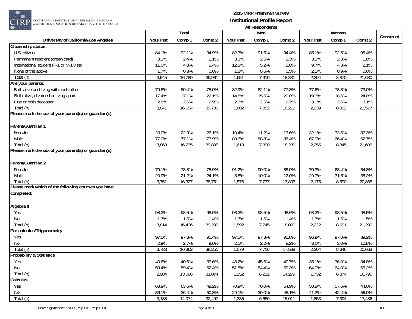

COOPERATIVE INSTITUTIONAL RESEARCH PROGRAM at the HIGHER EDUCATION RESEARCH INSTITUTE AT UCLA

|                                                       |           | Total  |        |           | Men    |        |           | Women  |        |           |
|-------------------------------------------------------|-----------|--------|--------|-----------|--------|--------|-----------|--------|--------|-----------|
| University of California-Los Angeles                  | Your Inst | Comp 1 | Comp 2 | Your Inst | Comp 1 | Comp 2 | Your Inst | Comp 1 | Comp 2 | Construct |
| Citizenship status:                                   |           |        |        |           |        |        |           |        |        |           |
| U.S. citizen                                          | 84.1%     | 92.1%  | 94.9%  | 82.7%     | 91.6%  | 94.4%  | 85.1%     | 92.5%  | 95.4%  |           |
| Permanent resident (green card)                       | 3.1%      | 2.4%   | 2.1%   | 3.3%      | 2.5%   | 2.3%   | 3.1%      | 2.3%   | 1.8%   |           |
| International student (F-1 or M-1 visa)               | 11.0%     | 4.8%   | 2.4%   | 12.8%     | 5.2%   | 2.8%   | 9.7%      | 4.3%   | 2.1%   |           |
| None of the above                                     | 1.7%      | 0.8%   | 0.6%   | 1.2%      | 0.6%   | 0.5%   | 2.1%      | 0.9%   | 0.6%   |           |
| Total (n)                                             | 3,945     | 16,789 | 39,961 | 1,651     | 7,919  | 18,331 | 2,294     | 8,870  | 21,630 |           |
| Are your parents:                                     |           |        |        |           |        |        |           |        |        |           |
| Both alive and living with each other                 | 79.8%     | 80.4%  | 75.0%  | 82.9%     | 82.1%  | 77.3%  | 77.6%     | 78.8%  | 73.0%  |           |
| Both alive, divorced or living apart                  | 17.4%     | 17.1%  | 22.1%  | 14.8%     | 15.5%  | 20.0%  | 19.3%     | 18.6%  | 24.0%  |           |
| One or both deceased                                  | 2.8%      | 2.6%   | 2.9%   | 2.3%      | 2.5%   | 2.7%   | 3.1%      | 2.6%   | 3.1%   |           |
| Total (n)                                             | 3,841     | 16,654 | 39,736 | 1,602     | 7,852  | 18,219 | 2,239     | 8,802  | 21,517 |           |
| Please mark the sex of your parent(s) or guardian(s). |           |        |        |           |        |        |           |        |        |           |
| Parent/Guardian 1                                     |           |        |        |           |        |        |           |        |        |           |
| Female                                                | 23.0%     | 22.9%  | 26.1%  | 10.4%     | 11.2%  | 13.6%  | 32.1%     | 33.6%  | 37.3%  |           |
| Male                                                  | 77.0%     | 77.1%  | 73.9%  | 89.6%     | 88.8%  | 86.4%  | 67.9%     | 66.4%  | 62.7%  |           |
| Total (n)                                             | 3,868     | 16,735 | 39,895 | 1,613     | 7,890  | 18,289 | 2,255     | 8,845  | 21,606 |           |
| Please mark the sex of your parent(s) or guardian(s). |           |        |        |           |        |        |           |        |        |           |
|                                                       |           |        |        |           |        |        |           |        |        |           |
| Parent/Guardian 2                                     |           |        |        |           |        |        |           |        |        |           |
| Female                                                | 79.1%     | 78.8%  | 75.9%  | 91.2%     | 90.0%  | 88.0%  | 70.3%     | 68.4%  | 64.8%  |           |
| Male                                                  | 20.9%     | 21.2%  | 24.1%  | 8.8%      | 10.0%  | 12.0%  | 29.7%     | 31.6%  | 35.2%  |           |
| Total (n)                                             | 3,751     | 16,327 | 38,761 | 1,576     | 7,737  | 17,893 | 2,175     | 8,590  | 20,868 |           |
| Please mark which of the following courses you have   |           |        |        |           |        |        |           |        |        |           |
| completed:                                            |           |        |        |           |        |        |           |        |        |           |
| Algebra II                                            |           |        |        |           |        |        |           |        |        |           |
| Yes                                                   | 98.3%     | 98.5%  | 98.6%  | 98.3%     | 98.5%  | 98.6%  | 98.3%     | 98.5%  | 98.5%  |           |
| No                                                    | 1.7%      | 1.5%   | 1.4%   | 1.7%      | 1.5%   | 1.4%   | 1.7%      | 1.5%   | 1.5%   |           |
| Total (n)                                             | 3,814     | 16,436 | 39,299 | 1,592     | 7,745  | 18,000 | 2,222     | 8,691  | 21,299 |           |
| Pre-calculus/Trigonometry                             |           |        |        |           |        |        |           |        |        |           |
| Yes                                                   | 97.1%     | 97.3%  | 90.4%  | 97.5%     | 97.8%  | 91.8%  | 96.9%     | 97.0%  | 89.2%  |           |
| No                                                    | 2.9%      | 2.7%   | 9.6%   | 2.5%      | 2.2%   | 8.2%   | 3.1%      | 3.0%   | 10.8%  |           |
| $\overline{\text{Total}}(n)$                          | 3,783     | 16,362 | 38,251 | 1,579     | 7,716  | 17,588 | 2,204     | 8,646  | 20,663 |           |
| <b>Probability &amp; Statistics</b>                   |           |        |        |           |        |        |           |        |        |           |
| Yes                                                   | 40.6%     | 40.6%  | 37.6%  | 48.2%     | 45.6%  | 40.7%  | 35.1%     | 36.0%  | 34.8%  |           |
| No                                                    | 59.4%     | 59.4%  | 62.4%  | 51.8%     | 54.4%  | 59.3%  | 64.9%     | 64.0%  | 65.2%  |           |
| Total (n)                                             | 2,984     | 13,086 | 31,074 | 1,252     | 6,212  | 14,279 | 1,732     | 6,874  | 16,795 |           |
| Calculus                                              |           |        |        |           |        |        |           |        |        |           |
| Yes                                                   | 63.9%     | 63.6%  | 49.2%  | 70.9%     | 70.0%  | 54.9%  | 58.8%     | 57.6%  | 44.0%  |           |
| No                                                    | 36.1%     | 36.4%  | 50.8%  | 29.1%     | 30.0%  | 45.1%  | 41.2%     | 42.4%  | 56.0%  |           |
| Total (n)                                             | 3,188     | 14,074 | 32,497 | 1,335     | 6,680  | 15,011 | 1,853     | 7,394  | 17,486 |           |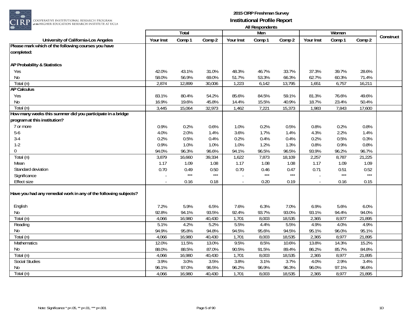

|                                                                  |               | Total           |        |                | r in nooponuchio<br>Men |                 |                | Women          |                 |           |
|------------------------------------------------------------------|---------------|-----------------|--------|----------------|-------------------------|-----------------|----------------|----------------|-----------------|-----------|
| University of California-Los Angeles                             | Your Inst     | Comp 1          | Comp 2 | Your Inst      | Comp 1                  | Comp 2          | Your Inst      | Comp 1         | Comp 2          | Construct |
| Please mark which of the following courses you have              |               |                 |        |                |                         |                 |                |                |                 |           |
| completed:                                                       |               |                 |        |                |                         |                 |                |                |                 |           |
|                                                                  |               |                 |        |                |                         |                 |                |                |                 |           |
| <b>AP Probability &amp; Statistics</b>                           |               |                 |        |                |                         |                 |                |                |                 |           |
| Yes                                                              | 42.0%         | 43.1%           | 31.0%  | 48.3%          | 46.7%                   | 33.7%           | 37.3%          | 39.7%          | 28.6%           |           |
| No                                                               | 58.0%         | 56.9%           | 69.0%  | 51.7%          | 53.3%                   | 66.3%           | 62.7%          | 60.3%          | 71.4%           |           |
| Total (n)                                                        | 2,874         | 12,899          | 30,006 | 1,223          | 6,142                   | 13,795          | 1,651          | 6,757          | 16,211          |           |
| <b>AP Calculus</b>                                               |               |                 |        |                |                         |                 |                |                |                 |           |
| Yes                                                              | 83.1%         | 80.4%           | 54.2%  | 85.6%          | 84.5%                   | 59.1%           | 81.3%          | 76.6%          | 49.6%           |           |
| No                                                               | 16.9%         | 19.6%           | 45.8%  | 14.4%          | 15.5%                   | 40.9%           | 18.7%          | 23.4%          | 50.4%           |           |
| Total (n)                                                        | 3,445         | 15,064          | 32,973 | 1,462          | 7,221                   | 15,373          | 1,983          | 7,843          | 17,600          |           |
| How many weeks this summer did you participate in a bridge       |               |                 |        |                |                         |                 |                |                |                 |           |
| program at this institution?                                     |               |                 |        |                |                         |                 |                |                |                 |           |
| 7 or more                                                        | 0.9%          | 0.2%            | 0.6%   | 1.0%           | 0.2%                    | 0.5%            | 0.8%           | 0.2%           | 0.8%            |           |
| $5-6$                                                            | 4.0%          | 2.0%            | 1.4%   | 3.6%           | 1.7%                    | 1.4%            | 4.3%           | 2.2%           | 1.4%            |           |
| $3-4$                                                            | 0.2%          | 0.5%            | 0.4%   | 0.2%           | 0.4%                    | 0.4%            | 0.2%           | 0.5%           | 0.3%            |           |
| $1 - 2$                                                          | 0.9%          | 1.0%            | 1.0%   | 1.0%           | 1.2%                    | 1.3%            | 0.8%           | 0.9%           | 0.8%            |           |
| $\overline{0}$                                                   | 94.0%         | 96.3%           | 96.6%  | 94.1%          | 96.5%                   | 96.5%           | 93.9%          | 96.2%          | 96.7%           |           |
| Total (n)                                                        | 3,879         | 16,660          | 39,334 | 1,622          | 7,873                   | 18,109          | 2,257          | 8,787          | 21,225          |           |
| Mean                                                             | 1.17          | 1.09            | 1.08   | 1.17           | 1.08                    | 1.08            | 1.17           | 1.09           | 1.09            |           |
| Standard deviation                                               | 0.70          | 0.49            | 0.50   | 0.70           | 0.46                    | 0.47            | 0.71           | 0.51           | 0.52            |           |
| Significance                                                     |               | $***$           | $***$  |                | $***$                   | $***$           |                | $***$          | $***$           |           |
| Effect size                                                      |               | 0.16            | 0.18   | $\blacksquare$ | 0.20                    | 0.19            |                | 0.16           | 0.15            |           |
|                                                                  |               |                 |        |                |                         |                 |                |                |                 |           |
| Have you had any remedial work in any of the following subjects? |               |                 |        |                |                         |                 |                |                |                 |           |
|                                                                  |               |                 |        |                |                         |                 |                |                |                 |           |
| English                                                          | 7.2%          | 5.9%            | 6.5%   | 7.6%           | 6.3%                    | 7.0%            | 6.9%           | 5.6%           | 6.0%            |           |
| No                                                               | 92.8%         | 94.1%           | 93.5%  | 92.4%          | 93.7%                   | 93.0%           | 93.1%          | 94.4%          | 94.0%           |           |
| Total (n)                                                        | 4,066         | 16,980          | 40,430 | 1,701          | 8,003                   | 18,535          | 2,365          | 8,977          | 21,895          |           |
| Reading                                                          | 5.1%          | 4.2%            | 5.2%   | 5.5%           | 4.4%                    | 5.5%            | 4.9%           | 4.0%           | 4.9%            |           |
| No                                                               | 94.9%         | 95.8%           | 94.8%  | 94.5%          | 95.6%                   | 94.5%           | 95.1%          | 96.0%          | 95.1%           |           |
| Total (n)                                                        | 4,066         | 16,980          | 40,430 | 1,701          | 8,003                   | 18,535          | 2,365          | 8,977          | 21,895          |           |
| <b>Mathematics</b>                                               | 12.0%         | 11.5%           | 13.0%  | 9.5%           | 8.5%                    | 10.6%           | 13.8%          | 14.3%          | 15.2%           |           |
| No                                                               | 88.0%         | 88.5%           | 87.0%  | 90.5%          | 91.5%                   | 89.4%           | 86.2%          | 85.7%          | 84.8%           |           |
| Total (n)<br><b>Social Studies</b>                               | 4,066         | 16,980          | 40,430 | 1,701<br>3.8%  | 8,003<br>3.1%           | 18,535          | 2,365          | 8,977          | 21,895          |           |
|                                                                  | 3.9%<br>96.1% | 3.0%            | 3.5%   |                |                         | 3.7%            | 4.0%           | 2.9%           | 3.4%            |           |
| No<br>Total (n)                                                  | 4,066         | 97.0%<br>16,980 | 96.5%  | 96.2%<br>1,701 | 96.9%<br>8,003          | 96.3%<br>18,535 | 96.0%<br>2,365 | 97.1%<br>8,977 | 96.6%<br>21,895 |           |
|                                                                  |               |                 | 40,430 |                |                         |                 |                |                |                 |           |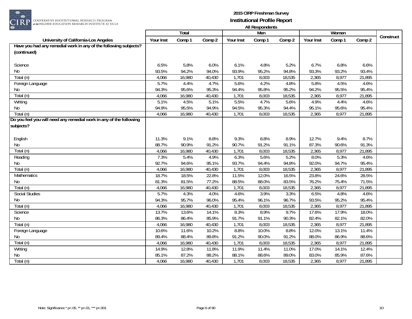

COOPERATIVE INSTITUTIONAL RESEARCH PROGRAM at the HIGHER EDUCATION RESEARCH INSTITUTE AT UCLA

|                                                                     |           | Total  |        |           | 1.00<br>Men |        |           | Women  |        |           |
|---------------------------------------------------------------------|-----------|--------|--------|-----------|-------------|--------|-----------|--------|--------|-----------|
| University of California-Los Angeles                                | Your Inst | Comp 1 | Comp 2 | Your Inst | Comp 1      | Comp 2 | Your Inst | Comp 1 | Comp 2 | Construct |
| Have you had any remedial work in any of the following subjects?    |           |        |        |           |             |        |           |        |        |           |
| (continued)                                                         |           |        |        |           |             |        |           |        |        |           |
|                                                                     |           |        |        |           |             |        |           |        |        |           |
| Science                                                             | 6.5%      | 5.8%   | 6.0%   | 6.1%      | 4.8%        | 5.2%   | 6.7%      | 6.8%   | 6.6%   |           |
| No                                                                  | 93.5%     | 94.2%  | 94.0%  | 93.9%     | 95.2%       | 94.8%  | 93.3%     | 93.2%  | 93.4%  |           |
| Total (n)                                                           | 4,066     | 16,980 | 40,430 | 1,701     | 8,003       | 18,535 | 2,365     | 8,977  | 21,895 |           |
| Foreign Language                                                    | 5.7%      | 4.4%   | 4.7%   | 5.6%      | 4.2%        | 4.8%   | 5.8%      | 4.5%   | 4.6%   |           |
| No                                                                  | 94.3%     | 95.6%  | 95.3%  | 94.4%     | 95.8%       | 95.2%  | 94.2%     | 95.5%  | 95.4%  |           |
| Total (n)                                                           | 4,066     | 16,980 | 40,430 | 1,701     | 8,003       | 18,535 | 2,365     | 8,977  | 21,895 |           |
| Writing                                                             | 5.1%      | 4.5%   | 5.1%   | 5.5%      | 4.7%        | 5.6%   | 4.9%      | 4.4%   | 4.6%   |           |
| No                                                                  | 94.9%     | 95.5%  | 94.9%  | 94.5%     | 95.3%       | 94.4%  | 95.1%     | 95.6%  | 95.4%  |           |
| Total (n)                                                           | 4,066     | 16,980 | 40,430 | 1,701     | 8,003       | 18,535 | 2,365     | 8,977  | 21,895 |           |
| Do you feel you will need any remedial work in any of the following |           |        |        |           |             |        |           |        |        |           |
| subjects?                                                           |           |        |        |           |             |        |           |        |        |           |
|                                                                     |           |        |        |           |             |        |           |        |        |           |
| English                                                             | 11.3%     | 9.1%   | 8.8%   | 9.3%      | 8.8%        | 8.9%   | 12.7%     | 9.4%   | 8.7%   |           |
| No                                                                  | 88.7%     | 90.9%  | 91.2%  | 90.7%     | 91.2%       | 91.1%  | 87.3%     | 90.6%  | 91.3%  |           |
| Total (n)                                                           | 4,066     | 16,980 | 40,430 | 1,701     | 8,003       | 18,535 | 2,365     | 8,977  | 21,895 |           |
| Reading                                                             | 7.3%      | 5.4%   | 4.9%   | 6.3%      | 5.6%        | 5.2%   | 8.0%      | 5.3%   | 4.6%   |           |
| No                                                                  | 92.7%     | 94.6%  | 95.1%  | 93.7%     | 94.4%       | 94.8%  | 92.0%     | 94.7%  | 95.4%  |           |
| Total (n)                                                           | 4,066     | 16,980 | 40,430 | 1,701     | 8,003       | 18,535 | 2,365     | 8,977  | 21,895 |           |
| Mathematics                                                         | 18.7%     | 18.5%  | 22.8%  | 11.5%     | 12.0%       | 16.5%  | 23.8%     | 24.6%  | 28.5%  |           |
| No                                                                  | 81.3%     | 81.5%  | 77.2%  | 88.5%     | 88.0%       | 83.5%  | 76.2%     | 75.4%  | 71.5%  |           |
| Total (n)                                                           | 4,066     | 16,980 | 40,430 | 1,701     | 8,003       | 18,535 | 2,365     | 8,977  | 21,895 |           |
| Social Studies                                                      | 5.7%      | 4.3%   | 4.0%   | 4.6%      | 3.9%        | 3.3%   | 6.5%      | 4.8%   | 4.6%   |           |
| No                                                                  | 94.3%     | 95.7%  | 96.0%  | 95.4%     | 96.1%       | 96.7%  | 93.5%     | 95.2%  | 95.4%  |           |
| Total (n)                                                           | 4,066     | 16,980 | 40,430 | 1,701     | 8,003       | 18,535 | 2,365     | 8,977  | 21,895 |           |
| Science                                                             | 13.7%     | 13.6%  | 14.1%  | 8.3%      | 8.9%        | 9.7%   | 17.6%     | 17.9%  | 18.0%  |           |
| $\rm No$                                                            | 86.3%     | 86.4%  | 85.9%  | 91.7%     | 91.1%       | 90.3%  | 82.4%     | 82.1%  | 82.0%  |           |
| Total (n)                                                           | 4,066     | 16,980 | 40,430 | 1,701     | 8,003       | 18,535 | 2,365     | 8,977  | 21,895 |           |
| Foreign Language                                                    | 10.6%     | 11.6%  | 10.2%  | 8.8%      | 10.0%       | 8.8%   | 12.0%     | 13.1%  | 11.4%  |           |
| No                                                                  | 89.4%     | 88.4%  | 89.8%  | 91.2%     | 90.0%       | 91.2%  | 88.0%     | 86.9%  | 88.6%  |           |
| Total (n)                                                           | 4,066     | 16,980 | 40,430 | 1,701     | 8,003       | 18,535 | 2,365     | 8,977  | 21,895 |           |
| Writing                                                             | 14.9%     | 12.8%  | 11.8%  | 11.9%     | 11.4%       | 11.0%  | 17.0%     | 14.1%  | 12.4%  |           |
| No                                                                  | 85.1%     | 87.2%  | 88.2%  | 88.1%     | 88.6%       | 89.0%  | 83.0%     | 85.9%  | 87.6%  |           |
| Total (n)                                                           | 4,066     | 16,980 | 40,430 | 1,701     | 8,003       | 18,535 | 2,365     | 8,977  | 21,895 |           |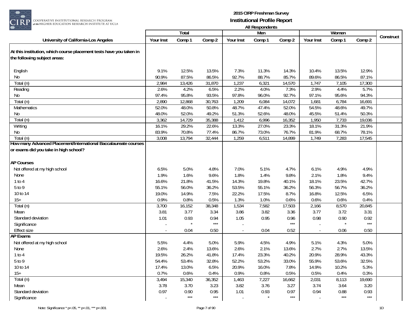

| $\smash{\smash{\cup}}\smash{\smash{\cup}}$                                                          |                     | Total             |              |                | AII KUJUULIUU<br>Men |              |               | Women          |                       |           |
|-----------------------------------------------------------------------------------------------------|---------------------|-------------------|--------------|----------------|----------------------|--------------|---------------|----------------|-----------------------|-----------|
| University of California-Los Angeles                                                                | Your Inst           | Comp 1            | Comp 2       | Your Inst      | Comp 1               | Comp 2       | Your Inst     | Comp 1         | Comp 2                | Construct |
| At this institution, which course placement tests have you taken in<br>the following subject areas: |                     |                   |              |                |                      |              |               |                |                       |           |
| English                                                                                             | 9.1%                | 12.5%             | 13.5%        | 7.3%           | 11.3%                | 14.3%        | 10.4%         | 13.5%          | 12.9%                 |           |
| No                                                                                                  | 90.9%               | 87.5%             | 86.5%        | 92.7%          | 88.7%                | 85.7%        | 89.6%         | 86.5%          | 87.1%                 |           |
| Total (n)                                                                                           | 2,984               | 13,426            | 31,870       | 1,237          | 6,321                | 14,570       | 1,747         | 7,105          | 17,300                |           |
| Reading                                                                                             | 2.6%                | 4.2%              | 6.5%         | 2.2%           | 4.0%                 | 7.3%         | 2.9%          | 4.4%           | 5.7%                  |           |
| No                                                                                                  | 97.4%               | 95.8%             | 93.5%        | 97.8%          | 96.0%                | 92.7%        | 97.1%         | 95.6%          | 94.3%                 |           |
| Total (n)                                                                                           | 2,890               | 12,868            | 30,763       | 1,209          | 6,084                | 14,072       | 1,681         | 6,784          | 16,691                |           |
| Mathematics                                                                                         | 52.0%               | 48.0%             | 50.8%        | 48.7%          | 47.4%                | 52.0%        | 54.5%         | 48.6%          | 49.7%                 |           |
| No                                                                                                  | 48.0%               | 52.0%             | 49.2%        | 51.3%          | 52.6%                | 48.0%        | 45.5%         | 51.4%          | 50.3%                 |           |
| Total (n)                                                                                           | 3,362               | 14,729            | 35,388       | 1,412          | 6,996                | 16,352       | 1,950         | 7,733          | 19,036                |           |
| Writing                                                                                             | $16.\overline{1\%}$ | 29.2%             | 22.6%        | 13.3%          | 27.0%                | 23.3%        | 18.1%         | 31.3%          | 21.9%                 |           |
| No                                                                                                  | 83.9%               | 70.8%             | 77.4%        | 86.7%          | 73.0%                | 76.7%        | 81.9%         | 68.7%          | 78.1%                 |           |
| Total (n)<br>How many Advanced Placement/International Baccalaureate courses                        | 3,008               | 13,794            | 32,444       | 1,259          | 6,511                | 14,899       | 1,749         | 7,283          | 17,545                |           |
| or exams did you take in high school?                                                               |                     |                   |              |                |                      |              |               |                |                       |           |
| <b>AP Courses</b>                                                                                   |                     |                   |              |                |                      |              |               |                |                       |           |
| Not offered at my high school                                                                       | 6.5%                | 5.0%              | 4.8%         | 7.0%           | 5.1%                 | 4.7%         | 6.1%          | 4.9%           | 4.9%                  |           |
| None                                                                                                | 1.9%                | 1.6%              | 9.6%         | 1.8%           | 1.4%                 | 9.8%         | 2.1%          | 1.8%           | 9.4%                  |           |
| 1 to 4                                                                                              | 16.6%               | 21.8%             | 41.5%        | 14.3%          | 19.8%                | 40.1%        | 18.1%         | 23.5%          | 42.7%                 |           |
| 5 to 9                                                                                              | 55.1%               | 56.0%             | 36.2%        | 53.5%          | 55.1%                | 36.2%        | 56.3%         | 56.7%          | 36.2%                 |           |
| 10 to 14                                                                                            | 19.0%               | 14.9%             | 7.5%         | 22.2%          | 17.5%                | 8.7%         | 16.8%         | 12.5%          | 6.5%                  |           |
| $15+$                                                                                               | 0.9%                | 0.8%              | 0.5%         | 1.3%           | 1.0%                 | 0.6%         | 0.6%          | 0.6%           | 0.4%                  |           |
| Total (n)                                                                                           | 3,700               | 16,152            | 38,348       | 1,534          | 7,582                | 17,503       | 2,166         | 8,570          | 20,845                |           |
| Mean                                                                                                | 3.81                | 3.77              | 3.34         | 3.86           | 3.82                 | 3.36         | 3.77          | 3.72           | 3.31                  |           |
| Standard deviation                                                                                  | 1.01                | 0.93              | 0.94         | 1.05           | 0.95                 | 0.96         | 0.98          | 0.90           | 0.92                  |           |
| Significance                                                                                        |                     |                   | $***$        |                |                      | $***$        |               |                | $\star\!\star\!\star$ |           |
| Effect size                                                                                         |                     | 0.04              | 0.50         | $\blacksquare$ | 0.04                 | 0.52         |               | 0.06           | 0.50                  |           |
| <b>AP Exams</b>                                                                                     |                     |                   |              |                |                      |              |               |                |                       |           |
| Not offered at my high school                                                                       | 5.5%                | 4.4%              | 5.0%         | 5.9%           | 4.5%                 | 4.9%         | 5.1%          | 4.3%           | 5.0%                  |           |
| None                                                                                                | 2.6%                | 2.4%              | 13.6%        | 2.6%           | 2.1%                 | 13.6%        | 2.7%          | 2.7%           | 13.5%                 |           |
| 1 to 4                                                                                              | 19.5%               | 26.2%             | 41.8%        | 17.4%          | 23.3%                | 40.2%        | 20.9%         | 28.9%          | 43.3%                 |           |
| 5 to 9                                                                                              | 54.4%               | 53.4%             | 32.8%        | 52.2%          | 53.2%                | 33.0%        | 55.9%         | 53.6%<br>10.2% | 32.5%<br>5.3%         |           |
| 10 to 14<br>$15+$                                                                                   | 17.4%<br>0.7%       | 13.0%<br>0.6%     | 6.5%<br>0.4% | 20.9%<br>0.9%  | 16.0%<br>0.8%        | 7.8%<br>0.5% | 14.9%<br>0.5% | 0.4%           | 0.3%                  |           |
| Total (n)                                                                                           | 3,494               | 15,340            | 36,352       | 1,463          | 7,227                | 16,662       | 2,031         | 8,113          | 19,690                |           |
| Mean                                                                                                | 3.78                | 3.70              | 3.23         | 3.82           | 3.76                 | 3.27         | 3.74          | 3.64           | 3.20                  |           |
| Standard deviation                                                                                  | 0.97                | 0.90              | 0.95         | 1.01           | 0.93                 | 0.97         | 0.94          | 0.88           | 0.93                  |           |
| Significance                                                                                        |                     | $\star\star\star$ | $***$        | $\blacksquare$ |                      | $***$        |               | $***$          | $***$                 |           |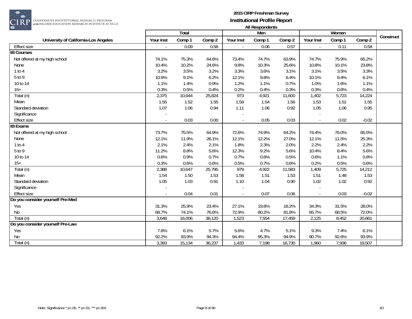

COOPERATIVE INSTITUTIONAL RESEARCH PROGRAM<br>#the HIGHER EDUCATION RESEARCH INSTITUTE AT UCLA

|                                      |                             | <b>Total</b> |        |                | Men    |        |           | Women  |                     | Construct |
|--------------------------------------|-----------------------------|--------------|--------|----------------|--------|--------|-----------|--------|---------------------|-----------|
| University of California-Los Angeles | Your Inst                   | Comp 1       | Comp 2 | Your Inst      | Comp 1 | Comp 2 | Your Inst | Comp 1 | Comp 2              |           |
| <b>Effect size</b>                   | $\mathcal{L}_{\mathcal{A}}$ | 0.09         | 0.58   | $\blacksquare$ | 0.06   | 0.57   |           | 0.11   | 0.58                |           |
| <b>IB Courses</b>                    |                             |              |        |                |        |        |           |        |                     |           |
| Not offered at my high school        | 74.1%                       | 75.3%        | 64.6%  | 73.4%          | 74.7%  | 63.9%  | 74.7%     | 75.9%  | 65.2%               |           |
| None                                 | 10.4%                       | 10.2%        | 24.6%  | 9.8%           | 10.3%  | 25.6%  | 10.8%     | 10.1%  | 23.8%               |           |
| 1 to 4                               | 3.2%                        | 3.5%         | 3.2%   | 3.3%           | 3.6%   | 3.1%   | 3.1%      | 3.5%   | 3.3%                |           |
| 5 to 9                               | 10.9%                       | 9.1%         | 6.2%   | 12.1%          | 9.8%   | 6.4%   | 10.1%     | 8.4%   | 6.1%                |           |
| 10 to 14                             | 1.1%                        | 1.4%         | 0.9%   | 1.2%           | 1.1%   | 0.7%   | 1.0%      | 1.6%   | 1.1%                |           |
| $15+$                                | 0.3%                        | 0.5%         | 0.4%   | 0.2%           | 0.4%   | 0.3%   | 0.3%      | 0.6%   | 0.4%                |           |
| Total (n)                            | 2,375                       | 10,644       | 25,824 | 973            | 4,921  | 11,600 | 1,402     | 5,723  | 14,224              |           |
| Mean                                 | 1.55                        | 1.52         | 1.55   | 1.59           | 1.54   | 1.56   | 1.53      | 1.51   | 1.55                |           |
| Standard deviation                   | 1.07                        | 1.06         | 0.94   | 1.11           | 1.06   | 0.92   | 1.05      | 1.06   | 0.95                |           |
| Significance                         |                             |              |        |                |        |        |           |        |                     |           |
| <b>Effect size</b>                   |                             | 0.03         | 0.00   | $\sim$         | 0.05   | 0.03   |           | 0.02   | $-0.02$             |           |
| <b>IB Exams</b>                      |                             |              |        |                |        |        |           |        |                     |           |
| Not offered at my high school        | 73.7%                       | 75.5%        | 64.9%  | 72.6%          | 74.9%  | 64.2%  | 74.4%     | 76.0%  | 65.5%               |           |
| None                                 | 12.1%                       | 11.9%        | 26.1%  | 12.1%          | 12.2%  | 27.0%  | 12.1%     | 11.5%  | 25.3%               |           |
| 1 to 4                               | 2.1%                        | 2.4%         | 2.1%   | 1.8%           | 2.3%   | 2.0%   | 2.2%      | 2.4%   | 2.2%                |           |
| 5 to 9                               | 11.2%                       | 8.8%         | 5.6%   | 12.3%          | 9.2%   | 5.6%   | 10.4%     | 8.4%   | 5.6%                |           |
| 10 to 14                             | 0.6%                        | 0.9%         | 0.7%   | 0.7%           | 0.6%   | 0.5%   | 0.6%      | 1.1%   | 0.8%                |           |
| $15+$                                | 0.3%                        | 0.6%         | 0.6%   | 0.5%           | 0.7%   | 0.6%   | 0.2%      | 0.5%   | 0.6%                |           |
| Total (n)                            | 2,388                       | 10,647       | 25,795 | 979            | 4,922  | 11,583 | 1,409     | 5,725  | 14,212              |           |
| Mean                                 | 1.54                        | 1.50         | 1.53   | 1.58           | 1.51   | 1.53   | 1.51      | 1.48   | 1.53                |           |
| Standard deviation                   | 1.05                        | 1.03         | 0.91   | 1.10           | 1.04   | 0.90   | 1.02      | 1.02   | 0.92                |           |
| Significance                         |                             |              |        |                |        |        |           |        |                     |           |
| <b>Effect size</b>                   |                             | 0.04         | 0.01   | $\blacksquare$ | 0.07   | 0.06   |           | 0.03   | $-0.02$             |           |
| Do you consider yourself Pre-Med     |                             |              |        |                |        |        |           |        |                     |           |
| Yes                                  | 31.3%                       | 25.9%        | 23.4%  | 27.1%          | 19.8%  | 18.2%  | 34.3%     | 31.5%  | 28.0%               |           |
| No                                   | 68.7%                       | 74.1%        | 76.6%  | 72.9%          | 80.2%  | 81.8%  | 65.7%     | 68.5%  | 72.0%               |           |
| Total (n)                            | 3,648                       | 16,006       | 38,120 | 1,523          | 7,554  | 17,459 | 2,125     | 8,452  | $\overline{20,661}$ |           |
| Do you consider yourself Pre-Law     |                             |              |        |                |        |        |           |        |                     |           |
| Yes                                  | 7.8%                        | 6.1%         | 5.7%   | 5.6%           | 4.7%   | 5.1%   | 9.3%      | 7.4%   | 6.1%                |           |
| No                                   | 92.2%                       | 93.9%        | 94.3%  | 94.4%          | 95.3%  | 94.9%  | 90.7%     | 92.6%  | 93.9%               |           |
| Total (n)                            | 3,393                       | 15,134       | 36,237 | 1,433          | 7,198  | 16,730 | 1,960     | 7,936  | 19,507              |           |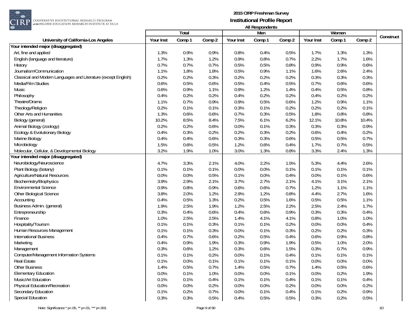

 $\begin{array}{|l|} \hline \texttt{COOPERATIVE INSTITUTIONAL RESEARCH PROGRAM} \hline \texttt{at the HIGHER EDUCATION RESEARCH INSTITUTE AT UCLA} \end{array}$ 

|                                                                |           | Total  |        |           | Men    |        |           | Women  |        |           |
|----------------------------------------------------------------|-----------|--------|--------|-----------|--------|--------|-----------|--------|--------|-----------|
| University of California-Los Angeles                           | Your Inst | Comp 1 | Comp 2 | Your Inst | Comp 1 | Comp 2 | Your Inst | Comp 1 | Comp 2 | Construct |
| Your intended major (disaggregated)                            |           |        |        |           |        |        |           |        |        |           |
| Art, fine and applied                                          | 1.3%      | 0.9%   | 0.9%   | 0.8%      | 0.4%   | 0.5%   | 1.7%      | 1.3%   | 1.3%   |           |
| English (language and literature)                              | 1.7%      | 1.3%   | 1.2%   | 0.9%      | 0.8%   | 0.7%   | 2.2%      | 1.7%   | 1.6%   |           |
| History                                                        | 0.7%      | 0.7%   | 0.7%   | 0.5%      | 0.5%   | 0.8%   | 0.9%      | 0.9%   | 0.6%   |           |
| Journalism/Communication                                       | 1.1%      | 1.8%   | 1.8%   | 0.5%      | 0.9%   | 1.1%   | 1.6%      | 2.6%   | 2.4%   |           |
| Classical and Modern Languages and Literature (except English) | 0.2%      | 0.2%   | 0.3%   | 0.2%      | 0.2%   | 0.2%   | 0.3%      | 0.3%   | 0.3%   |           |
| Media/Film Studies                                             | 0.6%      | 0.5%   | 0.6%   | 0.5%      | 0.4%   | 0.5%   | 0.7%      | 0.6%   | 0.6%   |           |
| Music                                                          | 0.6%      | 0.9%   | 1.1%   | 0.9%      | 1.2%   | 1.4%   | 0.4%      | 0.5%   | 0.8%   |           |
| Philosophy                                                     | 0.4%      | 0.2%   | 0.2%   | 0.4%      | 0.2%   | 0.2%   | 0.4%      | 0.2%   | 0.2%   |           |
| Theatre/Drama                                                  | 1.1%      | 0.7%   | 0.9%   | 0.9%      | 0.5%   | 0.6%   | 1.2%      | 0.9%   | 1.1%   |           |
| Theology/Religion                                              | 0.2%      | 0.1%   | 0.1%   | 0.3%      | 0.1%   | 0.2%   | 0.2%      | 0.2%   | 0.1%   |           |
| Other Arts and Humanities                                      | 1.3%      | 0.6%   | 0.6%   | 0.7%      | 0.3%   | 0.5%   | 1.8%      | 0.8%   | 0.8%   |           |
| Biology (general)                                              | 10.2%     | 8.5%   | 8.4%   | 7.5%      | 6.1%   | 6.2%   | 12.1%     | 10.8%  | 10.4%  |           |
| Animal Biology (zoology)                                       | 0.2%      | 0.2%   | 0.6%   | 0.0%      | 0.1%   | 0.3%   | 0.3%      | 0.3%   | 0.9%   |           |
| Ecology & Evolutionary Biology                                 | 0.4%      | 0.3%   | 0.2%   | 0.2%      | 0.3%   | 0.2%   | 0.6%      | 0.4%   | 0.2%   |           |
| Marine Biology                                                 | 0.4%      | 0.4%   | 0.6%   | 0.3%      | 0.3%   | 0.6%   | 0.5%      | 0.5%   | 0.7%   |           |
| Microbiology                                                   | 1.5%      | 0.6%   | 0.5%   | 1.2%      | 0.6%   | 0.4%   | 1.7%      | 0.7%   | 0.5%   |           |
| Molecular, Cellular, & Developmental Biology                   | 3.2%      | 1.9%   | 1.0%   | 3.0%      | 1.3%   | 0.8%   | 3.3%      | 2.4%   | 1.3%   |           |
| Your intended major (disaggregated)                            |           |        |        |           |        |        |           |        |        |           |
| Neurobiology/Neuroscience                                      | 4.7%      | 3.3%   | 2.1%   | 4.0%      | 2.2%   | 1.5%   | 5.3%      | 4.4%   | 2.6%   |           |
| Plant Biology (botany)                                         | 0.1%      | 0.1%   | 0.1%   | 0.0%      | 0.0%   | 0.1%   | 0.1%      | 0.1%   | 0.1%   |           |
| Agriculture/Natural Resources                                  | 0.0%      | 0.0%   | 0.5%   | 0.1%      | 0.0%   | 0.4%   | 0.0%      | 0.1%   | 0.6%   |           |
| Biochemistry/Biophysics                                        | 3.9%      | 2.9%   | 2.1%   | 3.7%      | 2.7%   | 2.1%   | 4.1%      | 3.1%   | 2.1%   |           |
| <b>Environmental Science</b>                                   | 0.9%      | 0.8%   | 0.9%   | 0.6%      | 0.6%   | 0.7%   | 1.2%      | 1.1%   | 1.1%   |           |
| Other Biological Science                                       | 3.8%      | 2.0%   | 1.2%   | 2.9%      | 1.2%   | 0.8%   | 4.4%      | 2.7%   | 1.6%   |           |
| Accounting                                                     | 0.4%      | 0.5%   | 1.3%   | 0.2%      | 0.5%   | 1.6%   | 0.5%      | 0.5%   | 1.1%   |           |
| Business Admin. (general)                                      | 1.9%      | 2.5%   | 1.9%   | 1.2%      | 2.5%   | 2.2%   | 2.5%      | 2.4%   | 1.7%   |           |
| Entrepreneurship                                               | 0.3%      | 0.4%   | 0.6%   | 0.4%      | 0.6%   | 0.9%   | 0.3%      | 0.3%   | 0.4%   |           |
| Finance                                                        | 1.0%      | 2.5%   | 2.5%   | 1.4%      | 4.1%   | 4.1%   | 0.8%      | 1.0%   | 1.0%   |           |
| Hospitality/Tourism                                            | 0.1%      | 0.1%   | 0.3%   | 0.1%      | 0.1%   | 0.2%   | 0.0%      | 0.0%   | 0.4%   |           |
| Human Resources Management                                     | 0.1%      | 0.1%   | 0.3%   | 0.0%      | 0.1%   | 0.3%   | 0.2%      | 0.2%   | 0.3%   |           |
| <b>International Business</b>                                  | 0.4%      | 0.7%   | 0.6%   | 0.2%      | 0.5%   | 0.4%   | 0.6%      | 0.9%   | 0.8%   |           |
| Marketing                                                      | 0.4%      | 0.9%   | 1.9%   | 0.3%      | 0.9%   | 1.9%   | 0.5%      | 1.0%   | 2.0%   |           |
| Management                                                     | 0.3%      | 0.6%   | 1.2%   | 0.3%      | 0.6%   | 1.5%   | 0.3%      | 0.7%   | 0.9%   |           |
| <b>Computer/Management Information Systems</b>                 | 0.1%      | 0.1%   | 0.2%   | 0.0%      | 0.1%   | 0.4%   | 0.1%      | 0.1%   | 0.1%   |           |
| Real Estate                                                    | 0.1%      | 0.0%   | 0.1%   | 0.1%      | 0.1%   | 0.1%   | 0.0%      | 0.0%   | 0.0%   |           |
| <b>Other Business</b>                                          | 1.4%      | 0.5%   | 0.7%   | 1.4%      | 0.5%   | 0.7%   | 1.4%      | 0.5%   | 0.6%   |           |
| <b>Elementary Education</b>                                    | 0.0%      | 0.1%   | 1.0%   | 0.0%      | 0.0%   | 0.1%   | 0.0%      | 0.2%   | 1.9%   |           |
| Music/Art Education                                            | 0.1%      | 0.1%   | 0.4%   | 0.1%      | 0.1%   | 0.4%   | 0.1%      | 0.1%   | 0.4%   |           |
| <b>Physical Education/Recreation</b>                           | 0.0%      | 0.0%   | 0.2%   | 0.0%      | 0.0%   | 0.2%   | 0.0%      | 0.0%   | 0.2%   |           |
| Secondary Education                                            | 0.1%      | 0.2%   | 0.7%   | 0.0%      | 0.1%   | 0.4%   | 0.1%      | 0.2%   | 0.9%   |           |
| <b>Special Education</b>                                       | 0.3%      | 0.3%   | 0.5%   | 0.4%      | 0.5%   | 0.5%   | 0.3%      | 0.2%   | 0.5%   |           |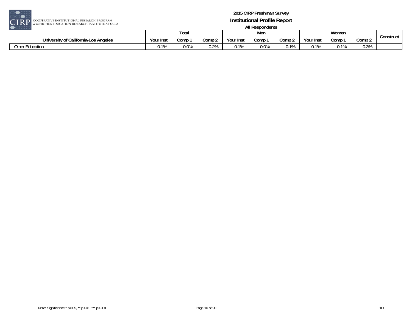

| ---                                  |                          |       |        |           |         |        |           |                        |                |           |
|--------------------------------------|--------------------------|-------|--------|-----------|---------|--------|-----------|------------------------|----------------|-----------|
|                                      |                          | Total |        |           | Mer     |        |           | Women                  |                |           |
| University of California-Los Angeles | Your Inst                | Comp  | Comp 2 | Your Inst | Comp    | Comp 2 | Your Inst | Comp                   | Comp 2         | Construct |
| Other Education                      | $\overline{\phantom{a}}$ | 0.0%  | 0.2%   | 0.1%      | $0.0\%$ | 0.1%   | $0.1\%$   | $\gamma$ 10/<br>U. 170 | 0.20<br>U.J /0 |           |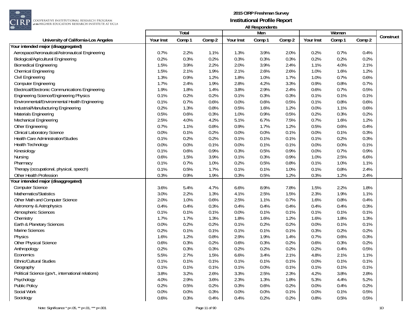

COOPERATIVE INSTITUTIONAL RESEARCH PROGRAM<br>at the HIGHER EDUCATION RESEARCH INSTITUTE AT UCLA

|                                                     |           | Total  |        |           | Men    |        |           | Women  |        |           |
|-----------------------------------------------------|-----------|--------|--------|-----------|--------|--------|-----------|--------|--------|-----------|
| University of California-Los Angeles                | Your Inst | Comp 1 | Comp 2 | Your Inst | Comp 1 | Comp 2 | Your Inst | Comp 1 | Comp 2 | Construct |
| Your intended major (disaggregated)                 |           |        |        |           |        |        |           |        |        |           |
| Aerospace/Aeronautical/Astronautical Engineering    | 0.7%      | 2.2%   | 1.1%   | 1.3%      | 3.9%   | 2.0%   | 0.2%      | 0.7%   | 0.4%   |           |
| Biological/Agricultural Engineering                 | 0.2%      | 0.3%   | 0.2%   | 0.3%      | 0.3%   | 0.3%   | 0.2%      | 0.2%   | 0.2%   |           |
| <b>Biomedical Engineering</b>                       | 1.5%      | 3.9%   | 2.2%   | 2.0%      | 3.9%   | 2.4%   | 1.1%      | 4.0%   | 2.1%   |           |
| Chemical Engineering                                | 1.5%      | 2.1%   | 1.9%   | 2.1%      | 2.6%   | 2.6%   | 1.0%      | 1.6%   | 1.2%   |           |
| Civil Engineering                                   | 1.3%      | 0.9%   | 1.2%   | 1.8%      | 1.0%   | 1.7%   | 1.0%      | 0.7%   | 0.6%   |           |
| <b>Computer Engineering</b>                         | 1.7%      | 2.4%   | 1.9%   | 2.8%      | 4.2%   | 3.3%   | 0.9%      | 0.8%   | 0.7%   |           |
| Electrical/Electronic Communications Engineering    | 1.9%      | 1.8%   | 1.4%   | 3.8%      | 2.9%   | 2.4%   | 0.6%      | 0.7%   | 0.5%   |           |
| <b>Engineering Science/Engineering Physics</b>      | 0.1%      | 0.2%   | 0.2%   | 0.1%      | 0.3%   | 0.3%   | 0.1%      | 0.1%   | 0.1%   |           |
| Environmental/Environmental Health Engineering      | 0.1%      | 0.7%   | 0.6%   | 0.0%      | 0.6%   | 0.5%   | 0.1%      | 0.8%   | 0.6%   |           |
| Industrial/Manufacturing Engineering                | 0.2%      | 1.3%   | 0.8%   | 0.5%      | 1.6%   | 1.2%   | 0.0%      | 1.1%   | 0.6%   |           |
| Materials Engineering                               | 0.5%      | 0.6%   | 0.3%   | 1.0%      | 0.9%   | 0.5%   | 0.2%      | 0.3%   | 0.2%   |           |
| Mechanical Engineering                              | 2.5%      | 4.0%   | 4.2%   | 5.1%      | 6.7%   | 7.5%   | 0.7%      | 1.6%   | 1.2%   |           |
| Other Engineering                                   | 0.7%      | 1.1%   | 0.8%   | 0.9%      | 1.7%   | 1.2%   | 0.5%      | 0.6%   | 0.4%   |           |
| <b>Clinical Laboratory Science</b>                  | 0.0%      | 0.1%   | 0.2%   | 0.0%      | 0.0%   | 0.1%   | 0.0%      | 0.1%   | 0.3%   |           |
| Health Care Administration/Studies                  | 0.1%      | 0.2%   | 0.2%   | 0.1%      | 0.1%   | 0.1%   | 0.1%      | 0.2%   | 0.3%   |           |
| <b>Health Technology</b>                            | 0.0%      | 0.0%   | 0.1%   | 0.0%      | 0.1%   | 0.1%   | 0.0%      | 0.0%   | 0.1%   |           |
| Kinesiology                                         | 0.1%      | 0.6%   | 0.9%   | 0.3%      | 0.5%   | 0.9%   | 0.0%      | 0.7%   | 0.9%   |           |
| Nursing                                             | 0.6%      | 1.5%   | 3.9%   | 0.1%      | 0.3%   | 0.9%   | 1.0%      | 2.5%   | 6.6%   |           |
| Pharmacy                                            | 0.1%      | 0.7%   | 1.0%   | 0.2%      | 0.5%   | 0.8%   | 0.1%      | 1.0%   | 1.1%   |           |
| Therapy (occupational, physical, speech)            | 0.1%      | 0.5%   | 1.7%   | 0.1%      | 0.1%   | 1.0%   | 0.1%      | 0.8%   | 2.4%   |           |
| Other Health Profession                             | 0.3%      | 0.9%   | 1.9%   | 0.3%      | 0.5%   | 1.2%   | 0.3%      | 1.2%   | 2.4%   |           |
| Your intended major (disaggregated)                 |           |        |        |           |        |        |           |        |        |           |
| <b>Computer Science</b>                             | 3.6%      | 5.4%   | 4.7%   | 6.6%      | 8.9%   | 7.8%   | 1.5%      | 2.2%   | 1.8%   |           |
| Mathematics/Statistics                              | 3.0%      | 2.2%   | 1.3%   | 4.1%      | 2.5%   | 1.5%   | 2.3%      | 1.9%   | 1.1%   |           |
| Other Math and Computer Science                     | 2.0%      | 1.0%   | 0.6%   | 2.5%      | 1.1%   | 0.7%   | 1.6%      | 0.8%   | 0.4%   |           |
| Astronomy & Astrophysics                            | 0.4%      | 0.4%   | 0.3%   | 0.4%      | 0.4%   | 0.4%   | 0.4%      | 0.4%   | 0.3%   |           |
| Atmospheric Sciences                                | 0.1%      | 0.1%   | 0.1%   | 0.0%      | 0.1%   | 0.1%   | 0.1%      | 0.1%   | 0.1%   |           |
| Chemistry                                           | 1.7%      | 1.7%   | 1.3%   | 1.8%      | 1.6%   | 1.2%   | 1.6%      | 1.8%   | 1.3%   |           |
| Earth & Planetary Sciences                          | 0.0%      | 0.2%   | 0.2%   | 0.1%      | 0.2%   | 0.2%   | 0.0%      | 0.1%   | 0.1%   |           |
| Marine Sciences                                     | 0.2%      | 0.1%   | 0.1%   | 0.1%      | 0.1%   | 0.1%   | 0.3%      | 0.2%   | 0.2%   |           |
| Physics                                             | 1.6%      | 1.2%   | 0.8%   | 2.9%      | 1.9%   | 1.4%   | 0.7%      | 0.6%   | 0.3%   |           |
| Other Physical Science                              | 0.6%      | 0.3%   | 0.2%   | 0.6%      | 0.3%   | 0.2%   | 0.6%      | 0.3%   | 0.2%   |           |
| Anthropology                                        | 0.2%      | 0.3%   | 0.3%   | 0.2%      | 0.2%   | 0.2%   | 0.2%      | 0.4%   | 0.5%   |           |
| Economics                                           | 5.5%      | 2.7%   | 1.5%   | 6.6%      | 3.4%   | 2.1%   | 4.8%      | 2.1%   | 1.1%   |           |
| Ethnic/Cultural Studies                             | 0.1%      | 0.1%   | 0.1%   | 0.1%      | 0.1%   | 0.1%   | 0.0%      | 0.1%   | 0.1%   |           |
| Geography                                           | 0.1%      | 0.1%   | 0.1%   | 0.1%      | 0.0%   | 0.1%   | 0.1%      | 0.1%   | 0.1%   |           |
| Political Science (gov't., international relations) | 3.8%      | 3.2%   | 2.6%   | 3.3%      | 2.5%   | 2.3%   | 4.2%      | 3.8%   | 2.8%   |           |
| Psychology                                          | 4.0%      | 2.9%   | 3.6%   | 2.3%      | 1.3%   | 1.8%   | 5.3%      | 4.4%   | 5.2%   |           |
| Public Policy                                       | 0.2%      | 0.5%   | 0.2%   | 0.3%      | 0.6%   | 0.2%   | 0.0%      | 0.4%   | 0.2%   |           |
| Social Work                                         | 0.0%      | 0.0%   | 0.3%   | 0.0%      | 0.0%   | 0.1%   | 0.0%      | 0.1%   | 0.5%   |           |
| Sociology                                           | 0.6%      | 0.3%   | 0.4%   | 0.4%      | 0.2%   | 0.2%   | 0.8%      | 0.5%   | 0.5%   |           |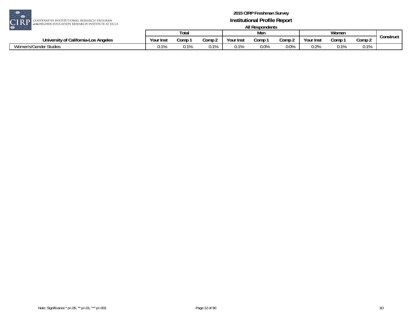

| ----                                  |           |       |        |                 |      |                   |                |       |               |           |
|---------------------------------------|-----------|-------|--------|-----------------|------|-------------------|----------------|-------|---------------|-----------|
|                                       |           | Tota. |        |                 | Men  |                   |                | Women |               |           |
| University of California-Los Angeles  | Your Inst | Comp  | Comp 2 | Your Inst       | Comp | Comp <sub>2</sub> | Your Inst      | Comp  | Comp 2        | Construct |
| Women's/G<br>., s/Gender '<br>Studies | 0.1%      | 10    | 0.1%   | n 10<br>U.1 / G | 0.0% | $0.0\%$           | ገ ገ0<br>V.Z /0 | ∪. ∣  | 110/<br>V.I/0 |           |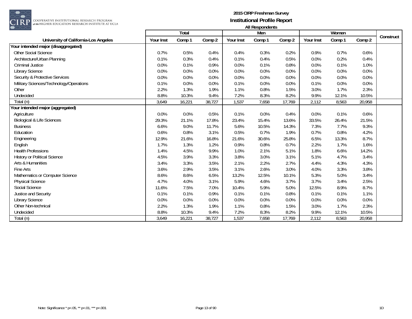

COOPERATIVE INSTITUTIONAL RESEARCH PROGRAM<br>#the HIGHER EDUCATION RESEARCH INSTITUTE AT UCLA

|                                           |           | Total  |        |           | Men    |        |           | Women  |        |           |
|-------------------------------------------|-----------|--------|--------|-----------|--------|--------|-----------|--------|--------|-----------|
| University of California-Los Angeles      | Your Inst | Comp 1 | Comp 2 | Your Inst | Comp 1 | Comp 2 | Your Inst | Comp 1 | Comp 2 | Construct |
| Your intended major (disaggregated)       |           |        |        |           |        |        |           |        |        |           |
| <b>Other Social Science</b>               | 0.7%      | 0.5%   | 0.4%   | 0.4%      | 0.3%   | 0.2%   | 0.9%      | 0.7%   | 0.6%   |           |
| Architecture/Urban Planning               | 0.1%      | 0.3%   | 0.4%   | 0.1%      | 0.4%   | 0.5%   | 0.0%      | 0.2%   | 0.4%   |           |
| <b>Criminal Justice</b>                   | 0.0%      | 0.1%   | 0.9%   | 0.0%      | 0.1%   | 0.8%   | 0.0%      | 0.1%   | 1.0%   |           |
| <b>Library Science</b>                    | 0.0%      | 0.0%   | 0.0%   | 0.0%      | 0.0%   | 0.0%   | 0.0%      | 0.0%   | 0.0%   |           |
| <b>Security &amp; Protective Services</b> | 0.0%      | 0.0%   | 0.0%   | 0.0%      | 0.0%   | 0.0%   | 0.0%      | 0.0%   | 0.0%   |           |
| Military Sciences/Technology/Operations   | 0.1%      | 0.0%   | 0.0%   | 0.1%      | 0.0%   | 0.0%   | 0.1%      | 0.0%   | 0.0%   |           |
| Other                                     | 2.2%      | 1.3%   | 1.9%   | 1.1%      | 0.8%   | 1.5%   | 3.0%      | 1.7%   | 2.3%   |           |
| Undecided                                 | 8.8%      | 10.3%  | 9.4%   | 7.2%      | 8.3%   | 8.2%   | 9.9%      | 12.1%  | 10.5%  |           |
| Total (n)                                 | 3,649     | 16,221 | 38,727 | 1,537     | 7,658  | 17,769 | 2,112     | 8,563  | 20,958 |           |
| our intended major (aggregated)           |           |        |        |           |        |        |           |        |        |           |
| Agriculture                               | 0.0%      | 0.0%   | 0.5%   | 0.1%      | 0.0%   | 0.4%   | 0.0%      | 0.1%   | 0.6%   |           |
| <b>Biological &amp; Life Sciences</b>     | 29.3%     | 21.1%  | 17.8%  | 23.4%     | 15.4%  | 13.6%  | 33.5%     | 26.4%  | 21.5%  |           |
| <b>Business</b>                           | 6.6%      | 9.0%   | 11.7%  | 5.6%      | 10.5%  | 14.3%  | 7.3%      | 7.7%   | 9.3%   |           |
| Education                                 | 0.6%      | 0.8%   | 3.1%   | 0.5%      | 0.7%   | 1.9%   | 0.7%      | 0.8%   | 4.2%   |           |
| Engineering                               | 12.9%     | 21.6%  | 16.8%  | 21.6%     | 30.6%  | 25.8%  | 6.5%      | 13.3%  | 8.7%   |           |
| English                                   | 1.7%      | 1.3%   | 1.2%   | 0.9%      | 0.8%   | 0.7%   | 2.2%      | 1.7%   | 1.6%   |           |
| <b>Health Professions</b>                 | 1.4%      | 4.5%   | 9.9%   | 1.0%      | 2.1%   | 5.1%   | 1.8%      | 6.6%   | 14.2%  |           |
| <b>History or Political Science</b>       | 4.5%      | 3.9%   | 3.3%   | 3.8%      | 3.0%   | 3.1%   | 5.1%      | 4.7%   | 3.4%   |           |
| Arts & Humanities                         | 3.4%      | 3.3%   | 3.5%   | 2.1%      | 2.2%   | 2.7%   | 4.4%      | 4.3%   | 4.3%   |           |
| Fine Arts                                 | 3.6%      | 2.9%   | 3.5%   | 3.1%      | 2.6%   | 3.0%   | 4.0%      | 3.3%   | 3.8%   |           |
| Mathematics or Computer Science           | 8.6%      | 8.6%   | 6.5%   | 13.2%     | 12.5%  | 10.1%  | 5.3%      | 5.0%   | 3.4%   |           |
| <b>Physical Science</b>                   | 4.7%      | 4.0%   | 3.1%   | 5.9%      | 4.6%   | 3.7%   | 3.7%      | 3.4%   | 2.5%   |           |
| Social Science                            | 11.6%     | 7.5%   | 7.0%   | 10.4%     | 5.9%   | 5.0%   | 12.5%     | 8.9%   | 8.7%   |           |
| Justice and Security                      | 0.1%      | 0.1%   | 0.9%   | 0.1%      | 0.1%   | 0.8%   | 0.1%      | 0.1%   | 1.1%   |           |
| <b>Library Science</b>                    | 0.0%      | 0.0%   | 0.0%   | 0.0%      | 0.0%   | 0.0%   | 0.0%      | 0.0%   | 0.0%   |           |
| Other Non-technical                       | 2.2%      | 1.3%   | 1.9%   | 1.1%      | 0.8%   | 1.5%   | 3.0%      | 1.7%   | 2.3%   |           |
| Undecided                                 | 8.8%      | 10.3%  | 9.4%   | 7.2%      | 8.3%   | 8.2%   | 9.9%      | 12.1%  | 10.5%  |           |
| Total (n)                                 | 3,649     | 16,221 | 38,727 | 1,537     | 7,658  | 17,769 | 2,112     | 8,563  | 20,958 |           |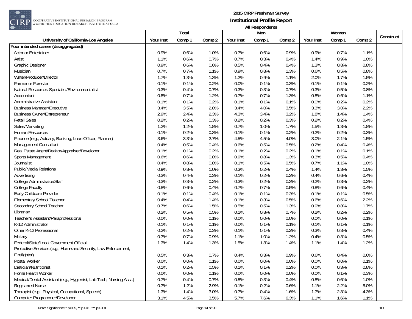

**EXECUTE AND RESEARCH PROGRAM**<br>The Higher education research institute at ucla

|                                                                     |           | Total  |        |           | Men    |        |           | Women  |        |           |
|---------------------------------------------------------------------|-----------|--------|--------|-----------|--------|--------|-----------|--------|--------|-----------|
| University of California-Los Angeles                                | Your Inst | Comp 1 | Comp 2 | Your Inst | Comp 1 | Comp 2 | Your Inst | Comp 1 | Comp 2 | Construct |
| Your intended career (disaggregated)                                |           |        |        |           |        |        |           |        |        |           |
| <b>Actor or Entertainer</b>                                         | 0.9%      | 0.6%   | 1.0%   | 0.7%      | 0.6%   | 0.9%   | 0.9%      | 0.7%   | 1.1%   |           |
| Artist                                                              | 1.1%      | 0.6%   | 0.7%   | 0.7%      | 0.3%   | 0.4%   | 1.4%      | 0.9%   | 1.0%   |           |
| Graphic Designer                                                    | 0.9%      | 0.6%   | 0.6%   | 0.5%      | 0.4%   | 0.4%   | 1.3%      | 0.8%   | 0.8%   |           |
| Musician                                                            | 0.7%      | 0.7%   | 1.1%   | 0.9%      | 0.8%   | 1.3%   | 0.6%      | 0.5%   | 0.8%   |           |
| Writer/Producer/Director                                            | 1.7%      | 1.3%   | 1.3%   | 1.2%      | 0.9%   | 1.1%   | 2.0%      | 1.7%   | 1.5%   |           |
| Farmer or Forester                                                  | 0.1%      | 0.1%   | 0.2%   | 0.0%      | 0.1%   | 0.3%   | 0.1%      | 0.1%   | 0.2%   |           |
| Natural Resources Specialist/Environmentalist                       | 0.3%      | 0.4%   | 0.7%   | 0.3%      | 0.3%   | 0.7%   | 0.3%      | 0.5%   | 0.8%   |           |
| Accountant                                                          | 0.8%      | 0.7%   | 1.2%   | 0.7%      | 0.7%   | 1.3%   | 0.8%      | 0.6%   | 1.1%   |           |
| <b>Administrative Assistant</b>                                     | 0.1%      | 0.1%   | 0.2%   | 0.1%      | 0.1%   | 0.1%   | 0.0%      | 0.2%   | 0.2%   |           |
| <b>Business Manager/Executive</b>                                   | 3.4%      | 3.5%   | 2.8%   | 3.4%      | 4.0%   | 3.5%   | 3.3%      | 3.0%   | 2.2%   |           |
| <b>Business Owner/Entrepreneur</b>                                  | 2.9%      | 2.4%   | 2.3%   | 4.3%      | 3.4%   | 3.2%   | 1.8%      | 1.4%   | 1.4%   |           |
| <b>Retail Sales</b>                                                 | 0.2%      | 0.2%   | 0.3%   | 0.2%      | 0.2%   | 0.3%   | 0.2%      | 0.2%   | 0.4%   |           |
| Sales/Marketing                                                     | 1.2%      | 1.2%   | 1.8%   | 0.7%      | 1.0%   | 1.7%   | 1.5%      | 1.3%   | 1.8%   |           |
| Human Resources                                                     | 0.1%      | 0.2%   | 0.3%   | 0.1%      | 0.1%   | 0.2%   | 0.2%      | 0.2%   | 0.3%   |           |
| Finance (e.g., Actuary, Banking, Loan Officer, Planner)             | 3.6%      | 3.3%   | 2.7%   | 4.5%      | 4.5%   | 4.0%   | 3.0%      | 2.1%   | 1.5%   |           |
| Management Consultant                                               | 0.4%      | 0.5%   | 0.4%   | 0.6%      | 0.5%   | 0.5%   | 0.2%      | 0.4%   | 0.4%   |           |
| Real Estate Agent/Realtor/Appraiser/Developer                       | 0.1%      | 0.1%   | 0.2%   | 0.1%      | 0.2%   | 0.2%   | 0.1%      | 0.1%   | 0.1%   |           |
| Sports Management                                                   | 0.6%      | 0.6%   | 0.8%   | 0.9%      | 0.8%   | 1.3%   | 0.3%      | 0.5%   | 0.4%   |           |
| Journalist                                                          | 0.4%      | 0.8%   | 0.8%   | 0.1%      | 0.5%   | 0.5%   | 0.7%      | 1.1%   | 1.0%   |           |
| Public/Media Relations                                              | 0.9%      | 0.8%   | 1.0%   | 0.3%      | 0.2%   | 0.4%   | 1.4%      | 1.3%   | 1.5%   |           |
| Advertising                                                         | 0.3%      | 0.4%   | 0.3%   | 0.1%      | 0.2%   | 0.2%   | 0.4%      | 0.6%   | 0.4%   |           |
| College Administrator/Staff                                         | 0.3%      | 0.3%   | 0.2%   | 0.3%      | 0.2%   | 0.3%   | 0.2%      | 0.3%   | 0.2%   |           |
| <b>College Faculty</b>                                              | 0.8%      | 0.6%   | 0.4%   | 0.7%      | 0.7%   | 0.5%   | 0.8%      | 0.6%   | 0.4%   |           |
| Early Childcare Provider                                            | 0.1%      | 0.1%   | 0.4%   | 0.1%      | 0.1%   | 0.3%   | 0.1%      | 0.1%   | 0.5%   |           |
| <b>Elementary School Teacher</b>                                    | 0.4%      | 0.4%   | 1.4%   | 0.1%      | 0.3%   | 0.5%   | 0.6%      | 0.6%   | 2.2%   |           |
| Secondary School Teacher                                            | 0.7%      | 0.6%   | 1.5%   | 0.5%      | 0.5%   | 1.3%   | 0.9%      | 0.8%   | 1.7%   |           |
| Librarian                                                           | 0.2%      | 0.5%   | 0.5%   | 0.1%      | 0.8%   | 0.7%   | 0.2%      | 0.2%   | 0.2%   |           |
| Teacher's Assistant/Paraprofessional                                | 0.0%      | 0.0%   | 0.1%   | 0.0%      | 0.0%   | 0.0%   | 0.0%      | 0.0%   | 0.1%   |           |
| K-12 Administrator                                                  | 0.1%      | 0.1%   | 0.1%   | 0.0%      | 0.1%   | 0.1%   | 0.1%      | 0.1%   | 0.1%   |           |
| Other K-12 Professional                                             | 0.2%      | 0.2%   | 0.3%   | 0.1%      | 0.1%   | 0.2%   | 0.3%      | 0.3%   | 0.4%   |           |
| Military                                                            | 0.7%      | 0.7%   | 0.9%   | 1.1%      | 1.0%   | 1.2%   | 0.4%      | 0.3%   | 0.5%   |           |
| Federal/State/Local Government Official                             | 1.3%      | 1.4%   | 1.3%   | 1.5%      | 1.3%   | 1.4%   | 1.1%      | 1.4%   | 1.2%   |           |
| Protective Services (e.g., Homeland Security, Law Enforcement,      |           |        |        |           |        |        |           |        |        |           |
| Firefighter)                                                        | 0.5%      | 0.3%   | 0.7%   | 0.4%      | 0.3%   | 0.9%   | 0.6%      | 0.4%   | 0.6%   |           |
| Postal Worker                                                       | 0.0%      | 0.0%   | 0.1%   | 0.0%      | 0.0%   | 0.0%   | 0.0%      | 0.0%   | 0.1%   |           |
| Dietician/Nutritionist                                              | 0.1%      | 0.2%   | 0.5%   | 0.1%      | 0.1%   | 0.2%   | 0.0%      | 0.3%   | 0.8%   |           |
| Home Health Worker                                                  | 0.0%      | 0.0%   | 0.1%   | 0.0%      | 0.0%   | 0.0%   | 0.0%      | 0.1%   | 0.3%   |           |
| Medical/Dental Assistant (e.g., Hygienist, Lab Tech, Nursing Asst.) | 0.7%      | 0.4%   | 0.7%   | 0.5%      | 0.3%   | 0.4%   | 0.8%      | 0.6%   | 1.0%   |           |
| <b>Registered Nurse</b>                                             | 0.7%      | 1.2%   | 2.9%   | 0.1%      | 0.2%   | 0.6%   | 1.1%      | 2.2%   | 5.0%   |           |
| Therapist (e.g., Physical, Occupational, Speech)                    | 1.3%      | 1.4%   | 3.0%   | 0.7%      | 0.4%   | 1.6%   | 1.7%      | 2.3%   | 4.3%   |           |
| Computer Programmer/Developer                                       | 3.1%      | 4.5%   | 3.5%   | 5.7%      | 7.6%   | 6.3%   | 1.1%      | 1.6%   | 1.1%   |           |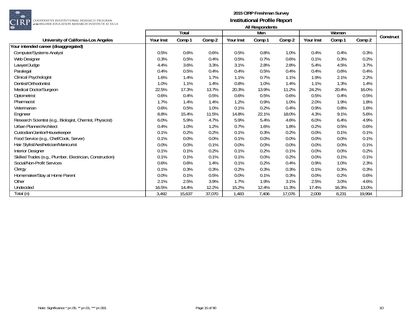

|                                                           |           | Total  |        |           | $1.011100$ pointed in $2.01$<br>Men |         |           | Women  |        |           |
|-----------------------------------------------------------|-----------|--------|--------|-----------|-------------------------------------|---------|-----------|--------|--------|-----------|
| University of California-Los Angeles                      | Your Inst | Comp 1 | Comp 2 | Your Inst | Comp 1                              | Comp 2  | Your Inst | Comp 1 | Comp 2 | Construct |
| Your intended career (disaggregated)                      |           |        |        |           |                                     |         |           |        |        |           |
| Computer/Systems Analyst                                  | 0.5%      | 0.6%   | 0.6%   | 0.5%      | 0.8%                                | 1.0%    | 0.4%      | 0.4%   | 0.3%   |           |
| Web Designer                                              | 0.3%      | 0.5%   | 0.4%   | 0.5%      | 0.7%                                | 0.6%    | 0.1%      | 0.3%   | 0.2%   |           |
| Lawyer/Judge                                              | 4.4%      | 3.6%   | 3.3%   | 3.1%      | 2.8%                                | 2.8%    | 5.4%      | 4.5%   | 3.7%   |           |
| Paralegal                                                 | 0.4%      | 0.5%   | 0.4%   | 0.4%      | 0.5%                                | 0.4%    | 0.4%      | 0.6%   | 0.4%   |           |
| Clinical Psychologist                                     | 1.6%      | 1.4%   | 1.7%   | 1.1%      | 0.7%                                | 1.1%    | 1.9%      | 2.1%   | 2.2%   |           |
| Dentist/Orthodontist                                      | 1.0%      | 1.1%   | 1.4%   | 0.8%      | 1.0%                                | 1.4%    | 1.1%      | 1.3%   | 1.4%   |           |
| Medical Doctor/Surgeon                                    | 22.5%     | 17.3%  | 13.7%  | 20.3%     | 13.9%                               | 11.2%   | 24.2%     | 20.4%  | 16.0%  |           |
| Optometrist                                               | 0.6%      | 0.4%   | 0.5%   | 0.6%      | 0.5%                                | 0.6%    | 0.5%      | 0.4%   | 0.5%   |           |
| Pharmacist                                                | 1.7%      | 1.4%   | 1.4%   | 1.2%      | 0.9%                                | 1.0%    | 2.0%      | 1.9%   | 1.8%   |           |
| Veterinarian                                              | 0.6%      | 0.5%   | 1.0%   | 0.1%      | 0.2%                                | 0.4%    | 0.9%      | 0.8%   | 1.6%   |           |
| Engineer                                                  | 8.8%      | 15.4%  | 11.5%  | 14.8%     | 22.1%                               | 18.0%   | 4.3%      | 9.1%   | 5.6%   |           |
| Research Scientist (e.g., Biologist, Chemist, Physicist)  | 6.0%      | 5.9%   | 4.7%   | 5.9%      | 5.4%                                | 4.6%    | 6.0%      | 6.4%   | 4.9%   |           |
| Urban Planner/Architect                                   | 0.4%      | 1.0%   | 1.2%   | 0.7%      | 1.6%                                | 1.8%    | 0.2%      | 0.5%   | 0.6%   |           |
| Custodian/Janitor/Housekeeper                             | 0.1%      | 0.2%   | 0.2%   | 0.1%      | 0.3%                                | 0.2%    | 0.0%      | 0.1%   | 0.1%   |           |
| Food Service (e.g., Chef/Cook, Server)                    | 0.1%      | 0.0%   | 0.0%   | 0.1%      | 0.0%                                | $0.0\%$ | 0.0%      | 0.0%   | 0.1%   |           |
| Hair Stylist/Aesthetician/Manicurist                      | 0.0%      | 0.0%   | 0.1%   | 0.0%      | 0.0%                                | 0.0%    | 0.0%      | 0.0%   | 0.1%   |           |
| <b>Interior Designer</b>                                  | 0.1%      | 0.1%   | 0.2%   | 0.1%      | 0.2%                                | 0.1%    | 0.0%      | 0.0%   | 0.2%   |           |
| Skilled Trades (e.g., Plumber, Electrician, Construction) | 0.1%      | 0.1%   | 0.1%   | 0.1%      | 0.0%                                | 0.2%    | 0.0%      | 0.1%   | 0.1%   |           |
| Social/Non-Profit Services                                | 0.6%      | 0.6%   | 1.4%   | 0.1%      | 0.2%                                | 0.4%    | 0.9%      | 1.0%   | 2.3%   |           |
| Clergy                                                    | 0.1%      | 0.3%   | 0.3%   | 0.2%      | 0.3%                                | 0.3%    | 0.1%      | 0.3%   | 0.3%   |           |
| Homemaker/Stay at Home Parent                             | 0.0%      | 0.1%   | 0.5%   | 0.0%      | 0.1%                                | 0.3%    | 0.0%      | 0.2%   | 0.6%   |           |
| Other                                                     | 2.1%      | 2.5%   | 3.9%   | 1.7%      | 1.9%                                | 3.1%    | 2.5%      | 3.0%   | 4.6%   |           |
| Undecided                                                 | 16.5%     | 14.4%  | 12.2%  | 15.2%     | 12.4%                               | 11.3%   | 17.4%     | 16.3%  | 13.0%  |           |
| Total (n)                                                 | 3,492     | 15,637 | 37,070 | 1,483     | 7,406                               | 17,076  | 2,009     | 8,231  | 19,994 |           |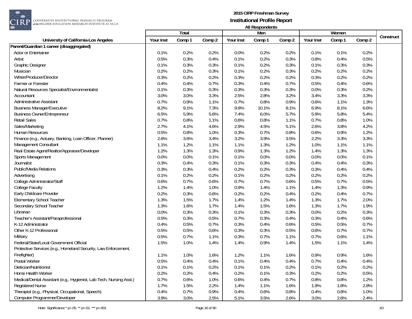

|                                                                     |           | Total  |        |           | Men    |        |           | Women  |        |           |
|---------------------------------------------------------------------|-----------|--------|--------|-----------|--------|--------|-----------|--------|--------|-----------|
| University of California-Los Angeles                                | Your Inst | Comp 1 | Comp 2 | Your Inst | Comp 1 | Comp 2 | Your Inst | Comp 1 | Comp 2 | Construct |
| Parent/Guardian 1 career (disaggregated)                            |           |        |        |           |        |        |           |        |        |           |
| Actor or Entertainer                                                | 0.1%      | 0.2%   | 0.2%   | 0.0%      | 0.2%   | 0.2%   | 0.1%      | 0.1%   | 0.2%   |           |
| Artist                                                              | 0.5%      | 0.3%   | 0.4%   | 0.1%      | 0.2%   | 0.3%   | 0.8%      | 0.4%   | 0.5%   |           |
| Graphic Designer                                                    | 0.1%      | 0.3%   | 0.3%   | 0.1%      | 0.2%   | 0.3%   | 0.1%      | 0.3%   | 0.3%   |           |
| Musician                                                            | 0.2%      | 0.2%   | 0.3%   | 0.1%      | 0.2%   | 0.3%   | 0.2%      | 0.2%   | 0.2%   |           |
| Writer/Producer/Director                                            | 0.3%      | 0.2%   | 0.2%   | 0.3%      | 0.2%   | 0.2%   | 0.3%      | 0.2%   | 0.2%   |           |
| Farmer or Forester                                                  | 0.4%      | 0.4%   | 0.7%   | 0.3%      | 0.4%   | 0.7%   | 0.5%      | 0.4%   | 0.6%   |           |
| Natural Resources Specialist/Environmentalist                       | 0.1%      | 0.3%   | 0.3%   | 0.3%      | 0.3%   | 0.3%   | 0.0%      | 0.3%   | 0.2%   |           |
| Accountant                                                          | 3.0%      | 3.0%   | 3.3%   | 2.5%      | 2.8%   | 3.2%   | 3.4%      | 3.3%   | 3.3%   |           |
| <b>Administrative Assistant</b>                                     | 0.7%      | 0.9%   | 1.1%   | 0.7%      | 0.8%   | 0.9%   | 0.6%      | 1.1%   | 1.3%   |           |
| <b>Business Manager/Executive</b>                                   | 8.2%      | 9.1%   | 7.3%   | 9.9%      | 10.1%  | 8.1%   | 6.9%      | 8.1%   | 6.6%   |           |
| <b>Business Owner/Entrepreneur</b>                                  | 6.5%      | 5.9%   | 5.6%   | 7.4%      | 6.0%   | 5.7%   | 5.9%      | 5.8%   | 5.4%   |           |
| <b>Retail Sales</b>                                                 | 0.7%      | 0.8%   | 1.1%   | 0.6%      | 0.8%   | 1.1%   | 0.7%      | 0.8%   | 1.0%   |           |
| Sales/Marketing                                                     | 2.7%      | 4.1%   | 4.6%   | 2.9%      | 4.5%   | 5.1%   | 2.6%      | 3.8%   | 4.2%   |           |
| Human Resources                                                     | 0.5%      | 0.8%   | 1.0%   | 0.3%      | 0.7%   | 0.8%   | 0.6%      | 0.9%   | 1.2%   |           |
| Finance (e.g., Actuary, Banking, Loan Officer, Planner)             | 2.6%      | 3.6%   | 3.4%   | 3.2%      | 3.9%   | 3.5%   | 2.2%      | 3.3%   | 3.3%   |           |
| Management Consultant                                               | 1.1%      | 1.2%   | 1.1%   | 1.1%      | 1.3%   | 1.2%   | 1.0%      | 1.1%   | 1.1%   |           |
| Real Estate Agent/Realtor/Appraiser/Developer                       | 1.2%      | 1.3%   | 1.3%   | 0.9%      | 1.3%   | 1.2%   | 1.4%      | 1.3%   | 1.3%   |           |
| Sports Management                                                   | 0.0%      | 0.0%   | 0.1%   | 0.1%      | 0.0%   | 0.0%   | 0.0%      | 0.0%   | 0.1%   |           |
| Journalist                                                          | 0.3%      | 0.4%   | 0.3%   | 0.1%      | 0.3%   | 0.3%   | 0.4%      | 0.4%   | 0.3%   |           |
| <b>Public/Media Relations</b>                                       | 0.3%      | 0.3%   | 0.4%   | 0.2%      | 0.2%   | 0.3%   | 0.3%      | 0.4%   | 0.4%   |           |
| Advertising                                                         | 0.1%      | 0.2%   | 0.2%   | 0.1%      | 0.2%   | 0.2%   | 0.2%      | 0.2%   | 0.2%   |           |
| College Administrator/Staff                                         | 0.6%      | 0.7%   | 0.6%   | 0.7%      | 0.7%   | 0.6%   | 0.5%      | 0.7%   | 0.5%   |           |
| College Faculty                                                     | 1.2%      | 1.4%   | 1.0%   | 0.9%      | 1.4%   | 1.1%   | 1.4%      | 1.3%   | 0.9%   |           |
| Early Childcare Provider                                            | 0.2%      | 0.3%   | 0.6%   | 0.2%      | 0.2%   | 0.4%   | 0.2%      | 0.4%   | 0.7%   |           |
| <b>Elementary School Teacher</b>                                    | 1.3%      | 1.5%   | 1.7%   | 1.4%      | 1.2%   | 1.4%   | 1.3%      | 1.7%   | 2.0%   |           |
| Secondary School Teacher                                            | 1.3%      | 1.6%   | 1.7%   | 1.4%      | 1.5%   | 1.6%   | 1.3%      | 1.7%   | 1.9%   |           |
| Librarian                                                           | 0.0%      | 0.3%   | 0.3%   | 0.1%      | 0.3%   | 0.3%   | 0.0%      | 0.2%   | 0.3%   |           |
| Teacher's Assistant/Paraprofessional                                | 0.5%      | 0.3%   | 0.5%   | 0.7%      | 0.3%   | 0.4%   | 0.3%      | 0.4%   | 0.6%   |           |
| K-12 Administrator                                                  | 0.4%      | 0.5%   | 0.7%   | 0.3%      | 0.4%   | 0.6%   | 0.5%      | 0.5%   | 0.7%   |           |
| Other K-12 Professional                                             | 0.5%      | 0.5%   | 0.6%   | 0.3%      | 0.3%   | 0.5%   | 0.6%      | 0.7%   | 0.7%   |           |
| Military                                                            | 0.5%      | 0.7%   | 1.1%   | 0.3%      | 0.7%   | 1.1%   | 0.7%      | 0.6%   | 1.1%   |           |
| Federal/State/Local Government Official                             | 1.5%      | 1.0%   | 1.4%   | 1.4%      | 0.9%   | 1.4%   | 1.5%      | 1.1%   | 1.4%   |           |
| Protective Services (e.g., Homeland Security, Law Enforcement,      |           |        |        |           |        |        |           |        |        |           |
| Firefighter)                                                        | 1.1%      | 1.0%   | 1.6%   | 1.2%      | 1.1%   | 1.6%   | 0.9%      | 0.9%   | 1.6%   |           |
| Postal Worker                                                       | 0.5%      | 0.4%   | 0.4%   | 0.1%      | 0.4%   | 0.4%   | 0.7%      | 0.4%   | 0.4%   |           |
| Dietician/Nutritionist                                              | 0.1%      | 0.1%   | 0.2%   | 0.1%      | 0.1%   | 0.2%   | 0.1%      | 0.2%   | 0.2%   |           |
| Home Health Worker                                                  | 0.2%      | 0.2%   | 0.4%   | 0.2%      | 0.1%   | 0.3%   | 0.2%      | 0.2%   | 0.5%   |           |
| Medical/Dental Assistant (e.g., Hygienist, Lab Tech, Nursing Asst.) | 0.7%      | 0.6%   | 1.0%   | 0.6%      | 0.4%   | 0.7%   | 0.8%      | 0.8%   | 1.2%   |           |
| <b>Registered Nurse</b>                                             | 1.7%      | 1.5%   | 2.2%   | 1.4%      | 1.1%   | 1.6%   | 1.9%      | 1.8%   | 2.8%   |           |
| Therapist (e.g., Physical, Occupational, Speech)                    | 0.4%      | 0.7%   | 0.9%   | 0.4%      | 0.6%   | 0.8%   | 0.4%      | 0.8%   | 1.0%   |           |
| Computer Programmer/Developer                                       | 3.9%      | 3.0%   | 2.5%   | 5.1%      | 3.5%   | 2.6%   | 3.0%      | 2.6%   | 2.4%   |           |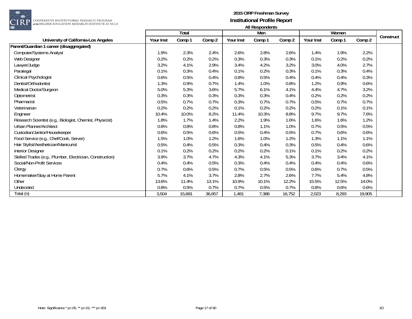

|                                                           |                  | Total  |        |           | $1.011100$ pointed in $2.01$<br>Men |        |           | Women  |        |           |
|-----------------------------------------------------------|------------------|--------|--------|-----------|-------------------------------------|--------|-----------|--------|--------|-----------|
| University of California-Los Angeles                      | <b>Your Inst</b> | Comp 1 | Comp 2 | Your Inst | Comp 1                              | Comp 2 | Your Inst | Comp 1 | Comp 2 | Construct |
| Parent/Guardian 1 career (disaggregated)                  |                  |        |        |           |                                     |        |           |        |        |           |
| Computer/Systems Analyst                                  | 1.9%             | 2.3%   | 2.4%   | 2.6%      | 2.8%                                | 2.6%   | 1.4%      | 1.9%   | 2.2%   |           |
| Web Designer                                              | 0.2%             | 0.2%   | 0.2%   | 0.3%      | 0.3%                                | 0.3%   | 0.1%      | 0.2%   | 0.2%   |           |
| Lawyer/Judge                                              | 3.2%             | 4.1%   | 2.9%   | 3.4%      | 4.2%                                | 3.2%   | 3.0%      | 4.0%   | 2.7%   |           |
| Paralegal                                                 | 0.1%             | 0.3%   | 0.4%   | 0.1%      | 0.2%                                | 0.3%   | 0.1%      | 0.3%   | 0.4%   |           |
| Clinical Psychologist                                     | 0.6%             | 0.5%   | 0.4%   | 0.8%      | 0.5%                                | 0.4%   | 0.4%      | 0.4%   | 0.3%   |           |
| Dentist/Orthodontist                                      | 1.3%             | 0.9%   | 0.7%   | 1.4%      | 1.0%                                | 0.8%   | 1.2%      | 0.9%   | 0.6%   |           |
| Medical Doctor/Surgeon                                    | 5.0%             | 5.3%   | 3.6%   | 5.7%      | 6.1%                                | 4.1%   | 4.4%      | 4.7%   | 3.2%   |           |
| Optometrist                                               | 0.3%             | 0.3%   | 0.3%   | 0.3%      | 0.3%                                | 0.4%   | 0.2%      | 0.2%   | 0.2%   |           |
| Pharmacist                                                | 0.5%             | 0.7%   | 0.7%   | 0.3%      | 0.7%                                | 0.7%   | 0.5%      | 0.7%   | 0.7%   |           |
| Veterinarian                                              | 0.2%             | 0.2%   | 0.2%   | 0.1%      | 0.2%                                | 0.2%   | 0.2%      | 0.1%   | 0.1%   |           |
| Engineer                                                  | 10.4%            | 10.0%  | 8.2%   | 11.4%     | 10.3%                               | 8.8%   | 9.7%      | 9.7%   | 7.6%   |           |
| Research Scientist (e.g., Biologist, Chemist, Physicist)  | 1.8%             | 1.7%   | 1.4%   | 2.2%      | 1.9%                                | 1.6%   | 1.6%      | 1.6%   | 1.2%   |           |
| Urban Planner/Architect                                   | 0.8%             | 0.8%   | 0.8%   | 0.8%      | 1.1%                                | 1.0%   | 0.7%      | 0.5%   | 0.5%   |           |
| Custodian/Janitor/Housekeeper                             | 0.6%             | 0.5%   | 0.6%   | 0.5%      | 0.4%                                | 0.5%   | 0.7%      | 0.6%   | 0.6%   |           |
| Food Service (e.g., Chef/Cook, Server)                    | 1.5%             | 1.0%   | 1.2%   | 1.6%      | 1.0%                                | 1.2%   | 1.3%      | 1.1%   | 1.1%   |           |
| Hair Stylist/Aesthetician/Manicurist                      | 0.5%             | 0.4%   | 0.5%   | 0.3%      | 0.4%                                | 0.3%   | 0.5%      | 0.4%   | 0.6%   |           |
| Interior Designer                                         | 0.1%             | 0.2%   | 0.2%   | 0.2%      | 0.2%                                | 0.1%   | 0.1%      | 0.2%   | 0.2%   |           |
| Skilled Trades (e.g., Plumber, Electrician, Construction) | 3.9%             | 3.7%   | 4.7%   | 4.3%      | 4.1%                                | 5.3%   | 3.7%      | 3.4%   | 4.1%   |           |
| Social/Non-Profit Services                                | 0.4%             | 0.4%   | 0.5%   | 0.3%      | 0.4%                                | 0.4%   | 0.4%      | 0.4%   | 0.6%   |           |
| Clergy                                                    | 0.7%             | 0.6%   | 0.5%   | 0.7%      | 0.5%                                | 0.5%   | 0.6%      | 0.7%   | 0.5%   |           |
| Homemaker/Stay at Home Parent                             | 5.7%             | 4.1%   | 3.7%   | 2.8%      | 2.7%                                | 2.6%   | 7.7%      | 5.4%   | 4.8%   |           |
| Other                                                     | 13.6%            | 11.4%  | 13.1%  | 10.9%     | 10.1%                               | 12.2%  | 15.5%     | 12.5%  | 14.0%  |           |
| Undecided                                                 | 0.8%             | 0.5%   | 0.7%   | 0.7%      | 0.5%                                | 0.7%   | 0.8%      | 0.6%   | 0.6%   |           |
| Total (n)                                                 | 3,504            | 15,681 | 36,657 | 1,481     | 7,388                               | 16,752 | 2,023     | 8,293  | 19,905 |           |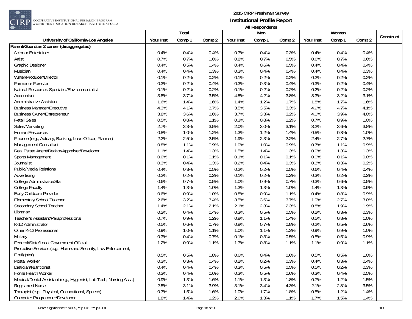

|                                                                     |           | Total  |        |           | Men    |        |           | Women  |        |           |
|---------------------------------------------------------------------|-----------|--------|--------|-----------|--------|--------|-----------|--------|--------|-----------|
| University of California-Los Angeles                                | Your Inst | Comp 1 | Comp 2 | Your Inst | Comp 1 | Comp 2 | Your Inst | Comp 1 | Comp 2 | Construct |
| Parent/Guardian 2 career (disaggregated)                            |           |        |        |           |        |        |           |        |        |           |
| Actor or Entertainer                                                | 0.4%      | 0.4%   | 0.4%   | 0.3%      | 0.4%   | 0.3%   | 0.4%      | 0.4%   | 0.4%   |           |
| Artist                                                              | 0.7%      | 0.7%   | 0.6%   | 0.8%      | 0.7%   | 0.5%   | 0.6%      | 0.7%   | 0.6%   |           |
| Graphic Designer                                                    | 0.4%      | 0.5%   | 0.4%   | 0.4%      | 0.6%   | 0.5%   | 0.4%      | 0.4%   | 0.4%   |           |
| Musician                                                            | 0.4%      | 0.4%   | 0.3%   | 0.3%      | 0.4%   | 0.4%   | 0.4%      | 0.4%   | 0.3%   |           |
| Writer/Producer/Director                                            | 0.1%      | 0.2%   | 0.2%   | 0.1%      | 0.2%   | 0.2%   | 0.2%      | 0.2%   | 0.2%   |           |
| Farmer or Forester                                                  | 0.3%      | 0.2%   | 0.4%   | 0.3%      | 0.3%   | 0.4%   | 0.3%      | 0.2%   | 0.4%   |           |
| Natural Resources Specialist/Environmentalist                       | 0.1%      | 0.2%   | 0.2%   | 0.1%      | 0.2%   | 0.2%   | 0.2%      | 0.2%   | 0.2%   |           |
| Accountant                                                          | 3.8%      | 3.7%   | 3.5%   | 4.5%      | 4.2%   | 3.8%   | 3.3%      | 3.2%   | 3.1%   |           |
| <b>Administrative Assistant</b>                                     | 1.6%      | 1.4%   | 1.6%   | 1.4%      | 1.2%   | 1.7%   | 1.8%      | 1.7%   | 1.6%   |           |
| <b>Business Manager/Executive</b>                                   | 4.3%      | 4.1%   | 3.7%   | 3.5%      | 3.5%   | 3.3%   | 4.9%      | 4.7%   | 4.1%   |           |
| <b>Business Owner/Entrepreneur</b>                                  | 3.8%      | 3.6%   | 3.6%   | 3.7%      | 3.3%   | 3.2%   | 4.0%      | 3.9%   | 4.0%   |           |
| <b>Retail Sales</b>                                                 | 0.5%      | 0.8%   | 1.1%   | 0.3%      | 0.8%   | 1.2%   | 0.7%      | 0.9%   | 1.0%   |           |
| Sales/Marketing                                                     | 2.7%      | 3.3%   | 3.5%   | 2.0%      | 3.0%   | 3.1%   | 3.2%      | 3.6%   | 3.8%   |           |
| Human Resources                                                     | 0.8%      | 1.0%   | 1.2%   | 1.3%      | 1.2%   | 1.4%   | 0.5%      | 0.8%   | 1.0%   |           |
| Finance (e.g., Actuary, Banking, Loan Officer, Planner)             | 2.2%      | 2.5%   | 2.5%   | 1.9%      | 2.3%   | 2.2%   | 2.4%      | 2.7%   | 2.7%   |           |
| Management Consultant                                               | 0.8%      | 1.1%   | 0.9%   | 1.0%      | 1.0%   | 0.9%   | 0.7%      | 1.1%   | 0.9%   |           |
| Real Estate Agent/Realtor/Appraiser/Developer                       | 1.1%      | 1.4%   | 1.3%   | 1.5%      | 1.4%   | 1.3%   | 0.9%      | 1.3%   | 1.3%   |           |
| Sports Management                                                   | 0.0%      | 0.1%   | 0.1%   | 0.1%      | 0.1%   | 0.1%   | 0.0%      | 0.1%   | 0.0%   |           |
| Journalist                                                          | 0.3%      | 0.4%   | 0.3%   | 0.2%      | 0.4%   | 0.3%   | 0.3%      | 0.3%   | 0.2%   |           |
| <b>Public/Media Relations</b>                                       | 0.4%      | 0.3%   | 0.5%   | 0.2%      | 0.2%   | 0.5%   | 0.6%      | 0.4%   | 0.4%   |           |
| Advertising                                                         | 0.2%      | 0.2%   | 0.2%   | 0.1%      | 0.2%   | 0.2%   | 0.3%      | 0.2%   | 0.2%   |           |
| College Administrator/Staff                                         | 0.6%      | 0.7%   | 0.5%   | 1.0%      | 0.9%   | 0.7%   | 0.3%      | 0.6%   | 0.5%   |           |
| College Faculty                                                     | 1.4%      | 1.3%   | 1.0%   | 1.3%      | 1.3%   | 1.0%   | 1.4%      | 1.3%   | 0.9%   |           |
| Early Childcare Provider                                            | 0.6%      | 0.9%   | 1.0%   | 0.8%      | 0.9%   | 1.1%   | 0.4%      | 0.8%   | 0.9%   |           |
| <b>Elementary School Teacher</b>                                    | 2.6%      | 3.2%   | 3.4%   | 3.5%      | 3.6%   | 3.7%   | 1.9%      | 2.7%   | 3.0%   |           |
| Secondary School Teacher                                            | 1.4%      | 2.1%   | 2.1%   | 2.1%      | 2.3%   | 2.3%   | 0.8%      | 1.9%   | 1.9%   |           |
| Librarian                                                           | 0.2%      | 0.4%   | 0.4%   | 0.3%      | 0.5%   | 0.5%   | 0.2%      | 0.3%   | 0.3%   |           |
| Teacher's Assistant/Paraprofessional                                | 0.7%      | 0.9%   | 1.2%   | 0.8%      | 1.1%   | 1.4%   | 0.5%      | 0.8%   | 1.0%   |           |
| K-12 Administrator                                                  | 0.5%      | 0.6%   | 0.7%   | 0.8%      | 0.7%   | 0.8%   | 0.2%      | 0.5%   | 0.6%   |           |
| Other K-12 Professional                                             | 0.9%      | 1.0%   | 1.1%   | 1.0%      | 1.1%   | 1.3%   | 0.9%      | 0.9%   | 1.0%   |           |
| Military                                                            | 0.3%      | 0.4%   | 0.7%   | 0.1%      | 0.3%   | 0.5%   | 0.5%      | 0.5%   | 0.9%   |           |
| Federal/State/Local Government Official                             | 1.2%      | 0.9%   | 1.1%   | 1.3%      | 0.8%   | 1.1%   | 1.1%      | 0.9%   | 1.1%   |           |
| Protective Services (e.g., Homeland Security, Law Enforcement,      |           |        |        |           |        |        |           |        |        |           |
| Firefighter)                                                        | 0.5%      | 0.5%   | 0.8%   | 0.6%      | 0.4%   | 0.6%   | 0.5%      | 0.5%   | 1.0%   |           |
| Postal Worker                                                       | 0.3%      | 0.3%   | 0.4%   | 0.2%      | 0.2%   | 0.3%   | 0.4%      | 0.3%   | 0.4%   |           |
| Dietician/Nutritionist                                              | 0.4%      | 0.4%   | 0.4%   | 0.3%      | 0.5%   | 0.5%   | 0.5%      | 0.2%   | 0.3%   |           |
| Home Health Worker                                                  | 0.3%      | 0.4%   | 0.6%   | 0.3%      | 0.5%   | 0.6%   | 0.3%      | 0.4%   | 0.5%   |           |
| Medical/Dental Assistant (e.g., Hygienist, Lab Tech, Nursing Asst.) | 0.9%      | 1.3%   | 1.6%   | 1.1%      | 1.3%   | 1.8%   | 0.7%      | 1.2%   | 1.5%   |           |
| <b>Registered Nurse</b>                                             | 2.5%      | 3.1%   | 3.9%   | 3.1%      | 3.4%   | 4.3%   | 2.1%      | 2.8%   | 3.5%   |           |
| Therapist (e.g., Physical, Occupational, Speech)                    | 0.7%      | 1.5%   | 1.6%   | 1.0%      | 1.7%   | 1.8%   | 0.5%      | 1.2%   | 1.4%   |           |
| Computer Programmer/Developer                                       | 1.8%      | 1.4%   | 1.2%   | 2.0%      | 1.3%   | 1.1%   | 1.7%      | 1.5%   | 1.4%   |           |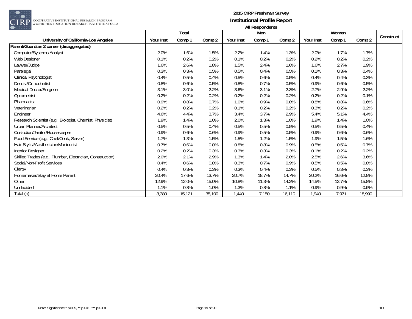

|                                                           |                  | Total  |        |           | $1.011100$ pointed in $2.01$<br>Men |        |           | Women  |        |           |
|-----------------------------------------------------------|------------------|--------|--------|-----------|-------------------------------------|--------|-----------|--------|--------|-----------|
| University of California-Los Angeles                      | <b>Your Inst</b> | Comp 1 | Comp 2 | Your Inst | Comp 1                              | Comp 2 | Your Inst | Comp 1 | Comp 2 | Construct |
| Parent/Guardian 2 career (disaggregated)                  |                  |        |        |           |                                     |        |           |        |        |           |
| Computer/Systems Analyst                                  | 2.0%             | 1.6%   | 1.5%   | 2.2%      | 1.4%                                | 1.3%   | 2.0%      | 1.7%   | 1.7%   |           |
| Web Designer                                              | 0.1%             | 0.2%   | 0.2%   | 0.1%      | 0.2%                                | 0.2%   | 0.2%      | 0.2%   | 0.2%   |           |
| Lawyer/Judge                                              | 1.6%             | 2.6%   | 1.8%   | 1.5%      | 2.4%                                | 1.6%   | 1.6%      | 2.7%   | 1.9%   |           |
| Paralegal                                                 | 0.3%             | 0.3%   | 0.5%   | 0.5%      | 0.4%                                | 0.5%   | 0.1%      | 0.3%   | 0.4%   |           |
| Clinical Psychologist                                     | 0.4%             | 0.5%   | 0.4%   | 0.5%      | 0.6%                                | 0.5%   | 0.4%      | 0.4%   | 0.3%   |           |
| Dentist/Orthodontist                                      | 0.8%             | 0.6%   | 0.5%   | 0.8%      | 0.7%                                | 0.5%   | 0.9%      | 0.6%   | 0.5%   |           |
| Medical Doctor/Surgeon                                    | 3.1%             | 3.0%   | 2.2%   | 3.6%      | 3.1%                                | 2.3%   | 2.7%      | 2.9%   | 2.2%   |           |
| Optometrist                                               | 0.2%             | 0.2%   | 0.2%   | 0.2%      | 0.2%                                | 0.2%   | 0.2%      | 0.2%   | 0.1%   |           |
| Pharmacist                                                | 0.9%             | 0.8%   | 0.7%   | 1.0%      | 0.9%                                | 0.8%   | 0.8%      | 0.8%   | 0.6%   |           |
| Veterinarian                                              | 0.2%             | 0.2%   | 0.2%   | 0.1%      | 0.2%                                | 0.2%   | 0.3%      | 0.2%   | 0.2%   |           |
| Engineer                                                  | 4.6%             | 4.4%   | 3.7%   | 3.4%      | 3.7%                                | 2.9%   | 5.4%      | 5.1%   | 4.4%   |           |
| Research Scientist (e.g., Biologist, Chemist, Physicist)  | 1.9%             | 1.4%   | 1.0%   | 2.0%      | 1.3%                                | 1.0%   | 1.9%      | 1.4%   | 1.0%   |           |
| Urban Planner/Architect                                   | 0.5%             | 0.5%   | 0.4%   | 0.5%      | 0.5%                                | 0.5%   | 0.5%      | 0.5%   | 0.4%   |           |
| Custodian/Janitor/Housekeeper                             | 0.9%             | 0.6%   | 0.6%   | 0.9%      | 0.5%                                | 0.5%   | 0.9%      | 0.6%   | 0.6%   |           |
| Food Service (e.g., Chef/Cook, Server)                    | 1.7%             | 1.3%   | 1.5%   | 1.5%      | 1.2%                                | 1.5%   | 1.9%      | 1.5%   | 1.6%   |           |
| Hair Stylist/Aesthetician/Manicurist                      | 0.7%             | 0.6%   | 0.8%   | 0.8%      | 0.8%                                | 0.9%   | 0.5%      | 0.5%   | 0.7%   |           |
| Interior Designer                                         | 0.2%             | 0.2%   | 0.3%   | 0.3%      | 0.3%                                | 0.3%   | 0.1%      | 0.2%   | 0.2%   |           |
| Skilled Trades (e.g., Plumber, Electrician, Construction) | 2.0%             | 2.1%   | 2.9%   | 1.3%      | 1.4%                                | 2.0%   | 2.5%      | 2.6%   | 3.6%   |           |
| Social/Non-Profit Services                                | 0.4%             | 0.6%   | 0.8%   | 0.3%      | 0.7%                                | 0.9%   | 0.5%      | 0.5%   | 0.8%   |           |
| Clergy                                                    | 0.4%             | 0.3%   | 0.3%   | 0.3%      | 0.4%                                | 0.3%   | 0.5%      | 0.3%   | 0.3%   |           |
| Homemaker/Stay at Home Parent                             | 20.4%            | 17.6%  | 13.7%  | 20.7%     | 18.7%                               | 14.7%  | 20.2%     | 16.6%  | 12.8%  |           |
| Other                                                     | 12.9%            | 12.0%  | 15.0%  | 10.8%     | 11.3%                               | 14.2%  | 14.5%     | 12.7%  | 15.8%  |           |
| Undecided                                                 | 1.1%             | 0.8%   | 1.0%   | 1.3%      | 0.8%                                | 1.1%   | 0.9%      | 0.9%   | 0.9%   |           |
| Total (n)                                                 | 3,380            | 15,121 | 35,100 | 1,440     | 7,150                               | 16,110 | 1,940     | 7,971  | 18,990 |           |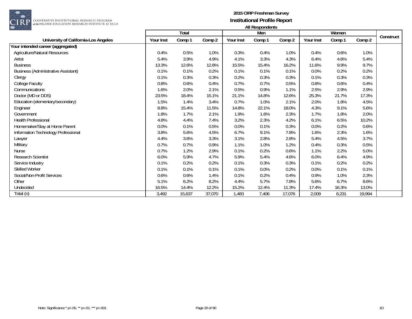

| $\sim$ $\sim$ $\sim$                       |           | Total  |        |           | $1.00$ and $1.00$<br>Men |        |           | Women  |        |           |
|--------------------------------------------|-----------|--------|--------|-----------|--------------------------|--------|-----------|--------|--------|-----------|
| University of California-Los Angeles       | Your Inst | Comp 1 | Comp 2 | Your Inst | Comp 1                   | Comp 2 | Your Inst | Comp 1 | Comp 2 | Construct |
| Your intended career (aggregated)          |           |        |        |           |                          |        |           |        |        |           |
| Agriculture/Natural Resources              | 0.4%      | 0.5%   | 1.0%   | 0.3%      | 0.4%                     | 1.0%   | 0.4%      | 0.6%   | 1.0%   |           |
| Artist                                     | 5.4%      | 3.9%   | 4.9%   | 4.1%      | 3.3%                     | 4.3%   | 6.4%      | 4.6%   | 5.4%   |           |
| <b>Business</b>                            | 13.3%     | 12.6%  | 12.8%  | 15.5%     | 15.4%                    | 16.2%  | 11.6%     | 9.9%   | 9.7%   |           |
| <b>Business (Administrative Assistant)</b> | 0.1%      | 0.1%   | 0.2%   | 0.1%      | 0.1%                     | 0.1%   | 0.0%      | 0.2%   | 0.2%   |           |
| Clergy                                     | 0.1%      | 0.3%   | 0.3%   | 0.2%      | 0.3%                     | 0.3%   | 0.1%      | 0.3%   | 0.3%   |           |
| College Faculty                            | 0.8%      | 0.6%   | 0.4%   | 0.7%      | 0.7%                     | 0.5%   | 0.8%      | 0.6%   | 0.4%   |           |
| Communications                             | 1.6%      | 2.0%   | 2.1%   | 0.5%      | 0.9%                     | 1.1%   | 2.5%      | 2.9%   | 2.9%   |           |
| Doctor (MD or DDS)                         | 23.5%     | 18.4%  | 15.1%  | 21.1%     | 14.8%                    | 12.6%  | 25.3%     | 21.7%  | 17.3%  |           |
| Education (elementary/secondary)           | 1.5%      | 1.4%   | 3.4%   | 0.7%      | 1.0%                     | 2.1%   | 2.0%      | 1.8%   | 4.5%   |           |
| Engineer                                   | 8.8%      | 15.4%  | 11.5%  | 14.8%     | 22.1%                    | 18.0%  | 4.3%      | 9.1%   | 5.6%   |           |
| Government                                 | 1.8%      | 1.7%   | 2.1%   | 1.9%      | 1.6%                     | 2.3%   | 1.7%      | 1.8%   | 2.0%   |           |
| Health Professional                        | 4.8%      | 4.4%   | 7.4%   | 3.2%      | 2.3%                     | 4.2%   | 6.1%      | 6.5%   | 10.2%  |           |
| Homemaker/Stay at Home Parent              | 0.0%      | 0.1%   | 0.5%   | 0.0%      | 0.1%                     | 0.3%   | 0.0%      | 0.2%   | 0.6%   |           |
| Information Technology Professional        | 3.8%      | 5.6%   | 4.5%   | 6.7%      | 9.1%                     | 7.8%   | 1.6%      | 2.3%   | 1.6%   |           |
| Lawyer                                     | 4.4%      | 3.6%   | 3.3%   | 3.1%      | 2.8%                     | 2.8%   | 5.4%      | 4.5%   | 3.7%   |           |
| Military                                   | 0.7%      | 0.7%   | 0.9%   | 1.1%      | 1.0%                     | 1.2%   | 0.4%      | 0.3%   | 0.5%   |           |
| <b>Nurse</b>                               | 0.7%      | 1.2%   | 2.9%   | 0.1%      | 0.2%                     | 0.6%   | 1.1%      | 2.2%   | 5.0%   |           |
| Research Scientist                         | 6.0%      | 5.9%   | 4.7%   | 5.9%      | 5.4%                     | 4.6%   | 6.0%      | 6.4%   | 4.9%   |           |
| Service Industry                           | 0.1%      | 0.2%   | 0.2%   | 0.1%      | 0.3%                     | 0.3%   | 0.1%      | 0.2%   | 0.2%   |           |
| Skilled Worker                             | 0.1%      | 0.1%   | 0.1%   | 0.1%      | 0.0%                     | 0.2%   | 0.0%      | 0.1%   | 0.1%   |           |
| Social/Non-Profit Services                 | 0.6%      | 0.6%   | 1.4%   | 0.1%      | 0.2%                     | 0.4%   | 0.9%      | 1.0%   | 2.3%   |           |
| Other                                      | 5.1%      | 6.2%   | 8.2%   | 4.4%      | 5.7%                     | 7.8%   | 5.6%      | 6.7%   | 8.6%   |           |
| Undecided                                  | 16.5%     | 14.4%  | 12.2%  | 15.2%     | 12.4%                    | 11.3%  | 17.4%     | 16.3%  | 13.0%  |           |
| Total (n)                                  | 3,492     | 15,637 | 37,070 | 1,483     | 7,406                    | 17,076 | 2,009     | 8,231  | 19,994 |           |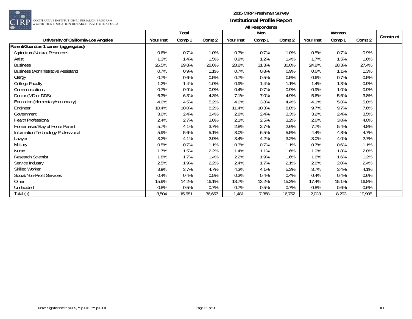

| $\sim$ $\sim$ $\sim$                       |           | Total  |        |           | $1.00$ and $1.00$<br>Men |        |           | Women  |        |           |
|--------------------------------------------|-----------|--------|--------|-----------|--------------------------|--------|-----------|--------|--------|-----------|
| University of California-Los Angeles       | Your Inst | Comp 1 | Comp 2 | Your Inst | Comp 1                   | Comp 2 | Your Inst | Comp 1 | Comp 2 | Construct |
| Parent/Guardian 1 career (aggregated)      |           |        |        |           |                          |        |           |        |        |           |
| Agriculture/Natural Resources              | 0.6%      | 0.7%   | 1.0%   | 0.7%      | 0.7%                     | 1.0%   | 0.5%      | 0.7%   | 0.9%   |           |
| Artist                                     | 1.3%      | 1.4%   | 1.5%   | 0.9%      | 1.2%                     | 1.4%   | 1.7%      | 1.5%   | 1.6%   |           |
| <b>Business</b>                            | 26.5%     | 29.8%  | 28.6%  | 28.8%     | 31.3%                    | 30.0%  | 24.8%     | 28.3%  | 27.4%  |           |
| <b>Business (Administrative Assistant)</b> | 0.7%      | 0.9%   | 1.1%   | 0.7%      | 0.8%                     | 0.9%   | 0.6%      | 1.1%   | 1.3%   |           |
| Clergy                                     | 0.7%      | 0.6%   | 0.5%   | 0.7%      | 0.5%                     | 0.5%   | 0.6%      | 0.7%   | 0.5%   |           |
| College Faculty                            | 1.2%      | 1.4%   | 1.0%   | 0.9%      | 1.4%                     | 1.1%   | 1.4%      | 1.3%   | 0.9%   |           |
| Communications                             | 0.7%      | 0.9%   | 0.9%   | 0.4%      | 0.7%                     | 0.9%   | 0.9%      | 1.0%   | 0.9%   |           |
| Doctor (MD or DDS)                         | 6.3%      | 6.3%   | 4.3%   | 7.1%      | 7.0%                     | 4.9%   | 5.6%      | 5.6%   | 3.8%   |           |
| Education (elementary/secondary)           | 4.0%      | 4.5%   | 5.2%   | 4.0%      | 3.8%                     | 4.4%   | 4.1%      | 5.0%   | 5.8%   |           |
| Engineer                                   | 10.4%     | 10.0%  | 8.2%   | 11.4%     | 10.3%                    | 8.8%   | 9.7%      | 9.7%   | 7.6%   |           |
| Government                                 | 3.0%      | 2.4%   | 3.4%   | 2.8%      | 2.4%                     | 3.3%   | 3.2%      | 2.4%   | 3.5%   |           |
| Health Professional                        | 2.4%      | 2.7%   | 3.6%   | 2.1%      | 2.5%                     | 3.2%   | 2.6%      | 3.0%   | 4.0%   |           |
| Homemaker/Stay at Home Parent              | 5.7%      | 4.1%   | 3.7%   | 2.8%      | 2.7%                     | 2.6%   | 7.7%      | 5.4%   | 4.8%   |           |
| Information Technology Professional        | 5.9%      | 5.6%   | 5.1%   | 8.0%      | 6.5%                     | 5.5%   | 4.4%      | 4.8%   | 4.7%   |           |
| Lawyer                                     | 3.2%      | 4.1%   | 2.9%   | 3.4%      | 4.2%                     | 3.2%   | 3.0%      | 4.0%   | 2.7%   |           |
| Military                                   | 0.5%      | 0.7%   | 1.1%   | 0.3%      | 0.7%                     | 1.1%   | 0.7%      | 0.6%   | 1.1%   |           |
| <b>Nurse</b>                               | 1.7%      | 1.5%   | 2.2%   | 1.4%      | 1.1%                     | 1.6%   | 1.9%      | 1.8%   | 2.8%   |           |
| Research Scientist                         | 1.8%      | 1.7%   | 1.4%   | 2.2%      | 1.9%                     | 1.6%   | 1.6%      | 1.6%   | 1.2%   |           |
| Service Industry                           | 2.5%      | 1.9%   | 2.2%   | 2.4%      | 1.7%                     | 2.1%   | 2.6%      | 2.0%   | 2.4%   |           |
| <b>Skilled Worker</b>                      | 3.9%      | 3.7%   | 4.7%   | 4.3%      | 4.1%                     | 5.3%   | 3.7%      | 3.4%   | 4.1%   |           |
| Social/Non-Profit Services                 | 0.4%      | 0.4%   | 0.5%   | 0.3%      | 0.4%                     | 0.4%   | 0.4%      | 0.4%   | 0.6%   |           |
| Other                                      | 15.9%     | 14.2%  | 16.1%  | 13.7%     | 13.2%                    | 15.3%  | 17.4%     | 15.1%  | 16.8%  |           |
| Undecided                                  | 0.8%      | 0.5%   | 0.7%   | 0.7%      | 0.5%                     | 0.7%   | 0.8%      | 0.6%   | 0.6%   |           |
| Total (n)                                  | 3,504     | 15,681 | 36,657 | 1,481     | 7,388                    | 16,752 | 2,023     | 8,293  | 19,905 |           |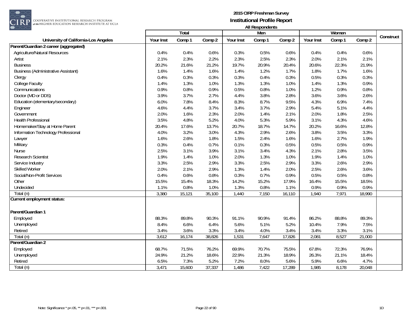

 $\begin{array}{|l|} \hline \texttt{COOPERATIVE INSTITUTIONAL RESEARCH PROGRAM} \hline \texttt{at the HIGHER EDUCATION RESEARCH INSTITUTE AT UCLA} \end{array}$ 

|                                            |           | <b>Total</b> |        |           | Men    |        |           | Women  |        |           |
|--------------------------------------------|-----------|--------------|--------|-----------|--------|--------|-----------|--------|--------|-----------|
| University of California-Los Angeles       | Your Inst | Comp 1       | Comp 2 | Your Inst | Comp 1 | Comp 2 | Your Inst | Comp 1 | Comp 2 | Construct |
| Parent/Guardian 2 career (aggregated)      |           |              |        |           |        |        |           |        |        |           |
| <b>Agriculture/Natural Resources</b>       | 0.4%      | 0.4%         | 0.6%   | 0.3%      | 0.5%   | 0.6%   | 0.4%      | 0.4%   | 0.6%   |           |
| Artist                                     | 2.1%      | 2.3%         | 2.2%   | 2.3%      | 2.5%   | 2.3%   | 2.0%      | 2.1%   | 2.1%   |           |
| <b>Business</b>                            | 20.2%     | 21.6%        | 21.2%  | 19.7%     | 20.9%  | 20.4%  | 20.6%     | 22.3%  | 21.9%  |           |
| <b>Business (Administrative Assistant)</b> | 1.6%      | 1.4%         | 1.6%   | 1.4%      | 1.2%   | 1.7%   | 1.8%      | 1.7%   | 1.6%   |           |
| Clergy                                     | 0.4%      | 0.3%         | 0.3%   | 0.3%      | 0.4%   | 0.3%   | 0.5%      | 0.3%   | 0.3%   |           |
| College Faculty                            | 1.4%      | 1.3%         | 1.0%   | 1.3%      | 1.3%   | 1.0%   | 1.4%      | 1.3%   | 0.9%   |           |
| Communications                             | 0.9%      | 0.8%         | 0.9%   | 0.5%      | 0.8%   | 1.0%   | 1.2%      | 0.9%   | 0.8%   |           |
| Doctor (MD or DDS)                         | 3.9%      | 3.7%         | 2.7%   | 4.4%      | 3.8%   | 2.8%   | 3.6%      | 3.6%   | 2.6%   |           |
| Education (elementary/secondary)           | 6.0%      | 7.8%         | 8.4%   | 8.3%      | 8.7%   | 9.5%   | 4.3%      | 6.9%   | 7.4%   |           |
| Engineer                                   | 4.6%      | 4.4%         | 3.7%   | 3.4%      | 3.7%   | 2.9%   | 5.4%      | 5.1%   | 4.4%   |           |
| Government                                 | 2.0%      | 1.6%         | 2.3%   | 2.0%      | 1.4%   | 2.1%   | 2.0%      | 1.8%   | 2.5%   |           |
| <b>Health Professional</b>                 | 3.5%      | 4.8%         | 5.2%   | 4.0%      | 5.3%   | 5.9%   | 3.1%      | 4.3%   | 4.6%   |           |
| Homemaker/Stay at Home Parent              | 20.4%     | 17.6%        | 13.7%  | 20.7%     | 18.7%  | 14.7%  | 20.2%     | 16.6%  | 12.8%  |           |
| Information Technology Professional        | 4.0%      | 3.2%         | 3.0%   | 4.3%      | 2.9%   | 2.6%   | 3.8%      | 3.5%   | 3.3%   |           |
| Lawyer                                     | 1.6%      | 2.6%         | 1.8%   | 1.5%      | 2.4%   | 1.6%   | 1.6%      | 2.7%   | 1.9%   |           |
| Military                                   | 0.3%      | 0.4%         | 0.7%   | 0.1%      | 0.3%   | 0.5%   | 0.5%      | 0.5%   | 0.9%   |           |
| <b>Nurse</b>                               | 2.5%      | 3.1%         | 3.9%   | 3.1%      | 3.4%   | 4.3%   | 2.1%      | 2.8%   | 3.5%   |           |
| <b>Research Scientist</b>                  | 1.9%      | 1.4%         | 1.0%   | 2.0%      | 1.3%   | 1.0%   | 1.9%      | 1.4%   | 1.0%   |           |
| Service Industry                           | 3.3%      | 2.5%         | 2.9%   | 3.3%      | 2.5%   | 2.9%   | 3.3%      | 2.6%   | 2.9%   |           |
| <b>Skilled Worker</b>                      | 2.0%      | 2.1%         | 2.9%   | 1.3%      | 1.4%   | 2.0%   | 2.5%      | 2.6%   | 3.6%   |           |
| Social/Non-Profit Services                 | 0.4%      | 0.6%         | 0.8%   | 0.3%      | 0.7%   | 0.9%   | 0.5%      | 0.5%   | 0.8%   |           |
| Other                                      | 15.5%     | 15.4%        | 18.3%  | 14.2%     | 15.2%  | 17.9%  | 16.4%     | 15.5%  | 18.5%  |           |
| Undecided                                  | 1.1%      | 0.8%         | 1.0%   | 1.3%      | 0.8%   | 1.1%   | 0.9%      | 0.9%   | 0.9%   |           |
| Total (n)                                  | 3,380     | 15,121       | 35,100 | 1,440     | 7,150  | 16,110 | 1,940     | 7,971  | 18,990 |           |
| Current employment status:                 |           |              |        |           |        |        |           |        |        |           |
|                                            |           |              |        |           |        |        |           |        |        |           |
| Parent/Guardian 1                          |           |              |        |           |        |        |           |        |        |           |
| Employed                                   | 88.3%     | 89.8%        | 90.3%  | 91.1%     | 90.9%  | 91.4%  | 86.2%     | 88.8%  | 89.3%  |           |
| Unemployed                                 | 8.4%      | 6.6%         | 6.4%   | 5.6%      | 5.1%   | 5.2%   | 10.4%     | 7.9%   | 7.5%   |           |
| Retired                                    | 3.4%      | 3.6%         | 3.3%   | 3.4%      | 4.0%   | 3.4%   | 3.4%      | 3.3%   | 3.1%   |           |
| Total (n)                                  | 3,612     | 16,174       | 38,826 | 1,531     | 7,647  | 17,826 | 2,081     | 8,527  | 21,000 |           |
| Parent/Guardian 2                          |           |              |        |           |        |        |           |        |        |           |
| Employed                                   | 68.7%     | 71.5%        | 76.2%  | 69.9%     | 70.7%  | 75.5%  | 67.8%     | 72.3%  | 76.9%  |           |
| Unemployed                                 | 24.9%     | 21.2%        | 18.6%  | 22.9%     | 21.3%  | 18.9%  | 26.3%     | 21.1%  | 18.4%  |           |
| Retired                                    | 6.5%      | 7.3%         | 5.2%   | 7.2%      | 8.0%   | 5.6%   | 5.9%      | 6.6%   | 4.7%   |           |
| Total (n)                                  | 3,471     | 15,600       | 37,337 | 1,486     | 7,422  | 17,289 | 1,985     | 8,178  | 20,048 |           |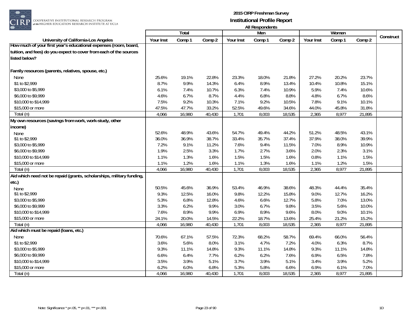

|                                                                       |           | Total  |        |           | r in nooponuchio<br>Men |        |           | Women  |        |           |
|-----------------------------------------------------------------------|-----------|--------|--------|-----------|-------------------------|--------|-----------|--------|--------|-----------|
| University of California-Los Angeles                                  | Your Inst | Comp 1 | Comp 2 | Your Inst | Comp 1                  | Comp 2 | Your Inst | Comp 1 | Comp 2 | Construct |
| [How much of your first year's educational expenses (room, board,     |           |        |        |           |                         |        |           |        |        |           |
| tuition, and fees) do you expect to cover from each of the sources    |           |        |        |           |                         |        |           |        |        |           |
| listed below?                                                         |           |        |        |           |                         |        |           |        |        |           |
|                                                                       |           |        |        |           |                         |        |           |        |        |           |
| Family resources (parents, relatives, spouse, etc.)                   |           |        |        |           |                         |        |           |        |        |           |
| None                                                                  | 25.6%     | 19.1%  | 22.8%  | 23.3%     | 18.0%                   | 21.8%  | 27.2%     | 20.2%  | 23.7%  |           |
| \$1 to \$2,999                                                        | 8.7%      | 9.9%   | 14.3%  | 6.4%      | 8.9%                    | 13.4%  | 10.4%     | 10.8%  | 15.1%  |           |
| \$3,000 to \$5,999                                                    | 6.1%      | 7.4%   | 10.7%  | 6.3%      | 7.4%                    | 10.9%  | 5.9%      | 7.4%   | 10.6%  |           |
| \$6,000 to \$9,999                                                    | 4.6%      | 6.7%   | 8.7%   | 4.4%      | 6.8%                    | 8.8%   | 4.8%      | 6.7%   | 8.6%   |           |
| \$10,000 to \$14,999                                                  | 7.5%      | 9.2%   | 10.3%  | 7.1%      | 9.2%                    | 10.5%  | 7.8%      | 9.1%   | 10.1%  |           |
| \$15,000 or more                                                      | 47.5%     | 47.7%  | 33.2%  | 52.5%     | 49.6%                   | 34.6%  | 44.0%     | 45.8%  | 31.8%  |           |
| Total (n)                                                             | 4,066     | 16,980 | 40,430 | 1,701     | 8,003                   | 18,535 | 2,365     | 8,977  | 21,895 |           |
| My own resources (savings from work, work-study, other                |           |        |        |           |                         |        |           |        |        |           |
| income)                                                               |           |        |        |           |                         |        |           |        |        |           |
| <b>None</b>                                                           | 52.6%     | 48.9%  | 43.6%  | 54.7%     | 49.4%                   | 44.2%  | 51.2%     | 48.5%  | 43.1%  |           |
| \$1 to \$2,999                                                        | 36.0%     | 36.9%  | 38.7%  | 33.4%     | 35.7%                   | 37.4%  | 37.9%     | 38.0%  | 39.9%  |           |
| \$3,000 to \$5,999                                                    | 7.2%      | 9.1%   | 11.2%  | 7.6%      | 9.4%                    | 11.5%  | 7.0%      | 8.9%   | 10.9%  |           |
| \$6,000 to \$9,999                                                    | 1.9%      | 2.5%   | 3.3%   | 1.7%      | 2.7%                    | 3.6%   | 2.0%      | 2.3%   | 3.1%   |           |
| \$10,000 to \$14,999                                                  | 1.1%      | 1.3%   | 1.6%   | 1.5%      | 1.5%                    | 1.6%   | 0.8%      | 1.1%   | 1.5%   |           |
| \$15,000 or more                                                      | 1.1%      | 1.2%   | 1.6%   | 1.1%      | 1.3%                    | 1.6%   | 1.1%      | 1.2%   | 1.5%   |           |
| Total (n)                                                             | 4,066     | 16,980 | 40,430 | 1,701     | 8,003                   | 18,535 | 2,365     | 8,977  | 21,895 |           |
| Aid which need not be repaid (grants, scholarships, military funding, |           |        |        |           |                         |        |           |        |        |           |
| etc.)                                                                 |           |        |        |           |                         |        |           |        |        |           |
| None                                                                  | 50.5%     | 45.6%  | 36.9%  | 53.4%     | 46.9%                   | 38.6%  | 48.3%     | 44.4%  | 35.4%  |           |
| \$1 to \$2,999                                                        | 9.3%      | 12.5%  | 16.0%  | 9.8%      | 12.2%                   | 15.8%  | 9.0%      | 12.7%  | 16.2%  |           |
| \$3,000 to \$5,999                                                    | 5.3%      | 6.8%   | 12.8%  | 4.6%      | 6.6%                    | 12.7%  | 5.8%      | 7.0%   | 13.0%  |           |
| \$6,000 to \$9,999                                                    | 3.3%      | 6.2%   | 9.9%   | 3.0%      | 6.7%                    | 9.8%   | 3.5%      | 5.6%   | 10.0%  |           |
| \$10,000 to \$14,999                                                  | 7.6%      | 8.9%   | 9.9%   | 6.9%      | 8.9%                    | 9.6%   | 8.0%      | 9.0%   | 10.1%  |           |
| \$15,000 or more                                                      | 24.1%     | 20.0%  | 14.5%  | 22.2%     | 18.7%                   | 13.6%  | 25.4%     | 21.2%  | 15.2%  |           |
| Total (n)                                                             | 4,066     | 16,980 | 40,430 | 1,701     | 8,003                   | 18,535 | 2,365     | 8,977  | 21,895 |           |
| Aid which must be repaid (loans, etc.)                                |           |        |        |           |                         |        |           |        |        |           |
| None                                                                  | 70.6%     | 67.1%  | 57.5%  | 72.3%     | 68.2%                   | 58.7%  | 69.4%     | 66.0%  | 56.4%  |           |
| \$1 to \$2,999                                                        | 3.6%      | 5.6%   | 8.0%   | 3.1%      | 4.7%                    | 7.2%   | 4.0%      | 6.3%   | 8.7%   |           |
| \$3,000 to \$5,999                                                    | 9.3%      | 11.1%  | 14.8%  | 9.3%      | 11.1%                   | 14.8%  | 9.3%      | 11.1%  | 14.8%  |           |
| \$6,000 to \$9,999                                                    | 6.6%      | 6.4%   | 7.7%   | 6.2%      | 6.2%                    | 7.6%   | 6.9%      | 6.5%   | 7.8%   |           |
| \$10,000 to \$14,999                                                  | 3.5%      | 3.9%   | 5.1%   | 3.7%      | 3.9%                    | 5.1%   | 3.4%      | 3.9%   | 5.2%   |           |
| \$15,000 or more                                                      | 6.2%      | 6.0%   | 6.8%   | 5.3%      | 5.8%                    | 6.6%   | 6.9%      | 6.1%   | 7.0%   |           |
| Total (n)                                                             | 4,066     | 16,980 | 40,430 | 1,701     | 8,003                   | 18,535 | 2,365     | 8,977  | 21,895 |           |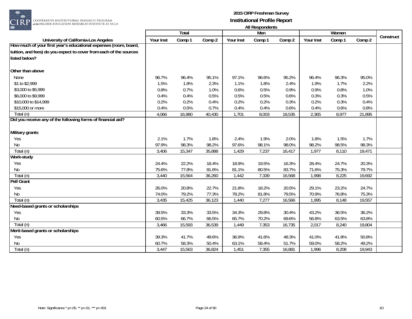

|                                                                           |           |              |        |           | <b>THE INCOPOLITIES</b> |        |           |        |        |           |
|---------------------------------------------------------------------------|-----------|--------------|--------|-----------|-------------------------|--------|-----------|--------|--------|-----------|
|                                                                           |           | <b>Total</b> |        |           | Men                     |        |           | Women  |        | Construct |
| University of California-Los Angeles                                      | Your Inst | Comp 1       | Comp 2 | Your Inst | Comp 1                  | Comp 2 | Your Inst | Comp 1 | Comp 2 |           |
| How much of your first year's educational expenses (room, board,          |           |              |        |           |                         |        |           |        |        |           |
| tuition, and fees) do you expect to cover from each of the sources        |           |              |        |           |                         |        |           |        |        |           |
| listed below?                                                             |           |              |        |           |                         |        |           |        |        |           |
| Other than above                                                          |           |              |        |           |                         |        |           |        |        |           |
| None                                                                      | 96.7%     | 96.4%        | 95.1%  | 97.1%     | 96.6%                   | 95.2%  | 96.4%     | 96.3%  | 95.0%  |           |
| \$1 to \$2,999                                                            | 1.5%      | 1.8%         | 2.3%   | 1.1%      | 1.8%                    | 2.4%   | 1.9%      | 1.7%   | 2.2%   |           |
| \$3,000 to \$5,999                                                        | 0.8%      | 0.7%         | 1.0%   | 0.6%      | 0.5%                    | 0.9%   | 0.9%      | 0.8%   | 1.0%   |           |
| \$6,000 to \$9,999                                                        | 0.4%      | 0.4%         | 0.5%   | 0.5%      | 0.5%                    | 0.6%   | 0.3%      | 0.3%   | 0.5%   |           |
| \$10,000 to \$14,999                                                      | 0.2%      | 0.2%         | 0.4%   | 0.2%      | 0.2%                    | 0.3%   | 0.2%      | 0.3%   | 0.4%   |           |
|                                                                           |           |              |        |           |                         |        |           |        |        |           |
| \$15,000 or more                                                          | 0.4%      | 0.5%         | 0.7%   | 0.4%      | 0.4%                    | 0.6%   | 0.4%      | 0.6%   | 0.8%   |           |
| Total (n)<br>Did you receive any of the following forms of financial aid? | 4,066     | 16,980       | 40,430 | 1,701     | 8,003                   | 18,535 | 2,365     | 8,977  | 21,895 |           |
|                                                                           |           |              |        |           |                         |        |           |        |        |           |
|                                                                           |           |              |        |           |                         |        |           |        |        |           |
| Military grants                                                           |           |              |        |           |                         |        |           |        |        |           |
| Yes                                                                       | 2.1%      | 1.7%         | 1.8%   | 2.4%      | 1.9%                    | 2.0%   | 1.8%      | 1.5%   | 1.7%   |           |
| No                                                                        | 97.9%     | 98.3%        | 98.2%  | 97.6%     | 98.1%                   | 98.0%  | 98.2%     | 98.5%  | 98.3%  |           |
| Total (n)                                                                 | 3,406     | 15,347       | 35,888 | 1,429     | 7,237                   | 16,417 | 1,977     | 8,110  | 19,471 |           |
| Work-study                                                                |           |              |        |           |                         |        |           |        |        |           |
| Yes                                                                       | 24.4%     | 22.2%        | 18.4%  | 18.9%     | 19.5%                   | 16.3%  | 28.4%     | 24.7%  | 20.3%  |           |
| No                                                                        | 75.6%     | 77.8%        | 81.6%  | 81.1%     | 80.5%                   | 83.7%  | 71.6%     | 75.3%  | 79.7%  |           |
| Total (n)                                                                 | 3,440     | 15,564       | 36,260 | 1,442     | 7,339                   | 16,568 | 1,998     | 8,225  | 19,692 |           |
| <b>Pell Grant</b>                                                         |           |              |        |           |                         |        |           |        |        |           |
| Yes                                                                       | 26.0%     | 20.8%        | 22.7%  | 21.8%     | 18.2%                   | 20.5%  | 29.1%     | 23.2%  | 24.7%  |           |
| No                                                                        | 74.0%     | 79.2%        | 77.3%  | 78.2%     | 81.8%                   | 79.5%  | 70.9%     | 76.8%  | 75.3%  |           |
| Total (n)                                                                 | 3,435     | 15,425       | 36,123 | 1,440     | 7,277                   | 16,566 | 1,995     | 8,148  | 19,557 |           |
| Need-based grants or scholarships                                         |           |              |        |           |                         |        |           |        |        |           |
| Yes                                                                       | 39.5%     | 33.3%        | 33.5%  | 34.3%     | 29.8%                   | 30.4%  | 43.2%     | 36.5%  | 36.2%  |           |
| No                                                                        | 60.5%     | 66.7%        | 66.5%  | 65.7%     | 70.2%                   | 69.6%  | 56.8%     | 63.5%  | 63.8%  |           |
| Total (n)                                                                 | 3,466     | 15,593       | 36,539 | 1,449     | 7,353                   | 16,735 | 2,017     | 8,240  | 19,804 |           |
| Merit-based grants or scholarships                                        |           |              |        |           |                         |        |           |        |        |           |
| Yes                                                                       | 39.3%     | 41.7%        | 49.6%  | 36.9%     | 41.6%                   | 48.3%  | 41.0%     | 41.8%  | 50.8%  |           |
| No                                                                        | 60.7%     | 58.3%        | 50.4%  | 63.1%     | 58.4%                   | 51.7%  | 59.0%     | 58.2%  | 49.2%  |           |
| Total (n)                                                                 | 3,447     | 15,563       | 36,824 | 1,451     | 7,355                   | 16,881 | 1,996     | 8,208  | 19,943 |           |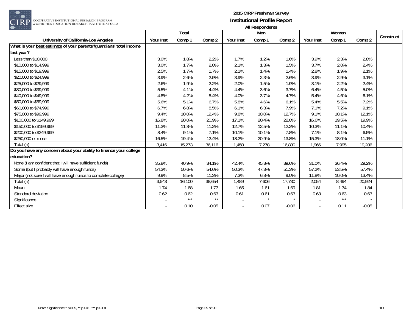

COOPERATIVE INSTITUTIONAL RESEARCH PROGRAM<br>#the HIGHER EDUCATION RESEARCH INSTITUTE AT UCLA

|                                                                     |           | Total  |         |                          | Men                  |         |           | Women  |         |           |
|---------------------------------------------------------------------|-----------|--------|---------|--------------------------|----------------------|---------|-----------|--------|---------|-----------|
| University of California-Los Angeles                                | Your Inst | Comp 1 | Comp 2  | Your Inst                | Comp 1               | Comp 2  | Your Inst | Comp 1 | Comp 2  | Construct |
| What is your best estimate of your parents'/guardians' total income |           |        |         |                          |                      |         |           |        |         |           |
| last year?                                                          |           |        |         |                          |                      |         |           |        |         |           |
| Less than \$10,000                                                  | 3.0%      | 1.8%   | 2.2%    | 1.7%                     | 1.2%                 | 1.6%    | 3.9%      | 2.3%   | 2.8%    |           |
| \$10,000 to \$14,999                                                | 3.0%      | 1.7%   | 2.0%    | 2.1%                     | 1.3%                 | 1.5%    | 3.7%      | 2.0%   | 2.4%    |           |
| \$15,000 to \$19,999                                                | 2.5%      | 1.7%   | 1.7%    | 2.1%                     | 1.4%                 | 1.4%    | 2.8%      | 1.9%   | 2.1%    |           |
| \$20,000 to \$24,999                                                | 3.9%      | 2.6%   | 2.9%    | 3.9%                     | 2.3%                 | 2.6%    | 3.9%      | 2.9%   | 3.1%    |           |
| \$25,000 to \$29,999                                                | 2.6%      | 1.9%   | 2.2%    | 2.0%                     | 1.5%                 | 1.9%    | 3.1%      | 2.2%   | 2.4%    |           |
| \$30,000 to \$39,999                                                | 5.5%      | 4.1%   | 4.4%    | 4.4%                     | 3.6%                 | 3.7%    | 6.4%      | 4.5%   | 5.0%    |           |
| \$40,000 to \$49,999                                                | 4.8%      | 4.2%   | 5.4%    | 4.0%                     | 3.7%                 | 4.7%    | 5.4%      | 4.6%   | 6.1%    |           |
| \$50,000 to \$59,999                                                | 5.6%      | 5.1%   | 6.7%    | 5.8%                     | 4.6%                 | 6.1%    | 5.4%      | 5.5%   | 7.2%    |           |
| \$60,000 to \$74,999                                                | 6.7%      | 6.8%   | 8.5%    | 6.1%                     | 6.3%                 | 7.9%    | 7.1%      | 7.2%   | 9.1%    |           |
| \$75,000 to \$99,999                                                | 9.4%      | 10.0%  | 12.4%   | 9.8%                     | 10.0%                | 12.7%   | 9.1%      | 10.1%  | 12.1%   |           |
| \$100,000 to \$149,999                                              | 16.8%     | 20.0%  | 20.9%   | 17.1%                    | 20.4%                | 22.0%   | 16.6%     | 19.5%  | 19.9%   |           |
| \$150,000 to \$199,999                                              | 11.3%     | 11.8%  | 11.2%   | 12.7%                    | 12.5%                | 12.2%   | 10.3%     | 11.1%  | 10.4%   |           |
| \$200,000 to \$249,999                                              | 8.4%      | 9.1%   | 7.1%    | 10.1%                    | 10.1%                | 7.8%    | 7.1%      | 8.1%   | 6.5%    |           |
| \$250,000 or more                                                   | 16.5%     | 19.4%  | 12.4%   | 18.2%                    | 20.9%                | 13.8%   | 15.3%     | 18.0%  | 11.1%   |           |
| $\overline{T}$ otal (n)                                             | 3,416     | 15,273 | 36,116  | 1,450                    | 7,278                | 16,830  | 1,966     | 7,995  | 19,286  |           |
| Do you have any concern about your ability to finance your college  |           |        |         |                          |                      |         |           |        |         |           |
| education?                                                          |           |        |         |                          |                      |         |           |        |         |           |
| None (I am confident that I will have sufficient funds)             | 35.8%     | 40.9%  | 34.1%   | 42.4%                    | 45.8%                | 39.6%   | 31.0%     | 36.4%  | 29.2%   |           |
| Some (but I probably will have enough funds)                        | 54.3%     | 50.6%  | 54.6%   | 50.3%                    | 47.3%                | 51.3%   | 57.2%     | 53.5%  | 57.4%   |           |
| Major (not sure I will have enough funds to complete college)       | 9.9%      | 8.5%   | 11.3%   | 7.3%                     | 6.8%                 | 9.0%    | 11.8%     | 10.0%  | 13.4%   |           |
| Total (n)                                                           | 3,543     | 16,100 | 38,654  | 1,489                    | 7,606                | 17,730  | 2,054     | 8,494  | 20,924  |           |
| Mean                                                                | 1.74      | 1.68   | 1.77    | 1.65                     | 1.61                 | 1.69    | 1.81      | 1.74   | 1.84    |           |
| Standard deviation                                                  | 0.62      | 0.62   | 0.63    | 0.61                     | 0.61                 | 0.63    | 0.63      | 0.63   | 0.63    |           |
| Significance                                                        |           | $***$  | $**$    |                          | $\ddot{\phantom{a}}$ | $\star$ |           | $***$  | $\star$ |           |
| <b>Effect size</b>                                                  |           | 0.10   | $-0.05$ | $\overline{\phantom{a}}$ | 0.07                 | $-0.06$ |           | 0.11   | $-0.05$ |           |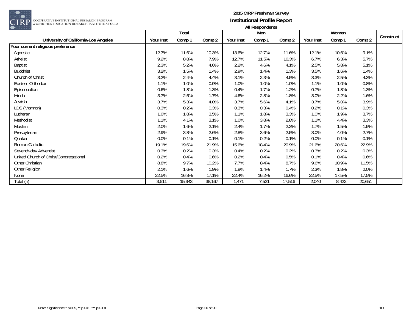

|                                        |           | Total  |        |           | Men    |        |           | Women  |        |           |
|----------------------------------------|-----------|--------|--------|-----------|--------|--------|-----------|--------|--------|-----------|
| University of California-Los Angeles   | Your Inst | Comp 1 | Comp 2 | Your Inst | Comp 1 | Comp 2 | Your Inst | Comp 1 | Comp 2 | Construct |
| Your current religious preference      |           |        |        |           |        |        |           |        |        |           |
| Agnostic                               | 12.7%     | 11.6%  | 10.3%  | 13.6%     | 12.7%  | 11.6%  | 12.1%     | 10.6%  | 9.1%   |           |
| Atheist                                | 9.2%      | 8.8%   | 7.9%   | 12.7%     | 11.5%  | 10.3%  | 6.7%      | 6.3%   | 5.7%   |           |
| <b>Baptist</b>                         | 2.3%      | 5.2%   | 4.6%   | 2.2%      | 4.6%   | 4.1%   | 2.5%      | 5.8%   | 5.1%   |           |
| <b>Buddhist</b>                        | 3.2%      | 1.5%   | 1.4%   | 2.9%      | 1.4%   | 1.3%   | 3.5%      | 1.6%   | 1.4%   |           |
| Church of Christ                       | 3.2%      | 2.4%   | 4.4%   | 3.1%      | 2.3%   | 4.5%   | 3.3%      | 2.5%   | 4.3%   |           |
| Eastern Orthodox                       | 1.1%      | 1.0%   | 0.9%   | 1.0%      | 1.0%   | 1.0%   | 1.1%      | 1.0%   | 0.8%   |           |
| Episcopalian                           | 0.6%      | 1.8%   | 1.3%   | 0.4%      | 1.7%   | 1.2%   | 0.7%      | 1.8%   | 1.3%   |           |
| Hindu                                  | 3.7%      | 2.5%   | 1.7%   | 4.6%      | 2.8%   | 1.8%   | 3.0%      | 2.2%   | 1.6%   |           |
| Jewish                                 | 3.7%      | 5.3%   | 4.0%   | 3.7%      | 5.6%   | 4.1%   | 3.7%      | 5.0%   | 3.9%   |           |
| LDS (Mormon)                           | 0.3%      | 0.2%   | 0.3%   | 0.3%      | 0.3%   | 0.4%   | 0.2%      | 0.1%   | 0.3%   |           |
| Lutheran                               | 1.0%      | 1.8%   | 3.5%   | 1.1%      | 1.8%   | 3.3%   | 1.0%      | 1.9%   | 3.7%   |           |
| Methodist                              | 1.1%      | 4.1%   | 3.1%   | 1.0%      | 3.8%   | 2.8%   | 1.1%      | 4.4%   | 3.3%   |           |
| Muslim                                 | 2.0%      | 1.6%   | 2.1%   | 2.4%      | 1.7%   | 2.3%   | 1.7%      | 1.5%   | 1.9%   |           |
| Presbyterian                           | 2.9%      | 3.8%   | 2.6%   | 2.8%      | 3.6%   | 2.5%   | 3.0%      | 4.0%   | 2.7%   |           |
| Quaker                                 | 0.0%      | 0.1%   | 0.1%   | 0.1%      | 0.2%   | 0.1%   | 0.0%      | 0.1%   | 0.1%   |           |
| Roman Catholic                         | 19.1%     | 19.6%  | 21.9%  | 15.6%     | 18.4%  | 20.9%  | 21.6%     | 20.6%  | 22.9%  |           |
| Seventh-day Adventist                  | 0.3%      | 0.2%   | 0.3%   | 0.4%      | 0.2%   | 0.2%   | 0.3%      | 0.2%   | 0.3%   |           |
| United Church of Christ/Congregational | 0.2%      | 0.4%   | 0.6%   | 0.2%      | 0.4%   | 0.5%   | 0.1%      | 0.4%   | 0.6%   |           |
| Other Christian                        | 8.8%      | 9.7%   | 10.2%  | 7.7%      | 8.4%   | 8.7%   | 9.6%      | 10.9%  | 11.5%  |           |
| Other Religion                         | 2.1%      | 1.6%   | 1.9%   | 1.8%      | 1.4%   | 1.7%   | 2.3%      | 1.8%   | 2.0%   |           |
| None                                   | 22.5%     | 16.8%  | 17.1%  | 22.4%     | 16.2%  | 16.6%  | 22.5%     | 17.5%  | 17.5%  |           |
| Total (n)                              | 3,511     | 15,943 | 38,167 | 1,471     | 7,521  | 17,516 | 2,040     | 8,422  | 20,651 |           |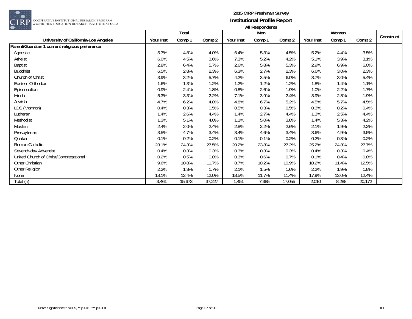

|                                                |           | Total  |        |           | Men    |        |           | Women  |        |           |
|------------------------------------------------|-----------|--------|--------|-----------|--------|--------|-----------|--------|--------|-----------|
| University of California-Los Angeles           | Your Inst | Comp 1 | Comp 2 | Your Inst | Comp 1 | Comp 2 | Your Inst | Comp 1 | Comp 2 | Construct |
| Parent/Guardian 1 current religious preference |           |        |        |           |        |        |           |        |        |           |
| Agnostic                                       | 5.7%      | 4.8%   | 4.0%   | 6.4%      | 5.3%   | 4.5%   | 5.2%      | 4.4%   | 3.5%   |           |
| Atheist                                        | 6.0%      | 4.5%   | 3.6%   | 7.3%      | 5.2%   | 4.2%   | 5.1%      | 3.9%   | 3.1%   |           |
| <b>Baptist</b>                                 | 2.8%      | 6.4%   | 5.7%   | 2.6%      | 5.8%   | 5.3%   | 2.9%      | 6.9%   | 6.0%   |           |
| <b>Buddhist</b>                                | 6.5%      | 2.8%   | 2.3%   | 6.3%      | 2.7%   | 2.3%   | 6.6%      | 3.0%   | 2.3%   |           |
| Church of Christ                               | 3.9%      | 3.2%   | 5.7%   | 4.2%      | 3.5%   | 6.0%   | 3.7%      | 3.0%   | 5.4%   |           |
| Eastern Orthodox                               | 1.6%      | 1.3%   | 1.2%   | 1.2%      | 1.2%   | 1.2%   | 1.8%      | 1.4%   | 1.1%   |           |
| Episcopalian                                   | 0.9%      | 2.4%   | 1.8%   | 0.8%      | 2.6%   | 1.9%   | 1.0%      | 2.2%   | 1.7%   |           |
| Hindu                                          | 5.3%      | 3.3%   | 2.2%   | 7.1%      | 3.9%   | 2.4%   | 3.9%      | 2.8%   | 1.9%   |           |
| Jewish                                         | 4.7%      | 6.2%   | 4.8%   | 4.8%      | 6.7%   | 5.2%   | 4.5%      | 5.7%   | 4.5%   |           |
| LDS (Mormon)                                   | 0.4%      | 0.3%   | 0.5%   | 0.5%      | 0.3%   | 0.5%   | 0.3%      | 0.2%   | 0.4%   |           |
| Lutheran                                       | 1.4%      | 2.6%   | 4.4%   | 1.4%      | 2.7%   | 4.4%   | 1.3%      | 2.5%   | 4.4%   |           |
| Methodist                                      | 1.3%      | 5.1%   | 4.0%   | 1.1%      | 5.0%   | 3.8%   | 1.4%      | 5.3%   | 4.2%   |           |
| Muslim                                         | 2.4%      | 2.0%   | 2.4%   | 2.8%      | 2.2%   | 2.6%   | 2.1%      | 1.9%   | 2.2%   |           |
| Presbyterian                                   | 3.5%      | 4.7%   | 3.4%   | 3.4%      | 4.6%   | 3.4%   | 3.6%      | 4.9%   | 3.5%   |           |
| Quaker                                         | 0.1%      | 0.2%   | 0.2%   | 0.1%      | 0.1%   | 0.2%   | 0.2%      | 0.3%   | 0.2%   |           |
| Roman Catholic                                 | 23.1%     | 24.3%  | 27.5%  | 20.2%     | 23.8%  | 27.2%  | 25.2%     | 24.8%  | 27.7%  |           |
| Seventh-day Adventist                          | 0.4%      | 0.3%   | 0.3%   | 0.3%      | 0.3%   | 0.3%   | 0.4%      | 0.3%   | 0.4%   |           |
| United Church of Christ/Congregational         | 0.2%      | 0.5%   | 0.8%   | 0.3%      | 0.6%   | 0.7%   | 0.1%      | 0.4%   | 0.8%   |           |
| Other Christian                                | 9.6%      | 10.8%  | 11.7%  | 8.7%      | 10.2%  | 10.9%  | 10.2%     | 11.4%  | 12.5%  |           |
| Other Religion                                 | 2.2%      | 1.8%   | 1.7%   | 2.1%      | 1.5%   | 1.6%   | 2.2%      | 1.9%   | 1.8%   |           |
| None                                           | 18.1%     | 12.4%  | 12.0%  | 18.5%     | 11.7%  | 11.4%  | 17.9%     | 13.0%  | 12.4%  |           |
| Total (n)                                      | 3,461     | 15,673 | 37,227 | 1,451     | 7,385  | 17,055 | 2,010     | 8,288  | 20,172 |           |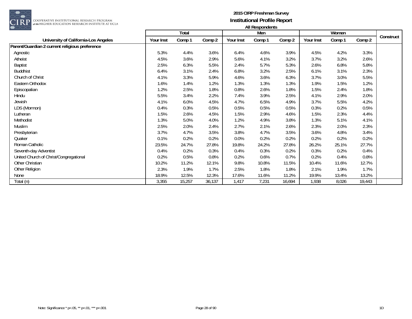

|                                                |           | Total  |        |           | Men    |        |           | Women  |        |           |
|------------------------------------------------|-----------|--------|--------|-----------|--------|--------|-----------|--------|--------|-----------|
| University of California-Los Angeles           | Your Inst | Comp 1 | Comp 2 | Your Inst | Comp 1 | Comp 2 | Your Inst | Comp 1 | Comp 2 | Construct |
| Parent/Guardian 2 current religious preference |           |        |        |           |        |        |           |        |        |           |
| Agnostic                                       | 5.3%      | 4.4%   | 3.6%   | 6.4%      | 4.6%   | 3.9%   | 4.5%      | 4.2%   | 3.3%   |           |
| Atheist                                        | 4.5%      | 3.6%   | 2.9%   | 5.6%      | 4.1%   | 3.2%   | 3.7%      | 3.2%   | 2.6%   |           |
| <b>Baptist</b>                                 | 2.5%      | 6.3%   | 5.5%   | 2.4%      | 5.7%   | 5.3%   | 2.6%      | 6.8%   | 5.8%   |           |
| <b>Buddhist</b>                                | 6.4%      | 3.1%   | 2.4%   | 6.8%      | 3.2%   | 2.5%   | 6.1%      | 3.1%   | 2.3%   |           |
| Church of Christ                               | 4.1%      | 3.3%   | 5.9%   | 4.6%      | 3.6%   | 6.3%   | 3.7%      | 3.0%   | 5.5%   |           |
| Eastern Orthodox                               | 1.6%      | 1.4%   | 1.2%   | 1.3%      | 1.3%   | 1.3%   | 1.9%      | 1.5%   | 1.2%   |           |
| Episcopalian                                   | 1.2%      | 2.5%   | 1.8%   | 0.8%      | 2.6%   | 1.8%   | 1.5%      | 2.4%   | 1.8%   |           |
| Hindu                                          | 5.5%      | 3.4%   | 2.2%   | 7.4%      | 3.9%   | 2.5%   | 4.1%      | 2.9%   | 2.0%   |           |
| Jewish                                         | 4.1%      | 6.0%   | 4.5%   | 4.7%      | 6.5%   | 4.9%   | 3.7%      | 5.5%   | 4.2%   |           |
| LDS (Mormon)                                   | 0.4%      | 0.3%   | 0.5%   | 0.5%      | 0.5%   | 0.5%   | 0.3%      | 0.2%   | 0.5%   |           |
| Lutheran                                       | 1.5%      | 2.6%   | 4.5%   | 1.5%      | 2.9%   | 4.6%   | 1.5%      | 2.3%   | 4.4%   |           |
| Methodist                                      | 1.3%      | 5.0%   | 4.0%   | 1.2%      | 4.9%   | 3.8%   | 1.3%      | 5.1%   | 4.1%   |           |
| Muslim                                         | 2.5%      | 2.0%   | 2.4%   | 2.7%      | 2.1%   | 2.6%   | 2.3%      | 2.0%   | 2.3%   |           |
| Presbyterian                                   | 3.7%      | 4.7%   | 3.5%   | 3.8%      | 4.7%   | 3.5%   | 3.6%      | 4.8%   | 3.4%   |           |
| Quaker                                         | 0.1%      | 0.2%   | 0.2%   | 0.0%      | 0.2%   | 0.2%   | 0.2%      | 0.2%   | 0.2%   |           |
| Roman Catholic                                 | 23.5%     | 24.7%  | 27.8%  | 19.8%     | 24.2%  | 27.8%  | 26.2%     | 25.1%  | 27.7%  |           |
| Seventh-day Adventist                          | 0.4%      | 0.2%   | 0.3%   | 0.4%      | 0.3%   | 0.2%   | 0.3%      | 0.2%   | 0.4%   |           |
| United Church of Christ/Congregational         | 0.2%      | 0.5%   | 0.8%   | 0.2%      | 0.6%   | 0.7%   | 0.2%      | 0.4%   | 0.8%   |           |
| Other Christian                                | 10.2%     | 11.2%  | 12.1%  | 9.8%      | 10.8%  | 11.5%  | 10.4%     | 11.6%  | 12.7%  |           |
| Other Religion                                 | 2.3%      | 1.9%   | 1.7%   | 2.5%      | 1.8%   | 1.8%   | 2.1%      | 1.9%   | 1.7%   |           |
| None                                           | 18.9%     | 12.5%  | 12.3%  | 17.6%     | 11.6%  | 11.2%  | 19.9%     | 13.4%  | 13.2%  |           |
| Total (n)                                      | 3,355     | 15,257 | 36,137 | 1,417     | 7,231  | 16,694 | 1,938     | 8,026  | 19,443 |           |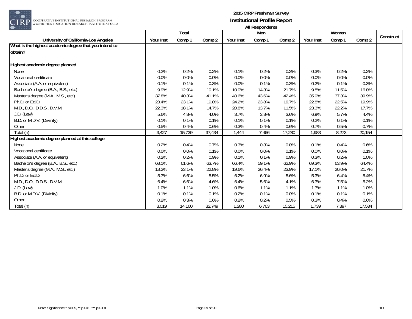

|                                                        |           |              |        |           | .      |        |           |        |        |           |
|--------------------------------------------------------|-----------|--------------|--------|-----------|--------|--------|-----------|--------|--------|-----------|
|                                                        |           | <b>Total</b> |        |           | Men    |        |           | Women  |        | Construct |
| University of California-Los Angeles                   | Your Inst | Comp 1       | Comp 2 | Your Inst | Comp 1 | Comp 2 | Your Inst | Comp 1 | Comp 2 |           |
| What is the highest academic degree that you intend to |           |              |        |           |        |        |           |        |        |           |
| lobtain?                                               |           |              |        |           |        |        |           |        |        |           |
|                                                        |           |              |        |           |        |        |           |        |        |           |
| Highest academic degree planned                        |           |              |        |           |        |        |           |        |        |           |
| None                                                   | 0.2%      | 0.2%         | 0.2%   | 0.1%      | 0.2%   | 0.3%   | 0.3%      | 0.2%   | 0.2%   |           |
| Vocational certificate                                 | 0.0%      | 0.0%         | 0.0%   | 0.0%      | 0.0%   | 0.0%   | 0.0%      | 0.0%   | 0.0%   |           |
| Associate (A.A. or equivalent)                         | 0.1%      | 0.1%         | 0.3%   | 0.0%      | 0.1%   | 0.3%   | 0.2%      | 0.1%   | 0.3%   |           |
| Bachelor's degree (B.A., B.S., etc.)                   | 9.9%      | 12.9%        | 19.1%  | 10.0%     | 14.3%  | 21.7%  | 9.8%      | 11.5%  | 16.8%  |           |
| Master's degree (M.A., M.S., etc.)                     | 37.8%     | 40.3%        | 41.1%  | 40.6%     | 43.6%  | 42.4%  | 35.9%     | 37.3%  | 39.9%  |           |
| Ph.D. or Ed.D.                                         | 23.4%     | 23.1%        | 19.8%  | 24.2%     | 23.8%  | 19.7%  | 22.8%     | 22.5%  | 19.9%  |           |
| M.D., D.O., D.D.S., D.V.M.                             | 22.3%     | 18.1%        | 14.7%  | 20.8%     | 13.7%  | 11.5%  | 23.3%     | 22.2%  | 17.7%  |           |
| J.D. (Law)                                             | 5.6%      | 4.8%         | 4.0%   | 3.7%      | 3.8%   | 3.6%   | 6.9%      | 5.7%   | 4.4%   |           |
| B.D. or M.DIV. (Divinity)                              | 0.1%      | 0.1%         | 0.1%   | 0.1%      | 0.1%   | 0.1%   | 0.2%      | 0.1%   | 0.1%   |           |
| Other                                                  | 0.5%      | 0.4%         | 0.6%   | 0.3%      | 0.4%   | 0.6%   | 0.7%      | 0.5%   | 0.7%   |           |
| Total (n)                                              | 3,427     | 15,739       | 37,434 | 1,444     | 7,466  | 17,280 | 1,983     | 8,273  | 20,154 |           |
| Highest academic degree planned at this college        |           |              |        |           |        |        |           |        |        |           |
| None                                                   | 0.2%      | 0.4%         | 0.7%   | 0.3%      | 0.3%   | 0.8%   | 0.1%      | 0.4%   | 0.6%   |           |
| Vocational certificate                                 | 0.0%      | 0.0%         | 0.1%   | 0.0%      | 0.0%   | 0.1%   | 0.0%      | 0.0%   | 0.1%   |           |
| Associate (A.A. or equivalent)                         | 0.2%      | 0.2%         | 0.9%   | 0.1%      | 0.1%   | 0.9%   | 0.3%      | 0.2%   | 1.0%   |           |
| Bachelor's degree (B.A., B.S., etc.)                   | 68.1%     | 61.6%        | 63.7%  | 66.4%     | 59.1%  | 62.9%  | 69.3%     | 63.9%  | 64.4%  |           |
| Master's degree (M.A., M.S., etc.)                     | 18.2%     | 23.1%        | 22.8%  | 19.6%     | 26.4%  | 23.9%  | 17.1%     | 20.0%  | 21.7%  |           |
| Ph.D. or Ed.D.                                         | 5.7%      | 6.6%         | 5.5%   | 6.2%      | 6.9%   | 5.6%   | 5.3%      | 6.4%   | 5.4%   |           |
| M.D., D.O., D.D.S., D.V.M.                             | 6.4%      | 6.6%         | 4.6%   | 6.4%      | 5.6%   | 4.1%   | 6.3%      | 7.5%   | 5.2%   |           |
| J.D. (Law)                                             | 1.0%      | 1.1%         | 1.0%   | 0.6%      | 1.1%   | 1.1%   | 1.3%      | 1.1%   | 1.0%   |           |
| B.D. or M.DIV. (Divinity)                              | 0.1%      | 0.1%         | 0.1%   | 0.2%      | 0.1%   | 0.0%   | 0.1%      | 0.1%   | 0.1%   |           |
| Other                                                  | 0.2%      | 0.3%         | 0.6%   | 0.2%      | 0.2%   | 0.5%   | 0.3%      | 0.4%   | 0.6%   |           |
| Total (n)                                              | 3,019     | 14,160       | 32,749 | 1,280     | 6,763  | 15,215 | 1,739     | 7,397  | 17,534 |           |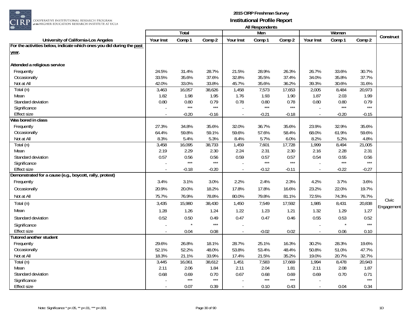

COOPERATIVE INSTITUTIONAL RESEARCH PROGRAM<br>#the HIGHER EDUCATION RESEARCH INSTITUTE AT UCLA

|                                                                       |                | Total         |                   |                | Men           |                |               | Women         |               |            |
|-----------------------------------------------------------------------|----------------|---------------|-------------------|----------------|---------------|----------------|---------------|---------------|---------------|------------|
| University of California-Los Angeles                                  | Your Inst      | Comp 1        | Comp 2            | Your Inst      | Comp 1        | Comp 2         | Your Inst     | Comp 1        | Comp 2        | Construct  |
| For the activities below, indicate which ones you did during the past |                |               |                   |                |               |                |               |               |               |            |
| year.                                                                 |                |               |                   |                |               |                |               |               |               |            |
|                                                                       |                |               |                   |                |               |                |               |               |               |            |
| Attended a religious service                                          |                |               |                   |                |               |                |               |               |               |            |
| Frequently                                                            | 24.5%          | 31.4%         | 28.7%             | 21.5%          | 28.9%         | 26.3%          | 26.7%         | 33.6%         | 30.7%         |            |
| Occasionally                                                          | 33.5%          | 35.6%         | 37.6%             | 32.8%          | 35.5%         | 37.4%          | 34.0%         | 35.8%         | 37.7%         |            |
| Not at All                                                            | 42.0%          | 33.0%         | 33.8%             | 45.7%          | 35.6%         | 36.2%          | 39.3%         | 30.6%         | 31.6%         |            |
| Total (n)                                                             | 3,463          | 16,057        | 38,626            | 1,458          | 7,573         | 17,653         | 2,005         | 8,484         | 20,973        |            |
| Mean                                                                  | 1.82           | 1.98          | 1.95              | 1.76           | 1.93          | 1.90           | 1.87          | 2.03          | 1.99          |            |
| Standard deviation                                                    | 0.80           | 0.80<br>$***$ | 0.79<br>$***$     | 0.78           | 0.80<br>$***$ | 0.78<br>$***$  | 0.80          | 0.80<br>$***$ | 0.79<br>$***$ |            |
| Significance                                                          |                |               |                   |                |               |                |               |               |               |            |
| <b>Effect size</b>                                                    | $\sim$         | $-0.20$       | $-0.16$           | $\blacksquare$ | $-0.21$       | $-0.18$        | ÷,            | $-0.20$       | $-0.15$       |            |
| Was bored in class                                                    |                |               |                   |                |               |                |               |               |               |            |
| Frequently                                                            | 27.3%          | 34.8%         | 35.6%             | 32.0%          | 36.7%         | 35.6%          | 23.9%         | 32.9%         | 35.6%         |            |
| Occasionally<br>Not at All                                            | 64.4%          | 59.8%<br>5.4% | 59.1%             | 59.6%          | 57.6%         | 58.4%          | 68.0%         | 61.9%         | 59.6%<br>4.8% |            |
| Total (n)                                                             | 8.3%<br>3,458  | 16,095        | 5.3%<br>38,733    | 8.4%<br>1,459  | 5.7%<br>7,601 | 6.0%<br>17,728 | 8.2%<br>1,999 | 5.2%<br>8,494 | 21,005        |            |
| Mean                                                                  | 2.19           | 2.29          | 2.30              | 2.24           | 2.31          | 2.30           | 2.16          | 2.28          | 2.31          |            |
| Standard deviation                                                    | 0.57           | 0.56          | 0.56              | 0.59           | 0.57          | 0.57           | 0.54          | 0.55          | 0.56          |            |
| Significance                                                          |                | $***$         | $***$             |                | $***$         | $***$          |               | $***$         | $***$         |            |
| <b>Effect size</b>                                                    | $\sim$         | $-0.18$       | $-0.20$           | $\blacksquare$ | $-0.12$       | $-0.11$        | $\sim$        | $-0.22$       | $-0.27$       |            |
| Demonstrated for a cause (e.g., boycott, rally, protest)              |                |               |                   |                |               |                |               |               |               |            |
| Frequently                                                            | 3.4%           | 3.1%          | 3.0%              | 2.2%           | 2.4%          | 2.3%           | 4.2%          | 3.7%          | 3.6%          |            |
| Occasionally                                                          | 20.9%          | 20.0%         | 18.2%             | 17.8%          | 17.8%         | 16.6%          | 23.2%         | 22.0%         | 19.7%         |            |
| Not at All                                                            | 75.7%          | 76.9%         | 78.8%             | 80.0%          | 79.8%         | 81.1%          | 72.5%         | 74.3%         | 76.7%         |            |
| Total (n)                                                             | 3,435          | 15,980        | 38,430            | 1,450          | 7,549         | 17,592         | 1,985         | 8,431         | 20,838        | Civic      |
| Mean                                                                  | 1.28           | 1.26          | 1.24              | 1.22           | 1.23          | 1.21           | 1.32          | 1.29          | 1.27          | Engagement |
| Standard deviation                                                    | 0.52           | 0.50          | 0.49              | 0.47           | 0.47          | 0.46           | 0.55          | 0.53          | 0.52          |            |
| Significance                                                          |                | $\star$       | $***$             | $\sim$         |               |                |               |               | $***$         |            |
| <b>Effect size</b>                                                    | $\overline{a}$ | 0.04          | 0.08              | $\mathcal{L}$  | $-0.02$       | 0.02           |               | 0.06          | 0.10          |            |
| <b>Tutored another student</b>                                        |                |               |                   |                |               |                |               |               |               |            |
| Frequently                                                            | 29.6%          | 26.8%         | 18.1%             | 28.7%          | 25.1%         | 16.3%          | 30.2%         | 28.3%         | 19.6%         |            |
| Occasionally                                                          | 52.1%          | 52.2%         | 48.0%             | 53.8%          | 53.4%         | 48.4%          | 50.8%         | 51.0%         | 47.7%         |            |
| Not at All                                                            | 18.3%          | 21.1%         | 33.9%             | 17.4%          | 21.5%         | 35.2%          | 19.0%         | 20.7%         | 32.7%         |            |
| Total (n)                                                             | 3,445          | 16,061        | 38,612            | 1,451          | 7,583         | 17,669         | 1,994         | 8,478         | 20,943        |            |
| Mean                                                                  | 2.11           | 2.06          | 1.84              | 2.11           | 2.04          | 1.81           | 2.11          | 2.08          | 1.87          |            |
| Standard deviation                                                    | 0.68           | 0.69          | 0.70              | 0.67           | 0.68          | 0.69           | 0.69          | 0.70          | 0.71          |            |
| Significance                                                          |                | $***$         | $\star\star\star$ |                | $***$         | $***$          |               |               | $***$         |            |
| Effect size                                                           |                | 0.07          | 0.39              | $\mathcal{L}$  | 0.10          | 0.43           |               | 0.04          | 0.34          |            |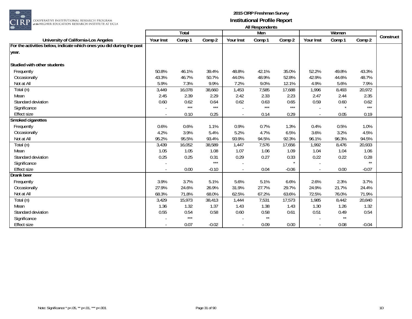

|                                                                       |           | Total  |         |                          | <u>museumacina</u><br>Men |         |           | Women  |         |           |
|-----------------------------------------------------------------------|-----------|--------|---------|--------------------------|---------------------------|---------|-----------|--------|---------|-----------|
| University of California-Los Angeles                                  | Your Inst | Comp 1 | Comp 2  | Your Inst                | Comp 1                    | Comp 2  | Your Inst | Comp 1 | Comp 2  | Construct |
| For the activities below, indicate which ones you did during the past |           |        |         |                          |                           |         |           |        |         |           |
| year.                                                                 |           |        |         |                          |                           |         |           |        |         |           |
|                                                                       |           |        |         |                          |                           |         |           |        |         |           |
| Studied with other students                                           |           |        |         |                          |                           |         |           |        |         |           |
| Frequently                                                            | 50.8%     | 46.1%  | 39.4%   | 48.8%                    | 42.1%                     | 35.0%   | 52.2%     | 49.8%  | 43.3%   |           |
| Occasionally                                                          | 43.3%     | 46.7%  | 50.7%   | 44.0%                    | 48.9%                     | 52.8%   | 42.9%     | 44.6%  | 48.7%   |           |
| Not at All                                                            | 5.9%      | 7.3%   | 9.9%    | 7.2%                     | 9.0%                      | 12.1%   | 4.9%      | 5.6%   | 7.9%    |           |
| Total (n)                                                             | 3,449     | 16,078 | 38,660  | 1,453                    | 7,585                     | 17,688  | 1,996     | 8,493  | 20,972  |           |
| Mean                                                                  | 2.45      | 2.39   | 2.29    | 2.42                     | 2.33                      | 2.23    | 2.47      | 2.44   | 2.35    |           |
| Standard deviation                                                    | 0.60      | 0.62   | 0.64    | 0.62                     | 0.63                      | 0.65    | 0.59      | 0.60   | 0.62    |           |
| Significance                                                          |           | $***$  | $***$   |                          | $***$                     | $***$   |           |        | $***$   |           |
| <b>Effect size</b>                                                    |           | 0.10   | 0.25    | $\blacksquare$           | 0.14                      | 0.29    |           | 0.05   | 0.19    |           |
| Smoked cigarettes                                                     |           |        |         |                          |                           |         |           |        |         |           |
| Frequently                                                            | 0.6%      | 0.6%   | 1.1%    | 0.9%                     | 0.7%                      | 1.3%    | 0.4%      | 0.5%   | 1.0%    |           |
| Occasionally                                                          | 4.2%      | 3.9%   | 5.4%    | 5.2%                     | 4.7%                      | 6.5%    | 3.6%      | 3.2%   | 4.5%    |           |
| Not at All                                                            | 95.2%     | 95.5%  | 93.4%   | 93.9%                    | 94.5%                     | 92.3%   | 96.1%     | 96.3%  | 94.5%   |           |
| $\overline{\text{Total}}$ (n)                                         | 3,439     | 16,052 | 38,589  | 1,447                    | 7,576                     | 17,656  | 1,992     | 8,476  | 20,933  |           |
| Mean                                                                  | 1.05      | 1.05   | 1.08    | 1.07                     | 1.06                      | 1.09    | 1.04      | 1.04   | 1.06    |           |
| Standard deviation                                                    | 0.25      | 0.25   | 0.31    | 0.29                     | 0.27                      | 0.33    | 0.22      | 0.22   | 0.28    |           |
| Significance                                                          |           |        | $***$   |                          |                           |         |           |        | $**$    |           |
| <b>Effect size</b>                                                    |           | 0.00   | $-0.10$ | $\sim$                   | 0.04                      | $-0.06$ |           | 0.00   | $-0.07$ |           |
| <b>Drank beer</b>                                                     |           |        |         |                          |                           |         |           |        |         |           |
| Frequently                                                            | 3.9%      | 3.7%   | 5.1%    | 5.6%                     | 5.1%                      | 6.6%    | 2.6%      | 2.3%   | 3.7%    |           |
| Occasionally                                                          | 27.9%     | 24.6%  | 26.9%   | 31.9%                    | 27.7%                     | 29.7%   | 24.9%     | 21.7%  | 24.4%   |           |
| Not at All                                                            | 68.3%     | 71.8%  | 68.0%   | 62.5%                    | 67.2%                     | 63.6%   | 72.5%     | 76.0%  | 71.9%   |           |
| Total (n)                                                             | 3,429     | 15,973 | 38,413  | 1,444                    | 7,531                     | 17,573  | 1,985     | 8,442  | 20,840  |           |
| Mean                                                                  | 1.36      | 1.32   | 1.37    | 1.43                     | 1.38                      | 1.43    | 1.30      | 1.26   | 1.32    |           |
| Standard deviation                                                    | 0.55      | 0.54   | 0.58    | 0.60                     | 0.58                      | 0.61    | 0.51      | 0.49   | 0.54    |           |
| Significance                                                          |           | $***$  |         |                          | $**$                      |         |           | $**$   |         |           |
| <b>Effect size</b>                                                    |           | 0.07   | $-0.02$ | $\overline{\phantom{a}}$ | 0.09                      | 0.00    |           | 0.08   | $-0.04$ |           |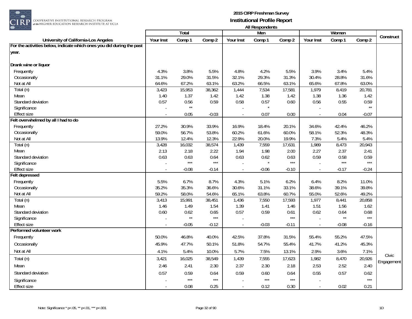

COOPERATIVE INSTITUTIONAL RESEARCH PROGRAM at the HIGHER EDUCATION RESEARCH INSTITUTE AT UCLA

|                                                                       |               | Total          |                |                | Men           |                |                | Women         |                           |            |
|-----------------------------------------------------------------------|---------------|----------------|----------------|----------------|---------------|----------------|----------------|---------------|---------------------------|------------|
| University of California-Los Angeles                                  | Your Inst     | Comp 1         | Comp 2         | Your Inst      | Comp 1        | Comp 2         | Your Inst      | Comp 1        | Comp 2                    | Construct  |
| For the activities below, indicate which ones you did during the past |               |                |                |                |               |                |                |               |                           |            |
| year.                                                                 |               |                |                |                |               |                |                |               |                           |            |
|                                                                       |               |                |                |                |               |                |                |               |                           |            |
| Drank wine or liquor                                                  |               |                |                |                |               |                |                |               |                           |            |
| Frequently                                                            | 4.3%          | 3.8%           | 5.5%           | 4.8%           | 4.2%          | 5.5%           | 3.9%           | 3.4%          | 5.4%                      |            |
| Occasionally                                                          | 31.1%         | 29.0%          | 31.5%          | 32.1%          | 29.3%         | 31.3%          | 30.4%          | 28.8%         | 31.6%                     |            |
| Not at All                                                            | 64.6%         | 67.2%          | 63.1%          | 63.2%          | 66.5%         | 63.1%          | 65.6%          | 67.8%         | 63.0%                     |            |
| Total (n)                                                             | 3,423         | 15,953         | 38,362         | 1,444          | 7,534         | 17,581         | 1,979          | 8,419         | 20,781                    |            |
| Mean                                                                  | 1.40          | 1.37           | 1.42           | 1.42           | 1.38          | 1.42           | 1.38           | 1.36          | 1.42                      |            |
| Standard deviation                                                    | 0.57          | 0.56           | 0.59           | 0.58           | 0.57          | 0.60           | 0.56           | 0.55          | 0.59                      |            |
| Significance                                                          |               | $\star\star$   |                |                | $\star$       |                |                |               | $\star\star$              |            |
| <b>Effect size</b>                                                    | $\sim$        | 0.05           | $-0.03$        | $\omega$       | 0.07          | 0.00           |                | 0.04          | $-0.07$                   |            |
| Felt overwhelmed by all I had to do                                   |               |                |                |                |               |                |                |               |                           |            |
| Frequently                                                            | 27.2%         | 30.9%          | 33.9%          | 16.9%          | 18.4%         | 20.1%          | 34.6%          | 42.4%         | 46.2%                     |            |
| Occasionally                                                          | 59.0%         | 56.7%          | 53.8%          | 60.2%          | 61.6%         | 60.0%          | 58.1%          | 52.3%         | 48.3%                     |            |
| Not at All                                                            | 13.9%         | 12.4%          | 12.3%          | 22.9%          | 20.0%         | 19.9%          | 7.3%           | 5.4%          | 5.4%                      |            |
| Total (n)                                                             | 3,428         | 16,032         | 38,574         | 1,439          | 7,559         | 17,631         | 1,989          | 8,473         | 20,943                    |            |
| Mean                                                                  | 2.13          | 2.18           | 2.22           | 1.94           | 1.98          | 2.00           | 2.27           | 2.37          | 2.41                      |            |
| Standard deviation                                                    | 0.63          | 0.63<br>$***$  | 0.64<br>$***$  | 0.63           | 0.62          | 0.63<br>$***$  | 0.59           | 0.58<br>$***$ | 0.59<br>$\star\star\star$ |            |
| Significance                                                          |               |                |                | $\blacksquare$ |               |                |                |               |                           |            |
| <b>Effect size</b>                                                    |               | $-0.08$        | $-0.14$        | $\sim$         | $-0.06$       | $-0.10$        | $\overline{a}$ | $-0.17$       | $-0.24$                   |            |
| Felt depressed                                                        |               |                |                |                |               |                |                |               |                           |            |
| Frequently                                                            | 5.5%          | 6.7%           | 8.7%           | 4.3%           | 5.1%          | 6.2%           | 6.4%           | 8.2%          | 11.0%                     |            |
| Occasionally                                                          | 35.2%         | 35.3%          | 36.6%          | 30.6%          | 31.1%         | 33.1%          | 38.6%          | 39.1%         | 39.8%<br>49.2%            |            |
| Not at All                                                            | 59.2%         | 58.0%          | 54.6%          | 65.1%          | 63.8%         | 60.7%          | 55.0%          | 52.6%         |                           |            |
| Total (n)<br>Mean                                                     | 3,413<br>1.46 | 15,991<br>1.49 | 38,451<br>1.54 | 1,436<br>1.39  | 7,550<br>1.41 | 17,593<br>1.46 | 1,977<br>1.51  | 8,441<br>1.56 | 20,858<br>1.62            |            |
| Standard deviation                                                    | 0.60          | 0.62           | 0.65           | 0.57           | 0.59          | 0.61           | 0.62           | 0.64          | 0.68                      |            |
| Significance                                                          |               | $\star\star$   | $***$          |                |               | $***$          |                | $**$          | $***$                     |            |
| <b>Effect size</b>                                                    |               | $-0.05$        | $-0.12$        | $\Box$         | $-0.03$       | $-0.11$        |                | $-0.08$       | $-0.16$                   |            |
| Performed volunteer work                                              |               |                |                |                |               |                |                |               |                           |            |
| Frequently                                                            | 50.0%         | 46.8%          | 40.0%          | 42.5%          | 37.8%         | 31.5%          | 55.4%          | 55.2%         | 47.5%                     |            |
|                                                                       | 45.9%         | 47.7%          | 50.1%          | 51.8%          | 54.7%         | 55.4%          | 41.7%          | 41.2%         | 45.3%                     |            |
| Occasionally                                                          |               |                |                |                |               |                |                |               |                           |            |
| Not at All                                                            | 4.1%          | 5.4%           | 10.0%          | 5.7%           | 7.5%          | 13.1%          | 2.9%           | 3.6%          | 7.1%                      | Civic      |
| Total (n)                                                             | 3,421         | 16,025         | 38,549         | 1,439          | 7,555         | 17,623         | 1,982          | 8,470         | 20,926                    | Engagement |
| Mean                                                                  | 2.46          | 2.41           | 2.30           | 2.37           | 2.30          | 2.18           | 2.53           | 2.52          | 2.40                      |            |
| Standard deviation                                                    | 0.57          | 0.59           | 0.64           | 0.59           | 0.60          | 0.64           | 0.55           | 0.57          | 0.62                      |            |
| Significance                                                          |               | $***$          | $***$          |                | $***$         | $***$          |                |               | $***$                     |            |
| <b>Effect size</b>                                                    |               | 0.08           | 0.25           | $\blacksquare$ | 0.12          | 0.30           |                | 0.02          | 0.21                      |            |
|                                                                       |               |                |                |                |               |                |                |               |                           |            |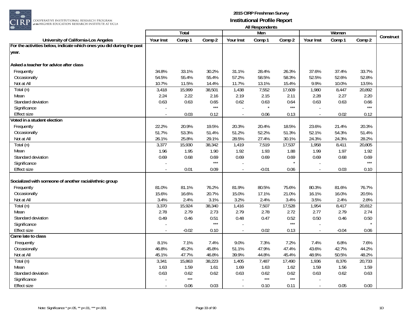

|                                                                       |           | <b>Total</b> |               |           | Men     |        |           | Women   |               |           |
|-----------------------------------------------------------------------|-----------|--------------|---------------|-----------|---------|--------|-----------|---------|---------------|-----------|
| University of California-Los Angeles                                  | Your Inst | Comp 1       | Comp 2        | Your Inst | Comp 1  | Comp 2 | Your Inst | Comp 1  | Comp 2        | Construct |
| For the activities below, indicate which ones you did during the past |           |              |               |           |         |        |           |         |               |           |
| year.                                                                 |           |              |               |           |         |        |           |         |               |           |
|                                                                       |           |              |               |           |         |        |           |         |               |           |
| Asked a teacher for advice after class                                |           |              |               |           |         |        |           |         |               |           |
| Frequently                                                            | 34.8%     | 33.1%        | 30.2%         | 31.1%     | 28.4%   | 26.3%  | 37.6%     | 37.4%   | 33.7%         |           |
| Occasionally                                                          | 54.5%     | 55.4%        | 55.4%         | 57.2%     | 58.5%   | 58.3%  | 52.5%     | 52.6%   | 52.8%         |           |
| Not at All                                                            | 10.7%     | 11.5%        | 14.4%         | 11.7%     | 13.1%   | 15.4%  | 9.9%      | 10.0%   | 13.5%         |           |
| Total (n)                                                             | 3,418     | 15,999       | 38,501        | 1,438     | 7,552   | 17,609 | 1,980     | 8,447   | 20,892        |           |
| Mean                                                                  | 2.24      | 2.22         | 2.16          | 2.19      | 2.15    | 2.11   | 2.28      | 2.27    | 2.20          |           |
| Standard deviation                                                    | 0.63      | 0.63         | 0.65          | 0.62      | 0.63    | 0.64   | 0.63      | 0.63    | 0.66          |           |
| Significance                                                          |           |              | $***$         |           | $\star$ | $***$  |           |         | $***$         |           |
| <b>Effect size</b>                                                    |           | 0.03         | 0.12          | $\sim$    | 0.06    | 0.13   |           | 0.02    | 0.12          |           |
| Voted in a student election                                           |           |              |               |           |         |        |           |         |               |           |
| Frequently                                                            | 22.2%     | 20.9%        | 19.5%         | 20.3%     | 20.4%   | 18.5%  | 23.6%     | 21.4%   | 20.3%         |           |
| Occasionally                                                          | 51.7%     | 53.3%        | 51.4%         | 51.2%     | 52.2%   | 51.3%  | 52.1%     | 54.3%   | 51.4%         |           |
| Not at All                                                            | 26.1%     | 25.8%        | 29.1%         | 28.5%     | 27.4%   | 30.1%  | 24.3%     | 24.3%   | 28.2%         |           |
| Total (n)                                                             | 3,377     | 15,930       | 38,342        | 1,419     | 7,519   | 17,537 | 1,958     | 8,411   | 20,805        |           |
| Mean                                                                  | 1.96      | 1.95         | 1.90          | 1.92      | 1.93    | 1.88   | 1.99      | 1.97    | 1.92          |           |
| Standard deviation                                                    | 0.69      | 0.68         | 0.69<br>$***$ | 0.69      | 0.69    | 0.69   | 0.69      | 0.68    | 0.69<br>$***$ |           |
| Significance                                                          |           |              |               |           |         |        |           |         |               |           |
| <b>Effect size</b>                                                    |           | 0.01         | 0.09          |           | $-0.01$ | 0.06   |           | 0.03    | 0.10          |           |
| Socialized with someone of another racial/ethnic group                |           |              |               |           |         |        |           |         |               |           |
| Frequently                                                            | 81.0%     | 81.1%        | 76.2%         | 81.9%     | 80.5%   | 75.6%  | 80.3%     | 81.6%   | 76.7%         |           |
| Occasionally                                                          | 15.6%     | 16.6%        | 20.7%         | 15.0%     | 17.1%   | 21.0%  | 16.1%     | 16.0%   | 20.5%         |           |
| Not at All                                                            | 3.4%      | 2.4%         | 3.1%          | 3.2%      | 2.4%    | 3.4%   | 3.5%      | 2.4%    | 2.8%          |           |
| Total (n)                                                             | 3,370     | 15,924       | 38,340        | 1,416     | 7,507   | 17,528 | 1,954     | 8,417   | 20,812        |           |
| Mean                                                                  | 2.78      | 2.79         | 2.73          | 2.79      | 2.78    | 2.72   | 2.77      | 2.79    | 2.74          |           |
| Standard deviation                                                    | 0.49      | 0.46         | 0.51          | 0.48      | 0.47    | 0.52   | 0.50      | 0.46    | 0.50          |           |
| Significance                                                          |           |              | $***$         |           |         | $***$  |           |         |               |           |
| <b>Effect size</b>                                                    |           | $-0.02$      | 0.10          |           | 0.02    | 0.13   |           | $-0.04$ | 0.06          |           |
| Came late to class                                                    |           |              |               |           |         |        |           |         |               |           |
| Frequently                                                            | 8.1%      | 7.1%         | 7.4%          | 9.0%      | 7.3%    | 7.2%   | 7.4%      | 6.8%    | 7.6%          |           |
| Occasionally                                                          | 46.8%     | 45.2%        | 45.8%         | 51.1%     | 47.9%   | 47.4%  | 43.6%     | 42.7%   | 44.2%         |           |
| Not at All                                                            | 45.1%     | 47.7%        | 46.8%         | 39.9%     | 44.8%   | 45.4%  | 48.9%     | 50.5%   | 48.2%         |           |
| Total (n)                                                             | 3,341     | 15,863       | 38,223        | 1,405     | 7,487   | 17,490 | 1,936     | 8,376   | 20,733        |           |
| Mean                                                                  | 1.63      | 1.59         | 1.61          | 1.69      | 1.63    | 1.62   | 1.59      | 1.56    | 1.59          |           |
| Standard deviation                                                    | 0.63      | 0.62         | 0.62          | 0.63      | 0.62    | 0.62   | 0.63      | 0.62    | 0.63          |           |
| Significance                                                          |           | $***$        |               |           | $***$   | $***$  |           |         |               |           |
| <b>Effect size</b>                                                    |           | 0.06         | 0.03          | $\sim$    | 0.10    | 0.11   |           | 0.05    | 0.00          |           |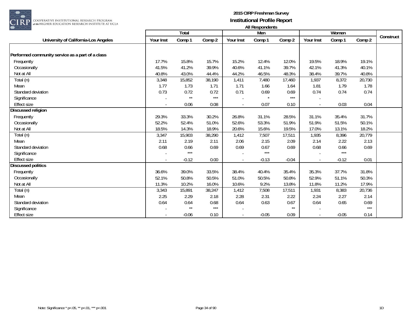

| $\overline{\phantom{a}}$                         |                  |              |        |                          | 1.0011  |         |           |         |        |           |
|--------------------------------------------------|------------------|--------------|--------|--------------------------|---------|---------|-----------|---------|--------|-----------|
|                                                  |                  | <b>Total</b> |        |                          | Men     |         |           | Women   |        | Construct |
| University of California-Los Angeles             | <b>Your Inst</b> | Comp 1       | Comp 2 | Your Inst                | Comp 1  | Comp 2  | Your Inst | Comp 1  | Comp 2 |           |
|                                                  |                  |              |        |                          |         |         |           |         |        |           |
| Performed community service as a part of a class |                  |              |        |                          |         |         |           |         |        |           |
| Frequently                                       | 17.7%            | 15.8%        | 15.7%  | 15.2%                    | 12.4%   | 12.0%   | 19.5%     | 18.9%   | 19.1%  |           |
| Occasionally                                     | 41.5%            | 41.2%        | 39.9%  | 40.6%                    | 41.1%   | 39.7%   | 42.1%     | 41.3%   | 40.1%  |           |
| Not at All                                       | 40.8%            | 43.0%        | 44.4%  | 44.2%                    | 46.5%   | 48.3%   | 38.4%     | 39.7%   | 40.8%  |           |
| Total (n)                                        | 3,348            | 15,852       | 38,190 | 1,411                    | 7,480   | 17,460  | 1,937     | 8,372   | 20,730 |           |
| Mean                                             | 1.77             | 1.73         | 1.71   | 1.71                     | 1.66    | 1.64    | 1.81      | 1.79    | 1.78   |           |
| Standard deviation                               | 0.73             | 0.72         | 0.72   | 0.71                     | 0.69    | 0.69    | 0.74      | 0.74    | 0.74   |           |
| Significance                                     |                  | $\star\star$ | $***$  |                          |         | $***$   |           |         |        |           |
| <b>Effect size</b>                               |                  | 0.06         | 0.08   | $\overline{\phantom{a}}$ | 0.07    | 0.10    |           | 0.03    | 0.04   |           |
| <b>Discussed religion</b>                        |                  |              |        |                          |         |         |           |         |        |           |
| Frequently                                       | 29.3%            | 33.3%        | 30.2%  | 26.8%                    | 31.1%   | 28.5%   | 31.1%     | 35.4%   | 31.7%  |           |
| Occasionally                                     | 52.2%            | 52.4%        | 51.0%  | 52.6%                    | 53.3%   | 51.9%   | 51.9%     | 51.5%   | 50.1%  |           |
| Not at All                                       | 18.5%            | 14.3%        | 18.9%  | 20.6%                    | 15.6%   | 19.5%   | 17.0%     | 13.1%   | 18.2%  |           |
| Total (n)                                        | 3,347            | 15,903       | 38,290 | 1,412                    | 7,507   | 17,511  | 1,935     | 8,396   | 20,779 |           |
| Mean                                             | 2.11             | 2.19         | 2.11   | 2.06                     | 2.15    | 2.09    | 2.14      | 2.22    | 2.13   |           |
| Standard deviation                               | 0.68             | 0.66         | 0.69   | 0.69                     | 0.67    | 0.69    | 0.68      | 0.66    | 0.69   |           |
| Significance                                     |                  | $***$        |        |                          | $***$   |         |           | $***$   |        |           |
| <b>Effect size</b>                               |                  | $-0.12$      | 0.00   | $\sim$                   | $-0.13$ | $-0.04$ |           | $-0.12$ | 0.01   |           |
| <b>Discussed politics</b>                        |                  |              |        |                          |         |         |           |         |        |           |
| Frequently                                       | 36.6%            | 39.0%        | 33.5%  | 38.4%                    | 40.4%   | 35.4%   | 35.3%     | 37.7%   | 31.8%  |           |
| Occasionally                                     | 52.1%            | 50.8%        | 50.5%  | 51.0%                    | 50.5%   | 50.8%   | 52.9%     | 51.1%   | 50.3%  |           |
| Not at All                                       | 11.3%            | 10.2%        | 16.0%  | 10.6%                    | 9.2%    | 13.8%   | 11.8%     | 11.2%   | 17.9%  |           |
| Total (n)                                        | 3,343            | 15,891       | 38,247 | 1,412                    | 7,508   | 17,511  | 1,931     | 8,383   | 20,736 |           |
| Mean                                             | 2.25             | 2.29         | 2.18   | 2.28                     | 2.31    | 2.22    | 2.24      | 2.27    | 2.14   |           |
| Standard deviation                               | 0.64             | 0.64         | 0.68   | 0.64                     | 0.63    | 0.67    | 0.64      | 0.65    | 0.69   |           |
| Significance                                     |                  | $**$         | $***$  |                          |         | $**$    |           |         | $***$  |           |
| <b>Effect size</b>                               |                  | $-0.06$      | 0.10   |                          | $-0.05$ | 0.09    |           | $-0.05$ | 0.14   |           |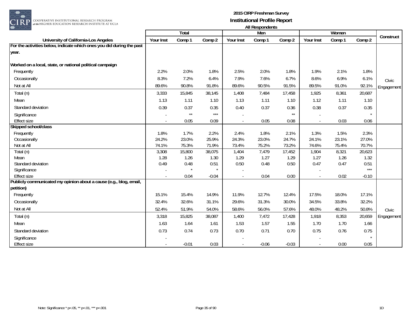

|                                                                       | Total     |              |         |                | <b>THE INVOIDUATION</b><br>Men |         |           |        |         |            |
|-----------------------------------------------------------------------|-----------|--------------|---------|----------------|--------------------------------|---------|-----------|--------|---------|------------|
|                                                                       |           |              |         |                |                                |         |           | Women  |         | Construct  |
| University of California-Los Angeles                                  | Your Inst | Comp 1       | Comp 2  | Your Inst      | Comp 1                         | Comp 2  | Your Inst | Comp 1 | Comp 2  |            |
| For the activities below, indicate which ones you did during the past |           |              |         |                |                                |         |           |        |         |            |
| year.                                                                 |           |              |         |                |                                |         |           |        |         |            |
|                                                                       |           |              |         |                |                                |         |           |        |         |            |
| Worked on a local, state, or national political campaign              |           |              |         |                |                                |         |           |        |         |            |
| Frequently                                                            | 2.2%      | 2.0%         | 1.8%    | 2.5%           | 2.0%                           | 1.8%    | 1.9%      | 2.1%   | 1.8%    |            |
| Occasionally                                                          | 8.3%      | 7.2%         | 6.4%    | 7.9%           | 7.6%                           | 6.7%    | 8.6%      | 6.9%   | 6.1%    | Civic      |
| Not at All                                                            | 89.6%     | 90.8%        | 91.8%   | 89.6%          | 90.5%                          | 91.5%   | 89.5%     | 91.0%  | 92.1%   | Engagement |
| Total (n)                                                             | 3,333     | 15,845       | 38,145  | 1,408          | 7,484                          | 17,458  | 1,925     | 8,361  | 20,687  |            |
| Mean                                                                  | 1.13      | 1.11         | 1.10    | 1.13           | 1.11                           | 1.10    | 1.12      | 1.11   | 1.10    |            |
| Standard deviation                                                    | 0.39      | 0.37         | 0.35    | 0.40           | 0.37                           | 0.36    | 0.38      | 0.37   | 0.35    |            |
| Significance                                                          |           | $\star\star$ | $***$   |                |                                | $**$    |           |        | $\star$ |            |
| <b>Effect size</b>                                                    |           | 0.05         | 0.09    | $\blacksquare$ | 0.05                           | 0.08    | $\sim$    | 0.03   | 0.06    |            |
| Skipped school/class                                                  |           |              |         |                |                                |         |           |        |         |            |
| Frequently                                                            | 1.8%      | 1.7%         | 2.2%    | 2.4%           | 1.8%                           | 2.1%    | 1.3%      | 1.5%   | 2.3%    |            |
| Occasionally                                                          | 24.2%     | 23.0%        | 25.9%   | 24.3%          | 23.0%                          | 24.7%   | 24.1%     | 23.1%  | 27.0%   |            |
| Not at All                                                            | 74.1%     | 75.3%        | 71.9%   | 73.4%          | 75.2%                          | 73.2%   | 74.6%     | 75.4%  | 70.7%   |            |
| Total (n)                                                             | 3,308     | 15,800       | 38,075  | 1,404          | 7,479                          | 17,452  | 1,904     | 8,321  | 20,623  |            |
| Mean                                                                  | 1.28      | 1.26         | 1.30    | 1.29           | 1.27                           | 1.29    | 1.27      | 1.26   | 1.32    |            |
| Standard deviation                                                    | 0.49      | 0.48         | 0.51    | 0.50           | 0.48                           | 0.50    | 0.47      | 0.47   | 0.51    |            |
| Significance                                                          |           |              |         |                |                                |         |           |        | $***$   |            |
| <b>Effect size</b>                                                    |           | 0.04         | $-0.04$ | $\blacksquare$ | 0.04                           | 0.00    |           | 0.02   | $-0.10$ |            |
| Publicly communicated my opinion about a cause (e.g., blog, email,    |           |              |         |                |                                |         |           |        |         |            |
| petition)                                                             |           |              |         |                |                                |         |           |        |         |            |
| Frequently                                                            | 15.1%     | 15.4%        | 14.9%   | 11.9%          | 12.7%                          | 12.4%   | 17.5%     | 18.0%  | 17.1%   |            |
| Occasionally                                                          | 32.4%     | 32.6%        | 31.1%   | 29.6%          | 31.3%                          | 30.0%   | 34.5%     | 33.8%  | 32.2%   |            |
| Not at All                                                            | 52.4%     | 51.9%        | 54.0%   | 58.6%          | 56.0%                          | 57.6%   | 48.0%     | 48.2%  | 50.8%   | Civic      |
| Total (n)                                                             | 3,318     | 15,825       | 38,087  | 1,400          | 7,472                          | 17,428  | 1,918     | 8,353  | 20,659  | Engagement |
| Mean                                                                  | 1.63      | 1.64         | 1.61    | 1.53           | 1.57                           | 1.55    | 1.70      | 1.70   | 1.66    |            |
| Standard deviation                                                    | 0.73      | 0.74         | 0.73    | 0.70           | 0.71                           | 0.70    | 0.75      | 0.76   | 0.75    |            |
| Significance                                                          |           |              |         |                |                                |         |           |        | $\star$ |            |
| <b>Effect size</b>                                                    |           | $-0.01$      | 0.03    | $\blacksquare$ | $-0.06$                        | $-0.03$ |           | 0.00   | 0.05    |            |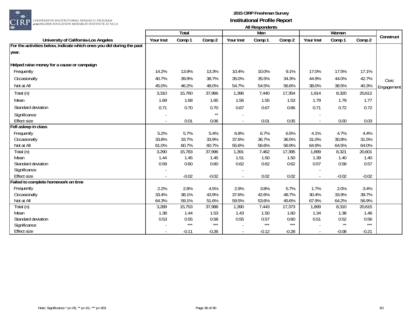

|                                                                       |           | <b>Total</b> |              |           | <b>THE HOSPOHNOHIS</b><br>Men |         |                          | Women   |         |            |
|-----------------------------------------------------------------------|-----------|--------------|--------------|-----------|-------------------------------|---------|--------------------------|---------|---------|------------|
| University of California-Los Angeles                                  | Your Inst | Comp 1       | Comp 2       | Your Inst | Comp 1                        | Comp 2  | Your Inst                | Comp 1  | Comp 2  | Construct  |
| For the activities below, indicate which ones you did during the past |           |              |              |           |                               |         |                          |         |         |            |
| year.                                                                 |           |              |              |           |                               |         |                          |         |         |            |
| Helped raise money for a cause or campaign                            |           |              |              |           |                               |         |                          |         |         |            |
| Frequently                                                            | 14.2%     | 13.9%        | 13.3%        | 10.4%     | 10.0%                         | 9.1%    | 17.0%                    | 17.5%   | 17.1%   |            |
| Occasionally                                                          | 40.7%     | 39.9%        | 38.7%        | 35.0%     | 35.5%                         | 34.3%   | 44.9%                    | 44.0%   | 42.7%   | Civic      |
| Not at All                                                            | 45.0%     | 46.2%        | 48.0%        | 54.7%     | 54.5%                         | 56.6%   | 38.0%                    | 38.5%   | 40.3%   | Engagement |
| Total (n)                                                             | 3,310     | 15,760       | 37,966       | 1,396     | 7,440                         | 17,354  | 1,914                    | 8,320   | 20,612  |            |
| Mean                                                                  | 1.69      | 1.68         | 1.65         | 1.56      | 1.55                          | 1.53    | 1.79                     | 1.79    | 1.77    |            |
| Standard deviation                                                    | 0.71      | 0.70         | 0.70         | 0.67      | 0.67                          | 0.66    | 0.71                     | 0.72    | 0.72    |            |
| Significance                                                          |           |              | $\star\star$ |           |                               |         |                          |         |         |            |
| <b>Effect size</b>                                                    |           | 0.01         | 0.06         |           | 0.01                          | 0.05    | $\overline{\phantom{a}}$ | 0.00    | 0.03    |            |
| Fell asleep in class                                                  |           |              |              |           |                               |         |                          |         |         |            |
| Frequently                                                            | 5.2%      | 5.7%         | 5.4%         | 6.8%      | 6.7%                          | 6.5%    | 4.1%                     | 4.7%    | 4.4%    |            |
| Occasionally                                                          | 33.8%     | 33.7%        | 33.9%        | 37.6%     | 36.7%                         | 36.5%   | 31.0%                    | 30.8%   | 31.5%   |            |
| Not at All                                                            | 61.0%     | 60.7%        | 60.7%        | 55.6%     | 56.6%                         | 56.9%   | 64.9%                    | 64.5%   | 64.0%   |            |
| Total (n)                                                             | 3,290     | 15,783       | 37,996       | 1,391     | 7,462                         | 17,395  | 1,899                    | 8,321   | 20,601  |            |
| Mean                                                                  | 1.44      | 1.45         | 1.45         | 1.51      | 1.50                          | 1.50    | 1.39                     | 1.40    | 1.40    |            |
| Standard deviation                                                    | 0.59      | 0.60         | 0.60         | 0.62      | 0.62                          | 0.62    | 0.57                     | 0.58    | 0.57    |            |
| Significance                                                          |           |              |              |           |                               |         |                          |         |         |            |
| <b>Effect size</b>                                                    |           | $-0.02$      | $-0.02$      | $\sim$    | 0.02                          | 0.02    |                          | $-0.02$ | $-0.02$ |            |
| Failed to complete homework on time                                   |           |              |              |           |                               |         |                          |         |         |            |
| Frequently                                                            | 2.2%      | 2.8%         | 4.5%         | 2.9%      | 3.8%                          | 5.7%    | 1.7%                     | 2.0%    | 3.4%    |            |
| Occasionally                                                          | 33.4%     | 38.1%        | 43.9%        | 37.6%     | 42.6%                         | 48.7%   | 30.4%                    | 33.9%   | 39.7%   |            |
| Not at All                                                            | 64.3%     | 59.1%        | 51.6%        | 59.5%     | 53.6%                         | 45.6%   | 67.9%                    | 64.2%   | 56.9%   |            |
| Total (n)                                                             | 3,289     | 15,753       | 37,988       | 1,390     | 7,443                         | 17,373  | 1,899                    | 8,310   | 20,615  |            |
| Mean                                                                  | 1.38      | 1.44         | 1.53         | 1.43      | 1.50                          | 1.60    | 1.34                     | 1.38    | 1.46    |            |
| Standard deviation                                                    | 0.53      | 0.55         | 0.58         | 0.55      | 0.57                          | 0.60    | 0.51                     | 0.52    | 0.56    |            |
| Significance                                                          |           | $***$        | $***$        |           | $***$                         | $***$   |                          | $**$    | $***$   |            |
| <b>Effect size</b>                                                    |           | $-0.11$      | $-0.26$      |           | $-0.12$                       | $-0.28$ |                          | $-0.08$ | $-0.21$ |            |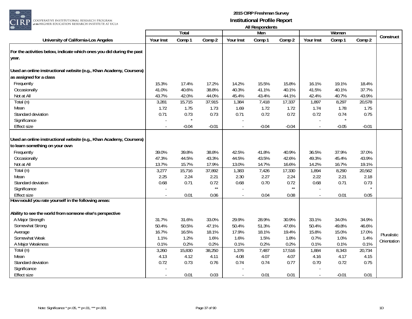

| ب ب                                                                   |           |         |              |                | AII RESPUNDENTS |              |           |         |         |             |
|-----------------------------------------------------------------------|-----------|---------|--------------|----------------|-----------------|--------------|-----------|---------|---------|-------------|
|                                                                       |           | Total   |              |                | Men             |              |           | Women   |         | Construct   |
| University of California-Los Angeles                                  | Your Inst | Comp 1  | Comp 2       | Your Inst      | Comp 1          | Comp 2       | Your Inst | Comp 1  | Comp 2  |             |
| For the activities below, indicate which ones you did during the past |           |         |              |                |                 |              |           |         |         |             |
| year.                                                                 |           |         |              |                |                 |              |           |         |         |             |
|                                                                       |           |         |              |                |                 |              |           |         |         |             |
| Used an online instructional website (e.g., Khan Academy, Coursera)   |           |         |              |                |                 |              |           |         |         |             |
| as assigned for a class                                               |           |         |              |                |                 |              |           |         |         |             |
| Frequently                                                            | 15.3%     | 17.4%   | 17.2%        | 14.2%          | 15.5%           | 15.8%        | 16.1%     | 19.1%   | 18.4%   |             |
| Occasionally                                                          | 41.0%     | 40.6%   | 38.8%        | 40.3%          | 41.1%           | 40.1%        | 41.5%     | 40.1%   | 37.7%   |             |
| Not at All                                                            | 43.7%     | 42.0%   | 44.0%        | 45.4%          | 43.4%           | 44.1%        | 42.4%     | 40.7%   | 43.9%   |             |
| Total (n)                                                             | 3,281     | 15,715  | 37,915       | 1,384          | 7,418           | 17,337       | 1,897     | 8,297   | 20,578  |             |
| Mean                                                                  | 1.72      | 1.75    | 1.73         | 1.69           | 1.72            | 1.72         | 1.74      | 1.78    | 1.75    |             |
| Standard deviation                                                    | 0.71      | 0.73    | 0.73         | 0.71           | 0.72            | 0.72         | 0.72      | 0.74    | 0.75    |             |
| Significance                                                          |           |         |              |                |                 |              |           |         |         |             |
| <b>Effect size</b>                                                    |           | $-0.04$ | $-0.01$      | $\blacksquare$ | $-0.04$         | $-0.04$      |           | $-0.05$ | $-0.01$ |             |
|                                                                       |           |         |              |                |                 |              |           |         |         |             |
| Used an online instructional website (e.g., Khan Academy, Coursera)   |           |         |              |                |                 |              |           |         |         |             |
| to learn something on your own                                        |           |         |              |                |                 |              |           |         |         |             |
| Frequently                                                            | 39.0%     | 39.8%   | 38.8%        | 42.5%          | 41.8%           | 40.9%        | 36.5%     | 37.9%   | 37.0%   |             |
| Occasionally                                                          | 47.3%     | 44.5%   | 43.3%        | 44.5%          | 43.5%           | 42.6%        | 49.3%     | 45.4%   | 43.9%   |             |
| Not at All                                                            | 13.7%     | 15.7%   | 17.9%        | 13.0%          | 14.7%           | 16.6%        | 14.2%     | 16.7%   | 19.1%   |             |
| Total (n)                                                             | 3,277     | 15,716  | 37,892       | 1,383          | 7,426           | 17,330       | 1,894     | 8,290   | 20,562  |             |
| Mean                                                                  | 2.25      | 2.24    | 2.21         | 2.30           | 2.27            | 2.24         | 2.22      | 2.21    | 2.18    |             |
| Standard deviation                                                    | 0.68      | 0.71    | 0.72         | 0.68           | 0.70            | 0.72         | 0.68      | 0.71    | 0.73    |             |
| Significance                                                          |           |         | $\star\star$ |                |                 | $\star\star$ |           |         |         |             |
| <b>Effect size</b>                                                    |           | 0.01    | 0.06         |                | 0.04            | 0.08         |           | 0.01    | 0.05    |             |
| How would you rate yourself in the following areas:                   |           |         |              |                |                 |              |           |         |         |             |
| Ability to see the world from someone else's perspective              |           |         |              |                |                 |              |           |         |         |             |
| A Major Strength                                                      | 31.7%     | 31.6%   | 33.0%        | 29.9%          | 28.9%           | 30.9%        | 33.1%     | 34.0%   | 34.9%   |             |
| Somewhat Strong                                                       | 50.4%     | 50.5%   | 47.1%        | 50.4%          | 51.3%           | 47.6%        | 50.4%     | 49.8%   | 46.6%   |             |
| Average                                                               | 16.7%     | 16.5%   | 18.1%        | 17.9%          | 18.1%           | 19.4%        | 15.8%     | 15.0%   | 17.0%   |             |
| Somewhat Weak                                                         | 1.1%      | 1.2%    | 1.6%         | 1.6%           | 1.5%            | 1.8%         | 0.7%      | 1.0%    | 1.4%    | Pluralistic |
| A Major Weakness                                                      | 0.1%      | 0.2%    | 0.2%         | 0.1%           | 0.2%            | 0.2%         | 0.1%      | 0.1%    | 0.1%    | Orientation |
| Total (n)                                                             | 3,260     | 15,830  | 38,250       | 1,376          | 7,487           | 17,516       | 1,884     | 8,343   | 20,734  |             |
| Mean                                                                  | 4.13      | 4.12    | 4.11         | 4.08           | 4.07            | 4.07         | 4.16      | 4.17    | 4.15    |             |
| Standard deviation                                                    | 0.72      | 0.73    | 0.76         | 0.74           | 0.74            | 0.77         | 0.70      | 0.72    | 0.75    |             |
| Significance                                                          |           |         |              |                |                 |              |           |         |         |             |
| <b>Effect size</b>                                                    |           | 0.01    | 0.03         | $\blacksquare$ | 0.01            | 0.01         |           | $-0.01$ | 0.01    |             |
|                                                                       |           |         |              |                |                 |              |           |         |         |             |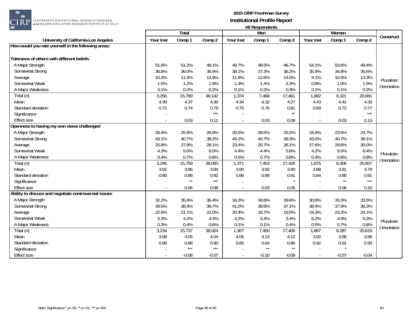

|                                                       |           | Total        |         |                          | Men          |              |           | Women   |         |             |
|-------------------------------------------------------|-----------|--------------|---------|--------------------------|--------------|--------------|-----------|---------|---------|-------------|
| University of California-Los Angeles                  | Your Inst | Comp 1       | Comp 2  | Your Inst                | Comp 1       | Comp 2       | Your Inst | Comp 1  | Comp 2  | Construct   |
| How would you rate yourself in the following areas:   |           |              |         |                          |              |              |           |         |         |             |
|                                                       |           |              |         |                          |              |              |           |         |         |             |
| Tolerance of others with different beliefs            |           |              |         |                          |              |              |           |         |         |             |
| A Major Strength                                      | 51.8%     | 51.2%        | 48.1%   | 48.7%                    | 48.5%        | 46.7%        | 54.1%     | 53.6%   | 49.4%   |             |
| Somewhat Strong                                       | 36.8%     | 36.0%        | 35.9%   | 38.1%                    | 37.3%        | 36.2%        | 35.9%     | 34.8%   | 35.6%   |             |
| Average                                               | 10.3%     | 11.5%        | 13.9%   | 11.8%                    | 12.6%        | 14.5%        | 9.1%      | 10.5%   | 13.3%   | Pluralistic |
| Somewhat Weak                                         | 1.0%      | 1.2%         | 1.9%    | 1.3%                     | 1.4%         | 2.3%         | 0.8%      | 1.0%    | 1.5%    | Orientation |
| A Major Weakness                                      | 0.1%      | 0.2%         | 0.2%    | 0.1%                     | 0.2%         | 0.3%         | 0.1%      | 0.1%    | 0.2%    |             |
| Total (n)                                             | 3,256     | 15,789       | 38,142  | 1,374                    | 7,468        | 17,461       | 1,882     | 8,321   | 20,681  |             |
| Mean                                                  | 4.39      | 4.37         | 4.30    | 4.34                     | 4.32         | 4.27         | 4.43      | 4.41    | 4.33    |             |
| Standard deviation                                    | 0.72      | 0.74         | 0.79    | 0.75                     | 0.76         | 0.81         | 0.69      | 0.72    | 0.77    |             |
| Significance                                          |           |              | $***$   |                          |              | $\star\star$ |           |         | $***$   |             |
| <b>Effect size</b>                                    |           | 0.03         | 0.11    | $\overline{\phantom{a}}$ | 0.03         | 0.09         |           | 0.03    | 0.13    |             |
| Openness to having my own views challenged            |           |              |         |                          |              |              |           |         |         |             |
| A Major Strength                                      | 26.4%     | 25.9%        | 26.8%   | 28.5%                    | 28.5%        | 29.2%        | 24.9%     | 23.5%   | 24.7%   |             |
| Somewhat Strong                                       | 43.1%     | 40.7%        | 38.2%   | 43.2%                    | 40.7%        | 38.3%        | 43.0%     | 40.7%   | 38.1%   |             |
| Average                                               | 25.8%     | 27.8%        | 28.1%   | 23.4%                    | 25.7%        | 26.1%        | 27.6%     | 29.6%   | 30.0%   |             |
| Somewhat Weak                                         | 4.3%      | 5.0%         | 6.0%    | 4.4%                     | 4.4%         | 5.6%         | 4.2%      | 5.5%    | 6.4%    | Pluralistic |
| A Major Weakness                                      | 0.4%      | 0.7%         | 0.8%    | 0.5%                     | 0.7%         | 0.8%         | 0.4%      | 0.6%    | 0.8%    |             |
| Total (n)                                             | 3,246     | 15,759       | 38,083  | 1,371                    | 7,453        | 17,426       | 1,875     | 8,306   | 20,657  | Orientation |
| Mean                                                  | 3.91      | 3.86         | 3.84    | 3.95                     | 3.92         | 3.90         | 3.88      | 3.81    | 3.79    |             |
| Standard deviation                                    | 0.85      | 0.88         | 0.92    | 0.86                     | 0.88         | 0.91         | 0.84      | 0.88    | 0.91    |             |
| Significance                                          |           | $\star\star$ | $***$   |                          |              |              |           | $**$    | $***$   |             |
| <b>Effect size</b>                                    |           | 0.06         | 0.08    | $\overline{a}$           | 0.03         | 0.05         |           | 0.08    | 0.10    |             |
| Ability to discuss and negotiate controversial issues |           |              |         |                          |              |              |           |         |         |             |
| A Major Strength                                      | 32.2%     | 35.9%        | 36.4%   | 34.3%                    | 38.8%        | 39.6%        | 30.6%     | 33.3%   | 33.5%   |             |
| Somewhat Strong                                       | 39.5%     | 38.4%        | 36.7%   | 41.0%                    | 38.9%        | 37.1%        | 38.4%     | 37.9%   | 36.3%   |             |
| Average                                               | 22.6%     | 21.1%        | 22.0%   | 20.4%                    | 18.7%        | 19.5%        | 24.3%     | 23.2%   | 24.1%   |             |
| Somewhat Weak                                         | 5.3%      | 4.2%         | 4.4%    | 4.2%                     | 3.4%         | 3.4%         | 6.2%      | 4.9%    | 5.3%    |             |
| A Major Weakness                                      | 0.3%      | 0.4%         | 0.6%    | 0.1%                     | 0.1%         | 0.4%         | 0.5%      | 0.7%    | 0.8%    | Pluralistic |
| Total (n)                                             | 3,234     | 15,737       | 38,024  | 1,367                    | 7,450        | 17,405       | 1,867     | 8,287   | 20,619  | Orientation |
| Mean                                                  | 3.98      | 4.05         | 4.04    | 4.05                     | 4.13         | 4.12         | 3.92      | 3.98    | 3.96    |             |
| Standard deviation                                    | 0.89      | 0.88         | 0.90    | 0.85                     | 0.84         | 0.86         | 0.92      | 0.91    | 0.93    |             |
| Significance                                          |           | $***$        | $***$   |                          | $\star\star$ | $**$         |           |         |         |             |
| <b>Effect size</b>                                    |           | $-0.08$      | $-0.07$ | $\overline{\phantom{a}}$ | $-0.10$      | $-0.08$      |           | $-0.07$ | $-0.04$ |             |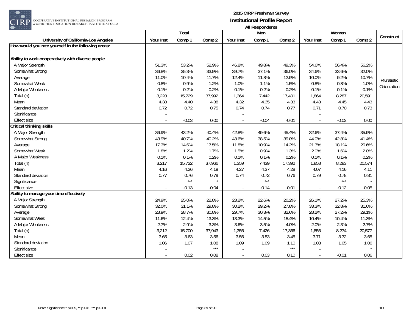

|                                                     |           | <b>Total</b> |         |                          | $\cdots$<br>Men |         |           | Women   |         |             |
|-----------------------------------------------------|-----------|--------------|---------|--------------------------|-----------------|---------|-----------|---------|---------|-------------|
| University of California-Los Angeles                | Your Inst | Comp 1       | Comp 2  | Your Inst                | Comp 1          | Comp 2  | Your Inst | Comp 1  | Comp 2  | Construct   |
| How would you rate yourself in the following areas: |           |              |         |                          |                 |         |           |         |         |             |
|                                                     |           |              |         |                          |                 |         |           |         |         |             |
| Ability to work cooperatively with diverse people   |           |              |         |                          |                 |         |           |         |         |             |
| A Major Strength                                    | 51.3%     | 53.2%        | 52.9%   | 46.8%                    | 49.8%           | 49.3%   | 54.6%     | 56.4%   | 56.2%   |             |
| Somewhat Strong                                     | 36.8%     | 35.3%        | 33.9%   | 39.7%                    | 37.1%           | 36.0%   | 34.6%     | 33.6%   | 32.0%   |             |
| Average                                             | 11.0%     | 10.4%        | 11.7%   | 12.4%                    | 11.8%           | 12.9%   | 10.0%     | 9.2%    | 10.7%   | Pluralistic |
| Somewhat Weak                                       | 0.8%      | 0.9%         | 1.2%    | 1.0%                     | 1.1%            | 1.5%    | 0.8%      | 0.8%    | 1.0%    | Orientation |
| A Major Weakness                                    | 0.1%      | 0.2%         | 0.2%    | 0.1%                     | 0.2%            | 0.2%    | 0.1%      | 0.1%    | 0.1%    |             |
| Total (n)                                           | 3,228     | 15,729       | 37,992  | 1,364                    | 7,442           | 17,401  | 1,864     | 8,287   | 20,591  |             |
| Mean                                                | 4.38      | 4.40         | 4.38    | 4.32                     | 4.35            | 4.33    | 4.43      | 4.45    | 4.43    |             |
| Standard deviation                                  | 0.72      | 0.72         | 0.75    | 0.74                     | 0.74            | 0.77    | 0.71      | 0.70    | 0.73    |             |
| Significance                                        |           |              |         |                          |                 |         |           |         |         |             |
| <b>Effect size</b>                                  |           | $-0.03$      | 0.00    | $\overline{\phantom{a}}$ | $-0.04$         | $-0.01$ |           | $-0.03$ | 0.00    |             |
| Critical thinking skills                            |           |              |         |                          |                 |         |           |         |         |             |
| A Major Strength                                    | 36.9%     | 43.2%        | 40.4%   | 42.8%                    | 49.6%           | 45.4%   | 32.6%     | 37.4%   | 35.9%   |             |
| Somewhat Strong                                     | 43.9%     | 40.7%        | 40.2%   | 43.6%                    | 38.5%           | 39.0%   | 44.0%     | 42.8%   | 41.4%   |             |
| Average                                             | 17.3%     | 14.6%        | 17.5%   | 11.8%                    | 10.9%           | 14.2%   | 21.3%     | 18.1%   | 20.6%   |             |
| Somewhat Weak                                       | 1.8%      | 1.2%         | 1.7%    | 1.5%                     | 0.9%            | 1.3%    | 2.0%      | 1.6%    | 2.0%    |             |
| A Major Weakness                                    | 0.1%      | 0.1%         | 0.2%    | 0.1%                     | 0.1%            | 0.2%    | 0.1%      | 0.1%    | 0.2%    |             |
| Total (n)                                           | 3,217     | 15,722       | 37,966  | 1,359                    | 7,439           | 17,392  | 1,858     | 8,283   | 20,574  |             |
| Mean                                                | 4.16      | 4.26         | 4.19    | 4.27                     | 4.37            | 4.28    | 4.07      | 4.16    | 4.11    |             |
| Standard deviation                                  | 0.77      | 0.76         | 0.79    | 0.74                     | 0.72            | 0.76    | 0.79      | 0.78    | 0.81    |             |
| Significance                                        |           | $***$        |         |                          | $***$           |         |           | $***$   | $\star$ |             |
| <b>Effect size</b>                                  |           | $-0.13$      | $-0.04$ | $\Box$                   | $-0.14$         | $-0.01$ |           | $-0.12$ | $-0.05$ |             |
| Ability to manage your time effectively             |           |              |         |                          |                 |         |           |         |         |             |
| A Major Strength                                    | 24.9%     | 25.0%        | 22.8%   | 23.2%                    | 22.6%           | 20.2%   | 26.1%     | 27.2%   | 25.3%   |             |
| Somewhat Strong                                     | 32.0%     | 31.1%        | 29.8%   | 30.2%                    | 29.2%           | 27.8%   | 33.3%     | 32.8%   | 31.6%   |             |
| Average                                             | 28.9%     | 28.7%        | 30.8%   | 29.7%                    | 30.3%           | 32.6%   | 28.2%     | 27.2%   | 29.1%   |             |
| Somewhat Weak                                       | 11.6%     | 12.4%        | 13.3%   | 13.3%                    | 14.5%           | 15.4%   | 10.4%     | 10.4%   | 11.3%   |             |
| A Major Weakness                                    | 2.7%      | 2.9%         | 3.3%    | 3.6%                     | 3.5%            | 4.0%    | 2.0%      | 2.3%    | 2.7%    |             |
| Total (n)                                           | 3,212     | 15,700       | 37,943  | 1,356                    | 7,426           | 17,366  | 1,856     | 8,274   | 20,577  |             |
| Mean                                                | 3.65      | 3.63         | 3.56    | 3.56                     | 3.53            | 3.45    | 3.71      | 3.72    | 3.65    |             |
| Standard deviation                                  | 1.06      | 1.07         | 1.08    | 1.09                     | 1.09            | 1.10    | 1.03      | 1.05    | 1.06    |             |
| Significance                                        |           |              | $***$   |                          |                 | $***$   |           |         |         |             |
| Effect size                                         |           | 0.02         | 0.08    | $\blacksquare$           | 0.03            | 0.10    |           | $-0.01$ | 0.06    |             |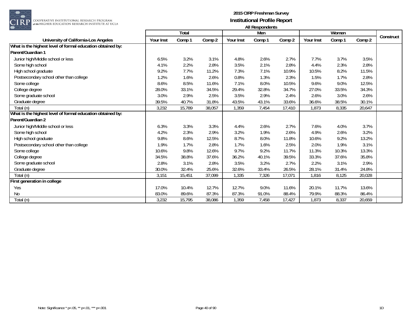

RP <mark>cooperative institutional research program</mark><br>at the Higher education research institute at ucla

|                                                            |           | Total  |        |           | Men    |        |           | Women  |        |           |
|------------------------------------------------------------|-----------|--------|--------|-----------|--------|--------|-----------|--------|--------|-----------|
| University of California-Los Angeles                       | Your Inst | Comp 1 | Comp 2 | Your Inst | Comp 1 | Comp 2 | Your Inst | Comp 1 | Comp 2 | Construct |
| What is the highest level of formal education obtained by: |           |        |        |           |        |        |           |        |        |           |
| Parent/Guardian 1                                          |           |        |        |           |        |        |           |        |        |           |
| Junior high/Middle school or less                          | 6.5%      | 3.2%   | 3.1%   | 4.8%      | 2.6%   | 2.7%   | 7.7%      | 3.7%   | 3.5%   |           |
| Some high school                                           | 4.1%      | 2.2%   | 2.8%   | 3.5%      | 2.1%   | 2.8%   | 4.4%      | 2.3%   | 2.8%   |           |
| High school graduate                                       | 9.2%      | 7.7%   | 11.2%  | 7.3%      | 7.1%   | 10.9%  | 10.5%     | 8.2%   | 11.5%  |           |
| Postsecondary school other than college                    | 1.2%      | 1.6%   | 2.6%   | 0.8%      | 1.3%   | 2.3%   | 1.5%      | 1.7%   | 2.8%   |           |
| Some college                                               | 8.6%      | 8.5%   | 11.6%  | 7.1%      | 8.0%   | 10.5%  | 9.6%      | 9.0%   | 12.5%  |           |
| College degree                                             | 28.0%     | 33.1%  | 34.5%  | 29.4%     | 32.8%  | 34.7%  | 27.0%     | 33.5%  | 34.3%  |           |
| Some graduate school                                       | 3.0%      | 2.9%   | 2.5%   | 3.5%      | 2.9%   | 2.4%   | 2.6%      | 3.0%   | 2.6%   |           |
| Graduate degree                                            | 39.5%     | 40.7%  | 31.8%  | 43.5%     | 43.1%  | 33.6%  | 36.6%     | 38.5%  | 30.1%  |           |
| Total (n)                                                  | 3,232     | 15,789 | 38,057 | 1,359     | 7,454  | 17,410 | 1,873     | 8,335  | 20,647 |           |
| What is the highest level of formal education obtained by: |           |        |        |           |        |        |           |        |        |           |
| Parent/Guardian 2                                          |           |        |        |           |        |        |           |        |        |           |
| Junior high/Middle school or less                          | 6.3%      | 3.3%   | 3.3%   | 4.4%      | 2.6%   | 2.7%   | 7.6%      | 4.0%   | 3.7%   |           |
| Some high school                                           | 4.2%      | 2.3%   | 2.9%   | 3.2%      | 1.9%   | 2.6%   | 4.9%      | 2.6%   | 3.2%   |           |
| High school graduate                                       | 9.8%      | 8.6%   | 12.5%  | 8.7%      | 8.0%   | 11.8%  | 10.6%     | 9.2%   | 13.2%  |           |
| Postsecondary school other than college                    | 1.9%      | 1.7%   | 2.8%   | 1.7%      | 1.6%   | 2.5%   | 2.0%      | 1.9%   | 3.1%   |           |
| Some college                                               | 10.6%     | 9.8%   | 12.6%  | 9.7%      | 9.2%   | 11.7%  | 11.3%     | 10.3%  | 13.3%  |           |
| College degree                                             | 34.5%     | 38.8%  | 37.6%  | 36.2%     | 40.1%  | 39.5%  | 33.3%     | 37.6%  | 35.8%  |           |
| Some graduate school                                       | 2.8%      | 3.1%   | 2.8%   | 3.5%      | 3.2%   | 2.7%   | 2.2%      | 3.1%   | 2.9%   |           |
| Graduate degree                                            | 30.0%     | 32.4%  | 25.6%  | 32.6%     | 33.4%  | 26.5%  | 28.1%     | 31.4%  | 24.8%  |           |
| Total (n)                                                  | 3,151     | 15,451 | 37,099 | 1,335     | 7,326  | 17,071 | 1,816     | 8,125  | 20,028 |           |
| First generation in college                                |           |        |        |           |        |        |           |        |        |           |
| Yes                                                        | 17.0%     | 10.4%  | 12.7%  | 12.7%     | 9.0%   | 11.6%  | 20.1%     | 11.7%  | 13.6%  |           |
| No                                                         | 83.0%     | 89.6%  | 87.3%  | 87.3%     | 91.0%  | 88.4%  | 79.9%     | 88.3%  | 86.4%  |           |
| Total (n)                                                  | 3,232     | 15,795 | 38,086 | 1,359     | 7,458  | 17,427 | 1,873     | 8,337  | 20,659 |           |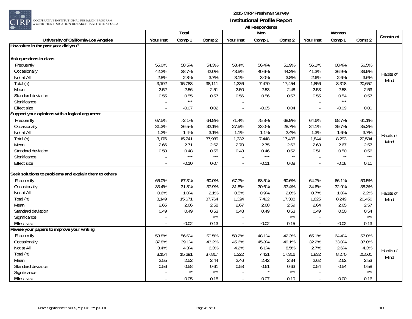

|                                                       |           | <b>Total</b> |                   |                          | בזו שמושת שכטרו וור<br>Men |        |                | Women        |        |           |
|-------------------------------------------------------|-----------|--------------|-------------------|--------------------------|----------------------------|--------|----------------|--------------|--------|-----------|
| University of California-Los Angeles                  | Your Inst | Comp 1       | Comp 2            | Your Inst                | Comp 1                     | Comp 2 | Your Inst      | Comp 1       | Comp 2 | Construct |
| How often in the past year did you?                   |           |              |                   |                          |                            |        |                |              |        |           |
|                                                       |           |              |                   |                          |                            |        |                |              |        |           |
| Ask questions in class                                |           |              |                   |                          |                            |        |                |              |        |           |
| Frequently                                            | 55.0%     | 58.5%        | 54.3%             | 53.4%                    | 56.4%                      | 51.9%  | 56.1%          | 60.4%        | 56.5%  |           |
| Occasionally                                          | 42.2%     | 38.7%        | 42.0%             | 43.5%                    | 40.6%                      | 44.3%  | 41.3%          | 36.9%        | 39.9%  |           |
| Not at All                                            | 2.8%      | 2.8%         | 3.7%              | 3.1%                     | 3.0%                       | 3.8%   | 2.6%           | 2.6%         | 3.6%   | Habits of |
| Total (n)                                             | 3,192     | 15,788       | 38,111            | 1,336                    | 7,470                      | 17,454 | 1,856          | 8,318        | 20,657 | Mind      |
| Mean                                                  | 2.52      | 2.56         | 2.51              | 2.50                     | 2.53                       | 2.48   | 2.53           | 2.58         | 2.53   |           |
| Standard deviation                                    | 0.55      | 0.55         | 0.57              | 0.56                     | 0.56                       | 0.57   | 0.55           | 0.54         | 0.57   |           |
| Significance                                          |           | $***$        |                   |                          |                            |        |                | $***$        |        |           |
| <b>Effect size</b>                                    |           | $-0.07$      | 0.02              | $\overline{\phantom{a}}$ | $-0.05$                    | 0.04   |                | $-0.09$      | 0.00   |           |
| Support your opinions with a logical argument         |           |              |                   |                          |                            |        |                |              |        |           |
| Frequently                                            | 67.5%     | 72.1%        | 64.8%             | 71.4%                    | 75.8%                      | 68.9%  | 64.6%          | 68.7%        | 61.1%  |           |
| Occasionally                                          | 31.3%     | 26.5%        | 32.1%             | 27.5%                    | 23.0%                      | 28.7%  | 34.1%          | 29.7%        | 35.2%  |           |
| Not at All                                            | 1.2%      | 1.4%         | 3.1%              | 1.1%                     | 1.1%                       | 2.4%   | 1.3%           | 1.6%         | 3.7%   | Habits of |
| Total (n)                                             | 3,176     | 15,741       | 37,989            | 1,332                    | 7,448                      | 17,405 | 1,844          | 8,293        | 20,584 | Mind      |
| Mean                                                  | 2.66      | 2.71         | 2.62              | 2.70                     | 2.75                       | 2.66   | 2.63           | 2.67         | 2.57   |           |
| Standard deviation                                    | 0.50      | 0.48         | 0.55              | 0.48                     | 0.46                       | 0.52   | 0.51           | 0.50         | 0.56   |           |
| Significance                                          |           | $***$        | $\star\star\star$ |                          | $***$                      | $**$   |                | $\star\star$ | $***$  |           |
| Effect size                                           |           | $-0.10$      | 0.07              |                          | $-0.11$                    | 0.08   |                | $-0.08$      | 0.11   |           |
| Seek solutions to problems and explain them to others |           |              |                   |                          |                            |        |                |              |        |           |
| Frequently                                            | 66.0%     | 67.3%        | 60.0%             | 67.7%                    | 68.5%                      | 60.6%  | 64.7%          | 66.1%        | 59.5%  |           |
| Occasionally                                          | 33.4%     | 31.8%        | 37.9%             | 31.8%                    | 30.6%                      | 37.4%  | 34.6%          | 32.9%        | 38.3%  |           |
| Not at All                                            | 0.6%      | 1.0%         | 2.1%              | 0.5%                     | 0.9%                       | 2.0%   | 0.7%           | 1.0%         | 2.2%   | Habits of |
| Total (n)                                             | 3,149     | 15,671       | 37,764            | 1,324                    | 7,422                      | 17,308 | 1,825          | 8,249        | 20,456 | Mind      |
| Mean                                                  | 2.65      | 2.66         | 2.58              | 2.67                     | 2.68                       | 2.59   | 2.64           | 2.65         | 2.57   |           |
| Standard deviation                                    | 0.49      | 0.49         | 0.53              | 0.48                     | 0.49                       | 0.53   | 0.49           | 0.50         | 0.54   |           |
| Significance                                          |           |              | $***$             |                          |                            | $***$  |                |              | $***$  |           |
| <b>Effect size</b>                                    |           | $-0.02$      | 0.13              |                          | $-0.02$                    | 0.15   |                | $-0.02$      | 0.13   |           |
| Revise your papers to improve your writing            |           |              |                   |                          |                            |        |                |              |        |           |
| Frequently                                            | 58.8%     | 56.6%        | 50.5%             | 50.2%                    | 48.1%                      | 42.3%  | 65.1%          | 64.4%        | 57.8%  |           |
| Occasionally                                          | 37.8%     | 39.1%        | 43.2%             | 45.6%                    | 45.8%                      | 49.1%  | 32.2%          | 33.0%        | 37.8%  |           |
| Not at All                                            | 3.4%      | 4.3%         | 6.3%              | 4.2%                     | 6.1%                       | 8.5%   | 2.7%           | 2.6%         | 4.3%   |           |
| Total (n)                                             | 3,154     | 15,691       | 37,817            | 1,322                    | 7,421                      | 17,316 | 1,832          | 8,270        | 20,501 | Habits of |
| Mean                                                  | 2.55      | 2.52         | 2.44              | 2.46                     | 2.42                       | 2.34   | 2.62           | 2.62         | 2.53   | Mind      |
| Standard deviation                                    | 0.56      | 0.58         | 0.61              | 0.58                     | 0.61                       | 0.63   | 0.54           | 0.54         | 0.58   |           |
| Significance                                          |           | $\star\star$ | $\star\star\star$ |                          | $\star$                    | $***$  |                |              | $***$  |           |
| <b>Effect size</b>                                    |           | 0.05         | 0.18              | $\sim$                   | 0.07                       | 0.19   | $\overline{a}$ | 0.00         | 0.16   |           |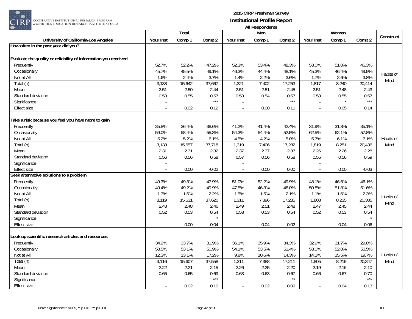

| $\sim$ $\sim$ $\sim$                                            |           |        |         |                  | AII NESPUHUEHIS |        |           |        |                   |           |
|-----------------------------------------------------------------|-----------|--------|---------|------------------|-----------------|--------|-----------|--------|-------------------|-----------|
|                                                                 |           | Total  |         |                  | Men             |        |           | Women  |                   | Construct |
| University of California-Los Angeles                            | Your Inst | Comp 1 | Comp 2  | <b>Your Inst</b> | Comp 1          | Comp 2 | Your Inst | Comp 1 | Comp <sub>2</sub> |           |
| How often in the past year did you?                             |           |        |         |                  |                 |        |           |        |                   |           |
|                                                                 |           |        |         |                  |                 |        |           |        |                   |           |
| Evaluate the quality or reliability of information you received |           |        |         |                  |                 |        |           |        |                   |           |
| Frequently                                                      | 52.7%     | 52.2%  | 47.2%   | 52.3%            | 53.4%           | 48.3%  | 53.0%     | 51.0%  | 46.3%             |           |
| Occasionally                                                    | 45.7%     | 45.5%  | 49.1%   | 46.3%            | 44.4%           | 48.1%  | 45.3%     | 46.4%  | 49.9%             | Habits of |
| Not at All                                                      | 1.6%      | 2.4%   | 3.7%    | 1.4%             | 2.2%            | 3.6%   | 1.7%      | 2.6%   | 3.8%              | Mind      |
| Total (n)                                                       | 3,138     | 15,642 | 37,667  | 1,321            | 7,402           | 17,253 | 1,817     | 8,240  | 20,414            |           |
| Mean                                                            | 2.51      | 2.50   | 2.44    | 2.51             | 2.51            | 2.45   | 2.51      | 2.48   | 2.43              |           |
| Standard deviation                                              | 0.53      | 0.55   | 0.57    | 0.53             | 0.54            | 0.57   | 0.53      | 0.55   | 0.57              |           |
| Significance                                                    |           |        | $***$   |                  |                 | $***$  |           |        | $***$             |           |
| <b>Effect size</b>                                              |           | 0.02   | 0.12    | $\blacksquare$   | 0.00            | 0.11   |           | 0.05   | 0.14              |           |
| Take a risk because you feel you have more to gain              |           |        |         |                  |                 |        |           |        |                   |           |
| Frequently                                                      | 35.8%     | 36.4%  | 38.6%   | 41.2%            | 41.4%           | 42.4%  | 31.9%     | 31.8%  | 35.1%             |           |
| Occasionally                                                    | 59.0%     | 58.4%  | 55.3%   | 54.3%            | 54.4%           | 52.5%  | 62.5%     | 62.1%  | 57.8%             |           |
| Not at All                                                      | 5.2%      | 5.2%   | 6.1%    | 4.5%             | 4.2%            | 5.0%   | 5.7%      | 6.1%   | 7.1%              | Habits of |
| Total (n)                                                       | 3,138     | 15,657 | 37,718  | 1,319            | 7,406           | 17,282 | 1,819     | 8,251  | 20,436            | Mind      |
| Mean                                                            | 2.31      | 2.31   | 2.32    | 2.37             | 2.37            | 2.37   | 2.26      | 2.26   | 2.28              |           |
| Standard deviation                                              | 0.56      | 0.56   | 0.58    | 0.57             | 0.56            | 0.58   | 0.55      | 0.56   | 0.59              |           |
| Significance                                                    |           |        |         |                  |                 |        |           |        |                   |           |
| <b>Effect size</b>                                              |           | 0.00   | $-0.02$ |                  | 0.00            | 0.00   |           | 0.00   | $-0.03$           |           |
| Seek alternative solutions to a problem                         |           |        |         |                  |                 |        |           |        |                   |           |
| Frequently                                                      | 49.3%     | 49.3%  | 47.9%   | 51.0%            | 52.2%           | 49.9%  | 48.1%     | 46.6%  | 46.1%             |           |
| Occasionally                                                    | 49.4%     | 49.2%  | 49.9%   | 47.5%            | 46.3%           | 48.0%  | 50.8%     | 51.8%  | 51.6%             |           |
| Not at All                                                      | 1.3%      | 1.6%   | 2.2%    | 1.5%             | 1.5%            | 2.1%   | 1.1%      | 1.6%   | 2.3%              |           |
| Total (n)                                                       | 3,119     | 15,631 | 37,620  | 1,311            | 7,396           | 17,235 | 1,808     | 8,235  | 20,385            | Habits of |
| Mean                                                            | 2.48      | 2.48   | 2.46    | 2.49             | 2.51            | 2.48   | 2.47      | 2.45   | 2.44              | Mind      |
| Standard deviation                                              | 0.52      | 0.53   | 0.54    | 0.53             | 0.53            | 0.54   | 0.52      | 0.53   | 0.54              |           |
| Significance                                                    |           |        |         |                  |                 |        |           |        | $\star$           |           |
| Effect size                                                     |           | 0.00   | 0.04    | $\sim$           | $-0.04$         | 0.02   |           | 0.04   | 0.06              |           |
| ook up scientific research articles and resources               |           |        |         |                  |                 |        |           |        |                   |           |
| Frequently                                                      | 34.2%     | 33.7%  | 31.9%   | 36.1%            | 35.9%           | 34.3%  | 32.9%     | 31.7%  | 29.8%             |           |
| Occasionally                                                    | 53.5%     | 53.1%  | 50.9%   | 54.1%            | 53.5%           | 51.4%  | 53.0%     | 52.8%  | 50.5%             |           |
| Not at All                                                      | 12.3%     | 13.1%  | 17.2%   | 9.8%             | 10.6%           | 14.3%  | 14.1%     | 15.5%  | 19.7%             | Habits of |
| Total (n)                                                       | 3,116     | 15,607 | 37,558  | 1,311            | 7,388           | 17,211 | 1,805     | 8,219  | 20,347            | Mind      |
| Mean                                                            | 2.22      | 2.21   | 2.15    | 2.26             | 2.25            | 2.20   | 2.19      | 2.16   | 2.10              |           |
| Standard deviation                                              | 0.65      | 0.65   | 0.69    | 0.63             | 0.63            | 0.67   | 0.66      | 0.67   | 0.70              |           |
| Significance                                                    |           |        | $***$   |                  |                 | $**$   |           |        | $\star\star\star$ |           |
| <b>Effect size</b>                                              |           | 0.02   |         |                  | 0.02            | 0.09   |           |        | 0.13              |           |
|                                                                 |           |        | 0.10    |                  |                 |        |           | 0.04   |                   |           |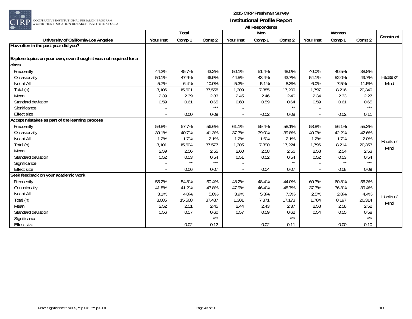

|                                                                   |           | Total  |        |           | Men     |        |           | Women  |        |           |
|-------------------------------------------------------------------|-----------|--------|--------|-----------|---------|--------|-----------|--------|--------|-----------|
| University of California-Los Angeles                              | Your Inst | Comp 1 | Comp 2 | Your Inst | Comp 1  | Comp 2 | Your Inst | Comp 1 | Comp 2 | Construct |
| How often in the past year did you?                               |           |        |        |           |         |        |           |        |        |           |
| Explore topics on your own, even though it was not required for a |           |        |        |           |         |        |           |        |        |           |
| class                                                             |           |        |        |           |         |        |           |        |        |           |
| Frequently                                                        | 44.2%     | 45.7%  | 43.2%  | 50.1%     | 51.4%   | 48.0%  | 40.0%     | 40.5%  | 38.8%  |           |
| Occasionally                                                      | 50.1%     | 47.9%  | 46.9%  | 44.5%     | 43.4%   | 43.7%  | 54.1%     | 52.0%  | 49.7%  | Habits of |
| Not at All                                                        | 5.7%      | 6.4%   | 10.0%  | 5.3%      | 5.1%    | 8.3%   | 6.0%      | 7.5%   | 11.5%  | Mind      |
| Total (n)                                                         | 3,106     | 15,601 | 37,558 | 1,309     | 7,385   | 17,209 | 1,797     | 8,216  | 20,349 |           |
| Mean                                                              | 2.39      | 2.39   | 2.33   | 2.45      | 2.46    | 2.40   | 2.34      | 2.33   | 2.27   |           |
| Standard deviation                                                | 0.59      | 0.61   | 0.65   | 0.60      | 0.59    | 0.64   | 0.59      | 0.61   | 0.65   |           |
| Significance                                                      |           |        | $***$  |           |         | $**$   |           |        | $***$  |           |
| <b>Effect size</b>                                                |           | 0.00   | 0.09   |           | $-0.02$ | 0.08   |           | 0.02   | 0.11   |           |
| Accept mistakes as part of the learning process                   |           |        |        |           |         |        |           |        |        |           |
| Frequently                                                        | 59.8%     | 57.7%  | 56.6%  | 61.1%     | 59.4%   | 58.1%  | 58.8%     | 56.1%  | 55.3%  |           |
| Occasionally                                                      | 39.1%     | 40.7%  | 41.3%  | 37.7%     | 39.0%   | 39.8%  | 40.0%     | 42.2%  | 42.6%  |           |
| Not at All                                                        | 1.2%      | 1.7%   | 2.1%   | 1.2%      | 1.6%    | 2.1%   | 1.2%      | 1.7%   | 2.0%   | Habits of |
| Total (n)                                                         | 3,101     | 15,604 | 37,577 | 1,305     | 7,390   | 17,224 | 1,796     | 8,214  | 20,353 | Mind      |
| Mean                                                              | 2.59      | 2.56   | 2.55   | 2.60      | 2.58    | 2.56   | 2.58      | 2.54   | 2.53   |           |
| Standard deviation                                                | 0.52      | 0.53   | 0.54   | 0.51      | 0.52    | 0.54   | 0.52      | 0.53   | 0.54   |           |
| Significance                                                      |           | $**$   | $***$  |           |         | $**$   |           | $**$   | $***$  |           |
| <b>Effect size</b>                                                |           | 0.06   | 0.07   |           | 0.04    | 0.07   |           | 0.08   | 0.09   |           |
| Seek feedback on your academic work                               |           |        |        |           |         |        |           |        |        |           |
| Frequently                                                        | 55.2%     | 54.8%  | 50.4%  | 48.2%     | 48.4%   | 44.0%  | 60.3%     | 60.8%  | 56.3%  |           |
| Occasionally                                                      | 41.8%     | 41.2%  | 43.8%  | 47.9%     | 46.4%   | 48.7%  | 37.3%     | 36.3%  | 39.4%  |           |
| Not at All                                                        | 3.1%      | 4.0%   | 5.8%   | 3.9%      | 5.3%    | 7.3%   | 2.5%      | 2.8%   | 4.4%   | Habits of |
| Total (n)                                                         | 3,085     | 15,568 | 37,487 | 1,301     | 7,371   | 17,173 | 1,784     | 8,197  | 20,314 | Mind      |
| Mean                                                              | 2.52      | 2.51   | 2.45   | 2.44      | 2.43    | 2.37   | 2.58      | 2.58   | 2.52   |           |
| Standard deviation                                                | 0.56      | 0.57   | 0.60   | 0.57      | 0.59    | 0.62   | 0.54      | 0.55   | 0.58   |           |
| Significance                                                      |           |        | $***$  |           |         | $***$  |           |        | $***$  |           |
| <b>Effect size</b>                                                |           | 0.02   | 0.12   |           | 0.02    | 0.11   |           | 0.00   | 0.10   |           |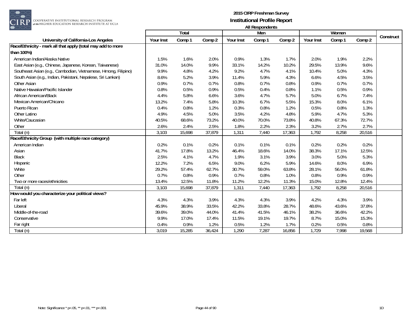

|                                                                |           | <b>Total</b> |        |           | Men    |        |           | Women  |        |           |
|----------------------------------------------------------------|-----------|--------------|--------|-----------|--------|--------|-----------|--------|--------|-----------|
| University of California-Los Angeles                           | Your Inst | Comp 1       | Comp 2 | Your Inst | Comp 1 | Comp 2 | Your Inst | Comp 1 | Comp 2 | Construct |
| Race/Ethnicity - mark all that apply (total may add to more    |           |              |        |           |        |        |           |        |        |           |
| than 100%)                                                     |           |              |        |           |        |        |           |        |        |           |
| American Indian/Alaska Native                                  | 1.5%      | 1.6%         | 2.0%   | 0.9%      | 1.3%   | 1.7%   | 2.0%      | 1.9%   | 2.2%   |           |
| East Asian (e.g., Chinese, Japanese, Korean, Taiwanese)        | 31.0%     | 14.0%        | 9.9%   | 33.1%     | 14.2%  | 10.2%  | 29.5%     | 13.9%  | 9.6%   |           |
| Southeast Asian (e.g., Cambodian, Vietnamese, Hmong, Filipino) | 9.9%      | 4.8%         | 4.2%   | 9.2%      | 4.7%   | 4.1%   | 10.4%     | 5.0%   | 4.3%   |           |
| South Asian (e.g., Indian, Pakistani, Nepalese, Sri Lankan)    | 8.6%      | 5.2%         | 3.9%   | 11.4%     | 5.9%   | 4.3%   | 6.6%      | 4.5%   | 3.5%   |           |
| Other Asian                                                    | 0.9%      | 0.7%         | 0.7%   | 0.8%      | 0.7%   | 0.8%   | 0.9%      | 0.7%   | 0.7%   |           |
| Native Hawaiian/Pacific Islander                               | 0.8%      | 0.5%         | 0.9%   | 0.5%      | 0.4%   | 0.8%   | 1.1%      | 0.5%   | 0.9%   |           |
| African American/Black                                         | 4.4%      | 5.8%         | 6.6%   | 3.6%      | 4.7%   | 5.7%   | 5.0%      | 6.7%   | 7.4%   |           |
| Mexican American/Chicano                                       | 13.2%     | 7.4%         | 5.8%   | 10.3%     | 6.7%   | 5.5%   | 15.3%     | 8.0%   | 6.1%   |           |
| Puerto Rican                                                   | 0.4%      | 0.8%         | 1.2%   | 0.3%      | 0.8%   | 1.2%   | 0.5%      | 0.8%   | 1.3%   |           |
| Other Latino                                                   | 4.9%      | 4.5%         | 5.0%   | 3.5%      | 4.2%   | 4.8%   | 5.9%      | 4.7%   | 5.3%   |           |
| White/Caucasian                                                | 40.5%     | 68.6%        | 73.2%  | 40.0%     | 70.0%  | 73.8%  | 40.8%     | 67.3%  | 72.7%  |           |
| Other                                                          | 2.6%      | 2.4%         | 2.5%   | 1.8%      | 2.2%   | 2.3%   | 3.2%      | 2.7%   | 2.7%   |           |
| Total (n)                                                      | 3,103     | 15,698       | 37,879 | 1,311     | 7,440  | 17,363 | 1,792     | 8,258  | 20,516 |           |
| Race/Ethnicity Group (with multiple race category)             |           |              |        |           |        |        |           |        |        |           |
| American Indian                                                | 0.2%      | 0.1%         | 0.2%   | 0.1%      | 0.1%   | 0.1%   | 0.2%      | 0.2%   | 0.2%   |           |
| Asian                                                          | 41.7%     | 17.8%        | 13.2%  | 46.4%     | 18.6%  | 14.0%  | 38.3%     | 17.1%  | 12.5%  |           |
| <b>Black</b>                                                   | 2.5%      | 4.1%         | 4.7%   | 1.9%      | 3.1%   | 3.9%   | 3.0%      | 5.0%   | 5.3%   |           |
| Hispanic                                                       | 12.2%     | 7.2%         | 6.5%   | 9.0%      | 6.2%   | 5.9%   | 14.6%     | 8.0%   | 6.9%   |           |
| White                                                          | 29.2%     | 57.4%        | 62.7%  | 30.7%     | 59.0%  | 63.8%  | 28.1%     | 56.0%  | 61.8%  |           |
| Other                                                          | 0.7%      | 0.8%         | 0.9%   | 0.7%      | 0.8%   | 1.0%   | 0.8%      | 0.9%   | 0.9%   |           |
| Two or more races/ethnicities                                  | 13.4%     | 12.5%        | 11.8%  | 11.2%     | 12.2%  | 11.3%  | 15.0%     | 12.8%  | 12.4%  |           |
| Total (n)                                                      | 3,103     | 15,698       | 37,879 | 1,311     | 7,440  | 17,363 | 1,792     | 8,258  | 20,516 |           |
| How would you characterize your political views?               |           |              |        |           |        |        |           |        |        |           |
| Far left                                                       | 4.3%      | 4.3%         | 3.9%   | 4.3%      | 4.3%   | 3.9%   | 4.2%      | 4.3%   | 3.9%   |           |
| Liberal                                                        | 45.9%     | 38.9%        | 33.5%  | 42.2%     | 33.8%  | 28.7%  | 48.6%     | 43.6%  | 37.8%  |           |
| Middle-of-the-road                                             | 39.6%     | 39.0%        | 44.0%  | 41.4%     | 41.5%  | 46.1%  | 38.2%     | 36.6%  | 42.2%  |           |
| Conservative                                                   | 9.9%      | 17.0%        | 17.4%  | 11.5%     | 19.1%  | 19.7%  | 8.7%      | 15.0%  | 15.3%  |           |
| Far right                                                      | 0.4%      | 0.9%         | 1.2%   | 0.5%      | 1.2%   | 1.7%   | 0.2%      | 0.5%   | 0.8%   |           |
| Total (n)                                                      | 3,019     | 15,285       | 36,424 | 1,290     | 7,287  | 16,856 | 1,729     | 7,998  | 19,568 |           |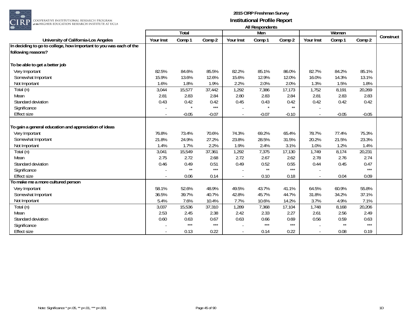

 $\begin{array}{|l|} \hline \texttt{COOPERATIVE INSTITUTIONAL RESEARCH PROGRAM} \hline \texttt{at the HIGHER FUNCTION RESEARCH INSTITUTE AT UCLA} \end{array}$ 

|                                                                    |           | Total   |                   |                          | Men          |         |           | Women   |         |           |
|--------------------------------------------------------------------|-----------|---------|-------------------|--------------------------|--------------|---------|-----------|---------|---------|-----------|
|                                                                    |           |         |                   |                          |              |         |           |         |         | Construct |
| University of California-Los Angeles                               | Your Inst | Comp 1  | Comp 2            | Your Inst                | Comp 1       | Comp 2  | Your Inst | Comp 1  | Comp 2  |           |
| In deciding to go to college, how important to you was each of the |           |         |                   |                          |              |         |           |         |         |           |
| following reasons?                                                 |           |         |                   |                          |              |         |           |         |         |           |
| To be able to get a better job                                     |           |         |                   |                          |              |         |           |         |         |           |
| Very Important                                                     | 82.5%     | 84.6%   | 85.5%             | 82.2%                    | 85.1%        | 86.0%   | 82.7%     | 84.2%   | 85.1%   |           |
| Somewhat Important                                                 | 15.9%     | 13.6%   | 12.6%             | 15.6%                    | 12.9%        | 12.0%   | 16.0%     | 14.3%   | 13.1%   |           |
| Not Important                                                      | 1.6%      | 1.8%    | 1.9%              | 2.2%                     | 2.0%         | 2.0%    | 1.3%      | 1.5%    | 1.8%    |           |
| Total (n)                                                          | 3,044     | 15,577  | 37,442            | 1,292                    | 7,386        | 17,173  | 1,752     | 8,191   | 20,269  |           |
| Mean                                                               | 2.81      | 2.83    | 2.84              | 2.80                     | 2.83         | 2.84    | 2.81      | 2.83    | 2.83    |           |
| Standard deviation                                                 | 0.43      | 0.42    | 0.42              | 0.45                     | 0.43         | 0.42    | 0.42      | 0.42    | 0.42    |           |
| Significance                                                       |           |         | $***$             |                          | $\star$      | $**$    |           |         |         |           |
| <b>Effect size</b>                                                 |           | $-0.05$ | $-0.07$           | $\sim$                   | $-0.07$      | $-0.10$ |           | $-0.05$ | $-0.05$ |           |
| To gain a general education and appreciation of ideas              |           |         |                   |                          |              |         |           |         |         |           |
| Very Important                                                     | 76.8%     | 73.4%   | 70.6%             | 74.3%                    | 69.2%        | 65.4%   | 78.7%     | 77.4%   | 75.3%   |           |
| Somewhat Important                                                 | 21.8%     | 24.9%   | 27.2%             | 23.8%                    | 28.5%        | 31.5%   | 20.2%     | 21.5%   | 23.3%   |           |
| Not Important                                                      | 1.4%      | 1.7%    | 2.2%              | 1.9%                     | 2.4%         | 3.1%    | 1.0%      | 1.2%    | 1.4%    |           |
| Total (n)                                                          | 3,041     | 15,549  | 37,361            | 1,292                    | 7,375        | 17,130  | 1,749     | 8,174   | 20,231  |           |
| Mean                                                               | 2.75      | 2.72    | 2.68              | 2.72                     | 2.67         | 2.62    | 2.78      | 2.76    | 2.74    |           |
| Standard deviation                                                 | 0.46      | 0.49    | 0.51              | 0.49                     | 0.52         | 0.55    | 0.44      | 0.45    | 0.47    |           |
| Significance                                                       |           | $**$    | $***$             |                          | $\star\star$ | $***$   |           |         | $***$   |           |
| <b>Effect size</b>                                                 |           | 0.06    | 0.14              | $\overline{\phantom{a}}$ | 0.10         | 0.18    |           | 0.04    | 0.09    |           |
| To make me a more cultured person                                  |           |         |                   |                          |              |         |           |         |         |           |
| Very Important                                                     | 58.1%     | 52.6%   | 48.9%             | 49.5%                    | 43.7%        | 41.1%   | 64.5%     | 60.9%   | 55.8%   |           |
| Somewhat Important                                                 | 36.5%     | 39.7%   | 40.7%             | 42.8%                    | 45.7%        | 44.7%   | 31.8%     | 34.2%   | 37.1%   |           |
| Not Important                                                      | 5.4%      | 7.6%    | 10.4%             | 7.7%                     | 10.6%        | 14.2%   | 3.7%      | 4.9%    | 7.1%    |           |
| Total (n)                                                          | 3,037     | 15,536  | 37,310            | 1,289                    | 7,368        | 17,104  | 1,748     | 8,168   | 20,206  |           |
| Mean                                                               | 2.53      | 2.45    | 2.38              | 2.42                     | 2.33         | 2.27    | 2.61      | 2.56    | 2.49    |           |
| Standard deviation                                                 | 0.60      | 0.63    | 0.67              | 0.63                     | 0.66         | 0.69    | 0.56      | 0.59    | 0.63    |           |
| Significance                                                       |           | $***$   | $\star\star\star$ |                          | $***$        | $***$   |           | $**$    | $***$   |           |
| <b>Effect size</b>                                                 |           | 0.13    | 0.22              |                          | 0.14         | 0.22    |           | 0.08    | 0.19    |           |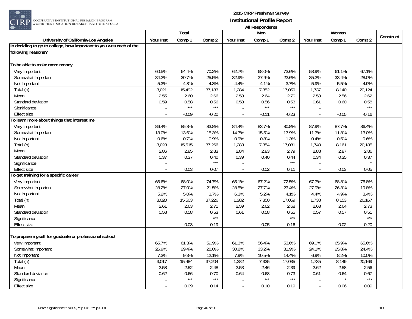

|                                                                    |           | <b>Total</b> |                     |           | Men     |                   |           | Women   |                   |           |
|--------------------------------------------------------------------|-----------|--------------|---------------------|-----------|---------|-------------------|-----------|---------|-------------------|-----------|
| <b>University of California-Los Angeles</b>                        | Your Inst | Comp 1       | Comp 2              | Your Inst | Comp 1  | Comp 2            | Your Inst | Comp 1  | Comp 2            | Construct |
| In deciding to go to college, how important to you was each of the |           |              |                     |           |         |                   |           |         |                   |           |
| following reasons?                                                 |           |              |                     |           |         |                   |           |         |                   |           |
|                                                                    |           |              |                     |           |         |                   |           |         |                   |           |
| To be able to make more money                                      |           |              |                     |           |         |                   |           |         |                   |           |
| Very Important                                                     | 60.5%     | 64.4%        | 70.2%               | 62.7%     | 68.0%   | 73.6%             | 58.9%     | 61.1%   | 67.1%             |           |
| Somewhat Important                                                 | 34.2%     | 30.7%        | 25.5%               | 32.9%     | 27.9%   | 22.6%             | 35.2%     | 33.4%   | 28.0%             |           |
| Not Important                                                      | 5.3%      | 4.8%         | 4.3%                | 4.4%      | 4.1%    | 3.7%              | 5.9%      | 5.5%    | 4.9%              |           |
| Total (n)                                                          | 3,021     | 15,492       | 37,183              | 1,284     | 7,352   | 17,059            | 1,737     | 8,140   | 20,124            |           |
| Mean                                                               | 2.55      | 2.60         | 2.66                | 2.58      | 2.64    | 2.70              | 2.53      | 2.56    | 2.62              |           |
| Standard deviation                                                 | 0.59      | 0.58         | 0.56                | 0.58      | 0.56    | 0.53              | 0.61      | 0.60    | 0.58              |           |
| Significance                                                       |           | $***$        | $***$               |           | $***$   | $***$             |           |         | $***$             |           |
| <b>Effect size</b>                                                 |           | $-0.09$      | $-0.20$             | $\sim$    | $-0.11$ | $-0.23$           |           | $-0.05$ | $-0.16$           |           |
| To learn more about things that interest me                        |           |              |                     |           |         |                   |           |         |                   |           |
| Very Important                                                     | 86.4%     | 85.8%        | 83.8%               | 84.4%     | 83.7%   | 80.8%             | 87.9%     | 87.7%   | 86.4%             |           |
| Somewhat Important                                                 | 13.0%     | 13.6%        | 15.3%               | 14.7%     | 15.5%   | 17.9%             | 11.7%     | 11.8%   | 13.0%             |           |
| Not Important                                                      | 0.6%      | 0.7%         | 0.9%                | 0.9%      | 0.8%    | 1.3%              | 0.4%      | 0.5%    | 0.6%              |           |
| Total (n)                                                          | 3,023     | 15,515       | 37,266              | 1,283     | 7,354   | 17,081            | 1,740     | 8,161   | 20,185            |           |
| Mean                                                               | 2.86      | 2.85         | 2.83                | 2.84      | 2.83    | 2.79              | 2.88      | 2.87    | 2.86              |           |
| Standard deviation                                                 | 0.37      | 0.37         | 0.40                | 0.39      | 0.40    | 0.44              | 0.34      | 0.35    | 0.37              |           |
| Significance                                                       |           |              | $***$               |           |         | $***$             |           |         |                   |           |
| <b>Effect size</b>                                                 |           | 0.03         | 0.07                |           | 0.02    | 0.11              |           | 0.03    | 0.05              |           |
| To get training for a specific career                              |           |              |                     |           |         |                   |           |         |                   |           |
| Very Important                                                     | 66.6%     | 68.0%        | 74.7%               | 65.1%     | 67.2%   | 72.5%             | 67.7%     | 68.8%   | 76.8%             |           |
| Somewhat Important                                                 | 28.2%     | 27.0%        | 21.5%               | 28.5%     | 27.7%   | 23.4%             | 27.9%     | 26.3%   | 19.8%             |           |
| Not Important                                                      | 5.2%      | 5.0%         | 3.7%                | 6.3%      | 5.2%    | 4.1%              | 4.4%      | 4.9%    | 3.4%              |           |
| Total (n)                                                          | 3,020     | 15,503       | 37,226              | 1,282     | 7,350   | 17,059            | 1,738     | 8,153   | 20,167            |           |
| Mean                                                               | 2.61      | 2.63         | 2.71                | 2.59      | 2.62    | 2.68              | 2.63      | 2.64    | 2.73              |           |
| Standard deviation                                                 | 0.58      | 0.58         | 0.53                | 0.61      | 0.58    | 0.55              | 0.57      | 0.57    | 0.51              |           |
| Significance                                                       |           |              | $***$               |           |         | $***$             |           |         | $***$             |           |
| <b>Effect size</b>                                                 |           | $-0.03$      | $-0.19$             | $\sim$    | $-0.05$ | $-0.16$           |           | $-0.02$ | $-0.20$           |           |
|                                                                    |           |              |                     |           |         |                   |           |         |                   |           |
| To prepare myself for graduate or professional school              |           |              |                     |           |         |                   |           |         |                   |           |
| Very Important                                                     | 65.7%     | 61.3%        | 59.9%               | 61.3%     | 56.4%   | 53.6%             | 69.0%     | 65.9%   | 65.6%             |           |
| Somewhat Important                                                 | 26.9%     | 29.4%        | 28.0%               | 30.8%     | 33.2%   | 31.9%             | 24.1%     | 25.8%   | 24.4%             |           |
| Not Important                                                      | 7.3%      | 9.3%         | 12.1%               | 7.9%      | 10.5%   | 14.4%             | 6.9%      | 8.2%    | 10.0%             |           |
| Total (n)                                                          | 3,017     | 15,484       | $\overline{37,204}$ | 1,282     | 7,335   | 17,035            | 1,735     | 8,149   | 20,169            |           |
| Mean                                                               | 2.58      | 2.52         | 2.48                | 2.53      | 2.46    | 2.39              | 2.62      | 2.58    | 2.56              |           |
| Standard deviation                                                 | 0.62      | 0.66         | 0.70                | 0.64      | 0.68    | 0.73              | 0.61      | 0.64    | 0.67              |           |
| Significance                                                       |           | $***$        | $***$               |           | $***$   | $\star\star\star$ |           |         | $\star\star\star$ |           |
| Effect size                                                        |           | 0.09         | 0.14                | $\sim$    | 0.10    | 0.19              |           | 0.06    | 0.09              |           |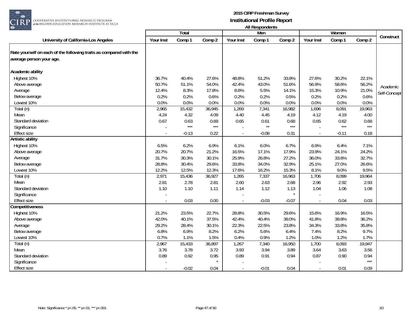

|                                                                    |           | <b>Total</b> |        |                | Men          |         |           | Women   |        |              |
|--------------------------------------------------------------------|-----------|--------------|--------|----------------|--------------|---------|-----------|---------|--------|--------------|
| University of California-Los Angeles                               | Your Inst | Comp 1       | Comp 2 | Your Inst      | Comp 1       | Comp 2  | Your Inst | Comp 1  | Comp 2 | Construct    |
| Rate yourself on each of the following traits as compared with the |           |              |        |                |              |         |           |         |        |              |
| average person your age.                                           |           |              |        |                |              |         |           |         |        |              |
| Academic ability                                                   |           |              |        |                |              |         |           |         |        |              |
| Highest 10%                                                        | 36.7%     | 40.4%        | 27.6%  | 48.8%          | 51.2%        | 33.8%   | 27.6%     | 30.2%   | 22.1%  |              |
| Above average                                                      | 50.7%     | 51.1%        | 54.0%  | 42.4%          | 43.0%        | 51.6%   | 56.9%     | 58.6%   | 56.2%  | Academic     |
| Average                                                            | 12.4%     | 8.3%         | 17.8%  | 8.6%           | 5.5%         | 14.1%   | 15.3%     | 10.9%   | 21.0%  | Self-Concept |
| Below average                                                      | 0.2%      | 0.2%         | 0.6%   | 0.2%           | 0.2%         | 0.5%    | 0.2%      | 0.2%    | 0.6%   |              |
| Lowest 10%                                                         | 0.0%      | 0.0%         | 0.0%   | 0.0%           | 0.0%         | 0.0%    | 0.0%      | 0.0%    | 0.0%   |              |
| Total (n)                                                          | 2,965     | 15,432       | 36,945 | 1,269          | 7,341        | 16,982  | 1,696     | 8,091   | 19,963 |              |
| Mean                                                               | 4.24      | 4.32         | 4.09   | 4.40           | 4.45         | 4.19    | 4.12      | 4.19    | 4.00   |              |
| Standard deviation                                                 | 0.67      | 0.63         | 0.69   | 0.65           | 0.61         | 0.68    | 0.65      | 0.62    | 0.68   |              |
| Significance                                                       |           | $***$        | $***$  |                | $\star\star$ | $***$   |           | $***$   | $***$  |              |
| <b>Effect size</b>                                                 | $\sim$    | $-0.13$      | 0.22   | $\sim$         | $-0.08$      | 0.31    | $\sim$    | $-0.11$ | 0.18   |              |
| <b>Artistic ability</b>                                            |           |              |        |                |              |         |           |         |        |              |
| Highest 10%                                                        | 6.5%      | 6.2%         | 6.9%   | 6.1%           | 6.0%         | 6.7%    | 6.9%      | 6.4%    | 7.1%   |              |
| Above average                                                      | 20.7%     | 20.7%        | 21.2%  | 16.5%          | 17.1%        | 17.9%   | 23.9%     | 24.1%   | 24.2%  |              |
| Average                                                            | 31.7%     | 30.3%        | 30.1%  | 25.9%          | 26.8%        | 27.2%   | 36.0%     | 33.6%   | 32.7%  |              |
| Below average                                                      | 28.8%     | 30.4%        | 29.6%  | 33.8%          | 34.0%        | 32.9%   | 25.1%     | 27.0%   | 26.6%  |              |
| Lowest 10%                                                         | 12.2%     | 12.5%        | 12.3%  | 17.6%          | 16.2%        | 15.3%   | 8.1%      | 9.0%    | 9.5%   |              |
| Total (n)                                                          | 2,971     | 15,436       | 36,927 | 1,265          | 7,337        | 16,963  | 1,706     | 8,099   | 19,964 |              |
| Mean                                                               | 2.81      | 2.78         | 2.81   | 2.60           | 2.63         | 2.68    | 2.96      | 2.92    | 2.93   |              |
| Standard deviation                                                 | 1.10      | 1.10         | 1.11   | 1.14           | 1.12         | 1.13    | 1.04      | 1.06    | 1.08   |              |
| Significance                                                       |           |              |        |                |              | $\star$ |           |         |        |              |
| <b>Effect size</b>                                                 |           | 0.03         | 0.00   | $\sim$         | $-0.03$      | $-0.07$ |           | 0.04    | 0.03   |              |
| Competitiveness                                                    |           |              |        |                |              |         |           |         |        |              |
| Highest 10%                                                        | 21.2%     | 23.5%        | 22.7%  | 28.8%          | 30.5%        | 29.6%   | 15.6%     | 16.9%   | 16.5%  |              |
| Above average                                                      | 42.0%     | 40.1%        | 37.5%  | 42.4%          | 40.4%        | 39.0%   | 41.8%     | 39.8%   | 36.2%  |              |
| Average                                                            | 29.2%     | 28.4%        | 30.1%  | 22.3%          | 22.5%        | 23.8%   | 34.3%     | 33.8%   | 35.8%  |              |
| Below average                                                      | 6.8%      | 6.9%         | 8.2%   | 6.2%           | 5.6%         | 6.4%    | 7.4%      | 8.2%    | 9.7%   |              |
| Lowest 10%                                                         | 0.7%      | 1.1%         | 1.5%   | 0.4%           | 0.9%         | 1.2%    | 1.0%      | 1.2%    | 1.7%   |              |
| Total (n)                                                          | 2,967     | 15,433       | 36,897 | 1,267          | 7,340        | 16,950  | 1,700     | 8,093   | 19,947 |              |
| Mean                                                               | 3.76      | 3.78         | 3.72   | 3.93           | 3.94         | 3.89    | 3.64      | 3.63    | 3.56   |              |
| Standard deviation                                                 | 0.89      | 0.92         | 0.95   | 0.89           | 0.91         | 0.94    | 0.87      | 0.90    | 0.94   |              |
| Significance                                                       |           |              |        |                |              |         |           |         | $***$  |              |
| <b>Effect size</b>                                                 |           | $-0.02$      | 0.04   | $\blacksquare$ | $-0.01$      | 0.04    |           | 0.01    | 0.09   |              |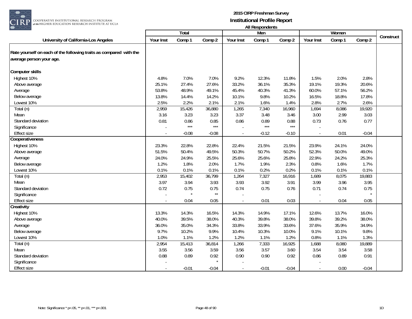

|                                                                    |           | Total   |              |                | , ,,, ,,,,,,,,,,,,,,,,,<br>Men |         |           | Women  |         |           |
|--------------------------------------------------------------------|-----------|---------|--------------|----------------|--------------------------------|---------|-----------|--------|---------|-----------|
| University of California-Los Angeles                               | Your Inst | Comp 1  | Comp 2       | Your Inst      | Comp 1                         | Comp 2  | Your Inst | Comp 1 | Comp 2  | Construct |
| Rate yourself on each of the following traits as compared with the |           |         |              |                |                                |         |           |        |         |           |
|                                                                    |           |         |              |                |                                |         |           |        |         |           |
| average person your age.                                           |           |         |              |                |                                |         |           |        |         |           |
| Computer skills                                                    |           |         |              |                |                                |         |           |        |         |           |
| Highest 10%                                                        | 4.8%      | 7.0%    | 7.0%         | 9.2%           | 12.3%                          | 11.8%   | 1.5%      | 2.0%   | 2.8%    |           |
| Above average                                                      | 25.1%     | 27.4%   | 27.6%        | 33.2%          | 36.1%                          | 35.3%   | 19.1%     | 19.3%  | 20.6%   |           |
| Average                                                            | 53.8%     | 48.9%   | 49.1%        | 45.4%          | 40.3%                          | 41.3%   | 60.0%     | 57.1%  | 56.2%   |           |
| Below average                                                      | 13.8%     | 14.4%   | 14.2%        | 10.1%          | 9.8%                           | 10.2%   | 16.5%     | 18.8%  | 17.8%   |           |
| Lowest 10%                                                         | 2.5%      | 2.2%    | 2.1%         | 2.1%           | 1.6%                           | 1.4%    | 2.8%      | 2.7%   | 2.6%    |           |
| Total (n)                                                          | 2,959     | 15,426  | 36,880       | 1,265          | 7,340                          | 16,960  | 1,694     | 8,086  | 19,920  |           |
| Mean                                                               | 3.16      | 3.23    | 3.23         | 3.37           | 3.48                           | 3.46    | 3.00      | 2.99   | 3.03    |           |
| Standard deviation                                                 | 0.81      | 0.86    | 0.85         | 0.86           | 0.89                           | 0.88    | 0.73      | 0.76   | 0.77    |           |
| Significance                                                       |           | $***$   | $***$        |                | $***$                          | $***$   |           |        |         |           |
| <b>Effect size</b>                                                 |           | $-0.08$ | $-0.08$      | $\sim$         | $-0.12$                        | $-0.10$ |           | 0.01   | $-0.04$ |           |
| Cooperativeness                                                    |           |         |              |                |                                |         |           |        |         |           |
| Highest 10%                                                        | 23.3%     | 22.8%   | 22.8%        | 22.4%          | 21.5%                          | 21.5%   | 23.9%     | 24.1%  | 24.0%   |           |
| Above average                                                      | 51.5%     | 50.4%   | 49.5%        | 50.3%          | 50.7%                          | 50.2%   | 52.3%     | 50.0%  | 49.0%   |           |
| Average                                                            | 24.0%     | 24.9%   | 25.5%        | 25.6%          | 25.6%                          | 25.8%   | 22.9%     | 24.2%  | 25.3%   |           |
| Below average                                                      | 1.2%      | 1.8%    | 2.0%         | 1.7%           | 1.9%                           | 2.3%    | 0.8%      | 1.6%   | 1.7%    |           |
| Lowest 10%                                                         | 0.1%      | 0.1%    | 0.1%         | 0.1%           | 0.2%                           | 0.2%    | 0.1%      | 0.1%   | 0.1%    |           |
| Total (n)                                                          | 2,953     | 15,402  | 36,799       | 1,264          | 7,327                          | 16,916  | 1,689     | 8,075  | 19,883  |           |
| Mean                                                               | 3.97      | 3.94    | 3.93         | 3.93           | 3.92                           | 3.91    | 3.99      | 3.96   | 3.95    |           |
| Standard deviation                                                 | 0.72      | 0.75    | 0.75         | 0.74           | 0.75                           | 0.76    | 0.71      | 0.74   | 0.75    |           |
| Significance                                                       |           |         | $\star\star$ |                |                                |         |           |        | $\star$ |           |
| <b>Effect size</b>                                                 |           | 0.04    | 0.05         |                | 0.01                           | 0.03    |           | 0.04   | 0.05    |           |
| Creativity                                                         |           |         |              |                |                                |         |           |        |         |           |
| Highest 10%                                                        | 13.3%     | 14.3%   | 16.5%        | 14.3%          | 14.9%                          | 17.1%   | 12.6%     | 13.7%  | 16.0%   |           |
| Above average                                                      | 40.0%     | 39.5%   | 38.0%        | 40.3%          | 39.8%                          | 38.0%   | 39.8%     | 39.2%  | 38.0%   |           |
| Average                                                            | 36.0%     | 35.0%   | 34.3%        | 33.8%          | 33.9%                          | 33.6%   | 37.6%     | 35.9%  | 34.9%   |           |
| Below average                                                      | 9.7%      | 10.2%   | 9.9%         | 10.4%          | 10.3%                          | 10.0%   | 9.1%      | 10.1%  | 9.8%    |           |
| Lowest 10%                                                         | 1.0%      | 1.1%    | 1.2%         | 1.2%           | 1.1%                           | 1.2%    | 0.8%      | 1.1%   | 1.3%    |           |
| Total (n)                                                          | 2,954     | 15,413  | 36,814       | 1,266          | 7,333                          | 16,925  | 1,688     | 8,080  | 19,889  |           |
| Mean                                                               | 3.55      | 3.56    | 3.59         | 3.56           | 3.57                           | 3.60    | 3.54      | 3.54   | 3.58    |           |
| Standard deviation                                                 | 0.88      | 0.89    | 0.92         | 0.90           | 0.90                           | 0.92    | 0.86      | 0.89   | 0.91    |           |
| Significance                                                       |           |         |              |                |                                |         |           |        |         |           |
| <b>Effect size</b>                                                 |           | $-0.01$ | $-0.04$      | $\blacksquare$ | $-0.01$                        | $-0.04$ |           | 0.00   | $-0.04$ |           |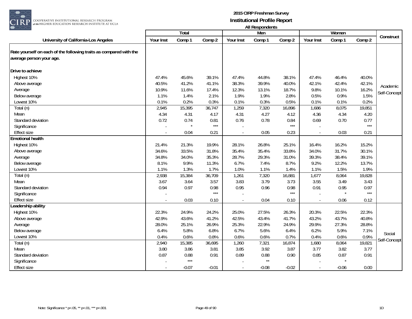

|                                                                                                |                | Total   |         |                          | Men     |         |              | Women   |        |              |
|------------------------------------------------------------------------------------------------|----------------|---------|---------|--------------------------|---------|---------|--------------|---------|--------|--------------|
| University of California-Los Angeles                                                           | Your Inst      | Comp 1  | Comp 2  | Your Inst                | Comp 1  | Comp 2  | Your Inst    | Comp 1  | Comp 2 | Construct    |
| Rate yourself on each of the following traits as compared with the<br>average person your age. |                |         |         |                          |         |         |              |         |        |              |
| Drive to achieve                                                                               |                |         |         |                          |         |         |              |         |        |              |
| Highest 10%                                                                                    | 47.4%          | 45.6%   | 39.1%   | 47.4%                    | 44.8%   | 38.1%   | 47.4%        | 46.4%   | 40.0%  |              |
| Above average                                                                                  | 40.5%          | 41.2%   | 41.1%   | 38.3%                    | 39.9%   | 40.0%   | 42.1%        | 42.4%   | 42.1%  |              |
| Average                                                                                        | 10.9%          | 11.6%   | 17.4%   | 12.3%                    | 13.1%   | 18.7%   | 9.8%         | 10.1%   | 16.2%  | Academic     |
| Below average                                                                                  | 1.1%           | 1.4%    | 2.1%    | 1.9%                     | 1.9%    | 2.8%    | 0.5%         | 0.9%    | 1.5%   | Self-Concept |
| Lowest 10%                                                                                     | 0.1%           | 0.2%    | 0.3%    | 0.1%                     | 0.3%    | 0.5%    | 0.1%         | 0.1%    | 0.2%   |              |
| Total (n)                                                                                      | 2,945          | 15,395  | 36,747  | 1,259                    | 7,320   | 16,896  | 1,686        | 8,075   | 19,851 |              |
| Mean                                                                                           | 4.34           | 4.31    | 4.17    | 4.31                     | 4.27    | 4.12    | 4.36         | 4.34    | 4.20   |              |
| Standard deviation                                                                             | 0.72           | 0.74    | 0.81    | 0.76                     | 0.78    | 0.84    | 0.69         | 0.70    | 0.77   |              |
| Significance                                                                                   |                |         | $***$   |                          |         | $***$   |              |         | $***$  |              |
| <b>Effect size</b>                                                                             | $\overline{a}$ | 0.04    | 0.21    | $\overline{\phantom{a}}$ | 0.05    | 0.23    | $\mathbf{r}$ | 0.03    | 0.21   |              |
| <b>Emotional health</b>                                                                        |                |         |         |                          |         |         |              |         |        |              |
| Highest 10%                                                                                    | 21.4%          | 21.3%   | 19.9%   | 28.1%                    | 26.8%   | 25.1%   | 16.4%        | 16.2%   | 15.2%  |              |
| Above average                                                                                  | 34.6%          | 33.5%   | 31.8%   | 35.4%                    | 35.4%   | 33.8%   | 34.0%        | 31.7%   | 30.1%  |              |
| Average                                                                                        | 34.8%          | 34.0%   | 35.3%   | 28.7%                    | 29.3%   | 31.0%   | 39.3%        | 38.4%   | 39.1%  |              |
| Below average                                                                                  | 8.1%           | 9.9%    | 11.3%   | 6.7%                     | 7.4%    | 8.7%    | 9.2%         | 12.2%   | 13.7%  |              |
| Lowest 10%                                                                                     | 1.1%           | 1.3%    | 1.7%    | 1.0%                     | 1.1%    | 1.4%    | 1.1%         | 1.5%    | 1.9%   |              |
| Total (n)                                                                                      | 2,938          | 15,384  | 36,709  | 1,261                    | 7,320   | 16,881  | 1,677        | 8,064   | 19,828 |              |
| Mean                                                                                           | 3.67           | 3.64    | 3.57    | 3.83                     | 3.79    | 3.73    | 3.55         | 3.49    | 3.43   |              |
| Standard deviation                                                                             | 0.94           | 0.97    | 0.98    | 0.95                     | 0.96    | 0.98    | 0.91         | 0.95    | 0.97   |              |
| Significance                                                                                   |                |         | $***$   |                          |         | $***$   |              |         | $***$  |              |
| <b>Effect size</b>                                                                             |                | 0.03    | 0.10    |                          | 0.04    | 0.10    |              | 0.06    | 0.12   |              |
| eadership ability                                                                              |                |         |         |                          |         |         |              |         |        |              |
| Highest 10%                                                                                    | 22.3%          | 24.9%   | 24.2%   | 25.0%                    | 27.5%   | 26.3%   | 20.3%        | 22.5%   | 22.3%  |              |
| Above average                                                                                  | 42.9%          | 43.6%   | 41.2%   | 42.5%                    | 43.4%   | 41.7%   | 43.2%        | 43.7%   | 40.8%  |              |
| Average                                                                                        | 28.0%          | 25.1%   | 26.9%   | 25.3%                    | 22.9%   | 24.9%   | 29.9%        | 27.3%   | 28.8%  |              |
| Below average                                                                                  | 6.4%           | 5.8%    | 6.8%    | 6.7%                     | 5.6%    | 6.4%    | 6.2%         | 5.9%    | 7.1%   | Social       |
| Lowest 10%                                                                                     | 0.4%           | 0.6%    | 0.8%    | 0.6%                     | 0.6%    | 0.7%    | 0.4%         | 0.6%    | 0.9%   |              |
| Total (n)                                                                                      | 2,940          | 15,385  | 36,695  | 1,260                    | 7,321   | 16,874  | 1,680        | 8,064   | 19,821 | Self-Concept |
| Mean                                                                                           | 3.80           | 3.86    | 3.81    | 3.85                     | 3.92    | 3.87    | 3.77         | 3.82    | 3.77   |              |
| Standard deviation                                                                             | 0.87           | 0.88    | 0.91    | 0.89                     | 0.88    | 0.90    | 0.85         | 0.87    | 0.91   |              |
| Significance                                                                                   |                | $***$   |         |                          | $**$    |         |              |         |        |              |
| <b>Effect size</b>                                                                             |                | $-0.07$ | $-0.01$ | $\sim$                   | $-0.08$ | $-0.02$ | $\sim$       | $-0.06$ | 0.00   |              |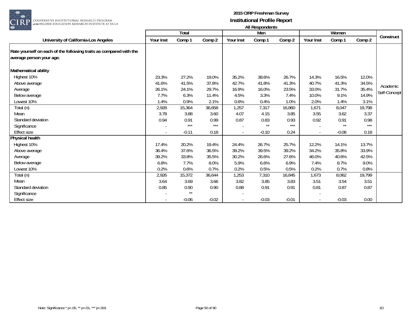

| $\smash{\smash{\cup}}\smash{\smash{\cup}}$                                                     |           | Total   |         |                          | rumvoponuomo<br>Men |         |           | Women   |        |              |
|------------------------------------------------------------------------------------------------|-----------|---------|---------|--------------------------|---------------------|---------|-----------|---------|--------|--------------|
| University of California-Los Angeles                                                           | Your Inst | Comp 1  | Comp 2  | Your Inst                | Comp 1              | Comp 2  | Your Inst | Comp 1  | Comp 2 | Construct    |
| Rate yourself on each of the following traits as compared with the<br>average person your age. |           |         |         |                          |                     |         |           |         |        |              |
| Mathematical ability                                                                           |           |         |         |                          |                     |         |           |         |        |              |
| Highest 10%                                                                                    | 23.3%     | 27.2%   | 19.0%   | 35.2%                    | 38.6%               | 26.7%   | 14.3%     | 16.5%   | 12.0%  |              |
| Above average                                                                                  | 41.6%     | 41.5%   | 37.8%   | 42.7%                    | 41.8%               | 41.3%   | 40.7%     | 41.3%   | 34.5%  |              |
| Average                                                                                        | 26.1%     | 24.1%   | 29.7%   | 16.9%                    | 16.0%               | 23.5%   | 33.0%     | 31.7%   | 35.4%  | Academic     |
| Below average                                                                                  | 7.7%      | 6.3%    | 11.4%   | 4.5%                     | 3.3%                | 7.4%    | 10.0%     | 9.1%    | 14.9%  | Self-Concept |
| Lowest 10%                                                                                     | 1.4%      | 0.9%    | 2.1%    | 0.6%                     | 0.4%                | 1.0%    | 2.0%      | 1.4%    | 3.1%   |              |
| Total (n)                                                                                      | 2,928     | 15,364  | 36,658  | 1,257                    | 7,317               | 16,860  | 1,671     | 8,047   | 19,798 |              |
| Mean                                                                                           | 3.78      | 3.88    | 3.60    | 4.07                     | 4.15                | 3.85    | 3.55      | 3.62    | 3.37   |              |
| Standard deviation                                                                             | 0.94      | 0.91    | 0.99    | 0.87                     | 0.83                | 0.93    | 0.92      | 0.91    | 0.98   |              |
| Significance                                                                                   |           | $***$   | $***$   |                          | $**$                | $***$   |           | $**$    | $***$  |              |
| Effect size                                                                                    | $\sim$    | $-0.11$ | 0.18    | $\overline{\phantom{a}}$ | $-0.10$             | 0.24    |           | $-0.08$ | 0.18   |              |
| <b>Physical health</b>                                                                         |           |         |         |                          |                     |         |           |         |        |              |
| Highest 10%                                                                                    | 17.4%     | 20.2%   | 19.4%   | 24.4%                    | 26.7%               | 25.7%   | 12.2%     | 14.1%   | 13.7%  |              |
| Above average                                                                                  | 36.4%     | 37.6%   | 36.5%   | 39.2%                    | 39.5%               | 39.2%   | 34.2%     | 35.8%   | 33.9%  |              |
| Average                                                                                        | 39.2%     | 33.8%   | 35.5%   | 30.2%                    | 26.6%               | 27.6%   | 46.0%     | 40.6%   | 42.5%  |              |
| Below average                                                                                  | 6.8%      | 7.7%    | 8.0%    | 5.9%                     | 6.6%                | 6.9%    | 7.4%      | 8.7%    | 9.0%   |              |
| Lowest 10%                                                                                     | 0.2%      | 0.6%    | 0.7%    | 0.2%                     | 0.5%                | 0.5%    | 0.2%      | 0.7%    | 0.8%   |              |
| Total (n)                                                                                      | 2,926     | 15,372  | 36,644  | 1,253                    | 7,310               | 16,845  | 1,673     | 8,062   | 19,799 |              |
| Mean                                                                                           | 3.64      | 3.69    | 3.66    | 3.82                     | 3.85                | 3.83    | 3.51      | 3.54    | 3.51   |              |
| Standard deviation                                                                             | 0.85      | 0.90    | 0.90    | 0.88                     | 0.91                | 0.91    | 0.81      | 0.87    | 0.87   |              |
| Significance                                                                                   |           | $**$    |         |                          |                     |         |           |         |        |              |
| Effect size                                                                                    |           | $-0.06$ | $-0.02$ |                          | $-0.03$             | $-0.01$ |           | $-0.03$ | 0.00   |              |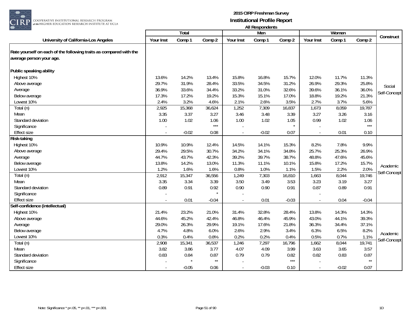

|                                                                                                |           | <b>Total</b> |              |           | Men     |         |                | Women   |              |              |
|------------------------------------------------------------------------------------------------|-----------|--------------|--------------|-----------|---------|---------|----------------|---------|--------------|--------------|
| University of California-Los Angeles                                                           | Your Inst | Comp 1       | Comp 2       | Your Inst | Comp 1  | Comp 2  | Your Inst      | Comp 1  | Comp 2       | Construct    |
| Rate yourself on each of the following traits as compared with the<br>average person your age. |           |              |              |           |         |         |                |         |              |              |
| Public speaking ability                                                                        |           |              |              |           |         |         |                |         |              |              |
| Highest 10%                                                                                    | 13.6%     | 14.2%        | 13.4%        | 15.8%     | 16.8%   | 15.7%   | 12.0%          | 11.7%   | 11.3%        |              |
| Above average                                                                                  | 29.7%     | 31.9%        | 28.4%        | 33.5%     | 34.5%   | 31.2%   | 26.9%          | 29.3%   | 25.8%        |              |
| Average                                                                                        | 36.9%     | 33.6%        | 34.4%        | 33.2%     | 31.0%   | 32.6%   | 39.6%          | 36.1%   | 36.0%        | Social       |
| Below average                                                                                  | 17.3%     | 17.2%        | 19.2%        | 15.3%     | 15.1%   | 17.0%   | 18.8%          | 19.2%   | 21.3%        | Self-Concept |
| Lowest 10%                                                                                     | 2.4%      | 3.2%         | 4.6%         | 2.1%      | 2.6%    | 3.5%    | 2.7%           | 3.7%    | 5.6%         |              |
| Total (n)                                                                                      | 2,925     | 15,368       | 36,624       | 1,252     | 7,309   | 16,837  | 1,673          | 8,059   | 19,787       |              |
| Mean                                                                                           | 3.35      | 3.37         | 3.27         | 3.46      | 3.48    | 3.39    | 3.27           | 3.26    | 3.16         |              |
| Standard deviation                                                                             | 1.00      | 1.02         | 1.06         | 1.00      | 1.02    | 1.05    | 0.99           | 1.02    | 1.06         |              |
| Significance                                                                                   |           |              | $***$        |           |         |         |                |         | $***$        |              |
| <b>Effect size</b>                                                                             | $\sim$    | $-0.02$      | 0.08         | $\sim$    | $-0.02$ | 0.07    | $\overline{a}$ | 0.01    | 0.10         |              |
| <b>Risk-taking</b>                                                                             |           |              |              |           |         |         |                |         |              |              |
| Highest 10%                                                                                    | 10.9%     | 10.9%        | 12.4%        | 14.5%     | 14.1%   | 15.3%   | 8.2%           | 7.8%    | 9.9%         |              |
| Above average                                                                                  | 29.4%     | 29.5%        | 30.7%        | 34.2%     | 34.1%   | 34.8%   | 25.7%          | 25.3%   | 26.9%        |              |
| Average                                                                                        | 44.7%     | 43.7%        | 42.3%        | 39.2%     | 39.7%   | 38.7%   | 48.8%          | 47.6%   | 45.6%        |              |
| Below average                                                                                  | 13.8%     | 14.2%        | 13.0%        | 11.3%     | 11.1%   | 10.1%   | 15.8%          | 17.2%   | 15.7%        | Academic     |
| Lowest 10%                                                                                     | 1.2%      | 1.6%         | 1.6%         | 0.8%      | 1.0%    | 1.1%    | 1.5%           | 2.2%    | 2.0%         | Self-Concept |
| Total (n)                                                                                      | 2,912     | 15,347       | 36,556       | 1,249     | 7,303   | 16,810  | 1,663          | 8,044   | 19,746       |              |
| Mean                                                                                           | 3.35      | 3.34         | 3.39         | 3.50      | 3.49    | 3.53    | 3.23           | 3.19    | 3.27         |              |
| Standard deviation                                                                             | 0.89      | 0.91         | 0.92         | 0.90      | 0.90    | 0.91    | 0.87           | 0.89    | 0.91         |              |
| Significance                                                                                   |           |              |              |           |         |         |                |         |              |              |
| <b>Effect size</b>                                                                             |           | 0.01         | $-0.04$      |           | 0.01    | $-0.03$ |                | 0.04    | $-0.04$      |              |
| Self-confidence (intellectual)                                                                 |           |              |              |           |         |         |                |         |              |              |
| Highest 10%                                                                                    | 21.4%     | 23.2%        | 21.0%        | 31.4%     | 32.8%   | 28.4%   | 13.8%          | 14.3%   | 14.3%        |              |
| Above average                                                                                  | 44.6%     | 45.2%        | 42.4%        | 46.8%     | 46.4%   | 45.9%   | 43.0%          | 44.1%   | 39.3%        |              |
| Average                                                                                        | 29.0%     | 26.3%        | 29.9%        | 19.1%     | 17.6%   | 21.8%   | 36.3%          | 34.4%   | 37.1%        |              |
| Below average                                                                                  | 4.7%      | 4.8%         | 6.0%         | 2.6%      | 2.9%    | 3.4%    | 6.3%           | 6.5%    | 8.2%         | Academic     |
| Lowest 10%                                                                                     | 0.3%      | 0.4%         | 0.8%         | 0.2%      | 0.2%    | 0.4%    | 0.5%           | 0.7%    | 1.1%         | Self-Concept |
| Total (n)                                                                                      | 2,908     | 15,341       | 36,537       | 1,246     | 7,297   | 16,796  | 1,662          | 8,044   | 19,741       |              |
| Mean                                                                                           | 3.82      | 3.86         | 3.77         | 4.07      | 4.09    | 3.99    | 3.63           | 3.65    | 3.57         |              |
| Standard deviation                                                                             | 0.83      | 0.84         | 0.87         | 0.79      | 0.79    | 0.82    | 0.82           | 0.83    | 0.87         |              |
| Significance                                                                                   |           |              | $\star\star$ |           |         | $***$   |                |         | $\star\star$ |              |
| <b>Effect size</b>                                                                             |           | $-0.05$      | 0.06         | $\sim$    | $-0.03$ | 0.10    | $\sim$         | $-0.02$ | 0.07         |              |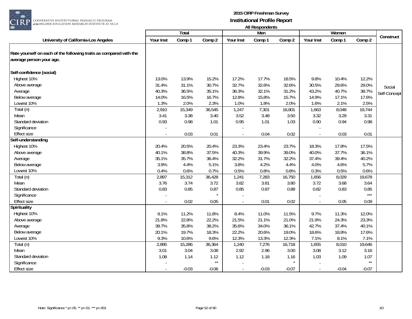

|                                                                    |           |                 |              |                          | , ,,, ,,,,,,,,,,,,,,,,, |         |                          |                 |              |              |
|--------------------------------------------------------------------|-----------|-----------------|--------------|--------------------------|-------------------------|---------|--------------------------|-----------------|--------------|--------------|
| University of California-Los Angeles                               | Your Inst | Total<br>Comp 1 | Comp 2       | Your Inst                | Men<br>Comp 1           | Comp 2  | Your Inst                | Women<br>Comp 1 | Comp 2       | Construct    |
|                                                                    |           |                 |              |                          |                         |         |                          |                 |              |              |
| Rate yourself on each of the following traits as compared with the |           |                 |              |                          |                         |         |                          |                 |              |              |
|                                                                    |           |                 |              |                          |                         |         |                          |                 |              |              |
| average person your age.                                           |           |                 |              |                          |                         |         |                          |                 |              |              |
| Self-confidence (social)                                           |           |                 |              |                          |                         |         |                          |                 |              |              |
| Highest 10%                                                        | 13.0%     | 13.9%           | 15.2%        | 17.2%                    | 17.7%                   | 18.5%   | 9.8%                     | 10.4%           | 12.2%        |              |
| Above average                                                      | 31.4%     | 31.1%           | 30.7%        | 32.7%                    | 32.6%                   | 32.6%   | 30.5%                    | 29.6%           | 29.0%        | Social       |
| Average                                                            | 40.3%     | 36.5%           | 35.1%        | 36.3%                    | 32.1%                   | 31.2%   | 43.2%                    | 40.7%           | 38.7%        |              |
| Below average                                                      | 14.0%     | 16.5%           | 16.7%        | 12.8%                    | 15.8%                   | 15.7%   | 14.9%                    | 17.1%           | 17.6%        | Self-Concept |
| Lowest 10%                                                         | 1.3%      | 2.0%            | 2.3%         | 1.0%                     | 1.8%                    | 2.0%    | 1.6%                     | 2.1%            | 2.5%         |              |
| Total (n)                                                          | 2,910     | 15,349          | 36,545       | 1,247                    | 7,301                   | 16,801  | 1,663                    | 8,048           | 19,744       |              |
| Mean                                                               | 3.41      | 3.38            | 3.40         | 3.52                     | 3.48                    | 3.50    | 3.32                     | 3.29            | 3.31         |              |
| Standard deviation                                                 | 0.93      | 0.98            | 1.01         | 0.95                     | 1.01                    | 1.03    | 0.90                     | 0.94            | 0.98         |              |
| Significance                                                       |           |                 |              |                          |                         |         |                          |                 |              |              |
| <b>Effect size</b>                                                 |           | 0.03            | 0.01         |                          | 0.04                    | 0.02    |                          | 0.03            | 0.01         |              |
| Self-understanding                                                 |           |                 |              |                          |                         |         |                          |                 |              |              |
| Highest 10%                                                        | 20.4%     | 20.5%           | 20.4%        | 23.3%                    | 23.4%                   | 23.7%   | 18.3%                    | 17.8%           | 17.5%        |              |
| Above average                                                      | 40.1%     | 38.8%           | 37.5%        | 40.3%                    | 39.9%                   | 39.0%   | 40.0%                    | 37.7%           | 36.1%        |              |
| Average                                                            | 35.1%     | 35.7%           | 36.4%        | 32.2%                    | 31.7%                   | 32.2%   | 37.4%                    | 39.4%           | 40.2%        |              |
| Below average                                                      | 3.9%      | 4.4%            | 5.1%         | 3.8%                     | 4.2%                    | 4.4%    | 4.0%                     | 4.6%            | 5.7%         |              |
| Lowest 10%                                                         | 0.4%      | 0.6%            | 0.7%         | 0.5%                     | 0.8%                    | 0.8%    | 0.3%                     | 0.5%            | 0.6%         |              |
| Total (n)                                                          | 2,897     | 15,312          | 36,428       | 1,241                    | 7,283                   | 16,750  | 1,656                    | 8,029           | 19,678       |              |
| Mean                                                               | 3.76      | 3.74            | 3.72         | 3.82                     | 3.81                    | 3.80    | 3.72                     | 3.68            | 3.64         |              |
| Standard deviation                                                 | 0.83      | 0.85            | 0.87         | 0.85                     | 0.87                    | 0.88    | 0.82                     | 0.83            | 0.85         |              |
| Significance                                                       |           |                 |              |                          |                         |         |                          |                 | $***$        |              |
| <b>Effect size</b>                                                 |           | 0.02            | 0.05         | $\overline{\phantom{a}}$ | 0.01                    | 0.02    |                          | 0.05            | 0.09         |              |
| <b>Spirituality</b>                                                |           |                 |              |                          |                         |         |                          |                 |              |              |
| Highest 10%                                                        | 9.1%      | 11.2%           | 11.8%        | 8.4%                     | 11.0%                   | 11.5%   | 9.7%                     | 11.3%           | 12.0%        |              |
| Above average                                                      | 21.8%     | 22.8%           | 22.2%        | 21.5%                    | 21.1%                   | 21.0%   | 21.9%                    | 24.3%           | 23.3%        |              |
| Average                                                            | 39.7%     | 35.8%           | 38.2%        | 35.6%                    | 34.0%                   | 36.1%   | 42.7%                    | 37.4%           | 40.1%        |              |
| Below average                                                      | 20.1%     | 19.7%           | 18.3%        | 22.2%                    | 20.6%                   | 19.0%   | 18.6%                    | 18.8%           | 17.6%        |              |
| Lowest 10%                                                         | 9.3%      | 10.6%           | 9.6%         | 12.3%                    | 13.3%                   | 12.3%   | 7.1%                     | 8.1%            | 7.1%         |              |
| Total (n)                                                          | 2,895     | 15,286          | 36,364       | 1,240                    | 7,276                   | 16,718  | 1,655                    | 8,010           | 19,646       |              |
| Mean                                                               | 3.01      | 3.04            | 3.08         | 2.92                     | 2.96                    | 3.00    | 3.08                     | 3.12            | 3.16         |              |
| Standard deviation                                                 | 1.08      | 1.14            | 1.12         | 1.12                     | 1.18                    | 1.16    | 1.03                     | 1.09            | 1.07         |              |
| Significance                                                       |           |                 | $\star\star$ |                          |                         |         |                          |                 | $\star\star$ |              |
| <b>Effect size</b>                                                 |           | $-0.03$         | $-0.06$      | $\sim$                   | $-0.03$                 | $-0.07$ | $\overline{\phantom{a}}$ | $-0.04$         | $-0.07$      |              |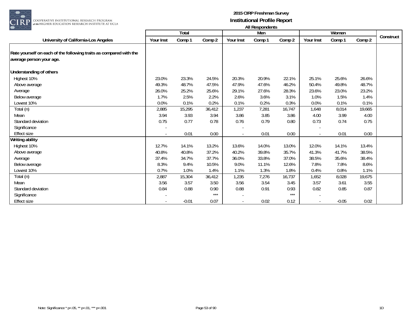

| $\smash{\smash{\cup}}\smash{\smash{\cup}}$                                                     |           | Total   |        |           | rumvooponuomo<br>Men |        |           | Women   |        |           |
|------------------------------------------------------------------------------------------------|-----------|---------|--------|-----------|----------------------|--------|-----------|---------|--------|-----------|
| University of California-Los Angeles                                                           | Your Inst | Comp 1  | Comp 2 | Your Inst | Comp 1               | Comp 2 | Your Inst | Comp 1  | Comp 2 | Construct |
| Rate yourself on each of the following traits as compared with the<br>average person your age. |           |         |        |           |                      |        |           |         |        |           |
| Understanding of others                                                                        |           |         |        |           |                      |        |           |         |        |           |
| Highest 10%                                                                                    | 23.0%     | 23.3%   | 24.5%  | 20.3%     | 20.9%                | 22.1%  | 25.1%     | 25.6%   | 26.6%  |           |
| Above average                                                                                  | 49.3%     | 48.7%   | 47.5%  | 47.9%     | 47.6%                | 46.2%  | 50.4%     | 49.8%   | 48.7%  |           |
| Average                                                                                        | 26.0%     | 25.2%   | 25.6%  | 29.1%     | 27.6%                | 28.3%  | 23.6%     | 23.0%   | 23.2%  |           |
| Below average                                                                                  | 1.7%      | 2.5%    | 2.2%   | 2.6%      | 3.6%                 | 3.1%   | 1.0%      | 1.5%    | 1.4%   |           |
| Lowest 10%                                                                                     | 0.0%      | 0.1%    | 0.2%   | 0.1%      | 0.2%                 | 0.3%   | 0.0%      | 0.1%    | 0.1%   |           |
| Total (n)                                                                                      | 2,885     | 15,295  | 36,412 | 1,237     | 7,281                | 16,747 | 1,648     | 8,014   | 19,665 |           |
| Mean                                                                                           | 3.94      | 3.93    | 3.94   | 3.86      | 3.85                 | 3.86   | 4.00      | 3.99    | 4.00   |           |
| Standard deviation                                                                             | 0.75      | 0.77    | 0.78   | 0.76      | 0.79                 | 0.80   | 0.73      | 0.74    | 0.75   |           |
| Significance                                                                                   |           |         |        |           |                      |        |           |         |        |           |
| <b>Effect size</b>                                                                             |           | 0.01    | 0.00   | $\sim$    | 0.01                 | 0.00   |           | 0.01    | 0.00   |           |
| <b>Writing ability</b>                                                                         |           |         |        |           |                      |        |           |         |        |           |
| Highest 10%                                                                                    | 12.7%     | 14.1%   | 13.2%  | 13.6%     | 14.0%                | 13.0%  | 12.0%     | 14.1%   | 13.4%  |           |
| Above average                                                                                  | 40.8%     | 40.8%   | 37.2%  | 40.2%     | 39.8%                | 35.7%  | 41.3%     | 41.7%   | 38.5%  |           |
| Average                                                                                        | 37.4%     | 34.7%   | 37.7%  | 36.0%     | 33.8%                | 37.0%  | 38.5%     | 35.6%   | 38.4%  |           |
| Below average                                                                                  | 8.3%      | 9.4%    | 10.5%  | 9.0%      | 11.1%                | 12.6%  | 7.8%      | 7.8%    | 8.6%   |           |
| Lowest 10%                                                                                     | 0.7%      | 1.0%    | 1.4%   | 1.1%      | 1.3%                 | 1.8%   | 0.4%      | 0.8%    | 1.1%   |           |
| Total (n)                                                                                      | 2,887     | 15,304  | 36,412 | 1,235     | 7,276                | 16,737 | 1,652     | 8,028   | 19,675 |           |
| Mean                                                                                           | 3.56      | 3.57    | 3.50   | 3.56      | 3.54                 | 3.45   | 3.57      | 3.61    | 3.55   |           |
| Standard deviation                                                                             | 0.84      | 0.88    | 0.90   | 0.88      | 0.91                 | 0.93   | 0.82      | 0.85    | 0.87   |           |
| Significance                                                                                   |           |         | $***$  |           |                      | $***$  |           |         |        |           |
| Effect size                                                                                    |           | $-0.01$ | 0.07   |           | 0.02                 | 0.12   |           | $-0.05$ | 0.02   |           |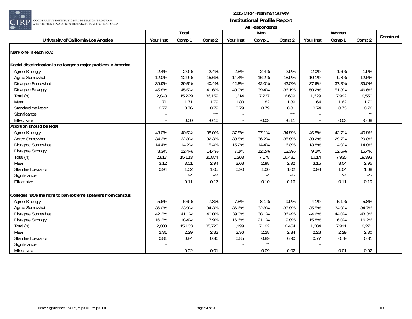

| $\smile\smile$                                                |           |        |         |           | AII RESPUNDENTS      |         |           |         |         |           |
|---------------------------------------------------------------|-----------|--------|---------|-----------|----------------------|---------|-----------|---------|---------|-----------|
|                                                               |           | Total  |         |           | Men                  |         |           | Women   |         | Construct |
| University of California-Los Angeles                          | Your Inst | Comp 1 | Comp 2  | Your Inst | Comp 1               | Comp 2  | Your Inst | Comp 1  | Comp 2  |           |
| Mark one in each row:                                         |           |        |         |           |                      |         |           |         |         |           |
| Racial discrimination is no longer a major problem in America |           |        |         |           |                      |         |           |         |         |           |
| <b>Agree Strongly</b>                                         | 2.4%      | 2.0%   | 2.4%    | 2.8%      | 2.4%                 | 2.9%    | 2.0%      | 1.6%    | 1.9%    |           |
| Agree Somewhat                                                | 12.0%     | 12.9%  | 15.6%   | 14.4%     | 16.2%                | 18.9%   | 10.1%     | 9.8%    | 12.6%   |           |
| Disagree Somewhat                                             | 39.9%     | 39.5%  | 40.4%   | 42.8%     | 42.0%                | 42.0%   | 37.6%     | 37.3%   | 39.0%   |           |
| <b>Disagree Strongly</b>                                      | 45.8%     | 45.5%  | 41.6%   | 40.0%     | 39.4%                | 36.1%   | 50.2%     | 51.3%   | 46.6%   |           |
| Total (n)                                                     | 2,843     | 15,229 | 36,159  | 1,214     | 7,237                | 16,609  | 1,629     | 7,992   | 19,550  |           |
| Mean                                                          | 1.71      | 1.71   | 1.79    | 1.80      | 1.82                 | 1.89    | 1.64      | 1.62    | 1.70    |           |
| Standard deviation                                            | 0.77      | 0.76   | 0.79    | 0.79      | 0.79                 | 0.81    | 0.74      | 0.73    | 0.76    |           |
| Significance                                                  |           |        | $***$   |           |                      | $***$   |           |         | $**$    |           |
| <b>Effect size</b>                                            |           | 0.00   | $-0.10$ | $\sim$    | $-0.03$              | $-0.11$ |           | 0.03    | $-0.08$ |           |
| Abortion should be legal                                      |           |        |         |           |                      |         |           |         |         |           |
| Agree Strongly                                                | 43.0%     | 40.5%  | 38.0%   | 37.8%     | 37.1%                | 34.8%   | 46.8%     | 43.7%   | 40.8%   |           |
| Agree Somewhat                                                | 34.3%     | 32.8%  | 32.3%   | 39.8%     | 36.2%                | 35.8%   | 30.2%     | 29.7%   | 29.0%   |           |
| Disagree Somewhat                                             | 14.4%     | 14.2%  | 15.4%   | 15.2%     | 14.4%                | 16.0%   | 13.8%     | 14.0%   | 14.8%   |           |
| Disagree Strongly                                             | 8.3%      | 12.4%  | 14.4%   | 7.1%      | 12.2%                | 13.3%   | 9.2%      | 12.6%   | 15.4%   |           |
| Total (n)                                                     | 2,817     | 15,113 | 35,874  | 1,203     | 7,178                | 16,481  | 1,614     | 7,935   | 19,393  |           |
| Mean                                                          | 3.12      | 3.01   | 2.94    | 3.08      | 2.98                 | 2.92    | 3.15      | 3.04    | 2.95    |           |
| Standard deviation                                            | 0.94      | 1.02   | 1.05    | 0.90      | 1.00                 | 1.02    | 0.98      | 1.04    | 1.08    |           |
| Significance                                                  |           | $***$  | $***$   |           | $\star\star$         | $***$   |           | $***$   | $***$   |           |
| Effect size                                                   |           | 0.11   | 0.17    |           | 0.10                 | 0.16    |           | 0.11    | 0.19    |           |
| Colleges have the right to ban extreme speakers from campus   |           |        |         |           |                      |         |           |         |         |           |
| <b>Agree Strongly</b>                                         | 5.6%      | 6.6%   | 7.8%    | 7.8%      | 8.1%                 | 9.9%    | 4.1%      | 5.1%    | 5.8%    |           |
|                                                               | 36.0%     |        |         |           |                      |         |           | 34.9%   |         |           |
| Agree Somewhat                                                |           | 33.9%  | 34.3%   | 36.6%     | 32.8%                | 33.8%   | 35.5%     |         | 34.7%   |           |
| Disagree Somewhat                                             | 42.2%     | 41.1%  | 40.0%   | 39.0%     | 38.1%                | 36.4%   | 44.6%     | 44.0%   | 43.3%   |           |
| Disagree Strongly                                             | 16.2%     | 18.4%  | 17.9%   | 16.6%     | 21.1%                | 19.8%   | 15.8%     | 16.0%   | 16.2%   |           |
| Total (n)                                                     | 2,803     | 15,103 | 35,725  | 1,199     | 7,192                | 16,454  | 1,604     | 7,911   | 19,271  |           |
| Mean                                                          | 2.31      | 2.29   | 2.32    | 2.36      | 2.28                 | 2.34    | 2.28      | 2.29    | 2.30    |           |
| Standard deviation                                            | 0.81      | 0.84   | 0.86    | 0.85      | 0.89<br>$\star\star$ | 0.90    | 0.77      | 0.79    | 0.81    |           |
| Significance                                                  |           |        |         |           |                      |         |           |         |         |           |
| <b>Effect size</b>                                            |           | 0.02   | $-0.01$ |           | 0.09                 | 0.02    |           | $-0.01$ | $-0.02$ |           |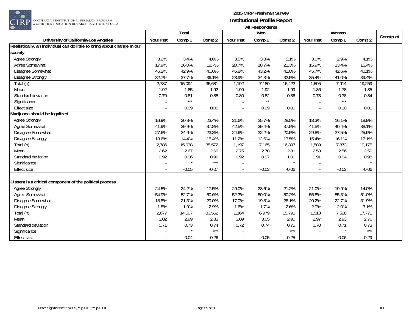

RP <mark>cooperative institutional research program</mark><br>at the Higher education research institute at ucla

|                                                                         |           |         |         |                          | 1.00         |         |           |         |         |           |
|-------------------------------------------------------------------------|-----------|---------|---------|--------------------------|--------------|---------|-----------|---------|---------|-----------|
|                                                                         |           | Total   |         |                          | Men          |         |           | Women   |         | Construct |
| University of California-Los Angeles                                    | Your Inst | Comp 1  | Comp 2  | Your Inst                | Comp 1       | Comp 2  | Your Inst | Comp 1  | Comp 2  |           |
| Realistically, an individual can do little to bring about change in our |           |         |         |                          |              |         |           |         |         |           |
| society                                                                 |           |         |         |                          |              |         |           |         |         |           |
| <b>Agree Strongly</b>                                                   | 3.2%      | 3.4%    | 4.6%    | 3.5%                     | 3.8%         | 5.1%    | 3.0%      | 2.9%    | 4.1%    |           |
| Agree Somewhat                                                          | 17.9%     | 16.0%   | 18.7%   | 20.7%                    | 18.7%        | 21.3%   | 15.9%     | 13.4%   | 16.4%   |           |
| Disagree Somewhat                                                       | 46.2%     | 42.9%   | 40.6%   | 46.8%                    | 43.2%        | 41.0%   | 45.7%     | 42.6%   | 40.1%   |           |
| <b>Disagree Strongly</b>                                                | 32.7%     | 37.7%   | 36.1%   | 28.9%                    | 34.3%        | 32.5%   | 35.4%     | 41.0%   | 39.4%   |           |
| Total (n)                                                               | 2,787     | 15,094  | 35,681  | 1,192                    | 7,180        | 16,422  | 1,595     | 7,914   | 19,259  |           |
| Mean                                                                    | 1.92      | 1.85    | 1.92    | 1.99                     | 1.92         | 1.99    | 1.86      | 1.78    | 1.85    |           |
| Standard deviation                                                      | 0.79      | 0.81    | 0.85    | 0.80                     | 0.82         | 0.86    | 0.78      | 0.78    | 0.84    |           |
| Significance                                                            |           | $***$   |         |                          | $\star\star$ |         |           | $***$   |         |           |
| <b>Effect size</b>                                                      |           | 0.09    | 0.00    | $\sim$                   | 0.09         | 0.00    |           | 0.10    | 0.01    |           |
| Marijuana should be legalized                                           |           |         |         |                          |              |         |           |         |         |           |
| Agree Strongly                                                          | 16.9%     | 20.8%   | 23.4%   | 21.6%                    | 25.7%        | 28.5%   | 13.3%     | 16.1%   | 18.9%   |           |
| Agree Somewhat                                                          | 41.9%     | 39.9%   | 37.8%   | 42.5%                    | 39.4%        | 37.5%   | 41.5%     | 40.4%   | 38.1%   |           |
| Disagree Somewhat                                                       | 27.6%     | 24.9%   | 23.3%   | 24.6%                    | 22.2%        | 20.5%   | 29.8%     | 27.5%   | 25.9%   |           |
| Disagree Strongly                                                       | 13.6%     | 14.4%   | 15.4%   | 11.2%                    | 12.6%        | 13.5%   | 15.4%     | 16.1%   | 17.1%   |           |
| Total (n)                                                               | 2,786     | 15,038  | 35,572  | 1,197                    | 7,165        | 16,397  | 1,589     | 7,873   | 19,175  |           |
| Mean                                                                    | 2.62      | 2.67    | 2.69    | 2.75                     | 2.78         | 2.81    | 2.53      | 2.56    | 2.59    |           |
| Standard deviation                                                      | 0.92      | 0.96    | 0.99    | 0.92                     | 0.97         | 1.00    | 0.91      | 0.94    | 0.98    |           |
| Significance                                                            |           |         | $***$   |                          |              |         |           |         | $\star$ |           |
| <b>Effect size</b>                                                      |           | $-0.05$ | $-0.07$ | $\overline{\phantom{a}}$ | $-0.03$      | $-0.06$ |           | $-0.03$ | $-0.06$ |           |
|                                                                         |           |         |         |                          |              |         |           |         |         |           |
| Dissent is a critical component of the political process                |           |         |         |                          |              |         |           |         |         |           |
| <b>Agree Strongly</b>                                                   | 24.5%     | 24.2%   | 17.5%   | 29.0%                    | 28.6%        | 21.2%   | 21.0%     | 19.9%   | 14.0%   |           |
| Agree Somewhat                                                          | 54.9%     | 52.7%   | 50.6%   | 52.3%                    | 50.0%        | 50.2%   | 56.8%     | 55.3%   | 51.0%   |           |
| Disagree Somewhat                                                       | 18.8%     | 21.3%   | 29.0%   | 17.0%                    | 19.8%        | 26.1%   | 20.2%     | 22.7%   | 31.9%   |           |
| Disagree Strongly                                                       | 1.8%      | 1.9%    | 2.9%    | 1.6%                     | 1.7%         | 2.6%    | 2.0%      | 2.0%    | 3.1%    |           |
| Total (n)                                                               | 2,677     | 14,507  | 33,562  | 1,164                    | 6,979        | 15,791  | 1,513     | 7,528   | 17,771  |           |
| Mean                                                                    | 3.02      | 2.99    | 2.83    | 3.09                     | 3.05         | 2.90    | 2.97      | 2.93    | 2.76    |           |
| Standard deviation                                                      | 0.71      | 0.73    | 0.74    | 0.72                     | 0.74         | 0.75    | 0.70      | 0.71    | 0.73    |           |
| Significance                                                            |           |         | $***$   |                          |              | $***$   |           |         | $***$   |           |
| Effect size                                                             |           | 0.04    | 0.26    | $\blacksquare$           | 0.05         | 0.25    |           | 0.06    | 0.29    |           |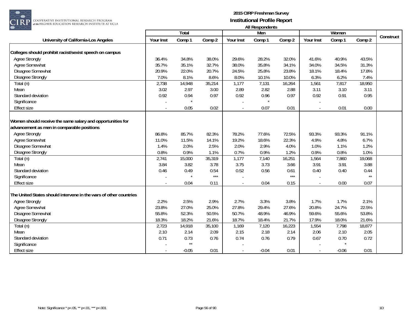

|                                                                   |           | <b>Total</b> |               |                          | Men     |               |           | Women   |              |           |
|-------------------------------------------------------------------|-----------|--------------|---------------|--------------------------|---------|---------------|-----------|---------|--------------|-----------|
| University of California-Los Angeles                              | Your Inst | Comp 1       | Comp 2        | Your Inst                | Comp 1  | Comp 2        | Your Inst | Comp 1  | Comp 2       | Construct |
| Colleges should prohibit racist/sexist speech on campus           |           |              |               |                          |         |               |           |         |              |           |
| <b>Agree Strongly</b>                                             | 36.4%     | 34.8%        | 38.0%         | 29.6%                    | 28.2%   | 32.0%         | 41.6%     | 40.9%   | 43.5%        |           |
| Agree Somewhat                                                    | 35.7%     | 35.1%        | 32.7%         | 38.0%                    | 35.8%   | 34.1%         | 34.0%     | 34.5%   | 31.3%        |           |
| Disagree Somewhat                                                 | 20.9%     | 22.0%        | 20.7%         | 24.5%                    | 25.8%   | 23.8%         | 18.1%     | 18.4%   | 17.8%        |           |
| <b>Disagree Strongly</b>                                          | 7.0%      | 8.1%         | 8.6%          | 8.0%                     | 10.1%   | 10.0%         | 6.3%      | 6.2%    | 7.4%         |           |
| Total (n)                                                         | 2,738     | 14,948       | 35,214        | 1,177                    | 7,131   | 16,264        | 1,561     | 7,817   | 18,950       |           |
| Mean                                                              | 3.02      | 2.97         | 3.00          | 2.89                     | 2.82    | 2.88          | 3.11      | 3.10    | 3.11         |           |
| Standard deviation                                                | 0.92      | 0.94         | 0.97          | 0.92                     | 0.96    | 0.97          | 0.92      | 0.91    | 0.95         |           |
| Significance                                                      |           |              |               |                          |         |               |           |         |              |           |
| <b>Effect size</b>                                                | $\sim$    | 0.05         | 0.02          | $\blacksquare$           | 0.07    | 0.01          |           | 0.01    | 0.00         |           |
|                                                                   |           |              |               |                          |         |               |           |         |              |           |
| Women should receive the same salary and opportunities for        |           |              |               |                          |         |               |           |         |              |           |
| advancement as men in comparable positions                        |           |              |               |                          |         |               |           |         |              |           |
| <b>Agree Strongly</b>                                             | 86.8%     | 85.7%        | 82.3%         | 78.2%                    | 77.6%   | 72.5%         | 93.3%     | 93.3%   | 91.1%        |           |
| Agree Somewhat                                                    | 11.0%     | 11.5%        | 14.1%         | 19.2%                    | 18.6%   | 22.3%         | 4.9%      | 4.8%    | 6.7%         |           |
| Disagree Somewhat                                                 | 1.4%      | 2.0%         | 2.5%          | 2.0%                     | 2.9%    | 4.0%          | 1.0%      | 1.1%    | 1.2%         |           |
| <b>Disagree Strongly</b>                                          | 0.8%      | 0.9%         | 1.1%          | 0.7%                     | 0.9%    | 1.2%          | 0.9%      | 0.8%    | 1.0%         |           |
| Total (n)                                                         | 2,741     | 15,000       | 35,319        | 1,177                    | 7,140   | 16,251        | 1,564     | 7,860   | 19,068       |           |
| Mean                                                              | 3.84      | 3.82         | 3.78          | 3.75                     | 3.73    | 3.66          | 3.91      | 3.91    | 3.88         |           |
| Standard deviation                                                | 0.46      | 0.49         | 0.54<br>$***$ | 0.52                     | 0.56    | 0.61<br>$***$ | 0.40      | 0.40    | 0.44<br>$**$ |           |
| Significance                                                      |           |              |               |                          |         |               |           |         |              |           |
| <b>Effect size</b>                                                |           | 0.04         | 0.11          | $\sim$                   | 0.04    | 0.15          |           | 0.00    | 0.07         |           |
| The United States should intervene in the wars of other countries |           |              |               |                          |         |               |           |         |              |           |
| <b>Agree Strongly</b>                                             | 2.2%      | 2.5%         | 2.9%          | 2.7%                     | 3.3%    | 3.8%          | 1.7%      | 1.7%    | 2.1%         |           |
| Agree Somewhat                                                    | 23.8%     | 27.0%        | 25.0%         | 27.8%                    | 29.4%   | 27.6%         | 20.8%     | 24.7%   | 22.5%        |           |
| Disagree Somewhat                                                 | 55.8%     | 52.3%        | 50.5%         | 50.7%                    | 48.9%   | 46.9%         | 59.6%     | 55.6%   | 53.8%        |           |
| <b>Disagree Strongly</b>                                          | 18.3%     | 18.2%        | 21.6%         | 18.7%                    | 18.4%   | 21.7%         | 17.9%     | 18.0%   | 21.6%        |           |
| Total (n)                                                         | 2,723     | 14,918       | 35,100        | 1,169                    | 7,120   | 16,223        | 1,554     | 7,798   | 18,877       |           |
| Mean                                                              | 2.10      | 2.14         | 2.09          | 2.15                     | 2.18    | 2.14          | 2.06      | 2.10    | 2.05         |           |
| Standard deviation                                                | 0.71      | 0.73         | 0.76          | 0.74                     | 0.76    | 0.79          | 0.67      | 0.70    | 0.72         |           |
| Significance                                                      |           | $\star\star$ |               |                          |         |               |           |         |              |           |
| <b>Effect size</b>                                                |           | $-0.05$      | 0.01          | $\overline{\phantom{a}}$ | $-0.04$ | 0.01          |           | $-0.06$ | 0.01         |           |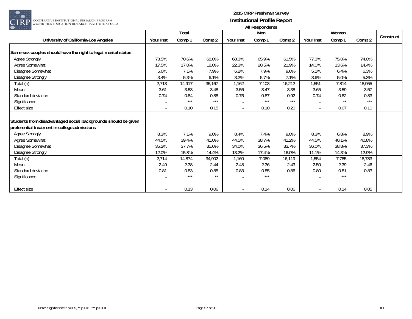

| $\sim$ $\sim$ $\sim$                                           |           | Total  |        |                          | 1.01110<br>Men |        |           | Women  |        |           |
|----------------------------------------------------------------|-----------|--------|--------|--------------------------|----------------|--------|-----------|--------|--------|-----------|
| University of California-Los Angeles                           | Your Inst | Comp 1 | Comp 2 | Your Inst                | Comp 1         | Comp 2 | Your Inst | Comp 1 | Comp 2 | Construct |
|                                                                |           |        |        |                          |                |        |           |        |        |           |
| Same-sex couples should have the right to legal marital status |           |        |        |                          |                |        |           |        |        |           |
| Agree Strongly                                                 | 73.5%     | 70.6%  | 68.0%  | 68.3%                    | 65.9%          | 61.5%  | 77.3%     | 75.0%  | 74.0%  |           |
| Agree Somewhat                                                 | 17.5%     | 17.0%  | 18.0%  | 22.3%                    | 20.5%          | 21.9%  | 14.0%     | 13.6%  | 14.4%  |           |
| Disagree Somewhat                                              | 5.6%      | 7.1%   | 7.9%   | 6.2%                     | 7.9%           | 9.6%   | 5.1%      | 6.4%   | 6.3%   |           |
| <b>Disagree Strongly</b>                                       | 3.4%      | 5.3%   | 6.1%   | 3.2%                     | 5.7%           | 7.1%   | 3.6%      | 5.0%   | 5.3%   |           |
| Total (n)                                                      | 2,713     | 14,917 | 35,167 | 1,162                    | 7,103          | 16,212 | 1,551     | 7,814  | 18,955 |           |
| Mean                                                           | 3.61      | 3.53   | 3.48   | 3.56                     | 3.47           | 3.38   | 3.65      | 3.59   | 3.57   |           |
| Standard deviation                                             | 0.74      | 0.84   | 0.88   | 0.75                     | 0.87           | 0.92   | 0.74      | 0.82   | 0.83   |           |
| Significance                                                   |           | $***$  | $***$  |                          | $***$          | $***$  |           | $**$   | ***    |           |
| Effect size                                                    |           | 0.10   | 0.15   | $\blacksquare$           | 0.10           | 0.20   |           | 0.07   | 0.10   |           |
|                                                                |           |        |        |                          |                |        |           |        |        |           |
| Students from disadvantaged social backgrounds should be given |           |        |        |                          |                |        |           |        |        |           |
| preferential treatment in college admissions                   |           |        |        |                          |                |        |           |        |        |           |
| <b>Agree Strongly</b>                                          | 8.3%      | 7.1%   | 9.0%   | 8.4%                     | 7.4%           | 9.0%   | 8.3%      | 6.8%   | 8.9%   |           |
| Agree Somewhat                                                 | 44.5%     | 39.4%  | 41.0%  | 44.5%                    | 38.7%          | 41.2%  | 44.5%     | 40.1%  | 40.8%  |           |
| Disagree Somewhat                                              | 35.2%     | 37.7%  | 35.6%  | 34.0%                    | 36.5%          | 33.7%  | 36.0%     | 38.8%  | 37.3%  |           |
| <b>Disagree Strongly</b>                                       | 12.0%     | 15.8%  | 14.4%  | 13.2%                    | 17.4%          | 16.0%  | 11.1%     | 14.3%  | 12.9%  |           |
| Total (n)                                                      | 2,714     | 14,874 | 34,902 | 1,160                    | 7,089          | 16,119 | 1,554     | 7,785  | 18,783 |           |
| Mean                                                           | 2.49      | 2.38   | 2.44   | 2.48                     | 2.36           | 2.43   | 2.50      | 2.39   | 2.46   |           |
| Standard deviation                                             | 0.81      | 0.83   | 0.85   | 0.83                     | 0.85           | 0.86   | 0.80      | 0.81   | 0.83   |           |
| Significance                                                   |           | $***$  | $**$   |                          | ***            |        |           | $***$  |        |           |
|                                                                |           |        |        |                          |                |        |           |        |        |           |
| Effect size                                                    |           | 0.13   | 0.06   | $\overline{\phantom{a}}$ | 0.14           | 0.06   |           | 0.14   | 0.05   |           |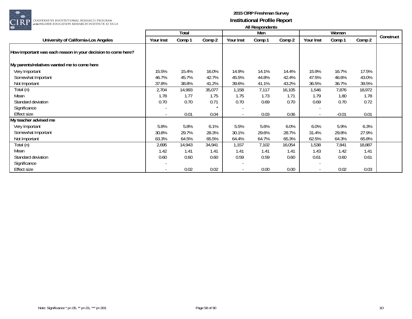

|                                                              |                          | Total  |         |           | Men    |        |           | Women   |        |           |
|--------------------------------------------------------------|--------------------------|--------|---------|-----------|--------|--------|-----------|---------|--------|-----------|
| University of California-Los Angeles                         | Your Inst                | Comp 1 | Comp 2  | Your Inst | Comp 1 | Comp 2 | Your Inst | Comp 1  | Comp 2 | Construct |
| How important was each reason in your decision to come here? |                          |        |         |           |        |        |           |         |        |           |
| My parents/relatives wanted me to come here                  |                          |        |         |           |        |        |           |         |        |           |
| Very Important                                               | 15.5%                    | 15.4%  | 16.0%   | 14.9%     | 14.1%  | 14.4%  | 15.9%     | 16.7%   | 17.5%  |           |
| Somewhat Important                                           | 46.7%                    | 45.7%  | 42.7%   | 45.5%     | 44.8%  | 42.4%  | 47.5%     | 46.6%   | 43.0%  |           |
| Not Important                                                | 37.8%                    | 38.8%  | 41.2%   | 39.6%     | 41.1%  | 43.2%  | 36.5%     | 36.7%   | 39.5%  |           |
| Total (n)                                                    | 2,704                    | 14,993 | 35,077  | 1,158     | 7,117  | 16,105 | 1,546     | 7,876   | 18,972 |           |
| Mean                                                         | 1.78                     | 1.77   | 1.75    | 1.75      | 1.73   | 1.71   | 1.79      | 1.80    | 1.78   |           |
| Standard deviation                                           | 0.70                     | 0.70   | 0.71    | 0.70      | 0.69   | 0.70   | 0.69      | 0.70    | 0.72   |           |
| Significance                                                 |                          |        | $\star$ |           |        |        |           |         |        |           |
| Effect size                                                  | $\overline{\phantom{a}}$ | 0.01   | 0.04    | $\sim$    | 0.03   | 0.06   |           | $-0.01$ | 0.01   |           |
| My teacher advised me                                        |                          |        |         |           |        |        |           |         |        |           |
| Very Important                                               | 5.8%                     | 5.8%   | 6.1%    | 5.5%      | 5.6%   | 6.0%   | 6.0%      | 5.9%    | 6.3%   |           |
| Somewhat Important                                           | 30.8%                    | 29.7%  | 28.3%   | 30.1%     | 29.6%  | 28.7%  | 31.4%     | 29.8%   | 27.9%  |           |
| Not Important                                                | 63.3%                    | 64.5%  | 65.5%   | 64.4%     | 64.7%  | 65.3%  | 62.5%     | 64.3%   | 65.8%  |           |
| Total (n)                                                    | 2,695                    | 14,943 | 34,941  | 1,157     | 7,102  | 16,054 | 1,538     | 7,841   | 18,887 |           |
| Mean                                                         | 1.42                     | 1.41   | 1.41    | 1.41      | 1.41   | 1.41   | 1.43      | 1.42    | 1.41   |           |
| Standard deviation                                           | 0.60                     | 0.60   | 0.60    | 0.59      | 0.59   | 0.60   | 0.61      | 0.60    | 0.61   |           |
| Significance                                                 |                          |        |         |           |        |        |           |         |        |           |
| <b>Effect size</b>                                           |                          | 0.02   | 0.02    | $\sim$    | 0.00   | 0.00   |           | 0.02    | 0.03   |           |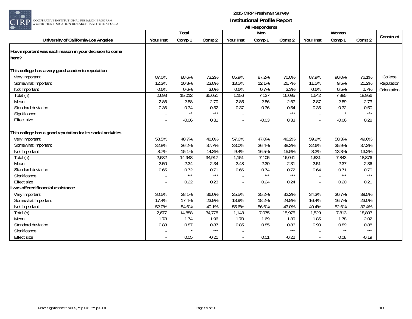

| $\smash{\smash{\cup}}\smash{\smash{\cup}}$                      |           |         |         |                          | All nusponuurius |         |           |              |                   |             |
|-----------------------------------------------------------------|-----------|---------|---------|--------------------------|------------------|---------|-----------|--------------|-------------------|-------------|
|                                                                 |           | Total   |         |                          | Men              |         |           | Women        |                   | Construct   |
| University of California-Los Angeles                            | Your Inst | Comp 1  | Comp 2  | Your Inst                | Comp 1           | Comp 2  | Your Inst | Comp 1       | Comp 2            |             |
| How important was each reason in your decision to come<br>here? |           |         |         |                          |                  |         |           |              |                   |             |
| This college has a very good academic reputation                |           |         |         |                          |                  |         |           |              |                   |             |
| Very Important                                                  | 87.0%     | 88.6%   | 73.2%   | 85.9%                    | 87.2%            | 70.0%   | 87.9%     | 90.0%        | 76.1%             | College     |
| Somewhat Important                                              | 12.3%     | 10.8%   | 23.8%   | 13.5%                    | 12.1%            | 26.7%   | 11.5%     | 9.5%         | 21.2%             | Reputation  |
| Not Important                                                   | 0.6%      | 0.6%    | 3.0%    | 0.6%                     | 0.7%             | 3.3%    | 0.6%      | 0.5%         | 2.7%              | Orientation |
| $\overline{\mathrm{Total}}$ (n)                                 | 2,698     | 15,012  | 35,051  | 1,156                    | 7,127            | 16,095  | 1,542     | 7,885        | 18,956            |             |
| Mean                                                            | 2.86      | 2.88    | 2.70    | 2.85                     | 2.86             | 2.67    | 2.87      | 2.89         | 2.73              |             |
| Standard deviation                                              | 0.36      | 0.34    | 0.52    | 0.37                     | 0.36             | 0.54    | 0.35      | 0.32         | 0.50              |             |
| Significance                                                    |           | $**$    | $***$   |                          |                  | $***$   |           |              | $***$             |             |
| <b>Effect size</b>                                              |           | $-0.06$ | 0.31    | $\overline{\phantom{a}}$ | $-0.03$          | 0.33    |           | $-0.06$      | 0.28              |             |
| This college has a good reputation for its social activities    |           |         |         |                          |                  |         |           |              |                   |             |
| Very Important                                                  | 58.5%     | 48.7%   | 48.0%   | 57.6%                    | 47.0%            | 46.2%   | 59.2%     | 50.3%        | 49.6%             |             |
| Somewhat Important                                              | 32.8%     | 36.2%   | 37.7%   | 33.0%                    | 36.4%            | 38.2%   | 32.6%     | 35.9%        | 37.2%             |             |
| Not Important                                                   | 8.7%      | 15.1%   | 14.3%   | 9.4%                     | 16.5%            | 15.5%   | 8.2%      | 13.8%        | 13.2%             |             |
| Total (n)                                                       | 2,682     | 14,948  | 34,917  | 1,151                    | 7,105            | 16,041  | 1,531     | 7,843        | 18,876            |             |
| Mean                                                            | 2.50      | 2.34    | 2.34    | 2.48                     | 2.30             | 2.31    | 2.51      | 2.37         | 2.36              |             |
| Standard deviation                                              | 0.65      | 0.72    | 0.71    | 0.66                     | 0.74             | 0.72    | 0.64      | 0.71         | 0.70              |             |
| Significance                                                    |           | $***$   | $***$   |                          | $***$            | $***$   |           | $***$        | $***$             |             |
| <b>Effect size</b>                                              |           | 0.22    | 0.23    |                          | 0.24             | 0.24    |           | 0.20         | 0.21              |             |
| was offered financial assistance                                |           |         |         |                          |                  |         |           |              |                   |             |
| Very Important                                                  | 30.5%     | 28.1%   | 36.0%   | 25.5%                    | 25.2%            | 32.2%   | 34.3%     | 30.7%        | 39.5%             |             |
| Somewhat Important                                              | 17.4%     | 17.4%   | 23.9%   | 18.9%                    | 18.2%            | 24.8%   | 16.4%     | 16.7%        | 23.0%             |             |
| Not Important                                                   | 52.0%     | 54.6%   | 40.1%   | 55.6%                    | 56.6%            | 43.0%   | 49.4%     | 52.6%        | 37.4%             |             |
| Total (n)                                                       | 2,677     | 14,888  | 34,778  | 1,148                    | 7,075            | 15,975  | 1,529     | 7,813        | 18,803            |             |
| Mean                                                            | 1.78      | 1.74    | 1.96    | 1.70                     | 1.69             | 1.89    | 1.85      | 1.78         | 2.02              |             |
| Standard deviation                                              | 0.88      | 0.87    | 0.87    | 0.85                     | 0.85             | 0.86    | 0.90      | 0.89         | 0.88              |             |
| Significance                                                    |           |         | $***$   |                          |                  | $***$   |           | $\star\star$ | $\star\star\star$ |             |
| <b>Effect size</b>                                              |           | 0.05    | $-0.21$ |                          | 0.01             | $-0.22$ |           | 0.08         | $-0.19$           |             |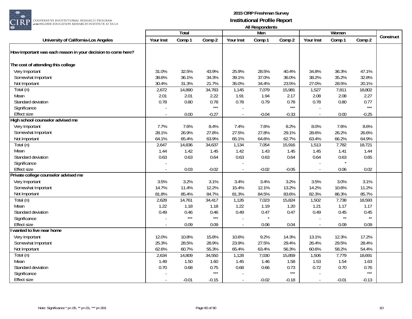

| Construct<br>Comp 2<br>Your Inst<br>Comp 1<br>Comp 2<br>Your Inst<br>Comp 1<br>Comp 2<br>Your Inst<br>Comp 1<br>University of California-Los Angeles<br>How important was each reason in your decision to come here?<br>The cost of attending this college<br>Very Important<br>31.0%<br>32.5%<br>43.9%<br>25.9%<br>28.5%<br>40.4%<br>34.8%<br>36.3%<br>47.1%<br>Somewhat Important<br>36.1%<br>39.1%<br>37.0%<br>38.2%<br>35.2%<br>32.8%<br>38.6%<br>34.3%<br>36.0%<br>28.5%<br>20.1%<br>30.4%<br>31.3%<br>21.7%<br>35.0%<br>34.4%<br>23.5%<br>27.0%<br>Not Important<br>18,802<br>Total (n)<br>2,672<br>14,890<br>34,783<br>1,145<br>7,079<br>15,981<br>1,527<br>7,811<br>2.01<br>2.01<br>2.22<br>1.91<br>1.94<br>2.17<br>2.08<br>2.08<br>2.27<br>Mean<br>Standard deviation<br>0.78<br>0.78<br>0.78<br>0.79<br>0.78<br>0.80<br>0.77<br>0.80<br>0.78<br>$***$<br>$***$<br>$***$<br>Significance<br>0.00<br>$-0.27$<br><b>Effect size</b><br>$-0.04$<br>$-0.33$<br>0.00<br>$-0.25$<br>$\sim$<br>High school counselor advised me<br>7.7%<br>7.6%<br>7.4%<br>7.6%<br>8.2%<br>8.0%<br>7.6%<br>8.6%<br>Very Important<br>8.4%<br>28.1%<br>26.9%<br>27.8%<br>27.5%<br>27.8%<br>29.1%<br>28.6%<br>26.2%<br>26.6%<br>Somewhat Important<br>64.1%<br>65.4%<br>65.1%<br>62.7%<br>66.2%<br>64.9%<br>Not Important<br>63.9%<br>64.6%<br>63.4%<br>7,782<br>2,647<br>14,836<br>34,637<br>7,054<br>15,916<br>1,513<br>18,721<br>Total (n)<br>1,134<br>1.44<br>1.42<br>1.42<br>1.45<br>1.45<br>1.41<br>1.44<br>Mean<br>1.45<br>1.43<br>Standard deviation<br>0.63<br>0.63<br>0.63<br>0.63<br>0.63<br>0.65<br>0.64<br>0.64<br>0.64<br>Significance<br><b>Effect size</b><br>0.03<br>$-0.02$<br>$-0.02$<br>$-0.05$<br>0.06<br>0.02<br>Private college counselor advised me<br>Very Important<br>3.5%<br>3.2%<br>3.1%<br>3.4%<br>3.4%<br>3.2%<br>3.5%<br>3.0%<br>3.1%<br>Somewhat Important<br>14.7%<br>11.4%<br>12.2%<br>15.4%<br>12.1%<br>13.2%<br>14.2%<br>10.6%<br>11.2%<br>81.8%<br>85.4%<br>82.3%<br>86.3%<br>85.7%<br>84.7%<br>81.3%<br>84.5%<br>83.6%<br>Not Important<br>Total (n)<br>2,628<br>14,761<br>15,824<br>1,502<br>7,738<br>18,593<br>34,417<br>1,126<br>7,023<br>1.22<br>1.18<br>1.18<br>1.22<br>1.19<br>1.20<br>1.21<br>1.17<br>1.17<br>Mean<br>Standard deviation<br>0.49<br>0.49<br>0.47<br>0.49<br>0.45<br>0.45<br>0.46<br>0.46<br>0.47<br>$***$<br>$***$<br>$\star\star$<br>$\star\star$<br>Significance<br><b>Effect size</b><br>0.09<br>0.09<br>0.06<br>0.04<br>0.09<br>0.09<br>$\sim$<br>wanted to live near home<br>12.0%<br>10.8%<br>15.8%<br>10.6%<br>9.2%<br>13.1%<br>12.3%<br>17.2%<br>Very Important<br>14.3%<br>29.5%<br>28.4%<br>25.3%<br>28.5%<br>28.9%<br>23.9%<br>27.5%<br>29.4%<br>26.4%<br>Somewhat Important<br>60.7%<br>65.4%<br>56.3%<br>58.2%<br>54.4%<br>Not Important<br>62.6%<br>55.3%<br>63.4%<br>60.6%<br>7,779<br>2,634<br>14,809<br>15,859<br>18,691<br>Total (n)<br>34,550<br>1,128<br>7,030<br>1,506<br>1.49<br>Mean<br>1.50<br>1.60<br>1.45<br>1.46<br>1.58<br>1.53<br>1.54<br>1.63<br>Standard deviation<br>0.70<br>0.68<br>0.75<br>0.68<br>0.66<br>0.73<br>0.72<br>0.76<br>0.70<br>$***$<br>$***$<br>$***$<br>Significance<br><b>Effect size</b><br>$-0.01$<br>$-0.15$<br>$-0.02$<br>$-0.18$<br>$-0.13$<br>$-0.01$<br>$\blacksquare$ |  |       |  | בוויטאווטעכטרו וור |  |       |  |
|------------------------------------------------------------------------------------------------------------------------------------------------------------------------------------------------------------------------------------------------------------------------------------------------------------------------------------------------------------------------------------------------------------------------------------------------------------------------------------------------------------------------------------------------------------------------------------------------------------------------------------------------------------------------------------------------------------------------------------------------------------------------------------------------------------------------------------------------------------------------------------------------------------------------------------------------------------------------------------------------------------------------------------------------------------------------------------------------------------------------------------------------------------------------------------------------------------------------------------------------------------------------------------------------------------------------------------------------------------------------------------------------------------------------------------------------------------------------------------------------------------------------------------------------------------------------------------------------------------------------------------------------------------------------------------------------------------------------------------------------------------------------------------------------------------------------------------------------------------------------------------------------------------------------------------------------------------------------------------------------------------------------------------------------------------------------------------------------------------------------------------------------------------------------------------------------------------------------------------------------------------------------------------------------------------------------------------------------------------------------------------------------------------------------------------------------------------------------------------------------------------------------------------------------------------------------------------------------------------------------------------------------------------------------------------------------------------------------------------------------------------------------------------------------------------------------------------------------------------------------------------------------------------------------------------------------------------------------------------------------------------------------------------------------------------------------------------------------------------------------------------------------------------------------------------------------------------------------------------------------------------------------------|--|-------|--|--------------------|--|-------|--|
|                                                                                                                                                                                                                                                                                                                                                                                                                                                                                                                                                                                                                                                                                                                                                                                                                                                                                                                                                                                                                                                                                                                                                                                                                                                                                                                                                                                                                                                                                                                                                                                                                                                                                                                                                                                                                                                                                                                                                                                                                                                                                                                                                                                                                                                                                                                                                                                                                                                                                                                                                                                                                                                                                                                                                                                                                                                                                                                                                                                                                                                                                                                                                                                                                                                                              |  | Total |  | Men                |  | Women |  |
|                                                                                                                                                                                                                                                                                                                                                                                                                                                                                                                                                                                                                                                                                                                                                                                                                                                                                                                                                                                                                                                                                                                                                                                                                                                                                                                                                                                                                                                                                                                                                                                                                                                                                                                                                                                                                                                                                                                                                                                                                                                                                                                                                                                                                                                                                                                                                                                                                                                                                                                                                                                                                                                                                                                                                                                                                                                                                                                                                                                                                                                                                                                                                                                                                                                                              |  |       |  |                    |  |       |  |
|                                                                                                                                                                                                                                                                                                                                                                                                                                                                                                                                                                                                                                                                                                                                                                                                                                                                                                                                                                                                                                                                                                                                                                                                                                                                                                                                                                                                                                                                                                                                                                                                                                                                                                                                                                                                                                                                                                                                                                                                                                                                                                                                                                                                                                                                                                                                                                                                                                                                                                                                                                                                                                                                                                                                                                                                                                                                                                                                                                                                                                                                                                                                                                                                                                                                              |  |       |  |                    |  |       |  |
|                                                                                                                                                                                                                                                                                                                                                                                                                                                                                                                                                                                                                                                                                                                                                                                                                                                                                                                                                                                                                                                                                                                                                                                                                                                                                                                                                                                                                                                                                                                                                                                                                                                                                                                                                                                                                                                                                                                                                                                                                                                                                                                                                                                                                                                                                                                                                                                                                                                                                                                                                                                                                                                                                                                                                                                                                                                                                                                                                                                                                                                                                                                                                                                                                                                                              |  |       |  |                    |  |       |  |
|                                                                                                                                                                                                                                                                                                                                                                                                                                                                                                                                                                                                                                                                                                                                                                                                                                                                                                                                                                                                                                                                                                                                                                                                                                                                                                                                                                                                                                                                                                                                                                                                                                                                                                                                                                                                                                                                                                                                                                                                                                                                                                                                                                                                                                                                                                                                                                                                                                                                                                                                                                                                                                                                                                                                                                                                                                                                                                                                                                                                                                                                                                                                                                                                                                                                              |  |       |  |                    |  |       |  |
|                                                                                                                                                                                                                                                                                                                                                                                                                                                                                                                                                                                                                                                                                                                                                                                                                                                                                                                                                                                                                                                                                                                                                                                                                                                                                                                                                                                                                                                                                                                                                                                                                                                                                                                                                                                                                                                                                                                                                                                                                                                                                                                                                                                                                                                                                                                                                                                                                                                                                                                                                                                                                                                                                                                                                                                                                                                                                                                                                                                                                                                                                                                                                                                                                                                                              |  |       |  |                    |  |       |  |
|                                                                                                                                                                                                                                                                                                                                                                                                                                                                                                                                                                                                                                                                                                                                                                                                                                                                                                                                                                                                                                                                                                                                                                                                                                                                                                                                                                                                                                                                                                                                                                                                                                                                                                                                                                                                                                                                                                                                                                                                                                                                                                                                                                                                                                                                                                                                                                                                                                                                                                                                                                                                                                                                                                                                                                                                                                                                                                                                                                                                                                                                                                                                                                                                                                                                              |  |       |  |                    |  |       |  |
|                                                                                                                                                                                                                                                                                                                                                                                                                                                                                                                                                                                                                                                                                                                                                                                                                                                                                                                                                                                                                                                                                                                                                                                                                                                                                                                                                                                                                                                                                                                                                                                                                                                                                                                                                                                                                                                                                                                                                                                                                                                                                                                                                                                                                                                                                                                                                                                                                                                                                                                                                                                                                                                                                                                                                                                                                                                                                                                                                                                                                                                                                                                                                                                                                                                                              |  |       |  |                    |  |       |  |
|                                                                                                                                                                                                                                                                                                                                                                                                                                                                                                                                                                                                                                                                                                                                                                                                                                                                                                                                                                                                                                                                                                                                                                                                                                                                                                                                                                                                                                                                                                                                                                                                                                                                                                                                                                                                                                                                                                                                                                                                                                                                                                                                                                                                                                                                                                                                                                                                                                                                                                                                                                                                                                                                                                                                                                                                                                                                                                                                                                                                                                                                                                                                                                                                                                                                              |  |       |  |                    |  |       |  |
|                                                                                                                                                                                                                                                                                                                                                                                                                                                                                                                                                                                                                                                                                                                                                                                                                                                                                                                                                                                                                                                                                                                                                                                                                                                                                                                                                                                                                                                                                                                                                                                                                                                                                                                                                                                                                                                                                                                                                                                                                                                                                                                                                                                                                                                                                                                                                                                                                                                                                                                                                                                                                                                                                                                                                                                                                                                                                                                                                                                                                                                                                                                                                                                                                                                                              |  |       |  |                    |  |       |  |
|                                                                                                                                                                                                                                                                                                                                                                                                                                                                                                                                                                                                                                                                                                                                                                                                                                                                                                                                                                                                                                                                                                                                                                                                                                                                                                                                                                                                                                                                                                                                                                                                                                                                                                                                                                                                                                                                                                                                                                                                                                                                                                                                                                                                                                                                                                                                                                                                                                                                                                                                                                                                                                                                                                                                                                                                                                                                                                                                                                                                                                                                                                                                                                                                                                                                              |  |       |  |                    |  |       |  |
|                                                                                                                                                                                                                                                                                                                                                                                                                                                                                                                                                                                                                                                                                                                                                                                                                                                                                                                                                                                                                                                                                                                                                                                                                                                                                                                                                                                                                                                                                                                                                                                                                                                                                                                                                                                                                                                                                                                                                                                                                                                                                                                                                                                                                                                                                                                                                                                                                                                                                                                                                                                                                                                                                                                                                                                                                                                                                                                                                                                                                                                                                                                                                                                                                                                                              |  |       |  |                    |  |       |  |
|                                                                                                                                                                                                                                                                                                                                                                                                                                                                                                                                                                                                                                                                                                                                                                                                                                                                                                                                                                                                                                                                                                                                                                                                                                                                                                                                                                                                                                                                                                                                                                                                                                                                                                                                                                                                                                                                                                                                                                                                                                                                                                                                                                                                                                                                                                                                                                                                                                                                                                                                                                                                                                                                                                                                                                                                                                                                                                                                                                                                                                                                                                                                                                                                                                                                              |  |       |  |                    |  |       |  |
|                                                                                                                                                                                                                                                                                                                                                                                                                                                                                                                                                                                                                                                                                                                                                                                                                                                                                                                                                                                                                                                                                                                                                                                                                                                                                                                                                                                                                                                                                                                                                                                                                                                                                                                                                                                                                                                                                                                                                                                                                                                                                                                                                                                                                                                                                                                                                                                                                                                                                                                                                                                                                                                                                                                                                                                                                                                                                                                                                                                                                                                                                                                                                                                                                                                                              |  |       |  |                    |  |       |  |
|                                                                                                                                                                                                                                                                                                                                                                                                                                                                                                                                                                                                                                                                                                                                                                                                                                                                                                                                                                                                                                                                                                                                                                                                                                                                                                                                                                                                                                                                                                                                                                                                                                                                                                                                                                                                                                                                                                                                                                                                                                                                                                                                                                                                                                                                                                                                                                                                                                                                                                                                                                                                                                                                                                                                                                                                                                                                                                                                                                                                                                                                                                                                                                                                                                                                              |  |       |  |                    |  |       |  |
|                                                                                                                                                                                                                                                                                                                                                                                                                                                                                                                                                                                                                                                                                                                                                                                                                                                                                                                                                                                                                                                                                                                                                                                                                                                                                                                                                                                                                                                                                                                                                                                                                                                                                                                                                                                                                                                                                                                                                                                                                                                                                                                                                                                                                                                                                                                                                                                                                                                                                                                                                                                                                                                                                                                                                                                                                                                                                                                                                                                                                                                                                                                                                                                                                                                                              |  |       |  |                    |  |       |  |
|                                                                                                                                                                                                                                                                                                                                                                                                                                                                                                                                                                                                                                                                                                                                                                                                                                                                                                                                                                                                                                                                                                                                                                                                                                                                                                                                                                                                                                                                                                                                                                                                                                                                                                                                                                                                                                                                                                                                                                                                                                                                                                                                                                                                                                                                                                                                                                                                                                                                                                                                                                                                                                                                                                                                                                                                                                                                                                                                                                                                                                                                                                                                                                                                                                                                              |  |       |  |                    |  |       |  |
|                                                                                                                                                                                                                                                                                                                                                                                                                                                                                                                                                                                                                                                                                                                                                                                                                                                                                                                                                                                                                                                                                                                                                                                                                                                                                                                                                                                                                                                                                                                                                                                                                                                                                                                                                                                                                                                                                                                                                                                                                                                                                                                                                                                                                                                                                                                                                                                                                                                                                                                                                                                                                                                                                                                                                                                                                                                                                                                                                                                                                                                                                                                                                                                                                                                                              |  |       |  |                    |  |       |  |
|                                                                                                                                                                                                                                                                                                                                                                                                                                                                                                                                                                                                                                                                                                                                                                                                                                                                                                                                                                                                                                                                                                                                                                                                                                                                                                                                                                                                                                                                                                                                                                                                                                                                                                                                                                                                                                                                                                                                                                                                                                                                                                                                                                                                                                                                                                                                                                                                                                                                                                                                                                                                                                                                                                                                                                                                                                                                                                                                                                                                                                                                                                                                                                                                                                                                              |  |       |  |                    |  |       |  |
|                                                                                                                                                                                                                                                                                                                                                                                                                                                                                                                                                                                                                                                                                                                                                                                                                                                                                                                                                                                                                                                                                                                                                                                                                                                                                                                                                                                                                                                                                                                                                                                                                                                                                                                                                                                                                                                                                                                                                                                                                                                                                                                                                                                                                                                                                                                                                                                                                                                                                                                                                                                                                                                                                                                                                                                                                                                                                                                                                                                                                                                                                                                                                                                                                                                                              |  |       |  |                    |  |       |  |
|                                                                                                                                                                                                                                                                                                                                                                                                                                                                                                                                                                                                                                                                                                                                                                                                                                                                                                                                                                                                                                                                                                                                                                                                                                                                                                                                                                                                                                                                                                                                                                                                                                                                                                                                                                                                                                                                                                                                                                                                                                                                                                                                                                                                                                                                                                                                                                                                                                                                                                                                                                                                                                                                                                                                                                                                                                                                                                                                                                                                                                                                                                                                                                                                                                                                              |  |       |  |                    |  |       |  |
|                                                                                                                                                                                                                                                                                                                                                                                                                                                                                                                                                                                                                                                                                                                                                                                                                                                                                                                                                                                                                                                                                                                                                                                                                                                                                                                                                                                                                                                                                                                                                                                                                                                                                                                                                                                                                                                                                                                                                                                                                                                                                                                                                                                                                                                                                                                                                                                                                                                                                                                                                                                                                                                                                                                                                                                                                                                                                                                                                                                                                                                                                                                                                                                                                                                                              |  |       |  |                    |  |       |  |
|                                                                                                                                                                                                                                                                                                                                                                                                                                                                                                                                                                                                                                                                                                                                                                                                                                                                                                                                                                                                                                                                                                                                                                                                                                                                                                                                                                                                                                                                                                                                                                                                                                                                                                                                                                                                                                                                                                                                                                                                                                                                                                                                                                                                                                                                                                                                                                                                                                                                                                                                                                                                                                                                                                                                                                                                                                                                                                                                                                                                                                                                                                                                                                                                                                                                              |  |       |  |                    |  |       |  |
|                                                                                                                                                                                                                                                                                                                                                                                                                                                                                                                                                                                                                                                                                                                                                                                                                                                                                                                                                                                                                                                                                                                                                                                                                                                                                                                                                                                                                                                                                                                                                                                                                                                                                                                                                                                                                                                                                                                                                                                                                                                                                                                                                                                                                                                                                                                                                                                                                                                                                                                                                                                                                                                                                                                                                                                                                                                                                                                                                                                                                                                                                                                                                                                                                                                                              |  |       |  |                    |  |       |  |
|                                                                                                                                                                                                                                                                                                                                                                                                                                                                                                                                                                                                                                                                                                                                                                                                                                                                                                                                                                                                                                                                                                                                                                                                                                                                                                                                                                                                                                                                                                                                                                                                                                                                                                                                                                                                                                                                                                                                                                                                                                                                                                                                                                                                                                                                                                                                                                                                                                                                                                                                                                                                                                                                                                                                                                                                                                                                                                                                                                                                                                                                                                                                                                                                                                                                              |  |       |  |                    |  |       |  |
|                                                                                                                                                                                                                                                                                                                                                                                                                                                                                                                                                                                                                                                                                                                                                                                                                                                                                                                                                                                                                                                                                                                                                                                                                                                                                                                                                                                                                                                                                                                                                                                                                                                                                                                                                                                                                                                                                                                                                                                                                                                                                                                                                                                                                                                                                                                                                                                                                                                                                                                                                                                                                                                                                                                                                                                                                                                                                                                                                                                                                                                                                                                                                                                                                                                                              |  |       |  |                    |  |       |  |
|                                                                                                                                                                                                                                                                                                                                                                                                                                                                                                                                                                                                                                                                                                                                                                                                                                                                                                                                                                                                                                                                                                                                                                                                                                                                                                                                                                                                                                                                                                                                                                                                                                                                                                                                                                                                                                                                                                                                                                                                                                                                                                                                                                                                                                                                                                                                                                                                                                                                                                                                                                                                                                                                                                                                                                                                                                                                                                                                                                                                                                                                                                                                                                                                                                                                              |  |       |  |                    |  |       |  |
|                                                                                                                                                                                                                                                                                                                                                                                                                                                                                                                                                                                                                                                                                                                                                                                                                                                                                                                                                                                                                                                                                                                                                                                                                                                                                                                                                                                                                                                                                                                                                                                                                                                                                                                                                                                                                                                                                                                                                                                                                                                                                                                                                                                                                                                                                                                                                                                                                                                                                                                                                                                                                                                                                                                                                                                                                                                                                                                                                                                                                                                                                                                                                                                                                                                                              |  |       |  |                    |  |       |  |
|                                                                                                                                                                                                                                                                                                                                                                                                                                                                                                                                                                                                                                                                                                                                                                                                                                                                                                                                                                                                                                                                                                                                                                                                                                                                                                                                                                                                                                                                                                                                                                                                                                                                                                                                                                                                                                                                                                                                                                                                                                                                                                                                                                                                                                                                                                                                                                                                                                                                                                                                                                                                                                                                                                                                                                                                                                                                                                                                                                                                                                                                                                                                                                                                                                                                              |  |       |  |                    |  |       |  |
|                                                                                                                                                                                                                                                                                                                                                                                                                                                                                                                                                                                                                                                                                                                                                                                                                                                                                                                                                                                                                                                                                                                                                                                                                                                                                                                                                                                                                                                                                                                                                                                                                                                                                                                                                                                                                                                                                                                                                                                                                                                                                                                                                                                                                                                                                                                                                                                                                                                                                                                                                                                                                                                                                                                                                                                                                                                                                                                                                                                                                                                                                                                                                                                                                                                                              |  |       |  |                    |  |       |  |
|                                                                                                                                                                                                                                                                                                                                                                                                                                                                                                                                                                                                                                                                                                                                                                                                                                                                                                                                                                                                                                                                                                                                                                                                                                                                                                                                                                                                                                                                                                                                                                                                                                                                                                                                                                                                                                                                                                                                                                                                                                                                                                                                                                                                                                                                                                                                                                                                                                                                                                                                                                                                                                                                                                                                                                                                                                                                                                                                                                                                                                                                                                                                                                                                                                                                              |  |       |  |                    |  |       |  |
|                                                                                                                                                                                                                                                                                                                                                                                                                                                                                                                                                                                                                                                                                                                                                                                                                                                                                                                                                                                                                                                                                                                                                                                                                                                                                                                                                                                                                                                                                                                                                                                                                                                                                                                                                                                                                                                                                                                                                                                                                                                                                                                                                                                                                                                                                                                                                                                                                                                                                                                                                                                                                                                                                                                                                                                                                                                                                                                                                                                                                                                                                                                                                                                                                                                                              |  |       |  |                    |  |       |  |
|                                                                                                                                                                                                                                                                                                                                                                                                                                                                                                                                                                                                                                                                                                                                                                                                                                                                                                                                                                                                                                                                                                                                                                                                                                                                                                                                                                                                                                                                                                                                                                                                                                                                                                                                                                                                                                                                                                                                                                                                                                                                                                                                                                                                                                                                                                                                                                                                                                                                                                                                                                                                                                                                                                                                                                                                                                                                                                                                                                                                                                                                                                                                                                                                                                                                              |  |       |  |                    |  |       |  |
|                                                                                                                                                                                                                                                                                                                                                                                                                                                                                                                                                                                                                                                                                                                                                                                                                                                                                                                                                                                                                                                                                                                                                                                                                                                                                                                                                                                                                                                                                                                                                                                                                                                                                                                                                                                                                                                                                                                                                                                                                                                                                                                                                                                                                                                                                                                                                                                                                                                                                                                                                                                                                                                                                                                                                                                                                                                                                                                                                                                                                                                                                                                                                                                                                                                                              |  |       |  |                    |  |       |  |
|                                                                                                                                                                                                                                                                                                                                                                                                                                                                                                                                                                                                                                                                                                                                                                                                                                                                                                                                                                                                                                                                                                                                                                                                                                                                                                                                                                                                                                                                                                                                                                                                                                                                                                                                                                                                                                                                                                                                                                                                                                                                                                                                                                                                                                                                                                                                                                                                                                                                                                                                                                                                                                                                                                                                                                                                                                                                                                                                                                                                                                                                                                                                                                                                                                                                              |  |       |  |                    |  |       |  |
|                                                                                                                                                                                                                                                                                                                                                                                                                                                                                                                                                                                                                                                                                                                                                                                                                                                                                                                                                                                                                                                                                                                                                                                                                                                                                                                                                                                                                                                                                                                                                                                                                                                                                                                                                                                                                                                                                                                                                                                                                                                                                                                                                                                                                                                                                                                                                                                                                                                                                                                                                                                                                                                                                                                                                                                                                                                                                                                                                                                                                                                                                                                                                                                                                                                                              |  |       |  |                    |  |       |  |
|                                                                                                                                                                                                                                                                                                                                                                                                                                                                                                                                                                                                                                                                                                                                                                                                                                                                                                                                                                                                                                                                                                                                                                                                                                                                                                                                                                                                                                                                                                                                                                                                                                                                                                                                                                                                                                                                                                                                                                                                                                                                                                                                                                                                                                                                                                                                                                                                                                                                                                                                                                                                                                                                                                                                                                                                                                                                                                                                                                                                                                                                                                                                                                                                                                                                              |  |       |  |                    |  |       |  |
|                                                                                                                                                                                                                                                                                                                                                                                                                                                                                                                                                                                                                                                                                                                                                                                                                                                                                                                                                                                                                                                                                                                                                                                                                                                                                                                                                                                                                                                                                                                                                                                                                                                                                                                                                                                                                                                                                                                                                                                                                                                                                                                                                                                                                                                                                                                                                                                                                                                                                                                                                                                                                                                                                                                                                                                                                                                                                                                                                                                                                                                                                                                                                                                                                                                                              |  |       |  |                    |  |       |  |
|                                                                                                                                                                                                                                                                                                                                                                                                                                                                                                                                                                                                                                                                                                                                                                                                                                                                                                                                                                                                                                                                                                                                                                                                                                                                                                                                                                                                                                                                                                                                                                                                                                                                                                                                                                                                                                                                                                                                                                                                                                                                                                                                                                                                                                                                                                                                                                                                                                                                                                                                                                                                                                                                                                                                                                                                                                                                                                                                                                                                                                                                                                                                                                                                                                                                              |  |       |  |                    |  |       |  |
|                                                                                                                                                                                                                                                                                                                                                                                                                                                                                                                                                                                                                                                                                                                                                                                                                                                                                                                                                                                                                                                                                                                                                                                                                                                                                                                                                                                                                                                                                                                                                                                                                                                                                                                                                                                                                                                                                                                                                                                                                                                                                                                                                                                                                                                                                                                                                                                                                                                                                                                                                                                                                                                                                                                                                                                                                                                                                                                                                                                                                                                                                                                                                                                                                                                                              |  |       |  |                    |  |       |  |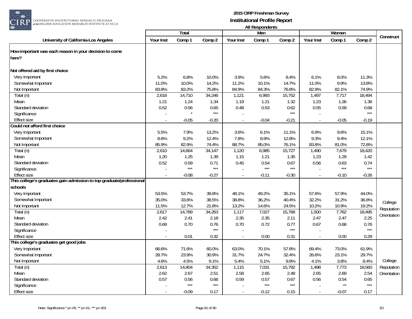

|                                                                      |           | Total   |         |                | Men     |         |                | Women        |         |             |
|----------------------------------------------------------------------|-----------|---------|---------|----------------|---------|---------|----------------|--------------|---------|-------------|
| University of California-Los Angeles                                 | Your Inst | Comp 1  | Comp 2  | Your Inst      | Comp 1  | Comp 2  | Your Inst      | Comp 1       | Comp 2  | Construct   |
| How important was each reason in your decision to come               |           |         |         |                |         |         |                |              |         |             |
| here?                                                                |           |         |         |                |         |         |                |              |         |             |
|                                                                      |           |         |         |                |         |         |                |              |         |             |
| Not offered aid by first choice                                      |           |         |         |                |         |         |                |              |         |             |
| Very Important                                                       | 5.2%      | 6.8%    | 10.0%   | 3.9%           | 5.6%    | 8.4%    | 6.1%           | 8.0%         | 11.3%   |             |
| Somewhat Important                                                   | 11.0%     | 10.0%   | 14.2%   | 11.2%          | 10.1%   | 14.7%   | 11.0%          | 9.9%         | 13.8%   |             |
| Not Important                                                        | 83.8%     | 83.2%   | 75.8%   | 84.9%          | 84.3%   | 76.8%   | 82.9%          | 82.1%        | 74.9%   |             |
| Total (n)                                                            | 2,618     | 14,710  | 34,246  | 1,121          | 6,993   | 15,752  | 1,497          | 7,717        | 18,494  |             |
| Mean                                                                 | 1.21      | 1.24    | 1.34    | 1.19           | 1.21    | 1.32    | 1.23           | 1.26         | 1.36    |             |
| Standard deviation                                                   | 0.52      | 0.56    | 0.65    | 0.48           | 0.53    | 0.62    | 0.55           | 0.59         | 0.68    |             |
| Significance                                                         |           |         | $***$   |                |         | $***$   |                |              | $***$   |             |
| <b>Effect size</b>                                                   |           | $-0.05$ | $-0.20$ | ÷,             | $-0.04$ | $-0.21$ |                | $-0.05$      | $-0.19$ |             |
| Could not afford first choice                                        |           |         |         |                |         |         |                |              |         |             |
| Very Important                                                       | 5.5%      | 7.9%    | 13.2%   | 3.6%           | 6.1%    | 11.1%   | 6.9%           | 9.6%         | 15.1%   |             |
| Somewhat Important                                                   | 8.6%      | 9.2%    | 12.4%   | 7.8%           | 8.9%    | 12.8%   | 9.3%           | 9.4%         | 12.1%   |             |
| Not Important                                                        | 85.9%     | 82.9%   | 74.4%   | 88.7%          | 85.0%   | 76.1%   | 83.8%          | 81.0%        | 72.8%   |             |
| Total (n)                                                            | 2,610     | 14,664  | 34,147  | 1,120          | 6,985   | 15,727  | 1,490          | 7,679        | 18,420  |             |
| Mean                                                                 | 1.20      | 1.25    | 1.39    | 1.15           | 1.21    | 1.35    | 1.23           | 1.29         | 1.42    |             |
| Standard deviation                                                   | 0.52      | 0.59    | 0.71    | 0.45           | 0.54    | 0.67    | 0.56           | 0.63         | 0.74    |             |
| Significance                                                         | $\sim$    | $***$   | $***$   |                | $***$   | $***$   |                | $***$        | $***$   |             |
| <b>Effect size</b>                                                   |           | $-0.08$ | $-0.27$ | $\sim$         | $-0.11$ | $-0.30$ |                | $-0.10$      | $-0.26$ |             |
| This college's graduates gain admission to top graduate/professional |           |         |         |                |         |         |                |              |         |             |
| schools                                                              |           |         |         |                |         |         |                |              |         |             |
| Very Important                                                       | 53.5%     | 53.7%   | 39.8%   | 48.1%          | 49.2%   | 35.1%   | 57.6%          | 57.9%        | 44.0%   |             |
| Somewhat Important                                                   | 35.0%     | 33.6%   | 38.5%   | 38.8%          | 36.2%   | 40.4%   | 32.2%          | 31.2%        | 36.8%   | College     |
| Not Important                                                        | 11.5%     | 12.7%   | 21.8%   | 13.2%          | 14.6%   | 24.5%   | 10.2%          | 10.9%        | 19.2%   | Reputation  |
| $\overline{\text{Total}}$ (n)                                        | 2,617     | 14,789  | 34,263  | 1,117          | 7,027   | 15,768  | 1,500          | 7,762        | 18,495  |             |
| Mean                                                                 | 2.42      | 2.41    | 2.18    | 2.35           | 2.35    | 2.11    | 2.47           | 2.47         | 2.25    | Orientation |
| Standard deviation                                                   | 0.69      | 0.70    | 0.76    | 0.70           | 0.72    | 0.77    | 0.67           | 0.68         | 0.76    |             |
| Significance                                                         |           |         | $***$   |                |         | $***$   |                |              | $***$   |             |
| <b>Effect size</b>                                                   | $\sim$    | 0.01    | 0.32    | $\blacksquare$ | 0.00    | 0.31    | $\overline{a}$ | 0.00         | 0.29    |             |
| This college's graduates get good jobs                               |           |         |         |                |         |         |                |              |         |             |
| Very Important                                                       | 66.6%     | 71.6%   | 60.0%   | 63.0%          | 70.1%   | 57.8%   | 69.4%          | 73.0%        | 61.9%   |             |
| Somewhat Important                                                   | 28.7%     | 23.9%   | 30.9%   | 31.7%          | 24.7%   | 32.4%   | 26.6%          | 23.1%        | 29.7%   |             |
| Not Important                                                        | 4.6%      | 4.5%    | 9.1%    | 5.4%           | 5.1%    | 9.8%    | 4.1%           | 3.8%         | 8.4%    | College     |
| Total (n)                                                            | 2,613     | 14,804  | 34,352  | 1,115          | 7,031   | 15,792  | 1,498          | 7,773        | 18,560  | Reputation  |
| Mean                                                                 | 2.62      | 2.67    | 2.51    | 2.58           | 2.65    | 2.48    | 2.65           | 2.69         | 2.54    | Orientation |
| Standard deviation                                                   | 0.57      | 0.56    | 0.66    | 0.59           | 0.57    | 0.67    | 0.56           | 0.54         | 0.65    |             |
| Significance                                                         |           | $***$   | $***$   |                | $***$   | $***$   |                | $\star\star$ | $***$   |             |
| <b>Effect size</b>                                                   |           | $-0.09$ | 0.17    | $\omega$       | $-0.12$ | 0.15    |                | $-0.07$      | 0.17    |             |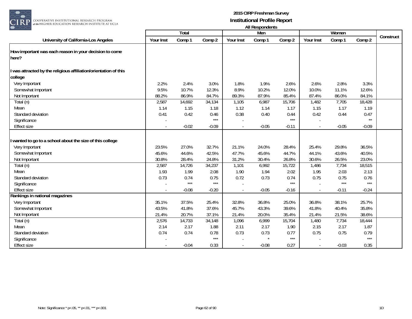

|                                                                           |           |         |         |           | mi nooponuomo |         |           |         |              |           |
|---------------------------------------------------------------------------|-----------|---------|---------|-----------|---------------|---------|-----------|---------|--------------|-----------|
|                                                                           |           | Total   |         |           | Men           |         |           | Women   |              |           |
| University of California-Los Angeles                                      | Your Inst | Comp 1  | Comp 2  | Your Inst | Comp 1        | Comp 2  | Your Inst | Comp 1  | Comp 2       | Construct |
| How important was each reason in your decision to come<br>here?           |           |         |         |           |               |         |           |         |              |           |
| was attracted by the religious affiliation/orientation of this<br>college |           |         |         |           |               |         |           |         |              |           |
| Very Important                                                            | 2.2%      | 2.4%    | 3.0%    | 1.8%      | 1.9%          | 2.6%    | 2.6%      | 2.8%    | 3.3%         |           |
| Somewhat Important                                                        | 9.5%      | 10.7%   | 12.3%   | 8.9%      | 10.2%         | 12.0%   | 10.0%     | 11.1%   | 12.6%        |           |
| Not Important                                                             | 88.2%     | 86.9%   | 84.7%   | 89.3%     | 87.9%         | 85.4%   | 87.4%     | 86.0%   | 84.1%        |           |
| Total (n)                                                                 | 2,587     | 14,692  | 34,134  | 1,105     | 6,987         | 15,706  | 1,482     | 7,705   | 18,428       |           |
| Mean                                                                      | 1.14      | 1.15    | 1.18    | 1.12      | 1.14          | 1.17    | 1.15      | 1.17    | 1.19         |           |
| Standard deviation                                                        | 0.41      | 0.42    | 0.46    | 0.38      | 0.40          | 0.44    | 0.42      | 0.44    | 0.47         |           |
| Significance                                                              |           |         | $***$   |           |               | $***$   |           |         | $\star\star$ |           |
| <b>Effect size</b>                                                        |           | $-0.02$ | $-0.09$ |           | $-0.05$       | $-0.11$ |           | $-0.05$ | $-0.09$      |           |
| wanted to go to a school about the size of this college<br>Very Important | 23.5%     | 27.0%   | 32.7%   | 21.1%     | 24.0%         | 28.4%   | 25.4%     | 29.8%   | 36.5%        |           |
| Somewhat Important                                                        | 45.6%     | 44.6%   | 42.5%   | 47.7%     | 45.6%         | 44.7%   | 44.1%     | 43.6%   | 40.5%        |           |
| Not Important                                                             | 30.8%     | 28.4%   | 24.8%   | 31.2%     | 30.4%         | 26.8%   | 30.6%     | 26.5%   | 23.0%        |           |
| Total (n)                                                                 | 2,587     | 14,726  | 34,237  | 1,101     | 6,992         | 15,722  | 1,486     | 7,734   | 18,515       |           |
| Mean                                                                      | 1.93      | 1.99    | 2.08    | 1.90      | 1.94          | 2.02    | 1.95      | 2.03    | 2.13         |           |
| Standard deviation                                                        | 0.73      | 0.74    | 0.75    | 0.72      | 0.73          | 0.74    | 0.75      | 0.75    | 0.76         |           |
| Significance                                                              |           | $***$   | $***$   |           |               | $***$   |           | $***$   | $***$        |           |
| <b>Effect size</b>                                                        |           | $-0.08$ | $-0.20$ |           | $-0.05$       | $-0.16$ |           | $-0.11$ | $-0.24$      |           |
| Rankings in national magazines                                            |           |         |         |           |               |         |           |         |              |           |
| Very Important                                                            | 35.1%     | 37.5%   | 25.4%   | 32.8%     | 36.8%         | 25.0%   | 36.8%     | 38.1%   | 25.7%        |           |
| Somewhat Important                                                        | 43.5%     | 41.8%   | 37.6%   | 45.7%     | 43.3%         | 39.6%   | 41.8%     | 40.4%   | 35.8%        |           |
| Not Important                                                             | 21.4%     | 20.7%   | 37.1%   | 21.4%     | 20.0%         | 35.4%   | 21.4%     | 21.5%   | 38.6%        |           |
| Total (n)                                                                 | 2,576     | 14,733  | 34,148  | 1,096     | 6,999         | 15,704  | 1,480     | 7,734   | 18,444       |           |
| Mean                                                                      | 2.14      | 2.17    | 1.88    | 2.11      | 2.17          | 1.90    | 2.15      | 2.17    | 1.87         |           |
| Standard deviation                                                        | 0.74      | 0.74    | 0.78    | 0.73      | 0.73          | 0.77    | 0.75      | 0.75    | 0.79         |           |
| Significance                                                              |           |         | $***$   |           |               | $***$   |           |         | $***$        |           |
| <b>Effect size</b>                                                        |           | $-0.04$ | 0.33    | $\sim$    | $-0.08$       | 0.27    |           | $-0.03$ | 0.35         |           |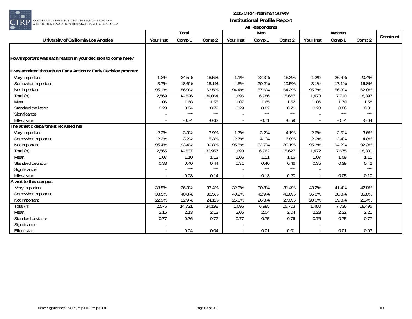

| ----                                                           |           |         |         |           | AII RESPUTIUCITIS |         |           |         |         |           |
|----------------------------------------------------------------|-----------|---------|---------|-----------|-------------------|---------|-----------|---------|---------|-----------|
|                                                                |           | Total   |         |           | Men               |         |           | Women   |         |           |
| University of California-Los Angeles                           | Your Inst | Comp 1  | Comp 2  | Your Inst | Comp 1            | Comp 2  | Your Inst | Comp 1  | Comp 2  | Construct |
|                                                                |           |         |         |           |                   |         |           |         |         |           |
| How important was each reason in your decision to come here?   |           |         |         |           |                   |         |           |         |         |           |
| was admitted through an Early Action or Early Decision program |           |         |         |           |                   |         |           |         |         |           |
| Very Important                                                 | 1.2%      | 24.5%   | 18.5%   | 1.1%      | 22.3%             | 16.3%   | 1.2%      | 26.6%   | 20.4%   |           |
| Somewhat Important                                             | 3.7%      | 18.6%   | 18.1%   | 4.5%      | 20.2%             | 19.5%   | 3.1%      | 17.1%   | 16.8%   |           |
| Not Important                                                  | 95.1%     | 56.9%   | 63.5%   | 94.4%     | 57.6%             | 64.2%   | 95.7%     | 56.3%   | 62.8%   |           |
| Total (n)                                                      | 2,569     | 14,696  | 34,064  | 1,096     | 6,986             | 15,667  | 1,473     | 7,710   | 18,397  |           |
| Mean                                                           | 1.06      | 1.68    | 1.55    | 1.07      | 1.65              | 1.52    | 1.06      | 1.70    | 1.58    |           |
| Standard deviation                                             | 0.28      | 0.84    | 0.79    | 0.29      | 0.82              | 0.76    | 0.28      | 0.86    | 0.81    |           |
| Significance                                                   |           | $***$   | $***$   |           | $***$             | $***$   |           | $***$   | $***$   |           |
| <b>Effect size</b>                                             |           | $-0.74$ | $-0.62$ |           | $-0.71$           | $-0.59$ |           | $-0.74$ | $-0.64$ |           |
| The athletic department recruited me                           |           |         |         |           |                   |         |           |         |         |           |
| Very Important                                                 | 2.3%      | 3.3%    | 3.9%    | 1.7%      | 3.2%              | 4.1%    | 2.6%      | 3.5%    | 3.6%    |           |
| Somewhat Important                                             | 2.3%      | 3.2%    | 5.3%    | 2.7%      | 4.1%              | 6.8%    | 2.0%      | 2.4%    | 4.0%    |           |
| Not Important                                                  | 95.4%     | 93.4%   | 90.8%   | 95.5%     | 92.7%             | 89.1%   | 95.3%     | 94.2%   | 92.3%   |           |
| Total (n)                                                      | 2,565     | 14,637  | 33,957  | 1,093     | 6,962             | 15,627  | 1,472     | 7,675   | 18,330  |           |
| Mean                                                           | 1.07      | 1.10    | 1.13    | 1.06      | 1.11              | 1.15    | 1.07      | 1.09    | 1.11    |           |
| Standard deviation                                             | 0.33      | 0.40    | 0.44    | 0.31      | 0.40              | 0.46    | 0.35      | 0.39    | 0.42    |           |
| Significance                                                   |           | $***$   | $***$   |           | $***$             | $***$   |           |         | $***$   |           |
| <b>Effect size</b>                                             |           | $-0.08$ | $-0.14$ |           | $-0.13$           | $-0.20$ |           | $-0.05$ | $-0.10$ |           |
| A visit to this campus                                         |           |         |         |           |                   |         |           |         |         |           |
| Very Important                                                 | 38.5%     | 36.3%   | 37.4%   | 32.3%     | 30.8%             | 31.4%   | 43.2%     | 41.4%   | 42.8%   |           |
| Somewhat Important                                             | 38.5%     | 40.8%   | 38.5%   | 40.9%     | 42.9%             | 41.6%   | 36.8%     | 38.8%   | 35.8%   |           |
| Not Important                                                  | 22.9%     | 22.9%   | 24.1%   | 26.8%     | 26.3%             | 27.0%   | 20.0%     | 19.8%   | 21.4%   |           |
| Total (n)                                                      | 2,576     | 14,721  | 34,198  | 1,096     | 6,985             | 15,703  | 1,480     | 7,736   | 18,495  |           |
| Mean                                                           | 2.16      | 2.13    | 2.13    | 2.05      | 2.04              | 2.04    | 2.23      | 2.22    | 2.21    |           |
| Standard deviation                                             | 0.77      | 0.76    | 0.77    | 0.77      | 0.75              | 0.76    | 0.76      | 0.75    | 0.77    |           |
| Significance                                                   |           |         |         |           |                   |         |           |         |         |           |
| <b>Effect size</b>                                             |           | 0.04    | 0.04    |           | 0.01              | 0.01    |           | 0.01    | 0.03    |           |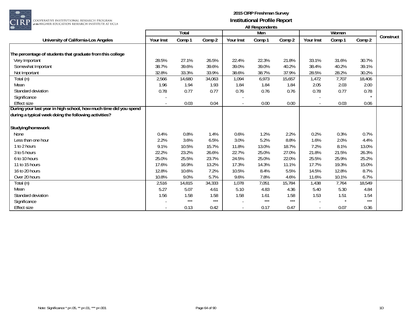

| ∼∼                                                                |           |        |        |           | All <i>Nesportants</i> |        |           |        |        |           |
|-------------------------------------------------------------------|-----------|--------|--------|-----------|------------------------|--------|-----------|--------|--------|-----------|
|                                                                   |           | Total  |        |           | Men                    |        |           | Women  |        | Construct |
| University of California-Los Angeles                              | Your Inst | Comp 1 | Comp 2 | Your Inst | Comp 1                 | Comp 2 | Your Inst | Comp 1 | Comp 2 |           |
|                                                                   |           |        |        |           |                        |        |           |        |        |           |
| The percentage of students that graduate from this college        |           |        |        |           |                        |        |           |        |        |           |
| Very Important                                                    | 28.5%     | 27.1%  | 26.5%  | 22.4%     | 22.3%                  | 21.8%  | 33.1%     | 31.6%  | 30.7%  |           |
| Somewhat Important                                                | 38.7%     | 39.6%  | 39.6%  | 39.0%     | 39.0%                  | 40.2%  | 38.4%     | 40.2%  | 39.1%  |           |
| Not Important                                                     | 32.8%     | 33.3%  | 33.9%  | 38.6%     | 38.7%                  | 37.9%  | 28.5%     | 28.2%  | 30.2%  |           |
| Total (n)                                                         | 2,566     | 14,680 | 34,063 | 1,094     | 6,973                  | 15,657 | 1,472     | 7,707  | 18,406 |           |
| Mean                                                              | 1.96      | 1.94   | 1.93   | 1.84      | 1.84                   | 1.84   | 2.05      | 2.03   | 2.00   |           |
| Standard deviation                                                | 0.78      | 0.77   | 0.77   | 0.76      | 0.76                   | 0.76   | 0.78      | 0.77   | 0.78   |           |
| Significance                                                      |           |        |        |           |                        |        |           |        |        |           |
| <b>Effect size</b>                                                |           | 0.03   | 0.04   |           | 0.00                   | 0.00   |           | 0.03   | 0.06   |           |
| During your last year in high school, how much time did you spend |           |        |        |           |                        |        |           |        |        |           |
| during a typical week doing the following activities?             |           |        |        |           |                        |        |           |        |        |           |
|                                                                   |           |        |        |           |                        |        |           |        |        |           |
| Studying/homework                                                 |           |        |        |           |                        |        |           |        |        |           |
| <b>None</b>                                                       | 0.4%      | 0.8%   | 1.4%   | 0.6%      | 1.2%                   | 2.2%   | 0.2%      | 0.3%   | 0.7%   |           |
| Less than one hour                                                | 2.2%      | 3.6%   | 6.5%   | 3.0%      | 5.2%                   | 8.8%   | 1.6%      | 2.0%   | 4.4%   |           |
| 1 to 2 hours                                                      | 9.1%      | 10.5%  | 15.7%  | 11.8%     | 13.0%                  | 18.7%  | 7.2%      | 8.1%   | 13.0%  |           |
| 3 to 5 hours                                                      | 22.2%     | 23.2%  | 26.6%  | 22.7%     | 25.0%                  | 27.0%  | 21.8%     | 21.5%  | 26.3%  |           |
| 6 to 10 hours                                                     | 25.0%     | 25.5%  | 23.7%  | 24.5%     | 25.0%                  | 22.0%  | 25.5%     | 25.9%  | 25.2%  |           |
| 11 to 15 hours                                                    | 17.6%     | 16.9%  | 13.2%  | 17.3%     | 14.3%                  | 11.1%  | 17.7%     | 19.3%  | 15.0%  |           |
| 16 to 20 hours                                                    | 12.8%     | 10.6%  | 7.2%   | 10.5%     | 8.4%                   | 5.5%   | 14.5%     | 12.8%  | 8.7%   |           |
| Over 20 hours                                                     | 10.8%     | 9.0%   | 5.7%   | 9.6%      | 7.8%                   | 4.6%   | 11.6%     | 10.1%  | 6.7%   |           |
| Total (n)                                                         | 2,516     | 14,815 | 34,333 | 1,078     | 7,051                  | 15,784 | 1,438     | 7,764  | 18,549 |           |
| Mean                                                              | 5.27      | 5.07   | 4.61   | 5.10      | 4.83                   | 4.36   | 5.40      | 5.30   | 4.84   |           |
| Standard deviation                                                | 1.56      | 1.58   | 1.58   | 1.58      | 1.61                   | 1.58   | 1.53      | 1.51   | 1.54   |           |
| Significance                                                      |           | $***$  | $***$  |           | $***$                  | $***$  |           |        | $***$  |           |
| <b>Effect size</b>                                                |           | 0.13   | 0.42   |           | 0.17                   | 0.47   |           | 0.07   | 0.36   |           |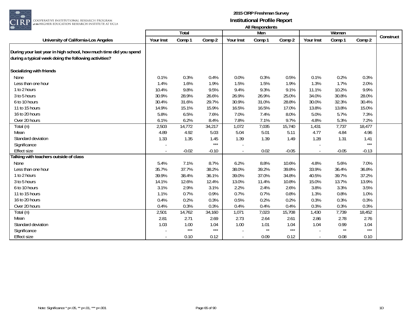

 $\begin{array}{|l|} \hline \texttt{COOPERATIVE INSTITUTIONAL RESEARCH PROGRAM} \hline \texttt{at the HIGHER FUNCTION RESEARCH INSTITUTE AT UCLA} \end{array}$ 

|                                                                                                                            |           | <b>Total</b> |         |                          | Men    |         |           | Women        |         |           |
|----------------------------------------------------------------------------------------------------------------------------|-----------|--------------|---------|--------------------------|--------|---------|-----------|--------------|---------|-----------|
| University of California-Los Angeles                                                                                       | Your Inst | Comp 1       | Comp 2  | <b>Your Inst</b>         | Comp 1 | Comp 2  | Your Inst | Comp 1       | Comp 2  | Construct |
| During your last year in high school, how much time did you spend<br>during a typical week doing the following activities? |           |              |         |                          |        |         |           |              |         |           |
| Socializing with friends                                                                                                   |           |              |         |                          |        |         |           |              |         |           |
| None                                                                                                                       | 0.1%      | 0.3%         | 0.4%    | 0.0%                     | 0.3%   | 0.5%    | 0.1%      | 0.2%         | 0.3%    |           |
| Less than one hour                                                                                                         | 1.4%      | 1.6%         | 1.9%    | 1.5%                     | 1.5%   | 1.9%    | 1.3%      | 1.7%         | 2.0%    |           |
| 1 to 2 hours                                                                                                               | 10.4%     | 9.8%         | 9.5%    | 9.4%                     | 9.3%   | 9.1%    | 11.1%     | 10.2%        | 9.9%    |           |
| 3 to 5 hours                                                                                                               | 30.9%     | 28.9%        | 26.6%   | 26.9%                    | 26.9%  | 25.0%   | 34.0%     | 30.8%        | 28.0%   |           |
| 6 to 10 hours                                                                                                              | 30.4%     | 31.6%        | 29.7%   | 30.9%                    | 31.0%  | 28.8%   | 30.0%     | 32.3%        | 30.4%   |           |
| 11 to 15 hours                                                                                                             | 14.9%     | 15.1%        | 15.9%   | 16.5%                    | 16.5%  | 17.0%   | 13.8%     | 13.8%        | 15.0%   |           |
| 16 to 20 hours                                                                                                             | 5.8%      | 6.5%         | 7.6%    | 7.0%                     | 7.4%   | 8.0%    | 5.0%      | 5.7%         | 7.3%    |           |
| Over 20 hours                                                                                                              | 6.1%      | 6.2%         | 8.4%    | 7.8%                     | 7.1%   | 9.7%    | 4.8%      | 5.3%         | 7.2%    |           |
| Total (n)                                                                                                                  | 2,503     | 14,772       | 34,217  | 1,072                    | 7,035  | 15,740  | 1,431     | 7,737        | 18,477  |           |
| Mean                                                                                                                       | 4.89      | 4.92         | 5.03    | 5.04                     | 5.01   | 5.11    | 4.77      | 4.84         | 4.96    |           |
| Standard deviation                                                                                                         | 1.33      | 1.35         | 1.45    | 1.39                     | 1.39   | 1.49    | 1.28      | 1.31         | 1.41    |           |
| Significance                                                                                                               |           |              | $***$   |                          |        |         |           |              | $***$   |           |
| <b>Effect size</b>                                                                                                         |           | $-0.02$      | $-0.10$ |                          | 0.02   | $-0.05$ |           | $-0.05$      | $-0.13$ |           |
| alking with teachers outside of class                                                                                      |           |              |         |                          |        |         |           |              |         |           |
| <b>None</b>                                                                                                                | 5.4%      | 7.1%         | 8.7%    | 6.2%                     | 8.8%   | 10.6%   | 4.8%      | 5.6%         | 7.0%    |           |
| Less than one hour                                                                                                         | 35.7%     | 37.7%        | 38.2%   | 38.0%                    | 39.2%  | 39.8%   | 33.9%     | 36.4%        | 36.8%   |           |
| 1 to 2 hours                                                                                                               | 39.9%     | 38.4%        | 36.1%   | 39.0%                    | 37.0%  | 34.8%   | 40.5%     | 39.7%        | 37.2%   |           |
| 3 to 5 hours                                                                                                               | 14.1%     | 12.6%        | 12.4%   | 13.0%                    | 11.4%  | 10.8%   | 15.0%     | 13.7%        | 13.9%   |           |
| 6 to 10 hours                                                                                                              | 3.1%      | 2.9%         | 3.1%    | 2.2%                     | 2.4%   | 2.6%    | 3.8%      | 3.3%         | 3.5%    |           |
| 11 to 15 hours                                                                                                             | 1.1%      | 0.7%         | 0.9%    | 0.7%                     | 0.7%   | 0.8%    | 1.3%      | 0.8%         | 1.0%    |           |
| 16 to 20 hours                                                                                                             | 0.4%      | 0.2%         | 0.3%    | 0.5%                     | 0.2%   | 0.2%    | 0.3%      | 0.3%         | 0.3%    |           |
| Over 20 hours                                                                                                              | 0.4%      | 0.3%         | 0.3%    | 0.4%                     | 0.4%   | 0.4%    | 0.3%      | 0.3%         | 0.3%    |           |
| Total (n)                                                                                                                  | 2,501     | 14,762       | 34,160  | 1,071                    | 7,023  | 15,708  | 1,430     | 7,739        | 18,452  |           |
| Mean                                                                                                                       | 2.81      | 2.71         | 2.69    | 2.73                     | 2.64   | 2.61    | 2.86      | 2.78         | 2.76    |           |
| Standard deviation                                                                                                         | 1.03      | 1.00         | 1.04    | 1.00                     | 1.01   | 1.04    | 1.04      | 0.99         | 1.04    |           |
| Significance                                                                                                               |           | $***$        | $***$   |                          | $**$   | $***$   |           | $\star\star$ | $***$   |           |
| Effect size                                                                                                                |           | 0.10         | 0.12    | $\overline{\phantom{a}}$ | 0.09   | 0.12    | $\sim$    | 0.08         | 0.10    |           |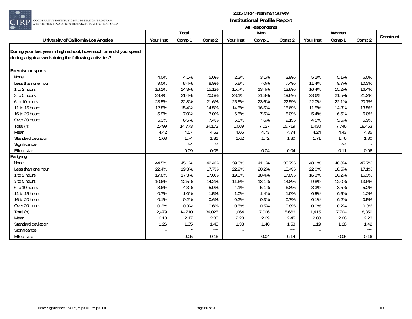

| $\smile\smile$                                                                                                             |           |         |         |                  | All nusponuurius |         |           |         |         |           |
|----------------------------------------------------------------------------------------------------------------------------|-----------|---------|---------|------------------|------------------|---------|-----------|---------|---------|-----------|
|                                                                                                                            |           | Total   |         |                  | Men              |         |           | Women   |         | Construct |
| University of California-Los Angeles                                                                                       | Your Inst | Comp 1  | Comp 2  | <b>Your Inst</b> | Comp 1           | Comp 2  | Your Inst | Comp 1  | Comp 2  |           |
| During your last year in high school, how much time did you spend<br>during a typical week doing the following activities? |           |         |         |                  |                  |         |           |         |         |           |
| <b>Exercise or sports</b>                                                                                                  |           |         |         |                  |                  |         |           |         |         |           |
| None                                                                                                                       | 4.0%      | 4.1%    | 5.0%    | 2.3%             | 3.1%             | 3.9%    | 5.2%      | 5.1%    | 6.0%    |           |
| Less than one hour                                                                                                         | 9.0%      | 8.4%    | 8.9%    | 5.8%             | 7.0%             | 7.4%    | 11.4%     | 9.7%    | 10.3%   |           |
| 1 to 2 hours                                                                                                               | 16.1%     | 14.3%   | 15.1%   | 15.7%            | 13.4%            | 13.8%   | 16.4%     | 15.2%   | 16.4%   |           |
| 3 to 5 hours                                                                                                               | 23.4%     | 21.4%   | 20.5%   | 23.1%            | 21.3%            | 19.8%   | 23.6%     | 21.5%   | 21.2%   |           |
| 6 to 10 hours                                                                                                              | 23.5%     | 22.8%   | 21.6%   | 25.5%            | 23.6%            | 22.5%   | 22.0%     | 22.1%   | 20.7%   |           |
| 11 to 15 hours                                                                                                             | 12.8%     | 15.4%   | 14.5%   | 14.5%            | 16.5%            | 15.6%   | 11.5%     | 14.3%   | 13.5%   |           |
| 16 to 20 hours                                                                                                             | 5.9%      | 7.0%    | 7.0%    | 6.5%             | 7.5%             | 8.0%    | 5.4%      | 6.5%    | 6.0%    |           |
| Over 20 hours                                                                                                              | 5.3%      | 6.5%    | 7.4%    | 6.5%             | 7.6%             | 9.1%    | 4.5%      | 5.6%    | 5.9%    |           |
| Total (n)                                                                                                                  | 2,499     | 14,773  | 34,172  | 1,069            | 7,027            | 15,719  | 1,430     | 7,746   | 18,453  |           |
| Mean                                                                                                                       | 4.42      | 4.57    | 4.53    | 4.66             | 4.73             | 4.74    | 4.24      | 4.43    | 4.35    |           |
| Standard deviation                                                                                                         | 1.68      | 1.74    | 1.81    | 1.62             | 1.72             | 1.80    | 1.71      | 1.76    | 1.80    |           |
| Significance                                                                                                               |           | $***$   | $**$    |                  |                  |         |           | $***$   |         |           |
| <b>Effect size</b>                                                                                                         |           | $-0.09$ | $-0.06$ |                  | $-0.04$          | $-0.04$ |           | $-0.11$ | $-0.06$ |           |
| Partying                                                                                                                   |           |         |         |                  |                  |         |           |         |         |           |
| None                                                                                                                       | 44.5%     | 45.1%   | 42.4%   | 39.8%            | 41.1%            | 38.7%   | 48.1%     | 48.8%   | 45.7%   |           |
| Less than one hour                                                                                                         | 22.4%     | 19.3%   | 17.7%   | 22.9%            | 20.2%            | 18.4%   | 22.0%     | 18.5%   | 17.1%   |           |
| 1 to 2 hours                                                                                                               | 17.8%     | 17.3%   | 17.0%   | 19.8%            | 18.4%            | 17.8%   | 16.3%     | 16.2%   | 16.3%   |           |
| 3 to 5 hours                                                                                                               | 10.6%     | 12.5%   | 14.2%   | 11.6%            | 13.1%            | 14.8%   | 9.8%      | 12.0%   | 13.6%   |           |
| 6 to 10 hours                                                                                                              | 3.6%      | 4.3%    | 5.9%    | 4.1%             | 5.1%             | 6.8%    | 3.3%      | 3.5%    | 5.2%    |           |
| 11 to 15 hours                                                                                                             | 0.7%      | 1.0%    | 1.5%    | 1.0%             | 1.4%             | 1.9%    | 0.5%      | 0.6%    | 1.2%    |           |
| 16 to 20 hours                                                                                                             | 0.1%      | 0.2%    | 0.6%    | 0.2%             | 0.3%             | 0.7%    | 0.1%      | 0.2%    | 0.5%    |           |
| Over 20 hours                                                                                                              | 0.2%      | 0.3%    | 0.6%    | 0.5%             | 0.5%             | 0.8%    | 0.0%      | 0.2%    | 0.3%    |           |
| Total (n)                                                                                                                  | 2,479     | 14,710  | 34,025  | 1,064            | 7,006            | 15,666  | 1,415     | 7,704   | 18,359  |           |
| Mean                                                                                                                       | 2.10      | 2.17    | 2.33    | 2.23             | 2.29             | 2.45    | 2.00      | 2.06    | 2.23    |           |
| Standard deviation                                                                                                         | 1.26      | 1.35    | 1.48    | 1.33             | 1.40             | 1.53    | 1.19      | 1.28    | 1.42    |           |
| Significance                                                                                                               |           |         | $***$   |                  |                  | $***$   |           |         | $***$   |           |
| <b>Effect size</b>                                                                                                         |           | $-0.05$ | $-0.16$ | $\blacksquare$   | $-0.04$          | $-0.14$ |           | $-0.05$ | $-0.16$ |           |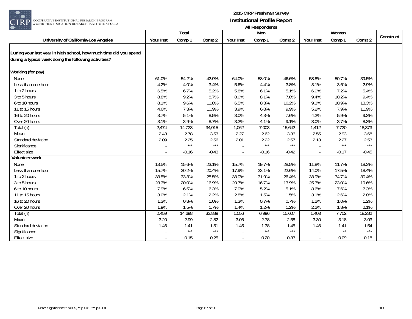

RP GOOPERATIVE INSTITUTIONAL RESEARCH PROGRAM<br>at the HIGHER EDUCATION RESEARCH INSTITUTE AT UCLA

| $\smash{\smash{\cup}}\smash{\smash{\cup}}$                                                                                 |           | Total   |         |           | All nusponuurius<br>Men |         |           |         |         |           |
|----------------------------------------------------------------------------------------------------------------------------|-----------|---------|---------|-----------|-------------------------|---------|-----------|---------|---------|-----------|
|                                                                                                                            |           |         |         |           |                         |         |           | Women   |         | Construct |
| University of California-Los Angeles                                                                                       | Your Inst | Comp 1  | Comp 2  | Your Inst | Comp 1                  | Comp 2  | Your Inst | Comp 1  | Comp 2  |           |
| During your last year in high school, how much time did you spend<br>during a typical week doing the following activities? |           |         |         |           |                         |         |           |         |         |           |
| Working (for pay)                                                                                                          |           |         |         |           |                         |         |           |         |         |           |
| None                                                                                                                       | 61.0%     | 54.2%   | 42.9%   | 64.0%     | 58.0%                   | 46.6%   | 58.8%     | 50.7%   | 39.5%   |           |
| Less than one hour                                                                                                         | 4.2%      | 4.0%    | 3.4%    | 5.6%      | 4.4%                    | 3.8%    | 3.1%      | 3.6%    | 2.9%    |           |
| 1 to 2 hours                                                                                                               | 6.5%      | 6.7%    | 5.2%    | 5.8%      | 6.1%                    | 5.1%    | 6.9%      | 7.2%    | 5.4%    |           |
| 3 to 5 hours                                                                                                               | 8.8%      | 9.2%    | 8.7%    | 8.0%      | 8.1%                    | 7.8%    | 9.4%      | 10.2%   | 9.4%    |           |
| 6 to 10 hours                                                                                                              | 8.1%      | 9.6%    | 11.8%   | 6.5%      | 8.3%                    | 10.2%   | 9.3%      | 10.9%   | 13.3%   |           |
| 11 to 15 hours                                                                                                             | 4.6%      | 7.3%    | 10.9%   | 3.9%      | 6.8%                    | 9.9%    | 5.2%      | 7.9%    | 11.9%   |           |
| 16 to 20 hours                                                                                                             | 3.7%      | 5.1%    | 8.5%    | 3.0%      | 4.3%                    | 7.6%    | 4.2%      | 5.9%    | 9.3%    |           |
| Over 20 hours                                                                                                              | 3.1%      | 3.9%    | 8.7%    | 3.2%      | 4.1%                    | 9.1%    | 3.0%      | 3.7%    | 8.3%    |           |
| Total (n)                                                                                                                  | 2,474     | 14,723  | 34,015  | 1,062     | 7,003                   | 15,642  | 1,412     | 7,720   | 18,373  |           |
| Mean                                                                                                                       | 2.43      | 2.78    | 3.53    | 2.27      | 2.62                    | 3.36    | 2.55      | 2.93    | 3.68    |           |
| Standard deviation                                                                                                         | 2.09      | 2.25    | 2.56    | 2.01      | 2.22                    | 2.57    | 2.13      | 2.27    | 2.53    |           |
| Significance                                                                                                               |           | $***$   | $***$   |           | ***                     | $***$   |           | $***$   | $***$   |           |
| <b>Effect size</b>                                                                                                         |           | $-0.16$ | $-0.43$ | $\sim$    | $-0.16$                 | $-0.42$ |           | $-0.17$ | $-0.45$ |           |
| Volunteer work                                                                                                             |           |         |         |           |                         |         |           |         |         |           |
| None                                                                                                                       | 13.5%     | 15.6%   | 23.1%   | 15.7%     | 19.7%                   | 28.5%   | 11.8%     | 11.7%   | 18.3%   |           |
| Less than one hour                                                                                                         | 15.7%     | 20.2%   | 20.4%   | 17.9%     | 23.1%                   | 22.6%   | 14.0%     | 17.5%   | 18.4%   |           |
| 1 to 2 hours                                                                                                               | 33.5%     | 33.3%   | 28.5%   | 33.0%     | 31.9%                   | 26.4%   | 33.9%     | 34.7%   | 30.4%   |           |
| 3 to 5 hours                                                                                                               | 23.3%     | 20.0%   | 16.9%   | 20.7%     | 16.7%                   | 13.9%   | 25.3%     | 23.0%   | 19.6%   |           |
| 6 to 10 hours                                                                                                              | 7.9%      | 6.5%    | 6.3%    | 7.0%      | 5.2%                    | 5.1%    | 8.6%      | 7.6%    | 7.3%    |           |
| 11 to 15 hours                                                                                                             | 3.0%      | 2.1%    | 2.2%    | 2.8%      | 1.5%                    | 1.5%    | 3.1%      | 2.6%    | 2.8%    |           |
| 16 to 20 hours                                                                                                             | 1.3%      | 0.8%    | 1.0%    | 1.3%      | 0.7%                    | 0.7%    | 1.2%      | 1.0%    | 1.2%    |           |
| Over 20 hours                                                                                                              | 1.9%      | 1.5%    | 1.7%    | 1.4%      | 1.2%                    | 1.2%    | 2.2%      | 1.8%    | 2.1%    |           |
| Total (n)                                                                                                                  | 2,459     | 14,698  | 33,889  | 1,056     | 6,996                   | 15,607  | 1,403     | 7,702   | 18,282  |           |
| Mean                                                                                                                       | 3.20      | 2.99    | 2.82    | 3.06      | 2.78                    | 2.58    | 3.30      | 3.18    | 3.03    |           |
| Standard deviation                                                                                                         | 1.46      | 1.41    | 1.51    | 1.45      | 1.38                    | 1.45    | 1.46      | 1.41    | 1.54    |           |
| Significance                                                                                                               |           | $***$   | $***$   |           | $***$                   | $***$   |           | $**$    | $***$   |           |
| <b>Effect size</b>                                                                                                         |           | 0.15    | 0.25    |           | 0.20                    | 0.33    |           | 0.09    | 0.18    |           |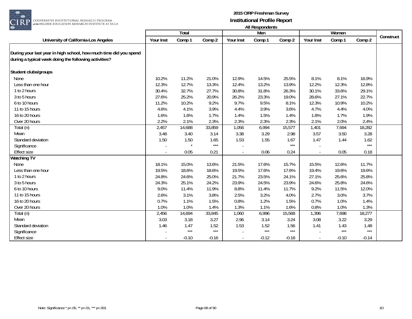

|                                                                                                                            |           | Total   |         |           | Men     |         |           | Women   |                   | Construct |
|----------------------------------------------------------------------------------------------------------------------------|-----------|---------|---------|-----------|---------|---------|-----------|---------|-------------------|-----------|
| University of California-Los Angeles                                                                                       | Your Inst | Comp 1  | Comp 2  | Your Inst | Comp 1  | Comp 2  | Your Inst | Comp 1  | Comp 2            |           |
| During your last year in high school, how much time did you spend<br>during a typical week doing the following activities? |           |         |         |           |         |         |           |         |                   |           |
| Student clubs/groups                                                                                                       |           |         |         |           |         |         |           |         |                   |           |
| None                                                                                                                       | 10.2%     | 11.2%   | 21.0%   | 12.9%     | 14.5%   | 25.5%   | 8.1%      | 8.1%    | 16.9%             |           |
| Less than one hour                                                                                                         | 12.3%     | 12.7%   | 13.3%   | 12.4%     | 13.2%   | 13.9%   | 12.2%     | 12.3%   | 12.8%             |           |
| 1 to 2 hours                                                                                                               | 30.4%     | 32.7%   | 27.7%   | 30.8%     | 31.8%   | 26.3%   | 30.1%     | 33.6%   | 29.1%             |           |
| 3 to 5 hours                                                                                                               | 27.6%     | 25.2%   | 20.9%   | 26.2%     | 23.3%   | 19.0%   | 28.6%     | 27.1%   | 22.7%             |           |
| 6 to 10 hours                                                                                                              | 11.2%     | 10.2%   | 9.2%    | 9.7%      | 9.5%    | 8.1%    | 12.3%     | 10.9%   | 10.2%             |           |
| 11 to 15 hours                                                                                                             | 4.6%      | 4.1%    | 3.9%    | 4.4%      | 3.9%    | 3.6%    | 4.7%      | 4.4%    | 4.0%              |           |
| 16 to 20 hours                                                                                                             | 1.6%      | 1.6%    | 1.7%    | 1.4%      | 1.5%    | 1.4%    | 1.8%      | 1.7%    | 1.9%              |           |
| Over 20 hours                                                                                                              | 2.2%      | 2.1%    | 2.3%    | 2.3%      | 2.3%    | 2.3%    | 2.1%      | 2.0%    | 2.4%              |           |
| Total (n)                                                                                                                  | 2,457     | 14,688  | 33,859  | 1,056     | 6,994   | 15,577  | 1,401     | 7,694   | 18,282            |           |
| Mean                                                                                                                       | 3.48      | 3.40    | 3.14    | 3.38      | 3.29    | 2.98    | 3.57      | 3.50    | 3.28              |           |
| Standard deviation                                                                                                         | 1.50      | 1.50    | 1.65    | 1.53      | 1.55    | 1.67    | 1.47      | 1.44    | 1.62              |           |
| Significance                                                                                                               |           |         | $***$   |           |         | $***$   |           |         | $***$             |           |
| <b>Effect size</b>                                                                                                         |           | 0.05    | 0.21    |           | 0.06    | 0.24    |           | 0.05    | 0.18              |           |
| <b>Watching TV</b>                                                                                                         |           |         |         |           |         |         |           |         |                   |           |
| None                                                                                                                       | 18.1%     | 15.0%   | 13.6%   | 21.5%     | 17.6%   | 15.7%   | 15.5%     | 12.6%   | 11.7%             |           |
| Less than one hour                                                                                                         | 19.5%     | 18.6%   | 18.6%   | 19.5%     | 17.6%   | 17.6%   | 19.4%     | 19.6%   | 19.6%             |           |
| 1 to 2 hours                                                                                                               | 24.8%     | 24.6%   | 25.0%   | 21.7%     | 23.5%   | 24.1%   | 27.1%     | 25.6%   | 25.8%             |           |
| 3 to 5 hours                                                                                                               | 24.3%     | 25.1%   | 24.2%   | 23.9%     | 24.5%   | 23.9%   | 24.6%     | 25.8%   | 24.6%             |           |
| 6 to 10 hours                                                                                                              | 9.0%      | 11.4%   | 11.9%   | 8.8%      | 11.4%   | 11.7%   | 9.2%      | 11.5%   | 12.0%             |           |
| 11 to 15 hours                                                                                                             | 2.6%      | 3.1%    | 3.8%    | 2.5%      | 3.2%    | 4.0%    | 2.7%      | 3.0%    | 3.7%              |           |
| 16 to 20 hours                                                                                                             | 0.7%      | 1.1%    | 1.5%    | 0.8%      | 1.2%    | 1.5%    | 0.7%      | 1.0%    | 1.4%              |           |
| Over 20 hours                                                                                                              | 1.0%      | 1.0%    | 1.4%    | 1.3%      | 1.1%    | 1.6%    | 0.8%      | 1.0%    | 1.3%              |           |
| Total (n)                                                                                                                  | 2,456     | 14,694  | 33,845  | 1,060     | 6,996   | 15,568  | 1,396     | 7,698   | 18,277            |           |
| Mean                                                                                                                       | 3.03      | 3.18    | 3.27    | 2.96      | 3.14    | 3.24    | 3.08      | 3.22    | 3.29              |           |
| Standard deviation                                                                                                         | 1.46      | 1.47    | 1.52    | 1.53      | 1.52    | 1.56    | 1.41      | 1.43    | 1.48              |           |
| Significance                                                                                                               |           | $***$   | $***$   |           | $***$   | $***$   |           | $***$   | $\star\star\star$ |           |
| Effect size                                                                                                                |           | $-0.10$ | $-0.16$ |           | $-0.12$ | $-0.18$ |           | $-0.10$ | $-0.14$           |           |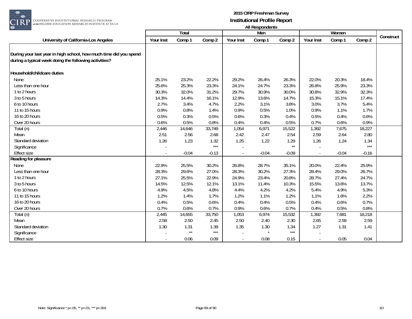

| $\cup$ $\cup$ $\sim$                                                                                                       |           | Total        |         |                          | AIL RESPUTNENTS<br>Men |              |           | Women   |         |           |
|----------------------------------------------------------------------------------------------------------------------------|-----------|--------------|---------|--------------------------|------------------------|--------------|-----------|---------|---------|-----------|
| University of California-Los Angeles                                                                                       | Your Inst | Comp 1       | Comp 2  | Your Inst                | Comp 1                 | Comp 2       | Your Inst | Comp 1  | Comp 2  | Construct |
| During your last year in high school, how much time did you spend<br>during a typical week doing the following activities? |           |              |         |                          |                        |              |           |         |         |           |
| Household/childcare duties                                                                                                 |           |              |         |                          |                        |              |           |         |         |           |
| None                                                                                                                       | 25.1%     | 23.2%        | 22.2%   | 29.2%                    | 26.4%                  | 26.3%        | 22.0%     | 20.3%   | 18.4%   |           |
| Less than one hour                                                                                                         | 25.6%     | 25.3%        | 23.3%   | 24.1%                    | 24.7%                  | 23.3%        | 26.8%     | 25.9%   | 23.3%   |           |
| 1 to 2 hours                                                                                                               | 30.3%     | 32.0%        | 31.2%   | 29.7%                    | 30.9%                  | 30.0%        | 30.8%     | 32.9%   | 32.3%   |           |
| 3 to 5 hours                                                                                                               | 14.3%     | 14.4%        | 16.1%   | 12.9%                    | 13.6%                  | 14.7%        | 15.3%     | 15.1%   | 17.4%   |           |
| 6 to 10 hours                                                                                                              | 2.7%      | 3.4%         | 4.7%    | 2.2%                     | 3.1%                   | 3.8%         | 3.0%      | 3.7%    | 5.4%    |           |
| 11 to 15 hours                                                                                                             | 0.9%      | 0.8%         | 1.4%    | 0.9%                     | 0.5%                   | 1.0%         | 0.9%      | 1.1%    | 1.7%    |           |
| 16 to 20 hours                                                                                                             | 0.5%      | 0.3%         | 0.5%    | 0.6%                     | 0.3%                   | 0.4%         | 0.5%      | 0.4%    | 0.6%    |           |
| Over 20 hours                                                                                                              | 0.6%      | 0.5%         | 0.8%    | 0.4%                     | 0.4%                   | 0.5%         | 0.7%      | 0.6%    | 0.9%    |           |
| Total (n)                                                                                                                  | 2,446     | 14,646       | 33,749  | 1,054                    | 6,971                  | 15,522       | 1,392     | 7,675   | 18,227  |           |
| Mean                                                                                                                       | 2.51      | 2.56         | 2.68    | 2.42                     | 2.47                   | 2.54         | 2.59      | 2.64    | 2.80    |           |
| Standard deviation                                                                                                         | 1.26      | 1.23         | 1.32    | 1.25                     | 1.22                   | 1.29         | 1.26      | 1.24    | 1.34    |           |
| Significance                                                                                                               |           |              | $***$   |                          |                        | $\star\star$ |           |         | $***$   |           |
| <b>Effect size</b>                                                                                                         |           | $-0.04$      | $-0.13$ | $\sim$                   | $-0.04$                | $-0.09$      |           | $-0.04$ | $-0.16$ |           |
| Reading for pleasure                                                                                                       |           |              |         |                          |                        |              |           |         |         |           |
| None                                                                                                                       | 22.9%     | 25.5%        | 30.2%   | 26.8%                    | 28.7%                  | 35.1%        | 20.0%     | 22.4%   | 25.9%   |           |
| Less than one hour                                                                                                         | 28.3%     | 29.6%        | 27.0%   | 28.3%                    | 30.2%                  | 27.3%        | 28.4%     | 29.0%   | 26.7%   |           |
| 1 to 2 hours                                                                                                               | 27.1%     | 25.5%        | 22.9%   | 24.9%                    | 23.4%                  | 20.8%        | 28.7%     | 27.4%   | 24.7%   |           |
| 3 to 5 hours                                                                                                               | 14.5%     | 12.5%        | 12.1%   | 13.1%                    | 11.4%                  | 10.3%        | 15.5%     | 13.6%   | 13.7%   |           |
| 6 to 10 hours                                                                                                              | 4.9%      | 4.5%         | 4.8%    | 4.4%                     | 4.2%                   | 4.2%         | 5.4%      | 4.9%    | 5.3%    |           |
| 11 to 15 hours                                                                                                             | 1.2%      | 1.4%         | 1.7%    | 1.2%                     | 1.1%                   | 1.2%         | 1.1%      | 1.6%    | 2.2%    |           |
| 16 to 20 hours                                                                                                             | 0.4%      | 0.5%         | 0.6%    | 0.4%                     | 0.4%                   | 0.5%         | 0.4%      | 0.6%    | 0.7%    |           |
| Over 20 hours                                                                                                              | 0.7%      | 0.6%         | 0.7%    | 0.9%                     | 0.6%                   | 0.7%         | 0.4%      | 0.5%    | 0.8%    |           |
| Total (n)                                                                                                                  | 2,445     | 14,655       | 33,750  | 1,053                    | 6,974                  | 15,532       | 1,392     | 7,681   | 18,218  |           |
| Mean                                                                                                                       | 2.58      | 2.50         | 2.45    | 2.50                     | 2.40                   | 2.30         | 2.65      | 2.59    | 2.59    |           |
| Standard deviation                                                                                                         | 1.30      | 1.31         | 1.39    | 1.35                     | 1.30                   | 1.34         | 1.27      | 1.31    | 1.41    |           |
| Significance                                                                                                               |           | $\star\star$ | $***$   |                          |                        | $***$        |           |         |         |           |
| <b>Effect size</b>                                                                                                         |           | 0.06         | 0.09    | $\overline{\phantom{a}}$ | 0.08                   | 0.15         | $\sim$    | 0.05    | 0.04    |           |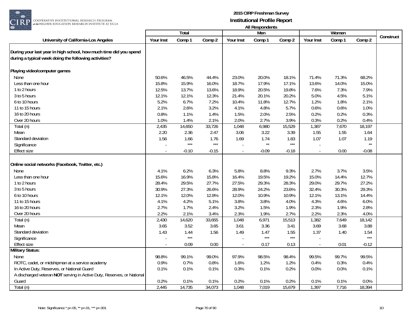

|                                                                        |           |         |         |                          | All nusponuurius |         |           |        |              |           |
|------------------------------------------------------------------------|-----------|---------|---------|--------------------------|------------------|---------|-----------|--------|--------------|-----------|
|                                                                        |           | Total   |         |                          | Men              |         |           | Women  |              | Construct |
| University of California-Los Angeles                                   | Your Inst | Comp 1  | Comp 2  | Your Inst                | Comp 1           | Comp 2  | Your Inst | Comp 1 | Comp 2       |           |
|                                                                        |           |         |         |                          |                  |         |           |        |              |           |
| During your last year in high school, how much time did you spend      |           |         |         |                          |                  |         |           |        |              |           |
| during a typical week doing the following activities?                  |           |         |         |                          |                  |         |           |        |              |           |
|                                                                        |           |         |         |                          |                  |         |           |        |              |           |
| Playing video/computer games                                           |           |         |         |                          |                  |         |           |        |              |           |
| None                                                                   | 50.6%     | 46.5%   | 44.4%   | 23.0%                    | 20.0%            | 18.1%   | 71.4%     | 71.3%  | 68.2%        |           |
| Less than one hour                                                     | 15.8%     | 15.9%   | 16.0%   | 18.7%                    | 17.9%            | 17.1%   | 13.6%     | 14.0%  | 15.0%        |           |
| 1 to 2 hours                                                           | 12.5%     | 13.7%   | 13.6%   | 18.9%                    | 20.5%            | 19.8%   | 7.6%      | 7.3%   | 7.9%         |           |
| 3 to 5 hours                                                           | 12.1%     | 12.1%   | 12.3%   | 21.4%                    | 20.1%            | 20.2%   | 5.0%      | 4.5%   | 5.1%         |           |
| 6 to 10 hours                                                          | 5.2%      | 6.7%    | 7.2%    | 10.4%                    | 11.8%            | 12.7%   | 1.2%      | 1.8%   | 2.1%         |           |
| 11 to 15 hours                                                         | 2.1%      | 2.6%    | 3.2%    | 4.1%                     | 4.8%             | 5.7%    | 0.6%      | 0.6%   | 1.0%         |           |
| 16 to 20 hours                                                         | 0.8%      | 1.1%    | 1.4%    | 1.5%                     | 2.0%             | 2.5%    | 0.2%      | 0.2%   | 0.3%         |           |
| Over 20 hours                                                          | 1.0%      | 1.4%    | 2.1%    | 2.0%                     | 2.7%             | 3.9%    | 0.3%      | 0.2%   | 0.4%         |           |
| Total (n)                                                              | 2,435     | 14,650  | 33,726  | 1,048                    | 6,980            | 15,529  | 1,387     | 7,670  | 18,197       |           |
| Mean                                                                   | 2.20      | 2.36    | 2.47    | 3.06                     | 3.22             | 3.39    | 1.55      | 1.55   | 1.64         |           |
| Standard deviation                                                     | 1.56      | 1.66    | 1.76    | 1.69                     | 1.74             | 1.83    | 1.07      | 1.07   | 1.19         |           |
| Significance                                                           |           | $***$   | $***$   | ÷.                       | $\star\star$     | $***$   |           |        | $\star\star$ |           |
| <b>Effect size</b>                                                     |           | $-0.10$ | $-0.15$ | $\overline{\phantom{a}}$ | $-0.09$          | $-0.18$ |           | 0.00   | $-0.08$      |           |
|                                                                        |           |         |         |                          |                  |         |           |        |              |           |
| Online social networks (Facebook, Twitter, etc.)                       |           |         |         |                          |                  |         |           |        |              |           |
| None                                                                   | 4.1%      | 6.2%    | 6.3%    | 5.8%                     | 8.8%             | 9.3%    | 2.7%      | 3.7%   | 3.5%         |           |
| Less than one hour                                                     | 15.6%     | 16.9%   | 15.8%   | 16.4%                    | 19.5%            | 19.2%   | 15.0%     | 14.4%  | 12.7%        |           |
| 1 to 2 hours                                                           | 28.4%     | 29.5%   | 27.7%   | 27.5%                    | 29.3%            | 28.3%   | 29.0%     | 29.7%  | 27.2%        |           |
| 3 to 5 hours                                                           | 30.9%     | 27.3%   | 26.6%   | 28.9%                    | 24.2%            | 23.6%   | 32.4%     | 30.3%  | 29.3%        |           |
| 6 to 10 hours                                                          | 12.1%     | 12.0%   | 12.8%   | 12.0%                    | 10.9%            | 10.9%   | 12.1%     | 13.1%  | 14.4%        |           |
| 11 to 15 hours                                                         | 4.1%      | 4.2%    | 5.1%    | 3.8%                     | 3.8%             | 4.0%    | 4.3%      | 4.6%   | 6.0%         |           |
| 16 to 20 hours                                                         | 2.7%      | 1.7%    | 2.4%    | 3.2%                     | 1.5%             | 1.9%    | 2.3%      | 1.9%   | 2.8%         |           |
| Over 20 hours                                                          | 2.2%      | 2.1%    | 3.4%    | 2.3%                     | 1.9%             | 2.7%    | 2.2%      | 2.3%   | 4.0%         |           |
| Total (n)                                                              | 2,430     | 14,620  | 33,655  | 1,048                    | 6,971            | 15,513  | 1,382     | 7,649  | 18,142       |           |
| Mean                                                                   | 3.65      | 3.52    | 3.65    | 3.61                     | 3.36             | 3.41    | 3.69      | 3.68   | 3.88         |           |
| Standard deviation                                                     | 1.43      | 1.44    | 1.56    | 1.49                     | 1.47             | 1.55    | 1.37      | 1.40   | 1.54         |           |
| Significance                                                           |           | $***$   |         |                          | $***$            | $***$   |           |        | $***$        |           |
| Effect size                                                            |           | 0.09    | 0.00    |                          | 0.17             | 0.13    |           |        |              |           |
| <b>Military Status:</b>                                                |           |         |         |                          |                  |         |           | 0.01   | $-0.12$      |           |
|                                                                        |           |         |         |                          |                  |         |           |        |              |           |
| None                                                                   | 98.8%     | 99.1%   | 99.0%   | 97.9%                    | 98.5%            | 98.4%   | 99.5%     | 99.7%  | 99.5%        |           |
| ROTC, cadet, or midshipman at a service academy                        | 0.9%      | 0.7%    | 0.8%    | 1.6%                     | 1.2%             | 1.2%    | 0.4%      | 0.3%   | 0.4%         |           |
| In Active Duty, Reserves, or National Guard                            | 0.1%      | 0.1%    | 0.1%    | 0.3%                     | 0.1%             | 0.2%    | 0.0%      | 0.0%   | 0.1%         |           |
| A discharged veteran NOT serving in Active Duty, Reserves, or National |           |         |         |                          |                  |         |           |        |              |           |
| Guard                                                                  | 0.2%      | 0.1%    | 0.1%    | 0.2%                     | 0.1%             | 0.2%    | 0.1%      | 0.1%   | 0.0%         |           |
| Total (n)                                                              | 2,445     | 14,735  | 34,073  | 1,048                    | 7,019            | 15,679  | 1,397     | 7,716  | 18,394       |           |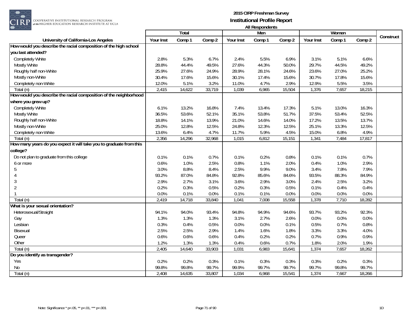

COOPERATIVE INSTITUTIONAL RESEARCH PROGRAM at the HIGHER EDUCATION RESEARCH INSTITUTE AT UCLA

|                                                                     |           | Total  |        |           | Men    |        |           | Women  |        |           |
|---------------------------------------------------------------------|-----------|--------|--------|-----------|--------|--------|-----------|--------|--------|-----------|
| University of California-Los Angeles                                | Your Inst | Comp 1 | Comp 2 | Your Inst | Comp 1 | Comp 2 | Your Inst | Comp 1 | Comp 2 | Construct |
| How would you describe the racial composition of the high school    |           |        |        |           |        |        |           |        |        |           |
| you last attended?                                                  |           |        |        |           |        |        |           |        |        |           |
| Completely White                                                    | 2.8%      | 5.3%   | 6.7%   | 2.4%      | 5.5%   | 6.9%   | 3.1%      | 5.1%   | 6.6%   |           |
| Mostly White                                                        | 28.8%     | 44.4%  | 49.5%  | 27.6%     | 44.3%  | 50.0%  | 29.7%     | 44.5%  | 49.2%  |           |
| Roughly half non-White                                              | 25.9%     | 27.6%  | 24.9%  | 28.9%     | 28.1%  | 24.6%  | 23.6%     | 27.0%  | 25.2%  |           |
| Mostly non-White                                                    | 30.4%     | 17.6%  | 15.6%  | 30.1%     | 17.4%  | 15.6%  | 30.7%     | 17.8%  | 15.6%  |           |
| Completely non-White                                                | 12.0%     | 5.1%   | 3.2%   | 11.0%     | 4.7%   | 2.9%   | 12.9%     | 5.5%   | 3.5%   |           |
| Total (n)                                                           | 2,415     | 14,622 | 33,719 | 1,039     | 6,965  | 15,504 | 1,376     | 7,657  | 18,215 |           |
| How would you describe the racial composition of the neighborhood   |           |        |        |           |        |        |           |        |        |           |
| where you grew up?                                                  |           |        |        |           |        |        |           |        |        |           |
| Completely White                                                    | 6.1%      | 13.2%  | 16.8%  | 7.4%      | 13.4%  | 17.3%  | 5.1%      | 13.0%  | 16.3%  |           |
| Mostly White                                                        | 36.5%     | 53.6%  | 52.1%  | 35.1%     | 53.8%  | 51.7%  | 37.5%     | 53.4%  | 52.5%  |           |
| Roughly half non-White                                              | 18.8%     | 14.1%  | 13.9%  | 21.0%     | 14.6%  | 14.0%  | 17.2%     | 13.5%  | 13.7%  |           |
| Mostly non-White                                                    | 25.0%     | 12.8%  | 12.5%  | 24.8%     | 12.3%  | 12.5%  | 25.1%     | 13.3%  | 12.5%  |           |
| Completely non-White                                                | 13.6%     | 6.4%   | 4.7%   | 11.7%     | 5.9%   | 4.5%   | 15.0%     | 6.8%   | 4.9%   |           |
| Total (n)                                                           | 2,356     | 14,296 | 32,968 | 1,015     | 6,812  | 15,151 | 1,341     | 7,484  | 17,817 |           |
| How many years do you expect it will take you to graduate from this |           |        |        |           |        |        |           |        |        |           |
| college?                                                            |           |        |        |           |        |        |           |        |        |           |
| Do not plan to graduate from this college                           | 0.1%      | 0.1%   | 0.7%   | 0.1%      | 0.2%   | 0.8%   | 0.1%      | 0.1%   | 0.7%   |           |
| 6 or more                                                           | 0.6%      | 1.0%   | 2.5%   | 0.8%      | 1.1%   | 2.0%   | 0.4%      | 1.0%   | 2.9%   |           |
| 5                                                                   | 3.0%      | 8.8%   | 8.4%   | 2.5%      | 9.9%   | 9.0%   | 3.4%      | 7.8%   | 7.9%   |           |
|                                                                     | 93.2%     | 87.0%  | 84.8%  | 92.8%     | 85.6%  | 84.6%  | 93.5%     | 88.3%  | 84.9%  |           |
| 3                                                                   | 2.9%      | 2.7%   | 3.1%   | 3.6%      | 2.9%   | 3.0%   | 2.4%      | 2.5%   | 3.2%   |           |
| $\overline{2}$                                                      | 0.2%      | 0.3%   | 0.5%   | 0.2%      | 0.3%   | 0.5%   | 0.1%      | 0.4%   | 0.4%   |           |
|                                                                     | 0.0%      | 0.1%   | 0.0%   | 0.1%      | 0.1%   | 0.0%   | 0.0%      | 0.0%   | 0.0%   |           |
| Total (n)                                                           | 2,419     | 14,718 | 33,840 | 1,041     | 7,008  | 15,558 | 1,378     | 7,710  | 18,282 |           |
| What is your sexual orientation?                                    |           |        |        |           |        |        |           |        |        |           |
| Heterosexual/Straight                                               | 94.1%     | 94.0%  | 93.4%  | 94.8%     | 94.9%  | 94.6%  | 93.7%     | 93.2%  | 92.3%  |           |
| Gay                                                                 | 1.3%      | 1.3%   | 1.3%   | 3.1%      | 2.7%   | 2.6%   | 0.0%      | 0.0%   | 0.0%   |           |
| Lesbian                                                             | 0.3%      | 0.4%   | 0.5%   | 0.0%      | 0.0%   | 0.1%   | 0.5%      | 0.7%   | 0.8%   |           |
| <b>Bisexual</b>                                                     | 2.5%      | 2.5%   | 2.9%   | 1.4%      | 1.6%   | 1.8%   | 3.3%      | 3.3%   | 4.0%   |           |
| Queer                                                               | 0.6%      | 0.6%   | 0.6%   | 0.4%      | 0.2%   | 0.2%   | 0.7%      | 0.9%   | 0.9%   |           |
| Other                                                               | 1.2%      | 1.3%   | 1.3%   | 0.4%      | 0.6%   | 0.7%   | 1.8%      | 2.0%   | 1.9%   |           |
| $\overline{T}$ otal (n)                                             | 2,405     | 14,640 | 33,903 | 1,031     | 6,983  | 15,641 | 1,374     | 7,657  | 18,262 |           |
| Do you identify as transgender?                                     |           |        |        |           |        |        |           |        |        |           |
| Yes                                                                 | 0.2%      | 0.2%   | 0.3%   | 0.1%      | 0.3%   | 0.3%   | 0.3%      | 0.2%   | 0.3%   |           |
| No                                                                  | 99.8%     | 99.8%  | 99.7%  | 99.9%     | 99.7%  | 99.7%  | 99.7%     | 99.8%  | 99.7%  |           |
| Total (n)                                                           | 2,408     | 14,635 | 33,807 | 1,034     | 6,968  | 15,541 | 1,374     | 7,667  | 18,266 |           |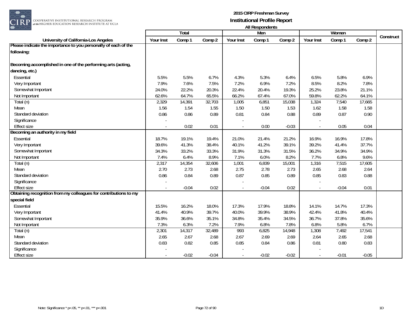

| $\sim$ $\sim$ $\sim$                                             |           |              |         |                | AIL INGSPORTUNING |         |           |         |         |           |
|------------------------------------------------------------------|-----------|--------------|---------|----------------|-------------------|---------|-----------|---------|---------|-----------|
|                                                                  |           | <b>Total</b> |         |                | Men               |         |           | Women   |         | Construct |
| University of California-Los Angeles                             | Your Inst | Comp 1       | Comp 2  | Your Inst      | Comp 1            | Comp 2  | Your Inst | Comp 1  | Comp 2  |           |
| Please indicate the importance to you personally of each of the  |           |              |         |                |                   |         |           |         |         |           |
| following:                                                       |           |              |         |                |                   |         |           |         |         |           |
|                                                                  |           |              |         |                |                   |         |           |         |         |           |
| Becoming accomplished in one of the performing arts (acting,     |           |              |         |                |                   |         |           |         |         |           |
| dancing, etc.)                                                   |           |              |         |                |                   |         |           |         |         |           |
| Essential                                                        | 5.5%      | 5.5%         | 6.7%    | 4.3%           | 5.3%              | 6.4%    | 6.5%      | 5.8%    | 6.9%    |           |
| Very Important                                                   | 7.9%      | 7.6%         | 7.5%    | 7.2%           | 6.9%              | 7.2%    | 8.5%      | 8.2%    | 7.8%    |           |
| Somewhat Important                                               | 24.0%     | 22.2%        | 20.3%   | 22.4%          | 20.4%             | 19.3%   | 25.2%     | 23.8%   | 21.1%   |           |
| Not Important                                                    | 62.6%     | 64.7%        | 65.5%   | 66.2%          | 67.4%             | 67.0%   | 59.8%     | 62.2%   | 64.1%   |           |
| Total (n)                                                        | 2,329     | 14,391       | 32,703  | 1,005          | 6,851             | 15,038  | 1,324     | 7,540   | 17,665  |           |
| Mean                                                             | 1.56      | 1.54         | 1.55    | 1.50           | 1.50              | 1.53    | 1.62      | 1.58    | 1.58    |           |
| Standard deviation                                               | 0.86      | 0.86         | 0.89    | 0.81           | 0.84              | 0.88    | 0.89      | 0.87    | 0.90    |           |
| Significance                                                     |           |              |         |                |                   |         |           |         |         |           |
| <b>Effect size</b>                                               |           | 0.02         | 0.01    | $\blacksquare$ | 0.00              | $-0.03$ |           | 0.05    | 0.04    |           |
| Becoming an authority in my field                                |           |              |         |                |                   |         |           |         |         |           |
| Essential                                                        | 18.7%     | 19.1%        | 19.4%   | 21.0%          | 21.4%             | 21.2%   | 16.9%     | 16.9%   | 17.8%   |           |
| Very Important                                                   | 39.6%     | 41.3%        | 38.4%   | 40.1%          | 41.2%             | 39.1%   | 39.2%     | 41.4%   | 37.7%   |           |
| Somewhat Important                                               | 34.3%     | 33.2%        | 33.3%   | 31.9%          | 31.3%             | 31.5%   | 36.2%     | 34.9%   | 34.9%   |           |
| Not Important                                                    | 7.4%      | 6.4%         | 8.9%    | 7.1%           | 6.0%              | 8.2%    | 7.7%      | 6.8%    | 9.6%    |           |
| Total (n)                                                        | 2,317     | 14,354       | 32,606  | 1,001          | 6,839             | 15,001  | 1,316     | 7,515   | 17,605  |           |
| Mean                                                             | 2.70      | 2.73         | 2.68    | 2.75           | 2.78              | 2.73    | 2.65      | 2.68    | 2.64    |           |
| Standard deviation                                               | 0.86      | 0.84         | 0.89    | 0.87           | 0.85              | 0.89    | 0.85      | 0.83    | 0.88    |           |
| Significance                                                     |           |              |         |                |                   |         |           |         |         |           |
| <b>Effect size</b>                                               |           | $-0.04$      | 0.02    |                | $-0.04$           | 0.02    |           | $-0.04$ | 0.01    |           |
| Obtaining recognition from my colleagues for contributions to my |           |              |         |                |                   |         |           |         |         |           |
| special field                                                    |           |              |         |                |                   |         |           |         |         |           |
| Essential                                                        | 15.5%     | 16.2%        | 18.0%   | 17.3%          | 17.9%             | 18.8%   | 14.1%     | 14.7%   | 17.3%   |           |
| Very Important                                                   | 41.4%     | 40.9%        | 39.7%   | 40.0%          | 39.9%             | 38.9%   | 42.4%     | 41.8%   | 40.4%   |           |
| Somewhat Important                                               | 35.9%     | 36.6%        | 35.1%   | 34.8%          | 35.4%             | 34.5%   | 36.7%     | 37.8%   | 35.6%   |           |
| Not Important                                                    | 7.3%      | 6.3%         | 7.2%    | 7.9%           | 6.8%              | 7.8%    | 6.8%      | 5.8%    | 6.7%    |           |
| Total (n)                                                        | 2,301     | 14,317       | 32,489  | 993            | 6,825             | 14,948  | 1,308     | 7,492   | 17,541  |           |
| Mean                                                             | 2.65      | 2.67         | 2.68    | 2.67           | 2.69              | 2.69    | 2.64      | 2.65    | 2.68    |           |
| Standard deviation                                               | 0.83      | 0.82         | 0.85    | 0.85           | 0.84              | 0.86    | 0.81      | 0.80    | 0.83    |           |
| Significance                                                     |           |              |         |                |                   |         |           |         |         |           |
| <b>Effect size</b>                                               |           | $-0.02$      | $-0.04$ | $\sim$         | $-0.02$           | $-0.02$ |           | $-0.01$ | $-0.05$ |           |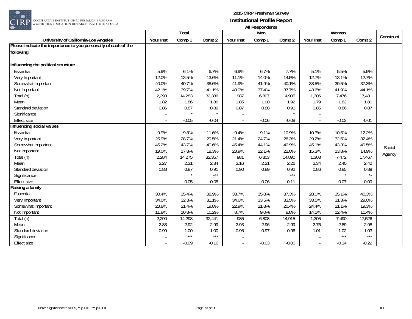

|                                                                 |           | Total   |         |                          | 1.00<br>Men |         |           | Women   |              |           |
|-----------------------------------------------------------------|-----------|---------|---------|--------------------------|-------------|---------|-----------|---------|--------------|-----------|
| University of California-Los Angeles                            | Your Inst | Comp 1  | Comp 2  | Your Inst                | Comp 1      | Comp 2  | Your Inst | Comp 1  | Comp 2       | Construct |
| Please indicate the importance to you personally of each of the |           |         |         |                          |             |         |           |         |              |           |
| following:                                                      |           |         |         |                          |             |         |           |         |              |           |
| Influencing the political structure                             |           |         |         |                          |             |         |           |         |              |           |
| Essential                                                       | 5.9%      | 6.1%    | 6.7%    | 6.9%                     | 6.7%        | 7.7%    | 5.1%      | 5.5%    | 5.9%         |           |
| Very Important                                                  | 12.0%     | 13.5%   | 13.6%   | 11.1%                    | 14.0%       | 14.5%   | 12.7%     | 13.1%   | 12.7%        |           |
| Somewhat Important                                              | 40.0%     | 40.7%   | 38.6%   | 41.9%                    | 41.9%       | 40.1%   | 38.5%     | 39.5%   | 37.3%        |           |
| Not Important                                                   | 42.1%     | 39.7%   | 41.1%   | 40.0%                    | 37.4%       | 37.7%   | 43.6%     | 41.9%   | 44.1%        |           |
| Total (n)                                                       | 2,293     | 14,283  | 32,386  | 987                      | 6,807       | 14,905  | 1,306     | 7,476   | 17,481       |           |
| Mean                                                            | 1.82      | 1.86    | 1.86    | 1.85                     | 1.90        | 1.92    | 1.79      | 1.82    | 1.80         |           |
| Standard deviation                                              | 0.86      | 0.87    | 0.89    | 0.87                     | 0.88        | 0.91    | 0.85      | 0.86    | 0.87         |           |
| Significance                                                    |           | $\star$ |         |                          |             |         |           |         |              |           |
| <b>Effect size</b>                                              |           | $-0.05$ | $-0.04$ | $\sim$                   | $-0.06$     | $-0.08$ | $\sim$    | $-0.03$ | $-0.01$      |           |
| Influencing social values                                       |           |         |         |                          |             |         |           |         |              |           |
| Essential                                                       | 9.9%      | 9.8%    | 11.6%   | 9.4%                     | 9.1%        | 10.9%   | 10.3%     | 10.5%   | 12.2%        |           |
| Very Important                                                  | 25.9%     | 28.7%   | 29.5%   | 21.4%                    | 24.7%       | 26.3%   | 29.2%     | 32.5%   | 32.4%        |           |
| Somewhat Important                                              | 45.2%     | 43.7%   | 40.6%   | 45.4%                    | 44.1%       | 40.9%   | 45.1%     | 43.3%   | 40.5%        | Social    |
| Not Important                                                   | 19.0%     | 17.8%   | 18.3%   | 23.9%                    | 22.1%       | 22.0%   | 15.3%     | 13.8%   | 14.9%        |           |
| Total (n)                                                       | 2,284     | 14,275  | 32,357  | 981                      | 6,803       | 14,890  | 1,303     | 7,472   | 17,467       | Agency    |
| Mean                                                            | 2.27      | 2.31    | 2.34    | 2.16                     | 2.21        | 2.26    | 2.34      | 2.40    | 2.42         |           |
| Standard deviation                                              | 0.88      | 0.87    | 0.91    | 0.90                     | 0.89        | 0.92    | 0.86      | 0.85    | 0.89         |           |
| Significance                                                    |           | $\star$ | $***$   |                          |             | $***$   |           |         | $\star\star$ |           |
| <b>Effect size</b>                                              |           | $-0.05$ | $-0.08$ | $\overline{\phantom{a}}$ | $-0.06$     | $-0.11$ | $\sim$    | $-0.07$ | $-0.09$      |           |
| Raising a family                                                |           |         |         |                          |             |         |           |         |              |           |
| Essential                                                       | 30.4%     | 35.4%   | 38.9%   | 33.7%                    | 35.8%       | 37.3%   | 28.0%     | 35.1%   | 40.3%        |           |
| Very Important                                                  | 34.0%     | 32.3%   | 31.1%   | 34.6%                    | 33.5%       | 33.5%   | 33.5%     | 31.3%   | 29.0%        |           |
| Somewhat Important                                              | 23.8%     | 21.4%   | 19.8%   | 22.9%                    | 21.8%       | 20.4%   | 24.4%     | 21.1%   | 19.3%        |           |
| Not Important                                                   | 11.8%     | 10.8%   | 10.2%   | 8.7%                     | 9.0%        | 8.8%    | 14.1%     | 12.4%   | 11.4%        |           |
| Total (n)                                                       | 2,290     | 14,298  | 32,441  | 985                      | 6,808       | 14,915  | 1,305     | 7,490   | 17,526       |           |
| Mean                                                            | 2.83      | 2.92    | 2.99    | 2.93                     | 2.96        | 2.99    | 2.75      | 2.89    | 2.98         |           |
| Standard deviation                                              | 0.99      | 1.00    | 1.00    | 0.96                     | 0.97        | 0.96    | 1.01      | 1.02    | 1.03         |           |
| Significance                                                    |           | $***$   | $***$   |                          |             |         |           | $***$   | $***$        |           |
| <b>Effect size</b>                                              |           | $-0.09$ | $-0.16$ | $\overline{\phantom{a}}$ | $-0.03$     | $-0.06$ |           | $-0.14$ | $-0.22$      |           |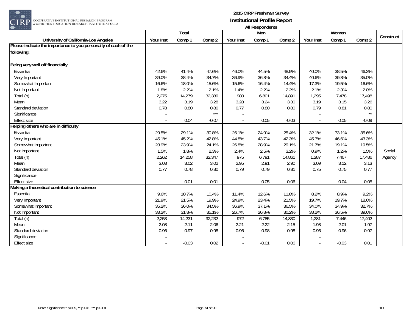

|                                                                 |           |              |         |                          | <b>THE INVOIDUATION</b> |         |           |         |          |           |
|-----------------------------------------------------------------|-----------|--------------|---------|--------------------------|-------------------------|---------|-----------|---------|----------|-----------|
|                                                                 |           | <b>Total</b> |         |                          | Men                     |         |           | Women   |          | Construct |
| University of California-Los Angeles                            | Your Inst | Comp 1       | Comp 2  | Your Inst                | Comp 1                  | Comp 2  | Your Inst | Comp 1  | Comp 2   |           |
| Please indicate the importance to you personally of each of the |           |              |         |                          |                         |         |           |         |          |           |
| following:                                                      |           |              |         |                          |                         |         |           |         |          |           |
|                                                                 |           |              |         |                          |                         |         |           |         |          |           |
| Being very well off financially                                 |           |              |         |                          |                         |         |           |         |          |           |
| Essential                                                       | 42.6%     | 41.4%        | 47.6%   | 46.0%                    | 44.5%                   | 48.9%   | 40.0%     | 38.5%   | 46.3%    |           |
| Very Important                                                  | 39.0%     | 38.4%        | 34.7%   | 36.9%                    | 36.8%                   | 34.4%   | 40.6%     | 39.8%   | 35.0%    |           |
| Somewhat Important                                              | 16.6%     | 18.0%        | 15.6%   | 15.6%                    | 16.4%                   | 14.4%   | 17.3%     | 19.5%   | 16.6%    |           |
| Not Important                                                   | 1.8%      | 2.2%         | 2.1%    | 1.4%                     | 2.2%                    | 2.2%    | 2.1%      | 2.3%    | 2.0%     |           |
| Total (n)                                                       | 2,275     | 14,279       | 32,389  | 980                      | 6,801                   | 14,891  | 1,295     | 7,478   | 17,498   |           |
| Mean                                                            | 3.22      | 3.19         | 3.28    | 3.28                     | 3.24                    | 3.30    | 3.19      | 3.15    | 3.26     |           |
| Standard deviation                                              | 0.78      | 0.80         | 0.80    | 0.77                     | 0.80                    | 0.80    | 0.79      | 0.81    | $0.80\,$ |           |
| Significance                                                    |           |              | $***$   |                          |                         |         |           |         | $**$     |           |
| <b>Effect size</b>                                              |           | 0.04         | $-0.07$ | $\overline{\phantom{a}}$ | 0.05                    | $-0.03$ |           | 0.05    | $-0.09$  |           |
| Helping others who are in difficulty                            |           |              |         |                          |                         |         |           |         |          |           |
| Essential                                                       | 29.5%     | 29.1%        | 30.8%   | 26.1%                    | 24.9%                   | 25.4%   | 32.1%     | 33.1%   | 35.6%    |           |
| Very Important                                                  | 45.1%     | 45.2%        | 42.8%   | 44.8%                    | 43.7%                   | 42.3%   | 45.3%     | 46.6%   | 43.3%    |           |
| Somewhat Important                                              | 23.9%     | 23.9%        | 24.1%   | 26.8%                    | 28.9%                   | 29.1%   | 21.7%     | 19.1%   | 19.5%    |           |
| Not Important                                                   | 1.5%      | 1.8%         | 2.3%    | 2.4%                     | 2.5%                    | 3.2%    | 0.9%      | 1.2%    | 1.5%     | Social    |
| Total (n)                                                       | 2,262     | 14,258       | 32,347  | 975                      | 6,791                   | 14,861  | 1,287     | 7,467   | 17,486   | Agency    |
| Mean                                                            | 3.03      | 3.02         | 3.02    | 2.95                     | 2.91                    | 2.90    | 3.09      | 3.12    | 3.13     |           |
| Standard deviation                                              | 0.77      | 0.78         | 0.80    | 0.79                     | 0.79                    | 0.81    | 0.75      | 0.75    | 0.77     |           |
| Significance                                                    |           |              |         |                          |                         |         |           |         |          |           |
| <b>Effect size</b>                                              |           | 0.01         | 0.01    | $\sim$                   | 0.05                    | 0.06    | $\sim$    | $-0.04$ | $-0.05$  |           |
| Making a theoretical contribution to science                    |           |              |         |                          |                         |         |           |         |          |           |
| Essential                                                       | 9.6%      | 10.7%        | 10.4%   | 11.4%                    | 12.6%                   | 11.8%   | 8.2%      | 8.9%    | 9.2%     |           |
| Very Important                                                  | 21.9%     | 21.5%        | 19.9%   | 24.9%                    | 23.4%                   | 21.5%   | 19.7%     | 19.7%   | 18.6%    |           |
| Somewhat Important                                              | 35.2%     | 36.0%        | 34.5%   | 36.9%                    | 37.1%                   | 36.5%   | 34.0%     | 34.9%   | 32.7%    |           |
| Not Important                                                   | 33.2%     | 31.8%        | 35.1%   | 26.7%                    | 26.8%                   | 30.2%   | 38.2%     | 36.5%   | 39.6%    |           |
| Total (n)                                                       | 2,253     | 14,231       | 32,232  | 972                      | 6,785                   | 14,830  | 1,281     | 7,446   | 17,402   |           |
| Mean                                                            | 2.08      | 2.11         | 2.06    | 2.21                     | 2.22                    | 2.15    | 1.98      | 2.01    | 1.97     |           |
| Standard deviation                                              | 0.96      | 0.97         | 0.98    | 0.96                     | 0.98                    | 0.98    | 0.95      | 0.96    | 0.97     |           |
| Significance                                                    |           |              |         |                          |                         |         |           |         |          |           |
| <b>Effect size</b>                                              |           | $-0.03$      | 0.02    | $\blacksquare$           | $-0.01$                 | 0.06    | $\sim$    | $-0.03$ | 0.01     |           |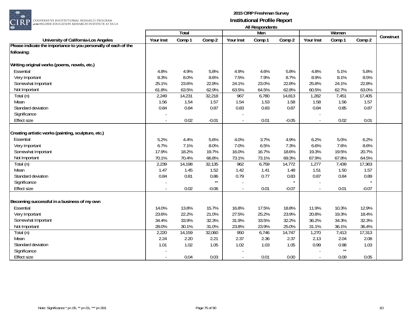

| ----                                                            |           |        |                      |                          | AII RESPUTACITIS |         |           |                      |         |           |
|-----------------------------------------------------------------|-----------|--------|----------------------|--------------------------|------------------|---------|-----------|----------------------|---------|-----------|
|                                                                 |           | Total  |                      |                          | Men              |         |           | Women                |         | Construct |
| University of California-Los Angeles                            | Your Inst | Comp 1 | Comp 2               | Your Inst                | Comp 1           | Comp 2  | Your Inst | Comp 1               | Comp 2  |           |
| Please indicate the importance to you personally of each of the |           |        |                      |                          |                  |         |           |                      |         |           |
| following:                                                      |           |        |                      |                          |                  |         |           |                      |         |           |
|                                                                 |           |        |                      |                          |                  |         |           |                      |         |           |
| Writing original works (poems, novels, etc.)                    |           |        |                      |                          |                  |         |           |                      |         |           |
| Essential                                                       | 4.8%      | 4.9%   | 5.8%                 | 4.9%                     | 4.6%             | 5.8%    | 4.8%      | 5.1%                 | 5.8%    |           |
| Very Important                                                  | 8.3%      | 8.0%   | 8.6%                 | 7.5%                     | 7.9%             | 8.7%    | 8.9%      | 8.1%                 | 8.5%    |           |
| Somewhat Important                                              | 25.1%     | 23.6%  | 22.8%                | 24.1%                    | 23.0%            | 22.8%   | 25.8%     | 24.1%                | 22.8%   |           |
| Not Important                                                   | 61.8%     | 63.5%  | 62.9%                | 63.5%                    | 64.5%            | 62.8%   | 60.5%     | 62.7%                | 63.0%   |           |
| Total (n)                                                       | 2,249     | 14,231 | 32,218               | 967                      | 6,780            | 14,813  | 1,282     | 7,451                | 17,405  |           |
| Mean                                                            | 1.56      | 1.54   | 1.57                 | 1.54                     | 1.53             | 1.58    | 1.58      | 1.56                 | 1.57    |           |
| Standard deviation                                              | 0.84      | 0.84   | 0.87                 | 0.83                     | 0.83             | 0.87    | 0.84      | 0.85                 | 0.87    |           |
| Significance                                                    |           |        |                      |                          |                  |         |           |                      |         |           |
| Effect size                                                     |           | 0.02   | $-0.01$              |                          | 0.01             | $-0.05$ |           | 0.02                 | 0.01    |           |
| Creating artistic works (painting, sculpture, etc.)             |           |        |                      |                          |                  |         |           |                      |         |           |
|                                                                 |           |        |                      | 4.0%                     |                  | 4.9%    |           |                      |         |           |
| Essential                                                       | 5.2%      | 4.4%   | 5.6%                 |                          | 3.7%             |         | 6.2%      | 5.0%                 | 6.2%    |           |
| Very Important                                                  | 6.7%      | 7.1%   | 8.0%                 | 7.0%                     | 6.5%             | 7.3%    | 6.6%      | 7.6%                 | 8.6%    |           |
| Somewhat Important                                              | 17.9%     | 18.2%  | 19.7%                | 16.0%                    | 16.7%            | 18.6%   | 19.3%     | 19.5%                | 20.7%   |           |
| Not Important                                                   | 70.1%     | 70.4%  | 66.8%                | 73.1%                    | 73.1%            | 69.3%   | 67.9%     | 67.8%                | 64.5%   |           |
| Total (n)                                                       | 2,239     | 14,198 | 32,135               | 962                      | 6,759            | 14,772  | 1,277     | 7,439                | 17,363  |           |
| Mean                                                            | 1.47      | 1.45   | 1.52                 | 1.42                     | 1.41             | 1.48    | 1.51      | 1.50                 | 1.57    |           |
| Standard deviation                                              | 0.84      | 0.81   | 0.86<br>$\star\star$ | 0.79                     | 0.77             | 0.83    | 0.87      | 0.84                 | 0.89    |           |
| Significance                                                    |           |        |                      |                          |                  |         |           |                      |         |           |
| <b>Effect size</b>                                              | $\bar{a}$ | 0.02   | $-0.06$              | $\overline{\phantom{a}}$ | 0.01             | $-0.07$ |           | 0.01                 | $-0.07$ |           |
| Becoming successful in a business of my own                     |           |        |                      |                          |                  |         |           |                      |         |           |
| Essential                                                       | 14.0%     | 13.8%  | 15.7%                | 16.8%                    | 17.5%            | 18.8%   | 11.9%     | 10.3%                | 12.9%   |           |
|                                                                 |           |        | 21.0%                | 27.5%                    |                  |         |           | 19.3%                |         |           |
| Very Important                                                  | 23.6%     | 22.2%  |                      |                          | 25.2%            | 23.9%   | 20.8%     |                      | 18.4%   |           |
| Somewhat Important                                              | 34.4%     | 33.9%  | 32.3%                | 31.9%                    | 33.5%            | 32.2%   | 36.2%     | 34.3%                | 32.3%   |           |
| Not Important                                                   | 28.0%     | 30.1%  | 31.0%                | 23.8%                    | 23.9%            | 25.0%   | 31.1%     | 36.1%                | 36.4%   |           |
| Total (n)                                                       | 2,220     | 14,159 | 32,060               | 950                      | 6,746            | 14,747  | 1,270     | 7,413                | 17,313  |           |
| Mean                                                            | 2.24      | 2.20   | 2.21                 | 2.37                     | 2.36             | 2.37    | 2.13      | 2.04                 | 2.08    |           |
| Standard deviation                                              | 1.01      | 1.02   | 1.05                 | 1.02                     | 1.03             | 1.05    | 0.99      | 0.98<br>$\star\star$ | 1.03    |           |
| Significance                                                    |           |        |                      |                          |                  |         |           |                      |         |           |
| <b>Effect size</b>                                              |           | 0.04   | 0.03                 | $\overline{\phantom{a}}$ | 0.01             | 0.00    |           | 0.09                 | 0.05    |           |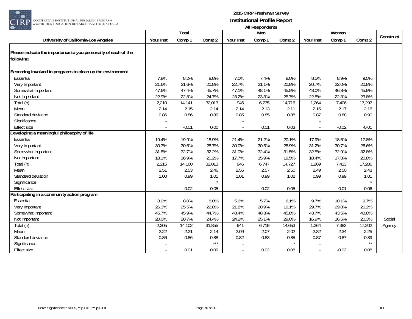

|                                                                 |           |         |        |           | All Respondents |        |           |         |         |           |
|-----------------------------------------------------------------|-----------|---------|--------|-----------|-----------------|--------|-----------|---------|---------|-----------|
|                                                                 |           | Total   |        |           | Men             |        |           | Women   |         | Construct |
| University of California-Los Angeles                            | Your Inst | Comp 1  | Comp 2 | Your Inst | Comp 1          | Comp 2 | Your Inst | Comp 1  | Comp 2  |           |
| Please indicate the importance to you personally of each of the |           |         |        |           |                 |        |           |         |         |           |
| following:                                                      |           |         |        |           |                 |        |           |         |         |           |
| Becoming involved in programs to clean up the environment       |           |         |        |           |                 |        |           |         |         |           |
| Essential                                                       | 7.8%      | 8.2%    | 8.8%   | 7.0%      | 7.4%            | 8.0%   | 8.5%      | 8.9%    | 9.5%    |           |
| Very Important                                                  | 21.6%     | 21.6%   | 20.8%  | 22.7%     | 21.1%           | 20.8%  | 20.7%     | 22.0%   | 20.8%   |           |
| Somewhat Important                                              | 47.6%     | 47.4%   | 45.7%  | 47.1%     | 48.1%           | 45.5%  | 48.0%     | 46.8%   | 45.9%   |           |
| Not Important                                                   | 22.9%     | 22.8%   | 24.7%  | 23.2%     | 23.3%           | 25.7%  | 22.8%     | 22.3%   | 23.8%   |           |
| Total (n)                                                       | 2,210     | 14,141  | 32,013 | 946       | 6,735           | 14,716 | 1,264     | 7,406   | 17,297  |           |
| Mean                                                            | 2.14      | 2.15    | 2.14   | 2.14      | 2.13            | 2.11   | 2.15      | 2.17    | 2.16    |           |
| Standard deviation                                              | 0.86      | 0.86    | 0.89   | 0.85      | 0.85            | 0.88   | 0.87      | 0.88    | 0.90    |           |
| Significance                                                    |           |         |        |           |                 |        |           |         |         |           |
| <b>Effect size</b>                                              |           | $-0.01$ | 0.00   |           | 0.01            | 0.03   |           | $-0.02$ | $-0.01$ |           |
| Developing a meaningful philosophy of life                      |           |         |        |           |                 |        |           |         |         |           |
| Essential                                                       | 19.4%     | 19.9%   | 18.9%  | 21.4%     | 21.2%           | 20.1%  | 17.9%     | 18.6%   | 17.8%   |           |
| Very Important                                                  | 30.7%     | 30.6%   | 28.7%  | 30.0%     | 30.5%           | 28.9%  | 31.2%     | 30.7%   | 28.6%   |           |
| Somewhat Important                                              | 31.8%     | 32.7%   | 32.2%  | 31.0%     | 32.4%           | 31.5%  | 32.5%     | 32.9%   | 32.8%   |           |
| Not Important                                                   | 18.1%     | 16.9%   | 20.2%  | 17.7%     | 15.9%           | 19.5%  | 18.4%     | 17.8%   | 20.8%   |           |
| Total (n)                                                       | 2,215     | 14,160  | 32,013 | 946       | 6,747           | 14,727 | 1,269     | 7,413   | 17,286  |           |
| Mean                                                            | 2.51      | 2.53    | 2.46   | 2.55      | 2.57            | 2.50   | 2.49      | 2.50    | 2.43    |           |
| Standard deviation                                              | 1.00      | 0.99    | 1.01   | 1.01      | 0.99            | 1.02   | 0.99      | 0.99    | 1.01    |           |
| Significance                                                    |           |         |        |           |                 |        |           |         |         |           |
| <b>Effect size</b>                                              |           | $-0.02$ | 0.05   |           | $-0.02$         | 0.05   |           | $-0.01$ | 0.06    |           |
| Participating in a community action program                     |           |         |        |           |                 |        |           |         |         |           |
| Essential                                                       | 8.0%      | 8.0%    | 8.0%   | 5.6%      | 5.7%            | 6.1%   | 9.7%      | 10.1%   | 9.7%    |           |
| Very Important                                                  | 26.3%     | 25.5%   | 22.8%  | 21.8%     | 20.9%           | 19.1%  | 29.7%     | 29.8%   | 26.2%   |           |
| Somewhat Important                                              | 45.7%     | 45.9%   | 44.7%  | 48.4%     | 48.3%           | 45.8%  | 43.7%     | 43.5%   | 43.8%   |           |
| Not Important                                                   | 20.0%     | 20.7%   | 24.4%  | 24.2%     | 25.1%           | 29.0%  | 16.9%     | 16.5%   | 20.3%   | Social    |
| Total (n)                                                       | 2,205     | 14,102  | 31,855 | 941       | 6,719           | 14,653 | 1,264     | 7,383   | 17,202  | Agency    |
| Mean                                                            | 2.22      | 2.21    | 2.14   | 2.09      | 2.07            | 2.02   | 2.32      | 2.34    | 2.25    |           |
| Standard deviation                                              | 0.86      | 0.86    | 0.88   | 0.82      | 0.83            | 0.85   | 0.87      | 0.87    | 0.89    |           |
| Significance                                                    |           |         | $***$  |           |                 |        |           |         | $**$    |           |
| <b>Effect size</b>                                              |           | 0.01    | 0.09   |           | 0.02            | 0.08   |           | $-0.02$ | 0.08    |           |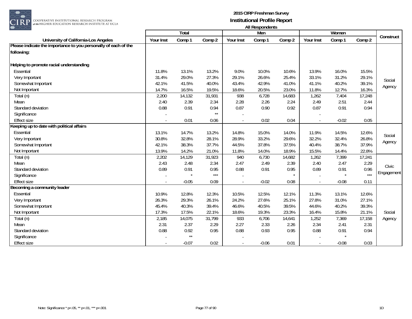

| ----                                                            |           |              |        |           | All INCOPUTACITIO |        |           |         |        |            |
|-----------------------------------------------------------------|-----------|--------------|--------|-----------|-------------------|--------|-----------|---------|--------|------------|
|                                                                 |           | <b>Total</b> |        |           | Men               |        |           | Women   |        | Construct  |
| University of California-Los Angeles                            | Your Inst | Comp 1       | Comp 2 | Your Inst | Comp 1            | Comp 2 | Your Inst | Comp 1  | Comp 2 |            |
| Please indicate the importance to you personally of each of the |           |              |        |           |                   |        |           |         |        |            |
| following:                                                      |           |              |        |           |                   |        |           |         |        |            |
|                                                                 |           |              |        |           |                   |        |           |         |        |            |
| Helping to promote racial understanding                         |           |              |        |           |                   |        |           |         |        |            |
| Essential                                                       | 11.8%     | 13.1%        | 13.2%  | 9.0%      | 10.0%             | 10.6%  | 13.9%     | 16.0%   | 15.5%  |            |
| Very Important                                                  | 31.4%     | 29.0%        | 27.3%  | 29.1%     | 26.6%             | 25.4%  | 33.1%     | 31.2%   | 29.1%  | Social     |
| Somewhat Important                                              | 42.1%     | 41.5%        | 40.0%  | 43.4%     | 42.9%             | 41.0%  | 41.1%     | 40.2%   | 39.1%  |            |
| Not Important                                                   | 14.7%     | 16.5%        | 19.5%  | 18.6%     | 20.5%             | 23.0%  | 11.8%     | 12.7%   | 16.3%  | Agency     |
| Total $(n)$                                                     | 2,200     | 14,132       | 31,931 | 938       | 6,728             | 14,683 | 1,262     | 7,404   | 17,248 |            |
| Mean                                                            | 2.40      | 2.39         | 2.34   | 2.28      | 2.26              | 2.24   | 2.49      | 2.51    | 2.44   |            |
| Standard deviation                                              | 0.88      | 0.91         | 0.94   | 0.87      | 0.90              | 0.92   | 0.87      | 0.91    | 0.94   |            |
| Significance                                                    |           |              | $**$   |           |                   |        |           |         |        |            |
| <b>Effect size</b>                                              |           | 0.01         | 0.06   | $\sim$    | 0.02              | 0.04   | $\sim$    | $-0.02$ | 0.05   |            |
| Keeping up to date with political affairs                       |           |              |        |           |                   |        |           |         |        |            |
| Essential                                                       | 13.1%     | 14.7%        | 13.2%  | 14.8%     | 15.0%             | 14.0%  | 11.9%     | 14.5%   | 12.6%  | Social     |
| Very Important                                                  | 30.8%     | 32.8%        | 28.1%  | 28.9%     | 33.2%             | 29.6%  | 32.2%     | 32.4%   | 26.8%  |            |
| Somewhat Important                                              | 42.1%     | 38.3%        | 37.7%  | 44.5%     | 37.8%             | 37.5%  | 40.4%     | 38.7%   | 37.9%  | Agency     |
| Not Important                                                   | 13.9%     | 14.2%        | 21.0%  | 11.8%     | 14.0%             | 18.9%  | 15.5%     | 14.4%   | 22.8%  |            |
| Total (n)                                                       | 2,202     | 14,129       | 31,923 | 940       | 6,730             | 14,682 | 1,262     | 7,399   | 17,241 |            |
| Mean                                                            | 2.43      | 2.48         | 2.34   | 2.47      | 2.49              | 2.39   | 2.40      | 2.47    | 2.29   | Civic      |
| Standard deviation                                              | 0.89      | 0.91         | 0.95   | 0.88      | 0.91              | 0.95   | 0.89      | 0.91    | 0.96   |            |
| Significance                                                    |           |              | $***$  |           |                   |        |           |         | $***$  | Engagement |
| <b>Effect size</b>                                              |           | $-0.05$      | 0.09   | $\sim$    | $-0.02$           | 0.08   |           | $-0.08$ | 0.11   |            |
| Becoming a community leader                                     |           |              |        |           |                   |        |           |         |        |            |
| Essential                                                       | 10.9%     | 12.8%        | 12.3%  | 10.5%     | 12.5%             | 12.1%  | 11.3%     | 13.1%   | 12.6%  |            |
| Very Important                                                  | 26.3%     | 29.3%        | 26.1%  | 24.2%     | 27.6%             | 25.1%  | 27.8%     | 31.0%   | 27.1%  |            |
| Somewhat Important                                              | 45.4%     | 40.3%        | 39.4%  | 46.6%     | 40.5%             | 39.5%  | 44.6%     | 40.2%   | 39.3%  |            |
| Not Important                                                   | 17.3%     | 17.5%        | 22.1%  | 18.6%     | 19.3%             | 23.3%  | 16.4%     | 15.8%   | 21.1%  | Social     |
| Total (n)                                                       | 2,185     | 14,075       | 31,799 | 933       | 6,706             | 14,641 | 1,252     | 7,369   | 17,158 | Agency     |
| Mean                                                            | 2.31      | 2.37         | 2.29   | 2.27      | 2.33              | 2.26   | 2.34      | 2.41    | 2.31   |            |
| Standard deviation                                              | 0.88      | 0.92         | 0.95   | 0.88      | 0.93              | 0.95   | 0.88      | 0.91    | 0.94   |            |
| Significance                                                    |           | $\star\star$ |        |           |                   |        |           |         |        |            |
| <b>Effect size</b>                                              |           | $-0.07$      | 0.02   | $\sim$    | $-0.06$           | 0.01   |           | $-0.08$ | 0.03   |            |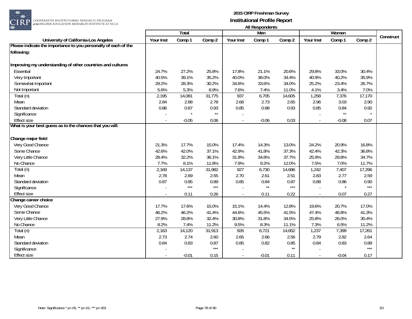

|                                                                                |           | Total   |                      |                          | 1.0011<br>Men |        |           | Women                |        |           |
|--------------------------------------------------------------------------------|-----------|---------|----------------------|--------------------------|---------------|--------|-----------|----------------------|--------|-----------|
| University of California-Los Angeles                                           | Your Inst | Comp 1  | Comp 2               | Your Inst                | Comp 1        | Comp 2 | Your Inst | Comp 1               | Comp 2 | Construct |
| Please indicate the importance to you personally of each of the                |           |         |                      |                          |               |        |           |                      |        |           |
| following:                                                                     |           |         |                      |                          |               |        |           |                      |        |           |
| Improving my understanding of other countries and cultures                     |           |         |                      |                          |               |        |           |                      |        |           |
| Essential                                                                      | 24.7%     | 27.2%   | 25.8%                | 17.8%                    | 21.1%         | 20.6%  | 29.8%     | 33.0%                | 30.4%  |           |
| Very Important                                                                 | 40.5%     | 39.1%   | 35.2%                | 40.0%                    | 38.0%         | 34.4%  | 40.9%     | 40.2%                | 35.9%  |           |
| Somewhat Important                                                             | 29.2%     | 28.3%   | 30.2%                | 34.6%                    | 33.6%         | 34.0%  | 25.2%     | 23.4%                | 26.7%  |           |
| Not Important                                                                  | 5.6%      | 5.3%    | 8.9%                 | 7.6%                     | 7.4%          | 11.0%  | 4.1%      | 3.4%                 | 7.0%   |           |
| Total (n)                                                                      | 2,195     | 14,081  | 31,775               | 937                      | 6,705         | 14,605 | 1,258     | 7,376                | 17,170 |           |
| Mean                                                                           | 2.84      | 2.88    | 2.78                 | 2.68                     | 2.73          | 2.65   | 2.96      | 3.03                 | 2.90   |           |
| Standard deviation                                                             |           |         |                      |                          |               |        |           |                      |        |           |
|                                                                                | 0.86      | 0.87    | 0.93<br>$\star\star$ | 0.85                     | 0.88          | 0.93   | 0.85      | 0.84<br>$\star\star$ | 0.92   |           |
| Significance                                                                   |           |         |                      |                          |               |        |           |                      |        |           |
| <b>Effect size</b><br>What is your best guess as to the chances that you will: |           | $-0.05$ | 0.06                 | $\overline{\phantom{a}}$ | $-0.06$       | 0.03   |           | $-0.08$              | 0.07   |           |
|                                                                                |           |         |                      |                          |               |        |           |                      |        |           |
| Change major field                                                             |           |         |                      |                          |               |        |           |                      |        |           |
| Very Good Chance                                                               | 21.3%     | 17.7%   | 15.0%                | 17.4%                    | 14.3%         | 13.0%  | 24.2%     | 20.9%                | 16.8%  |           |
| Some Chance                                                                    | 42.6%     | 42.0%   | 37.1%                | 42.9%                    | 41.8%         | 37.3%  | 42.4%     | 42.3%                | 36.8%  |           |
| Very Little Chance                                                             | 28.4%     | 32.2%   | 36.1%                | 31.8%                    | 34.8%         | 37.7%  | 25.9%     | 29.8%                | 34.7%  |           |
| No Chance                                                                      | 7.7%      | 8.1%    | 11.8%                | 7.9%                     | 9.2%          | 12.0%  | 7.5%      | 7.0%                 | 11.7%  |           |
| Total (n)                                                                      | 2,169     | 14,137  | 31,982               | 927                      | 6,730         | 14,686 | 1,242     | 7,407                | 17,296 |           |
| Mean                                                                           | 2.78      | 2.69    | 2.55                 | 2.70                     | 2.61          | 2.51   | 2.83      | 2.77                 | 2.59   |           |
| Standard deviation                                                             | 0.87      | 0.85    | 0.89                 | 0.85                     | 0.84          | 0.87   | 0.88      | 0.86                 | 0.90   |           |
| Significance                                                                   |           | $***$   | $***$                |                          | $\star\star$  | $***$  |           |                      | $***$  |           |
| <b>Effect size</b>                                                             |           | 0.11    | 0.26                 | $\sim$                   | 0.11          | 0.22   |           | 0.07                 | 0.27   |           |
| Change career choice                                                           |           |         |                      |                          |               |        |           |                      |        |           |
| Very Good Chance                                                               | 17.7%     | 17.6%   | 15.0%                | 15.1%                    | 14.4%         | 12.8%  | 19.6%     | 20.7%                | 17.0%  |           |
| Some Chance                                                                    | 46.2%     | 46.2%   | 41.4%                | 44.6%                    | 45.5%         | 41.5%  | 47.4%     | 46.8%                | 41.3%  |           |
| Very Little Chance                                                             | 27.9%     | 28.8%   | 32.4%                | 30.8%                    | 31.8%         | 34.5%  | 25.8%     | 26.0%                | 30.4%  |           |
| No Chance                                                                      | 8.2%      | 7.4%    | 11.2%                | 9.5%                     | 8.3%          | 11.1%  | 7.3%      | 6.5%                 | 11.2%  |           |
| Total (n)                                                                      | 2,163     | 14,120  | 31,913               | 926                      | 6,721         | 14,652 | 1,237     | 7,399                | 17,261 |           |
| Mean                                                                           | 2.73      | 2.74    | 2.60                 | 2.65                     | 2.66          | 2.56   | 2.79      | 2.82                 | 2.64   |           |
| Standard deviation                                                             | 0.84      | 0.83    | 0.87                 | 0.85                     | 0.82          | 0.85   | 0.84      | 0.83                 | 0.89   |           |
| Significance                                                                   |           |         | $***$                |                          |               | $**$   |           |                      | $***$  |           |
| <b>Effect size</b>                                                             |           | $-0.01$ | 0.15                 | $\blacksquare$           | $-0.01$       | 0.11   | $\sim$    | $-0.04$              | 0.17   |           |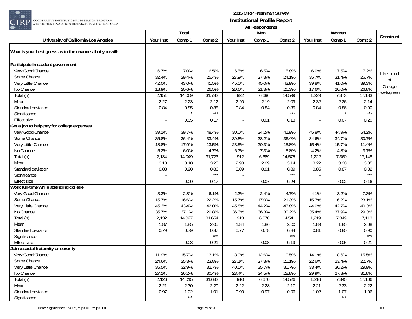

|                                                          |           |        |         |                          | n in nooponuomo |         |           |        |                   |             |
|----------------------------------------------------------|-----------|--------|---------|--------------------------|-----------------|---------|-----------|--------|-------------------|-------------|
|                                                          |           | Total  |         |                          | Men             |         |           | Women  |                   | Construct   |
| University of California-Los Angeles                     | Your Inst | Comp 1 | Comp 2  | Your Inst                | Comp 1          | Comp 2  | Your Inst | Comp 1 | Comp 2            |             |
| What is your best guess as to the chances that you will: |           |        |         |                          |                 |         |           |        |                   |             |
|                                                          |           |        |         |                          |                 |         |           |        |                   |             |
| Participate in student government                        |           |        |         |                          |                 |         |           |        |                   |             |
| Very Good Chance                                         | 6.7%      | 7.0%   | 6.5%    | 6.5%                     | 6.5%            | 5.8%    | 6.9%      | 7.5%   | 7.2%              | Likelihood  |
| Some Chance                                              | 32.4%     | 29.4%  | 25.4%   | 27.9%                    | 27.3%           | 24.1%   | 35.7%     | 31.4%  | 26.7%             | 0f          |
| Very Little Chance                                       | 42.0%     | 43.0%  | 41.5%   | 45.0%                    | 45.0%           | 43.9%   | 39.8%     | 41.0%  | 39.3%             | College     |
| No Chance                                                | 18.9%     | 20.6%  | 26.5%   | 20.6%                    | 21.3%           | 26.3%   | 17.6%     | 20.0%  | 26.8%             |             |
| Total (n)                                                | 2,151     | 14,069 | 31,782  | 922                      | 6,696           | 14,599  | 1,229     | 7,373  | 17,183            | Involvement |
| Mean                                                     | 2.27      | 2.23   | 2.12    | 2.20                     | 2.19            | 2.09    | 2.32      | 2.26   | 2.14              |             |
| Standard deviation                                       | 0.84      | 0.85   | 0.88    | 0.84                     | 0.84            | 0.85    | 0.84      | 0.86   | 0.90              |             |
| Significance                                             |           |        | $***$   |                          |                 | $***$   |           |        | $\star\star\star$ |             |
| <b>Effect size</b>                                       |           | 0.05   | 0.17    | $\overline{\phantom{a}}$ | 0.01            | 0.13    |           | 0.07   | 0.20              |             |
| Get a job to help pay for college expenses               |           |        |         |                          |                 |         |           |        |                   |             |
| Very Good Chance                                         | 39.1%     | 39.7%  | 48.4%   | 30.0%                    | 34.2%           | 41.9%   | 45.8%     | 44.9%  | 54.2%             |             |
| Some Chance                                              | 36.8%     | 36.4%  | 33.4%   | 39.8%                    | 38.2%           | 36.4%   | 34.6%     | 34.7%  | 30.7%             |             |
| Very Little Chance                                       | 18.8%     | 17.9%  | 13.5%   | 23.5%                    | 20.3%           | 15.8%   | 15.4%     | 15.7%  | 11.4%             |             |
| No Chance                                                | 5.2%      | 6.0%   | 4.7%    | 6.7%                     | 7.3%            | 5.8%    | 4.2%      | 4.8%   | 3.7%              |             |
| Total (n)                                                | 2,134     | 14,049 | 31,723  | 912                      | 6,689           | 14,575  | 1,222     | 7,360  | 17,148            |             |
| Mean                                                     | 3.10      | 3.10   | 3.25    | 2.93                     | 2.99            | 3.14    | 3.22      | 3.20   | 3.35              |             |
| Standard deviation                                       | 0.88      | 0.90   | 0.86    | 0.89                     | 0.91            | 0.89    | 0.85      | 0.87   | 0.82              |             |
| Significance                                             |           |        | $***$   |                          |                 | $***$   |           |        | $***$             |             |
| <b>Effect size</b>                                       |           | 0.00   | $-0.17$ | $\sim$                   | $-0.07$         | $-0.24$ |           | 0.02   | $-0.16$           |             |
| Work full-time while attending college                   |           |        |         |                          |                 |         |           |        |                   |             |
| Very Good Chance                                         | 3.3%      | 2.8%   | 6.1%    | 2.3%                     | 2.4%            | 4.7%    | 4.1%      | 3.2%   | 7.3%              |             |
| Some Chance                                              | 15.7%     | 16.6%  | 22.2%   | 15.7%                    | 17.0%           | 21.3%   | 15.7%     | 16.2%  | 23.1%             |             |
| Very Little Chance                                       | 45.3%     | 43.4%  | 42.0%   | 45.8%                    | 44.2%           | 43.8%   | 44.9%     | 42.7%  | 40.3%             |             |
| No Chance                                                | 35.7%     | 37.1%  | 29.8%   | 36.3%                    | 36.3%           | 30.2%   | 35.4%     | 37.9%  | 29.3%             |             |
| Total (n)                                                | 2,132     | 14,027 | 31,654  | 913                      | 6,678           | 14,541  | 1,219     | 7,349  | 17,113            |             |
| Mean                                                     | 1.87      | 1.85   | 2.05    | 1.84                     | 1.86            | 2.00    | 1.89      | 1.85   | 2.08              |             |
| Standard deviation                                       | 0.79      | 0.79   | 0.87    | 0.77                     | 0.78            | 0.84    | 0.81      | 0.80   | 0.90              |             |
| Significance                                             |           |        | $***$   |                          |                 | $***$   |           |        | $***$             |             |
| <b>Effect size</b>                                       |           | 0.03   | $-0.21$ | L,                       | $-0.03$         | $-0.19$ |           | 0.05   | $-0.21$           |             |
| Join a social fraternity or sorority                     |           |        |         |                          |                 |         |           |        |                   |             |
| Very Good Chance                                         | 11.9%     | 15.7%  | 13.1%   | 8.9%                     | 12.6%           | 10.5%   | 14.1%     | 18.6%  | 15.5%             |             |
| Some Chance                                              | 24.6%     | 25.3%  | 23.8%   | 27.1%                    | 27.3%           | 25.1%   | 22.6%     | 23.4%  | 22.7%             |             |
| Very Little Chance                                       | 36.5%     | 32.9%  | 32.7%   | 40.5%                    | 35.7%           | 35.7%   | 33.4%     | 30.2%  | 29.9%             |             |
| No Chance                                                | 27.1%     | 26.2%  | 30.4%   | 23.4%                    | 24.5%           | 28.8%   | 29.9%     | 27.8%  | 31.8%             |             |
| Total (n)                                                | 2,126     | 14,015 | 31,632  | 910                      | 6,670           | 14,526  | 1,216     | 7,345  | 17,106            |             |
| Mean                                                     | 2.21      | 2.30   | 2.20    | 2.22                     | 2.28            | 2.17    | 2.21      | 2.33   | 2.22              |             |
| Standard deviation                                       | 0.97      | 1.02   | 1.01    | 0.90                     | 0.97            | 0.96    | 1.02      | 1.07   | 1.06              |             |
| Significance                                             |           | $***$  |         |                          |                 |         |           | $***$  |                   |             |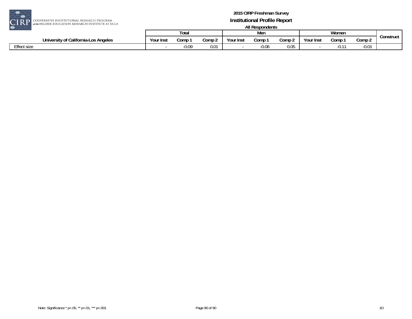

| $\sim$<br>---                        |           |         |        |           |         |        |           |       |         |           |
|--------------------------------------|-----------|---------|--------|-----------|---------|--------|-----------|-------|---------|-----------|
|                                      |           | Total   |        |           | Mer     |        |           | Women |         |           |
| University of California-Los Angeles | Your Inst | Comp    | Comp 2 | Your Inst | Comp    | Comp 2 | Your Inst | Comp  | Comp 2  | Construct |
| Effect size                          |           | $-0.09$ | 0.01   |           | $-0.06$ | 0.05   |           |       | $-0.01$ |           |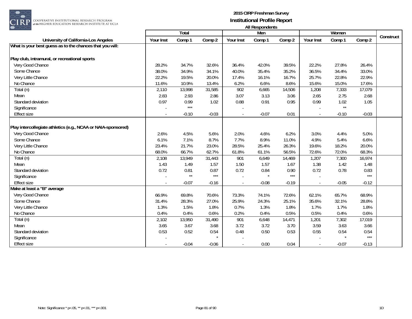

|                                                               |           | Total   |         |           | Men     |         |           | Women   |         |           |
|---------------------------------------------------------------|-----------|---------|---------|-----------|---------|---------|-----------|---------|---------|-----------|
| University of California-Los Angeles                          | Your Inst | Comp 1  | Comp 2  | Your Inst | Comp 1  | Comp 2  | Your Inst | Comp 1  | Comp 2  | Construct |
| What is your best guess as to the chances that you will:      |           |         |         |           |         |         |           |         |         |           |
|                                                               |           |         |         |           |         |         |           |         |         |           |
| Play club, intramural, or recreational sports                 |           |         |         |           |         |         |           |         |         |           |
| Very Good Chance                                              | 28.2%     | 34.7%   | 32.6%   | 36.4%     | 42.0%   | 39.5%   | 22.2%     | 27.8%   | 26.4%   |           |
| Some Chance                                                   | 38.0%     | 34.9%   | 34.1%   | 40.0%     | 35.4%   | 35.2%   | 36.5%     | 34.4%   | 33.0%   |           |
| Very Little Chance                                            | 22.2%     | 19.5%   | 20.0%   | 17.4%     | 16.1%   | 16.7%   | 25.7%     | 22.8%   | 22.9%   |           |
| No Chance                                                     | 11.6%     | 10.9%   | 13.4%   | 6.2%      | 6.6%    | 8.6%    | 15.6%     | 15.0%   | 17.6%   |           |
| Total (n)                                                     | 2,110     | 13,998  | 31,585  | 902       | 6,665   | 14,506  | 1,208     | 7,333   | 17,079  |           |
| Mean                                                          | 2.83      | 2.93    | 2.86    | 3.07      | 3.13    | 3.06    | 2.65      | 2.75    | 2.68    |           |
| Standard deviation                                            | 0.97      | 0.99    | 1.02    | 0.88      | 0.91    | 0.95    | 0.99      | 1.02    | 1.05    |           |
| Significance                                                  |           | $***$   |         |           |         |         |           | $**$    |         |           |
| <b>Effect size</b>                                            |           | $-0.10$ | $-0.03$ |           | $-0.07$ | 0.01    |           | $-0.10$ | $-0.03$ |           |
|                                                               |           |         |         |           |         |         |           |         |         |           |
| Play intercollegiate athletics (e.g., NCAA or NAIA-sponsored) |           |         |         |           |         |         |           |         |         |           |
| Very Good Chance                                              | 2.6%      | 4.5%    | 5.6%    | 2.0%      | 4.6%    | 6.2%    | 3.0%      | 4.4%    | 5.0%    |           |
| Some Chance                                                   | 6.1%      | 7.1%    | 8.7%    | 7.7%      | 8.9%    | 11.0%   | 4.9%      | 5.4%    | 6.6%    |           |
| Very Little Chance                                            | 23.4%     | 21.7%   | 23.0%   | 28.5%     | 25.4%   | 26.3%   | 19.6%     | 18.2%   | 20.0%   |           |
| No Chance                                                     | 68.0%     | 66.7%   | 62.7%   | 61.8%     | 61.1%   | 56.5%   | 72.6%     | 72.0%   | 68.3%   |           |
| Total (n)                                                     | 2,108     | 13,949  | 31,443  | 901       | 6,649   | 14,469  | 1,207     | 7,300   | 16,974  |           |
| Mean                                                          | 1.43      | 1.49    | 1.57    | 1.50      | 1.57    | 1.67    | 1.38      | 1.42    | 1.48    |           |
| Standard deviation                                            | 0.72      | 0.81    | 0.87    | 0.72      | 0.84    | 0.90    | 0.72      | 0.78    | 0.83    |           |
| Significance                                                  |           | $**$    | $***$   |           | $\star$ | $***$   |           |         | $***$   |           |
| <b>Effect size</b>                                            |           | $-0.07$ | $-0.16$ | $\sim$    | $-0.08$ | $-0.19$ |           | $-0.05$ | $-0.12$ |           |
| Make at least a "B" average                                   |           |         |         |           |         |         |           |         |         |           |
| Very Good Chance                                              | 66.9%     | 69.8%   | 70.6%   | 73.3%     | 74.1%   | 72.6%   | 62.1%     | 65.7%   | 68.9%   |           |
| Some Chance                                                   | 31.4%     | 28.3%   | 27.0%   | 25.9%     | 24.3%   | 25.1%   | 35.6%     | 32.1%   | 28.8%   |           |
| Very Little Chance                                            | 1.3%      | 1.5%    | 1.8%    | 0.7%      | 1.3%    | 1.8%    | 1.7%      | 1.7%    | 1.8%    |           |
| No Chance                                                     | 0.4%      | 0.4%    | 0.6%    | 0.2%      | 0.4%    | 0.5%    | 0.5%      | 0.4%    | 0.6%    |           |
| Total (n)                                                     | 2,102     | 13,950  | 31,490  | 901       | 6,648   | 14,471  | 1,201     | 7,302   | 17,019  |           |
| Mean                                                          | 3.65      | 3.67    | 3.68    | 3.72      | 3.72    | 3.70    | 3.59      | 3.63    | 3.66    |           |
| Standard deviation                                            | 0.53      | 0.52    | 0.54    | 0.48      | 0.50    | 0.53    | 0.55      | 0.54    | 0.54    |           |
| Significance                                                  |           |         |         |           |         |         |           |         | $***$   |           |
| <b>Effect size</b>                                            |           | $-0.04$ | $-0.06$ | $\sim$    | 0.00    | 0.04    |           | $-0.07$ | $-0.13$ |           |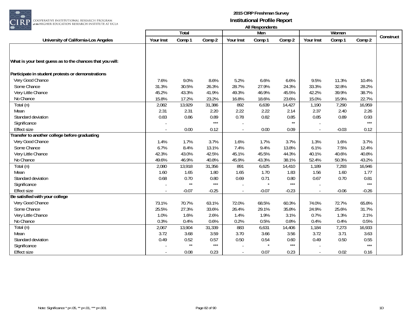

|                                                          |           | Total        |                       |           | All <i>Nesportation</i><br>Men |              |           | Women   |         |           |
|----------------------------------------------------------|-----------|--------------|-----------------------|-----------|--------------------------------|--------------|-----------|---------|---------|-----------|
| University of California-Los Angeles                     | Your Inst | Comp 1       | Comp 2                | Your Inst | Comp 1                         | Comp 2       | Your Inst | Comp 1  | Comp 2  | Construct |
|                                                          |           |              |                       |           |                                |              |           |         |         |           |
|                                                          |           |              |                       |           |                                |              |           |         |         |           |
| What is your best guess as to the chances that you will: |           |              |                       |           |                                |              |           |         |         |           |
|                                                          |           |              |                       |           |                                |              |           |         |         |           |
| Participate in student protests or demonstrations        |           |              |                       |           |                                |              |           |         |         |           |
| Very Good Chance                                         | 7.6%      | 9.0%         | 8.6%                  | 5.2%      | 6.6%                           | 6.6%         | 9.5%      | 11.3%   | 10.4%   |           |
| Some Chance                                              | 31.3%     | 30.5%        | 26.3%                 | 28.7%     | 27.9%                          | 24.3%        | 33.3%     | 32.8%   | 28.2%   |           |
| Very Little Chance                                       | 45.2%     | 43.3%        | 41.9%                 | 49.3%     | 46.9%                          | 45.5%        | 42.2%     | 39.9%   | 38.7%   |           |
| No Chance                                                | 15.8%     | 17.2%        | 23.2%                 | 16.8%     | 18.6%                          | 23.6%        | 15.0%     | 15.9%   | 22.7%   |           |
| Total (n)                                                | 2,082     | 13,929       | 31,386                | 892       | 6,639                          | 14,427       | 1,190     | 7,290   | 16,959  |           |
| Mean                                                     | 2.31      | 2.31         | 2.20                  | 2.22      | 2.22                           | 2.14         | 2.37      | 2.40    | 2.26    |           |
| Standard deviation                                       | 0.83      | 0.86         | 0.89                  | 0.78      | 0.82                           | 0.85         | 0.85      | 0.89    | 0.93    |           |
| Significance                                             |           |              | $***$                 |           |                                | $\star\star$ |           |         | $***$   |           |
| <b>Effect size</b>                                       |           | 0.00         | 0.12                  | $\sim$    | 0.00                           | 0.09         | $\sim$    | $-0.03$ | 0.12    |           |
| Transfer to another college before graduating            |           |              |                       |           |                                |              |           |         |         |           |
| Very Good Chance                                         | 1.4%      | 1.7%         | 3.7%                  | 1.6%      | 1.7%                           | 3.7%         | 1.3%      | 1.6%    | 3.7%    |           |
| Some Chance                                              | 6.7%      | 8.4%         | 13.1%                 | 7.4%      | 9.4%                           | 13.8%        | 6.1%      | 7.5%    | 12.4%   |           |
| Very Little Chance                                       | 42.3%     | 43.0%        | 42.5%                 | 45.1%     | 45.5%                          | 44.3%        | 40.1%     | 40.6%   | 40.8%   |           |
| No Chance                                                | 49.6%     | 46.9%        | 40.8%                 | 45.9%     | 43.3%                          | 38.1%        | 52.4%     | 50.3%   | 43.2%   |           |
| Total (n)                                                | 2,080     | 13,918       | 31,356                | 891       | 6,625                          | 14,410       | 1,189     | 7,293   | 16,946  |           |
| Mean                                                     | 1.60      | 1.65         | 1.80                  | 1.65      | 1.70                           | 1.83         | 1.56      | 1.60    | 1.77    |           |
| Standard deviation                                       | 0.68      | 0.70         | 0.80                  | 0.69      | 0.71                           | 0.80         | 0.67      | 0.70    | 0.81    |           |
| Significance                                             |           | $\star\star$ | $***$                 |           | $\star$                        | $***$        |           |         | $***$   |           |
| <b>Effect size</b>                                       |           | $-0.07$      | $-0.25$               | $\sim$    | $-0.07$                        | $-0.23$      | $\sim$    | $-0.06$ | $-0.26$ |           |
| Be satisfied with your college                           |           |              |                       |           |                                |              |           |         |         |           |
| Very Good Chance                                         | 73.1%     | 70.7%        | 63.1%                 | 72.0%     | 68.5%                          | 60.3%        | 74.0%     | 72.7%   | 65.8%   |           |
| Some Chance                                              | 25.5%     | 27.3%        | 33.6%                 | 26.4%     | 29.1%                          | 35.8%        | 24.9%     | 25.6%   | 31.7%   |           |
| Very Little Chance                                       | 1.0%      | 1.6%         | 2.6%                  | 1.4%      | 1.9%                           | 3.1%         | 0.7%      | 1.3%    | 2.1%    |           |
| No Chance                                                | 0.3%      | 0.4%         | 0.6%                  | 0.2%      | 0.5%                           | 0.8%         | 0.4%      | 0.4%    | 0.5%    |           |
| Total (n)                                                | 2,067     | 13,904       | 31,339                | 883       | 6,631                          | 14,406       | 1,184     | 7,273   | 16,933  |           |
| Mean                                                     | 3.72      | 3.68         | 3.59                  | 3.70      | 3.66                           | 3.56         | 3.72      | 3.71    | 3.63    |           |
| Standard deviation                                       | 0.49      | 0.52         | 0.57                  | 0.50      | 0.54                           | 0.60         | 0.49      | 0.50    | 0.55    |           |
| Significance                                             |           | $**$         | $\star\!\star\!\star$ |           |                                | $***$        |           |         | $***$   |           |
| <b>Effect size</b>                                       |           | 0.08         | 0.23                  |           | 0.07                           | 0.23         |           | 0.02    | 0.16    |           |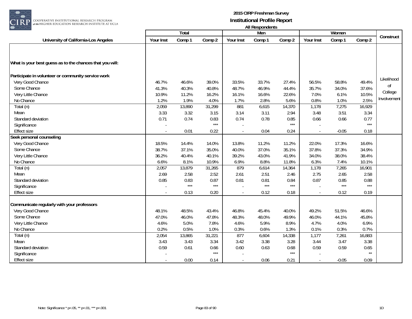

| $\smash{\cup\!\cup\!\cup}$                               |           |        |        |                | AII RESPUNDENTS |        |           |         |              |             |
|----------------------------------------------------------|-----------|--------|--------|----------------|-----------------|--------|-----------|---------|--------------|-------------|
|                                                          |           | Total  |        |                | Men             |        |           | Women   |              | Construct   |
| University of California-Los Angeles                     | Your Inst | Comp 1 | Comp 2 | Your Inst      | Comp 1          | Comp 2 | Your Inst | Comp 1  | Comp 2       |             |
|                                                          |           |        |        |                |                 |        |           |         |              |             |
|                                                          |           |        |        |                |                 |        |           |         |              |             |
| What is your best guess as to the chances that you will: |           |        |        |                |                 |        |           |         |              |             |
| Participate in volunteer or community service work       |           |        |        |                |                 |        |           |         |              |             |
| Very Good Chance                                         | 46.7%     | 46.6%  | 39.0%  | 33.5%          | 33.7%           | 27.4%  | 56.5%     | 58.8%   | 49.4%        | Likelihood  |
| Some Chance                                              | 41.3%     | 40.3%  | 40.8%  | 48.7%          | 46.9%           | 44.4%  | 35.7%     | 34.0%   | 37.6%        | Οf          |
| Very Little Chance                                       | 10.9%     | 11.2%  | 16.2%  | 16.1%          | 16.6%           | 22.6%  | 7.0%      | 6.1%    | 10.5%        | College     |
| No Chance                                                | 1.2%      | 1.9%   | 4.0%   | 1.7%           | 2.8%            | 5.6%   | 0.8%      | 1.0%    | 2.5%         | Involvement |
| Total (n)                                                | 2,059     | 13,890 | 31,299 | 881            | 6,615           | 14,370 | 1,178     | 7,275   | 16,929       |             |
| Mean                                                     | 3.33      | 3.32   | 3.15   | 3.14           | 3.11            | 2.94   | 3.48      | 3.51    | 3.34         |             |
| Standard deviation                                       | 0.71      | 0.74   | 0.83   | 0.74           | 0.78            | 0.85   | 0.66      | 0.66    | 0.77         |             |
| Significance                                             |           |        | $***$  |                |                 | $***$  |           |         | $***$        |             |
| <b>Effect size</b>                                       |           | 0.01   | 0.22   |                | 0.04            | 0.24   |           | $-0.05$ | 0.18         |             |
| Seek personal counseling                                 |           |        |        |                |                 |        |           |         |              |             |
| Very Good Chance                                         | 18.5%     | 14.4%  | 14.0%  | 13.8%          | 11.2%           | 11.2%  | 22.0%     | 17.3%   | 16.6%        |             |
| Some Chance                                              | 38.7%     | 37.1%  | 35.0%  | 40.0%          | 37.0%           | 35.1%  | 37.8%     | 37.3%   | 34.9%        |             |
| Very Little Chance                                       | 36.2%     | 40.4%  | 40.1%  | 39.2%          | 43.0%           | 41.9%  | 34.0%     | 38.0%   | 38.4%        |             |
| No Chance                                                | 6.6%      | 8.1%   | 10.9%  | 6.9%           | 8.8%            | 11.8%  | 6.3%      | 7.4%    | 10.1%        |             |
| Total (n)                                                | 2,057     | 13,879 | 31,265 | 879            | 6,614           | 14,364 | 1,178     | 7,265   | 16,901       |             |
| Mean                                                     | 2.69      | 2.58   | 2.52   | 2.61           | 2.51            | 2.46   | 2.75      | 2.65    | 2.58         |             |
| Standard deviation                                       | 0.85      | 0.83   | 0.87   | 0.81           | 0.81            | 0.84   | 0.87      | 0.85    | 0.88         |             |
| Significance                                             |           | $***$  | $***$  |                | $***$           | $***$  |           | $***$   | $***$        |             |
| <b>Effect size</b>                                       |           | 0.13   | 0.20   | $\blacksquare$ | 0.12            | 0.18   |           | 0.12    | 0.19         |             |
| Communicate regularly with your professors               |           |        |        |                |                 |        |           |         |              |             |
| Very Good Chance                                         | 48.1%     | 48.5%  | 43.4%  | 46.8%          | 45.4%           | 40.0%  | 49.2%     | 51.5%   | 46.6%        |             |
| Some Chance                                              | 47.0%     | 46.0%  | 47.8%  | 48.3%          | 48.0%           | 49.9%  | 46.0%     | 44.1%   | 45.8%        |             |
| Very Little Chance                                       | 4.6%      | 5.0%   | 7.8%   | 4.6%           | 5.9%            | 8.9%   | 4.7%      | 4.0%    | 6.9%         |             |
| No Chance                                                | 0.2%      | 0.5%   | 1.0%   | 0.3%           | 0.6%            | 1.3%   | 0.1%      | 0.3%    | 0.7%         |             |
| Total (n)                                                | 2,054     | 13,865 | 31,221 | 877            | 6,604           | 14,338 | 1,177     | 7,261   | 16,883       |             |
| Mean                                                     | 3.43      | 3.43   | 3.34   | 3.42           | 3.38            | 3.28   | 3.44      | 3.47    | 3.38         |             |
| Standard deviation                                       | 0.59      | 0.61   | 0.66   | 0.60           | 0.63            | 0.68   | 0.59      | 0.59    | 0.65         |             |
| Significance                                             |           |        | $***$  |                |                 | $***$  |           |         | $\star\star$ |             |
| <b>Effect size</b>                                       |           | 0.00   | 0.14   |                | 0.06            | 0.21   |           | $-0.05$ | 0.09         |             |
|                                                          |           |        |        |                |                 |        |           |         |              |             |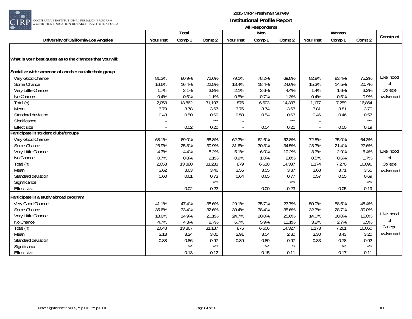

|                                                          | Total     |         |        |                | , ,,, ,,,,,,,,,,,,,,,,,<br>Men |              |           |                 |        |             |
|----------------------------------------------------------|-----------|---------|--------|----------------|--------------------------------|--------------|-----------|-----------------|--------|-------------|
| University of California-Los Angeles                     | Your Inst | Comp 1  | Comp 2 | Your Inst      | Comp 1                         | Comp 2       | Your Inst | Women<br>Comp 1 | Comp 2 | Construct   |
|                                                          |           |         |        |                |                                |              |           |                 |        |             |
|                                                          |           |         |        |                |                                |              |           |                 |        |             |
| What is your best guess as to the chances that you will: |           |         |        |                |                                |              |           |                 |        |             |
| Socialize with someone of another racial/ethnic group    |           |         |        |                |                                |              |           |                 |        |             |
| Very Good Chance                                         | 81.2%     | 80.9%   | 72.6%  | 79.1%          | 78.2%                          | 69.8%        | 82.8%     | 83.4%           | 75.2%  | Likelihood  |
| Some Chance                                              | 16.6%     | 16.4%   | 22.5%  | 18.4%          | 18.4%                          | 24.6%        | 15.3%     | 14.5%           | 20.7%  | Οf          |
| Very Little Chance                                       | 1.7%      | 2.1%    | 3.8%   | 2.1%           | 2.6%                           | 4.4%         | 1.4%      | 1.6%            | 3.2%   | College     |
| No Chance                                                | 0.4%      | 0.6%    | 1.1%   | 0.5%           | 0.7%                           | 1.3%         | 0.4%      | 0.5%            | 0.9%   | Involvement |
| Total (n)                                                | 2,053     | 13,862  | 31,197 | 876            | 6,603                          | 14,333       | 1,177     | 7,259           | 16,864 |             |
| Mean                                                     | 3.79      | 3.78    | 3.67   | 3.76           | 3.74                           | 3.63         | 3.81      | 3.81            | 3.70   |             |
| Standard deviation                                       | 0.48      | 0.50    | 0.60   | 0.50           | 0.54                           | 0.63         | 0.46      | 0.46            | 0.57   |             |
| Significance                                             |           |         | $***$  |                |                                | $***$        |           |                 | $***$  |             |
| <b>Effect size</b>                                       |           | 0.02    | 0.20   | $\blacksquare$ | 0.04                           | 0.21         |           | 0.00            | 0.19   |             |
| Participate in student clubs/groups                      |           |         |        |                |                                |              |           |                 |        |             |
| Very Good Chance                                         | 68.1%     | 69.0%   | 58.8%  | 62.3%          | 62.6%                          | 52.8%        | 72.5%     | 75.0%           | 64.3%  |             |
| Some Chance                                              | 26.9%     | 25.8%   | 30.9%  | 31.6%          | 30.3%                          | 34.5%        | 23.3%     | 21.4%           | 27.6%  |             |
| Very Little Chance                                       | 4.3%      | 4.4%    | 8.2%   | 5.1%           | 6.0%                           | 10.2%        | 3.7%      | 2.9%            | 6.4%   | Likelihood  |
| No Chance                                                | 0.7%      | 0.8%    | 2.1%   | 0.9%           | 1.0%                           | 2.6%         | 0.5%      | 0.6%            | 1.7%   | Οf          |
| Total (n)                                                | 2,053     | 13,880  | 31,233 | 879            | 6,610                          | 14,337       | 1,174     | 7,270           | 16,896 | College     |
| Mean                                                     | 3.62      | 3.63    | 3.46   | 3.55           | 3.55                           | 3.37         | 3.68      | 3.71            | 3.55   | Involvement |
| Standard deviation                                       | 0.60      | 0.61    | 0.73   | 0.64           | 0.65                           | 0.77         | 0.57      | 0.55            | 0.69   |             |
| Significance                                             |           |         | $***$  |                |                                | $***$        |           |                 | $***$  |             |
| <b>Effect size</b>                                       |           | $-0.02$ | 0.22   | $\blacksquare$ | 0.00                           | 0.23         |           | $-0.05$         | 0.19   |             |
| Participate in a study abroad program                    |           |         |        |                |                                |              |           |                 |        |             |
| Very Good Chance                                         | 41.1%     | 47.4%   | 38.6%  | 29.1%          | 35.7%                          | 27.7%        | 50.0%     | 58.5%           | 48.4%  |             |
| Some Chance                                              | 35.6%     | 33.4%   | 32.6%  | 39.4%          | 38.4%                          | 35.6%        | 32.7%     | 28.7%           | 30.0%  |             |
| Very Little Chance                                       | 18.6%     | 14.9%   | 20.1%  | 24.7%          | 20.0%                          | 25.6%        | 14.0%     | 10.0%           | 15.0%  | Likelihood  |
| No Chance                                                | 4.7%      | 4.3%    | 8.7%   | 6.7%           | 5.9%                           | 11.1%        | 3.2%      | 2.7%            | 6.5%   | Οf          |
| Total (n)                                                | 2,048     | 13,867  | 31,187 | 875            | 6,606                          | 14,327       | 1,173     | 7,261           | 16,860 | College     |
| Mean                                                     | 3.13      | 3.24    | 3.01   | 2.91           | 3.04                           | 2.80         | 3.30      | 3.43            | 3.20   | Involvement |
| Standard deviation                                       | 0.88      | 0.86    | 0.97   | 0.89           | 0.89                           | 0.97         | 0.83      | 0.78            | 0.92   |             |
| Significance                                             |           | $***$   | $***$  |                | $***$                          | $\star\star$ |           | $***$           | $***$  |             |
| <b>Effect size</b>                                       |           | $-0.13$ | 0.12   |                | $-0.15$                        | 0.11         |           | $-0.17$         | 0.11   |             |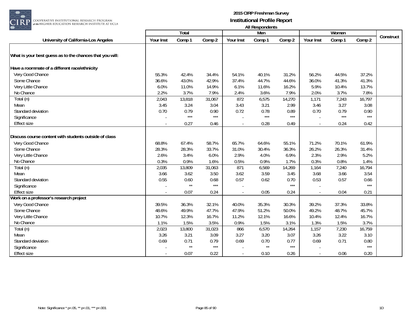

|                                                          |           |              |        |           | AII RESPUNDENTS |        |                          |        |        |           |
|----------------------------------------------------------|-----------|--------------|--------|-----------|-----------------|--------|--------------------------|--------|--------|-----------|
|                                                          |           | Total        |        |           | Men             |        |                          | Women  |        | Construct |
| University of California-Los Angeles                     | Your Inst | Comp 1       | Comp 2 | Your Inst | Comp 1          | Comp 2 | Your Inst                | Comp 1 | Comp 2 |           |
| What is your best guess as to the chances that you will: |           |              |        |           |                 |        |                          |        |        |           |
| Have a roommate of a different race/ethnicity            |           |              |        |           |                 |        |                          |        |        |           |
| Very Good Chance                                         | 55.3%     | 42.4%        | 34.4%  | 54.1%     | 40.1%           | 31.2%  | 56.2%                    | 44.5%  | 37.2%  |           |
| Some Chance                                              | 36.6%     | 43.0%        | 42.9%  | 37.4%     | 44.7%           | 44.6%  | 36.0%                    | 41.3%  | 41.3%  |           |
| Very Little Chance                                       | 6.0%      | 11.0%        | 14.9%  | 6.1%      | 11.6%           | 16.2%  | 5.9%                     | 10.4%  | 13.7%  |           |
| No Chance                                                | 2.2%      | 3.7%         | 7.9%   | 2.4%      | 3.6%            | 7.9%   | 2.0%                     | 3.7%   | 7.8%   |           |
| Total (n)                                                | 2,043     | 13,818       | 31,067 | 872       | 6,575           | 14,270 | 1,171                    | 7,243  | 16,797 |           |
| Mean                                                     | 3.45      | 3.24         | 3.04   | 3.43      | 3.21            | 2.99   | 3.46                     | 3.27   | 3.08   |           |
| Standard deviation                                       | 0.70      | 0.79         | 0.90   | 0.72      | 0.78            | 0.89   | 0.70                     | 0.79   | 0.90   |           |
| Significance                                             |           | $***$        | $***$  |           | $***$           | $***$  |                          | $***$  | $***$  |           |
| <b>Effect size</b>                                       |           | 0.27         | 0.46   |           | 0.28            | 0.49   |                          | 0.24   | 0.42   |           |
| Discuss course content with students outside of class    |           |              |        |           |                 |        |                          |        |        |           |
| Very Good Chance                                         | 68.8%     | 67.4%        | 58.7%  | 65.7%     | 64.6%           | 55.1%  | 71.2%                    | 70.1%  | 61.9%  |           |
| Some Chance                                              | 28.3%     | 28.3%        | 33.7%  | 31.0%     | 30.4%           | 36.3%  | 26.2%                    | 26.3%  | 31.4%  |           |
| Very Little Chance                                       | 2.6%      | 3.4%         | 6.0%   | 2.9%      | 4.0%            | 6.9%   | 2.3%                     | 2.9%   | 5.2%   |           |
| No Chance                                                | 0.3%      | 0.9%         | 1.6%   | 0.5%      | 0.9%            | 1.7%   | 0.3%                     | 0.8%   | 1.4%   |           |
| Total (n)                                                | 2,035     | 13,809       | 31,063 | 871       | 6,569           | 14,269 | 1,164                    | 7,240  | 16,794 |           |
| Mean                                                     | 3.66      | 3.62         | 3.50   | 3.62      | 3.59            | 3.45   | 3.68                     | 3.66   | 3.54   |           |
| Standard deviation                                       | 0.55      | 0.60         | 0.68   | 0.57      | 0.62            | 0.70   | 0.53                     | 0.57   | 0.66   |           |
| Significance                                             |           | $**$         | $***$  |           |                 | $***$  |                          |        | $***$  |           |
| <b>Effect size</b>                                       | $\sim$    | 0.07         | 0.24   | $\sim$    | 0.05            | 0.24   | $\overline{\phantom{a}}$ | 0.04   | 0.21   |           |
| Work on a professor's research project                   |           |              |        |           |                 |        |                          |        |        |           |
| Very Good Chance                                         | 39.5%     | 36.3%        | 32.1%  | 40.0%     | 35.3%           | 30.3%  | 39.2%                    | 37.3%  | 33.8%  |           |
| Some Chance                                              | 48.6%     | 49.9%        | 47.7%  | 47.9%     | 51.2%           | 50.0%  | 49.2%                    | 48.7%  | 45.7%  |           |
| Very Little Chance                                       | 10.7%     | 12.3%        | 16.7%  | 11.2%     | 12.1%           | 16.6%  | 10.4%                    | 12.4%  | 16.7%  |           |
| No Chance                                                | 1.1%      | 1.5%         | 3.5%   | 0.9%      | 1.5%            | 3.1%   | 1.3%                     | 1.5%   | 3.7%   |           |
| Total (n)                                                | 2,023     | 13,800       | 31,023 | 866       | 6,570           | 14,264 | 1,157                    | 7,230  | 16,759 |           |
| Mean                                                     | 3.26      | 3.21         | 3.09   | 3.27      | 3.20            | 3.07   | 3.26                     | 3.22   | 3.10   |           |
| Standard deviation                                       | 0.69      | 0.71         | 0.79   | 0.69      | 0.70            | 0.77   | 0.69                     | 0.71   | 0.80   |           |
| Significance                                             |           | $\star\star$ | $***$  |           | $\star\star$    | $***$  |                          |        | $***$  |           |
| <b>Effect size</b>                                       |           | 0.07         | 0.22   | $\sim$    | 0.10            | 0.26   |                          | 0.06   | 0.20   |           |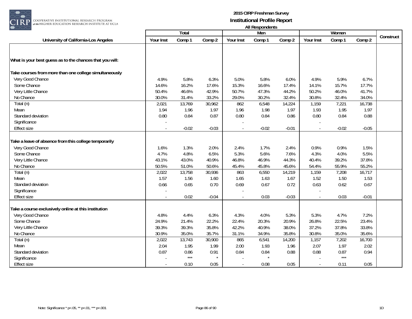

| $\bullet$ ooc                                            | <b>All Respondents</b><br>Women |                   |         |           |         |         |           |           |         |  |  |
|----------------------------------------------------------|---------------------------------|-------------------|---------|-----------|---------|---------|-----------|-----------|---------|--|--|
|                                                          |                                 | <b>Total</b>      |         |           | Men     |         |           | Construct |         |  |  |
| University of California-Los Angeles                     | Your Inst                       | Comp 1            | Comp 2  | Your Inst | Comp 1  | Comp 2  | Your Inst | Comp 1    | Comp 2  |  |  |
|                                                          |                                 |                   |         |           |         |         |           |           |         |  |  |
| What is your best guess as to the chances that you will: |                                 |                   |         |           |         |         |           |           |         |  |  |
| Take courses from more than one college simultaneously   |                                 |                   |         |           |         |         |           |           |         |  |  |
| Very Good Chance                                         | 4.9%                            | 5.8%              | 6.3%    | 5.0%      | 5.8%    | 6.0%    | 4.9%      | 5.9%      | 6.7%    |  |  |
| Some Chance                                              | 14.6%                           | 16.2%             | 17.6%   | 15.3%     | 16.6%   | 17.4%   | 14.1%     | 15.7%     | 17.7%   |  |  |
| Very Little Chance                                       | 50.4%                           | 46.6%             | 42.9%   | 50.7%     | 47.3%   | 44.2%   | 50.2%     | 46.0%     | 41.7%   |  |  |
| No Chance                                                | 30.0%                           | 31.4%             | 33.2%   | 29.0%     | 30.2%   | 32.4%   | 30.8%     | 32.4%     | 34.0%   |  |  |
| Total (n)                                                | 2,021                           | 13,769            | 30,962  | 862       | 6,548   | 14,224  | 1,159     | 7,221     | 16,738  |  |  |
| Mean                                                     | 1.94                            | 1.96              | 1.97    | 1.96      | 1.98    | 1.97    | 1.93      | 1.95      | 1.97    |  |  |
| Standard deviation                                       | 0.80                            | 0.84              | 0.87    | 0.80      | 0.84    | 0.86    | 0.80      | 0.84      | 0.88    |  |  |
| Significance                                             |                                 |                   |         |           |         |         |           |           |         |  |  |
| Effect size                                              |                                 | $-0.02$           | $-0.03$ | $\sim$    | $-0.02$ | $-0.01$ |           | $-0.02$   | $-0.05$ |  |  |
| Take a leave of absence from this college temporarily    |                                 |                   |         |           |         |         |           |           |         |  |  |
| Very Good Chance                                         | 1.6%                            | 1.3%              | 2.0%    | 2.4%      | 1.7%    | 2.4%    | 0.9%      | 0.9%      | 1.5%    |  |  |
| Some Chance                                              | 4.7%                            | 4.8%              | 6.5%    | 5.3%      | 5.6%    | 7.6%    | 4.3%      | 4.0%      | 5.5%    |  |  |
| Very Little Chance                                       | 43.1%                           | 43.0%             | 40.9%   | 46.8%     | 46.9%   | 44.3%   | 40.4%     | 39.2%     | 37.8%   |  |  |
| No Chance                                                | 50.5%                           | 51.0%             | 50.6%   | 45.4%     | 45.8%   | 45.6%   | 54.4%     | 55.9%     | 55.2%   |  |  |
| Total (n)                                                | 2,022                           | 13,758            | 30,936  | 863       | 6,550   | 14,219  | 1,159     | 7,208     | 16,717  |  |  |
| Mean                                                     | 1.57                            | 1.56              | 1.60    | 1.65      | 1.63    | 1.67    | 1.52      | 1.50      | 1.53    |  |  |
| Standard deviation                                       | 0.66                            | 0.65              | 0.70    | 0.69      | 0.67    | 0.72    | 0.63      | 0.62      | 0.67    |  |  |
| Significance                                             |                                 |                   |         |           |         |         |           |           |         |  |  |
| <b>Effect size</b>                                       |                                 | 0.02              | $-0.04$ |           | 0.03    | $-0.03$ |           | 0.03      | $-0.01$ |  |  |
|                                                          |                                 |                   |         |           |         |         |           |           |         |  |  |
| Take a course exclusively online at this institution     |                                 |                   |         |           |         |         |           |           |         |  |  |
| Very Good Chance                                         | 4.8%                            | 4.4%              | 6.3%    | 4.3%      | 4.0%    | 5.3%    | 5.3%      | 4.7%      | 7.2%    |  |  |
| Some Chance                                              | 24.9%                           | 21.4%             | 22.2%   | 22.4%     | 20.3%   | 20.9%   | 26.8%     | 22.5%     | 23.4%   |  |  |
| Very Little Chance                                       | 39.3%                           | 39.3%             | 35.8%   | 42.2%     | 40.9%   | 38.0%   | 37.2%     | 37.8%     | 33.8%   |  |  |
| No Chance                                                | 30.9%                           | 35.0%             | 35.7%   | 31.1%     | 34.9%   | 35.8%   | 30.8%     | 35.0%     | 35.6%   |  |  |
| Total (n)                                                | 2,022                           | 13,743            | 30,900  | 865       | 6,541   | 14,200  | 1,157     | 7,202     | 16,700  |  |  |
| Mean                                                     | 2.04                            | 1.95              | 1.99    | 2.00      | 1.93    | 1.96    | 2.07      | 1.97      | 2.02    |  |  |
| Standard deviation                                       | 0.87                            | 0.86              | 0.91    | 0.84      | 0.84    | 0.88    | 0.88      | 0.87      | 0.94    |  |  |
| Significance                                             |                                 | $\star\star\star$ |         |           |         |         |           | $***$     |         |  |  |
| <b>Effect size</b>                                       |                                 | 0.10              | 0.05    |           | 0.08    | 0.05    |           | 0.11      | 0.05    |  |  |